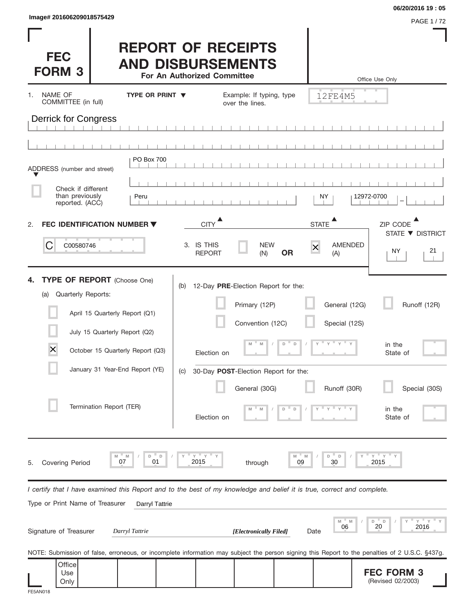(Revised 02/2003)

| Image# 201606209018575429                                                               |                                                                                                                                                                              |                                                                                      |                                                                                                                                                           |                                                            | 06/20/2016 19:05<br><b>PAGE 1/72</b>                                                                                                                                |
|-----------------------------------------------------------------------------------------|------------------------------------------------------------------------------------------------------------------------------------------------------------------------------|--------------------------------------------------------------------------------------|-----------------------------------------------------------------------------------------------------------------------------------------------------------|------------------------------------------------------------|---------------------------------------------------------------------------------------------------------------------------------------------------------------------|
| <b>FEC</b><br><b>FORM 3</b>                                                             |                                                                                                                                                                              | <b>REPORT OF RECEIPTS</b><br><b>AND DISBURSEMENTS</b><br>For An Authorized Committee |                                                                                                                                                           |                                                            | Office Use Only                                                                                                                                                     |
| NAME OF<br>1.<br>COMMITTEE (in full)                                                    | <b>TYPE OR PRINT ▼</b>                                                                                                                                                       |                                                                                      | Example: If typing, type<br>over the lines.                                                                                                               | 12FE4M5                                                    |                                                                                                                                                                     |
| <b>Derrick for Congress</b>                                                             |                                                                                                                                                                              |                                                                                      |                                                                                                                                                           |                                                            |                                                                                                                                                                     |
|                                                                                         |                                                                                                                                                                              |                                                                                      |                                                                                                                                                           |                                                            |                                                                                                                                                                     |
| ADDRESS (number and street)<br>Check if different<br>than previously<br>reported. (ACC) | PO Box 700<br>Peru                                                                                                                                                           |                                                                                      |                                                                                                                                                           | NY.                                                        | 12972-0700                                                                                                                                                          |
| 2.                                                                                      | <b>FEC IDENTIFICATION NUMBER ▼</b>                                                                                                                                           | <b>CITY</b>                                                                          |                                                                                                                                                           | <b>STATE</b>                                               | ZIP CODE                                                                                                                                                            |
| C<br>C00580746                                                                          |                                                                                                                                                                              | 3. IS THIS<br><b>REPORT</b>                                                          | <b>NEW</b><br><b>OR</b><br>(N)                                                                                                                            | $\overline{\mathsf{x}}$<br>(A)                             | STATE ▼ DISTRICT<br>AMENDED<br>NY<br>21                                                                                                                             |
| 4.<br>Quarterly Reports:<br>(a)<br>$\times$                                             | <b>TYPE OF REPORT</b> (Choose One)<br>April 15 Quarterly Report (Q1)<br>July 15 Quarterly Report (Q2)<br>October 15 Quarterly Report (Q3)<br>January 31 Year-End Report (YE) | (b)<br>Election on<br>(C)                                                            | 12-Day PRE-Election Report for the:<br>Primary (12P)<br>Convention (12C)<br>$D$ <sup><math>\Box</math></sup><br>M<br>30-Day POST-Election Report for the: | General (12G)<br>Special (12S)<br>$\mathbb D$<br>$y = y =$ | Runoff (12R)<br>in the<br>State of                                                                                                                                  |
|                                                                                         | Termination Report (TER)                                                                                                                                                     | Election on                                                                          | General (30G)<br>D                                                                                                                                        | Runoff (30R)<br>D                                          | Special (30S)<br>in the<br>State of                                                                                                                                 |
| <b>Covering Period</b><br>5.                                                            | D<br>D<br>M<br>M<br>07<br>01                                                                                                                                                 | " Y<br>Y<br>2015                                                                     | through                                                                                                                                                   | M<br>D<br>D<br>09<br>30                                    | " Y<br>Υ<br>2015                                                                                                                                                    |
| Type or Print Name of Treasurer                                                         | I certify that I have examined this Report and to the best of my knowledge and belief it is true, correct and complete.<br>Darryl Tattrie                                    |                                                                                      |                                                                                                                                                           |                                                            |                                                                                                                                                                     |
| Signature of Treasurer                                                                  | Darryl Tattrie                                                                                                                                                               |                                                                                      | [Electronically Filed]                                                                                                                                    | M<br>06<br>Date                                            | Υ<br>D<br>- D<br>20<br>2016                                                                                                                                         |
| Office<br>Use                                                                           |                                                                                                                                                                              |                                                                                      |                                                                                                                                                           |                                                            | NOTE: Submission of false, erroneous, or incomplete information may subject the person signing this Report to the penalties of 2 U.S.C. §437g.<br><b>FEC FORM 3</b> |

Use Only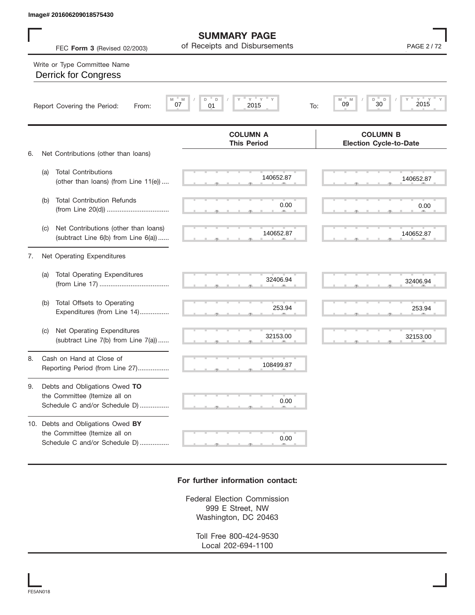|    |     | Image# 201606209018575430                                                                       |                                                             |                                                      |
|----|-----|-------------------------------------------------------------------------------------------------|-------------------------------------------------------------|------------------------------------------------------|
|    |     | FEC Form 3 (Revised 02/2003)                                                                    | <b>SUMMARY PAGE</b><br>of Receipts and Disbursements        | PAGE 2/72                                            |
|    |     | Write or Type Committee Name<br><b>Derrick for Congress</b>                                     |                                                             |                                                      |
|    |     | M<br>Report Covering the Period:<br>From:                                                       | $Y$ $Y$<br>$\mathsf D$<br>M<br>D<br>07<br>01<br>2015<br>To: | $Y = Y$<br>D<br>M<br>M<br>$\Box$<br>30<br>2015<br>09 |
|    |     |                                                                                                 | <b>COLUMN A</b><br><b>This Period</b>                       | <b>COLUMN B</b><br><b>Election Cycle-to-Date</b>     |
| 6. |     | Net Contributions (other than loans)                                                            |                                                             |                                                      |
|    | (a) | <b>Total Contributions</b><br>(other than loans) (from Line 11(e))                              | 140652.87                                                   | 140652.87                                            |
|    | (b) | <b>Total Contribution Refunds</b>                                                               | 0.00                                                        | 0.00                                                 |
|    | (c) | Net Contributions (other than loans)<br>(subtract Line 6(b) from Line 6(a))                     | 140652.87                                                   | 140652.87                                            |
| 7. |     | Net Operating Expenditures                                                                      |                                                             |                                                      |
|    | (a) | <b>Total Operating Expenditures</b>                                                             | 32406.94                                                    | 32406.94                                             |
|    | (b) | Total Offsets to Operating<br>Expenditures (from Line 14)                                       | 253.94                                                      | 253.94                                               |
|    | (C) | Net Operating Expenditures<br>(subtract Line 7(b) from Line 7(a))                               | 32153.00                                                    | 32153.00                                             |
| 8. |     | Cash on Hand at Close of<br>Reporting Period (from Line 27)                                     | 108499.87                                                   |                                                      |
| 9. |     | Debts and Obligations Owed TO<br>the Committee (Itemize all on<br>Schedule C and/or Schedule D) | 0.00                                                        |                                                      |
|    |     | 10. Debts and Obligations Owed BY<br>the Committee (Itemize all on                              | 0.00                                                        |                                                      |

## **For further information contact:**

S S S , , .

Federal Election Commission 999 E Street, NW Washington, DC 20463

> Toll Free 800-424-9530 Local 202-694-1100

Schedule C and/or Schedule D) ................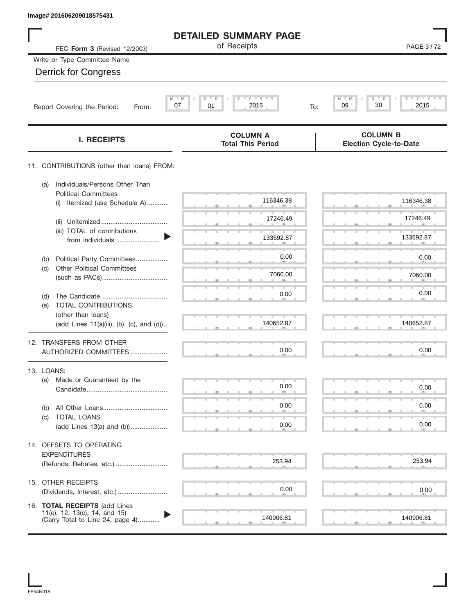| Image# 201606209018575431                                                                          |                                             |                                                  |
|----------------------------------------------------------------------------------------------------|---------------------------------------------|--------------------------------------------------|
|                                                                                                    | <b>DETAILED SUMMARY PAGE</b>                |                                                  |
| FEC Form 3 (Revised 12/2003)                                                                       | of Receipts                                 | PAGE 3/72                                        |
| Write or Type Committee Name                                                                       |                                             |                                                  |
| <b>Derrick for Congress</b>                                                                        |                                             |                                                  |
|                                                                                                    |                                             |                                                  |
| $M = M$<br>07<br>Report Covering the Period:<br>From:                                              | $Y$ $Y$ $Y$<br>D<br>D<br>2015<br>01<br>To:  | $Y = Y = Y$<br>M<br>D<br>30<br>09<br>2015        |
| <b>I. RECEIPTS</b>                                                                                 | <b>COLUMN A</b><br><b>Total This Period</b> | <b>COLUMN B</b><br><b>Election Cycle-to-Date</b> |
| 11. CONTRIBUTIONS (other than loans) FROM:                                                         |                                             |                                                  |
| Individuals/Persons Other Than<br>(a)<br><b>Political Committees</b>                               |                                             |                                                  |
| Itemized (use Schedule A)<br>(i)                                                                   | 116346.38                                   | 116346.38                                        |
| (ii)                                                                                               | 17246.49                                    | 17246.49                                         |
| (iii) TOTAL of contributions<br>from individuals                                                   | 133592.87                                   | 133592.87                                        |
| Political Party Committees<br>(b)                                                                  | 0.00                                        | 0.00                                             |
| <b>Other Political Committees</b><br>(c)                                                           | 7060.00                                     | 7060.00                                          |
| (d)                                                                                                | 0.00                                        | 0.00                                             |
| TOTAL CONTRIBUTIONS<br>(e)                                                                         |                                             |                                                  |
| (other than loans)<br>(add Lines 11(a)(iii), (b), (c), and (d))                                    | 140652.87                                   | 140652.87                                        |
| 12. TRANSFERS FROM OTHER                                                                           |                                             |                                                  |
| AUTHORIZED COMMITTEES                                                                              | 0.00                                        | 0.00                                             |
| 13. LOANS:                                                                                         |                                             |                                                  |
| Made or Guaranteed by the<br>(a)                                                                   | 0.00                                        | 0.00                                             |
| (b)                                                                                                | 0.00                                        | 0.00                                             |
| TOTAL LOANS<br>(C)<br>(add Lines 13(a) and (b))                                                    | 0.00                                        | 0.00                                             |
| 14. OFFSETS TO OPERATING                                                                           |                                             |                                                  |
| <b>EXPENDITURES</b>                                                                                |                                             |                                                  |
| (Refunds, Rebates, etc.)                                                                           | 253.94                                      | 253.94                                           |
| 15. OTHER RECEIPTS                                                                                 |                                             |                                                  |
| (Dividends, Interest, etc.)                                                                        | 0.00                                        | 0.00                                             |
| 16. TOTAL RECEIPTS (add Lines<br>11(e), 12, 13(c), 14, and 15)<br>(Carry Total to Line 24, page 4) | 140906.81                                   | 140906.81                                        |
|                                                                                                    |                                             |                                                  |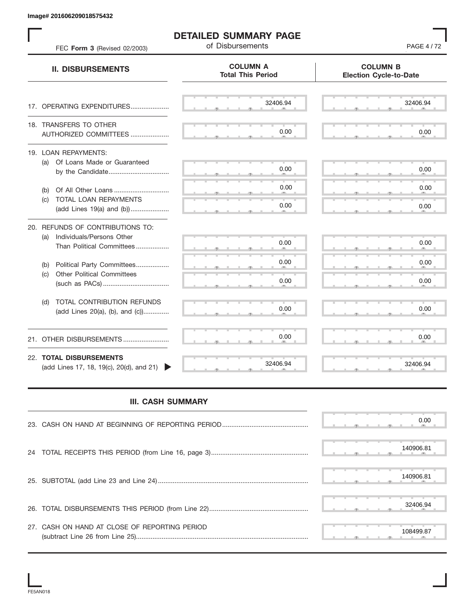| FEC Form 3 (Revised 02/2003)                                                                      | <b>DETAILED SUMMARY PAGE</b><br>of Disbursements | <b>PAGE 4/72</b>                                 |
|---------------------------------------------------------------------------------------------------|--------------------------------------------------|--------------------------------------------------|
| <b>II. DISBURSEMENTS</b>                                                                          | <b>COLUMN A</b><br><b>Total This Period</b>      | <b>COLUMN B</b><br><b>Election Cycle-to-Date</b> |
| 17. OPERATING EXPENDITURES                                                                        | 32406.94                                         | 32406.94                                         |
| 18. TRANSFERS TO OTHER<br>AUTHORIZED COMMITTEES                                                   | 0.00                                             | 0.00                                             |
| 19. LOAN REPAYMENTS:<br>(a) Of Loans Made or Guaranteed<br>by the Candidate                       | 0.00                                             | 0.00                                             |
| Of All Other Loans<br>(b)                                                                         | 0.00                                             | 0.00                                             |
| TOTAL LOAN REPAYMENTS<br>(c)<br>(add Lines 19(a) and (b))                                         | 0.00                                             | 0.00                                             |
| 20. REFUNDS OF CONTRIBUTIONS TO:<br>Individuals/Persons Other<br>(a)<br>Than Political Committees | 0.00                                             | 0.00                                             |
| Political Party Committees<br>(b)                                                                 | 0.00                                             | 0.00                                             |
| <b>Other Political Committees</b><br>(c)                                                          | 0.00                                             | 0.00                                             |
| TOTAL CONTRIBUTION REFUNDS<br>(d)<br>(add Lines 20(a), (b), and (c))                              | 0.00                                             | 0.00                                             |
| 21. OTHER DISBURSEMENTS                                                                           | 0.00                                             | 0.00                                             |
| 22. TOTAL DISBURSEMENTS<br>(add Lines 17, 18, 19(c), 20(d), and 21)                               | 32406.94                                         | 32406.94                                         |
| <b>III. CASH SUMMARY</b>                                                                          |                                                  |                                                  |
|                                                                                                   |                                                  | 0.00                                             |
| 24                                                                                                |                                                  | 140906.81                                        |
|                                                                                                   |                                                  | 140906.81                                        |
|                                                                                                   |                                                  | 32406.94                                         |
| 27. CASH ON HAND AT CLOSE OF REPORTING PERIOD                                                     |                                                  | 108499.87                                        |

## **III. CASH SUMMARY**

|                                               | 0.00      |
|-----------------------------------------------|-----------|
|                                               | 140906.81 |
|                                               | 140906.81 |
|                                               | 32406.94  |
| 27. CASH ON HAND AT CLOSE OF REPORTING PERIOD | 108499.87 |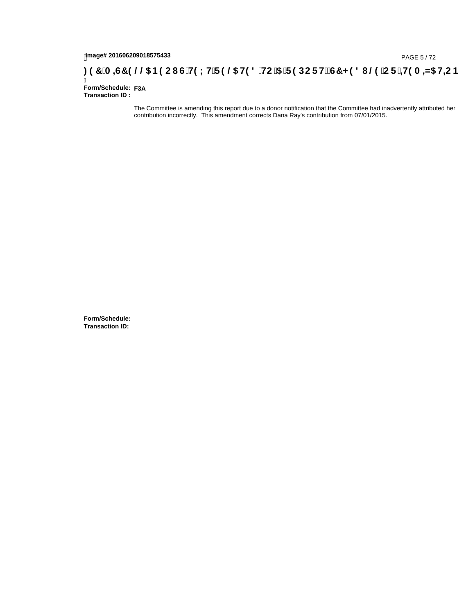## 1mage# 201606209018575433<br>**: 97 A =G7 9 @@ B9CI G`H9LH`F9 @ H98 `HC`5 `F9DCFHžG7 < 981 @ `CF`=H9A =N5 H=CB**<br>Form/Schedule: <sub>F3A</sub>

Ī **Form/Schedule: Transaction ID :** 

> The Committee is amending this report due to a donor notification that the Committee had inadvertently attributed her contribution incorrectly. This amendment corrects Dana Ray's contribution from 07/01/2015.

**Form/Schedule: Transaction ID:**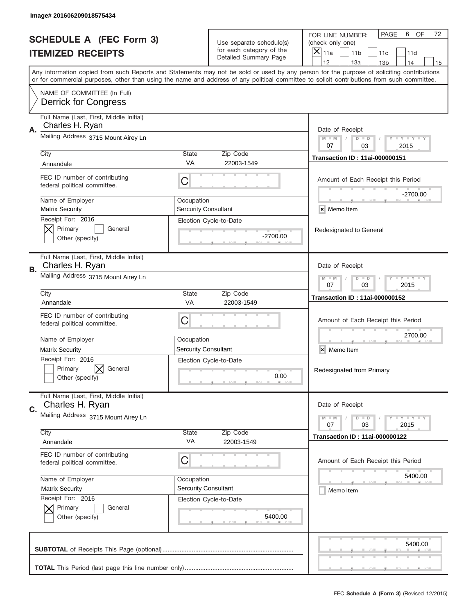|    | Image# 201606209018575434                                     |                             |                                                   |                                                                                                                                                                                       |
|----|---------------------------------------------------------------|-----------------------------|---------------------------------------------------|---------------------------------------------------------------------------------------------------------------------------------------------------------------------------------------|
|    | <b>SCHEDULE A (FEC Form 3)</b>                                |                             | Use separate schedule(s)                          | PAGE<br>6<br>OF<br>72<br>FOR LINE NUMBER:<br>(check only one)                                                                                                                         |
|    | <b>ITEMIZED RECEIPTS</b>                                      |                             | for each category of the<br>Detailed Summary Page | $\times$<br>11a<br>11 <sub>b</sub><br>11c<br>11d                                                                                                                                      |
|    |                                                               |                             |                                                   | 12<br>13a<br>14<br>13 <sub>b</sub><br>15<br>Any information copied from such Reports and Statements may not be sold or used by any person for the purpose of soliciting contributions |
|    |                                                               |                             |                                                   | or for commercial purposes, other than using the name and address of any political committee to solicit contributions from such committee.                                            |
|    | NAME OF COMMITTEE (In Full)<br><b>Derrick for Congress</b>    |                             |                                                   |                                                                                                                                                                                       |
| Α. | Full Name (Last, First, Middle Initial)<br>Charles H. Ryan    |                             |                                                   | Date of Receipt                                                                                                                                                                       |
|    | Mailing Address 3715 Mount Airey Ln                           |                             |                                                   | <b>LEY LEY LEY</b><br>$M - M$<br>$D$ $D$<br>07<br>03<br>2015                                                                                                                          |
|    | City                                                          | <b>State</b><br>VA          | Zip Code<br>22003-1549                            | <b>Transaction ID: 11ai-000000151</b>                                                                                                                                                 |
|    | Annandale                                                     |                             |                                                   |                                                                                                                                                                                       |
|    | FEC ID number of contributing<br>federal political committee. | C                           |                                                   | Amount of Each Receipt this Period<br>-2700.00                                                                                                                                        |
|    | Name of Employer                                              | Occupation                  |                                                   |                                                                                                                                                                                       |
|    | <b>Matrix Security</b>                                        | <b>Sercurity Consultant</b> |                                                   | × Memo Item                                                                                                                                                                           |
|    | Receipt For: 2016<br>Primary<br>General<br>Other (specify)    |                             | Election Cycle-to-Date<br>$-2700.00$              | Redesignated to General                                                                                                                                                               |
| В. | Full Name (Last, First, Middle Initial)<br>Charles H. Ryan    |                             |                                                   | Date of Receipt                                                                                                                                                                       |
|    | Mailing Address 3715 Mount Airey Ln                           |                             |                                                   | <b>LY LY LY</b><br>$M - M$<br>$D$ $D$<br>07<br>03<br>2015                                                                                                                             |
|    | City<br>Annandale                                             | <b>State</b><br><b>VA</b>   | Zip Code<br>22003-1549                            | <b>Transaction ID: 11ai-000000152</b>                                                                                                                                                 |
|    |                                                               |                             |                                                   |                                                                                                                                                                                       |
|    | FEC ID number of contributing<br>federal political committee. | C                           |                                                   | Amount of Each Receipt this Period                                                                                                                                                    |
|    | Name of Employer                                              | Occupation                  |                                                   | 2700.00                                                                                                                                                                               |
|    | <b>Matrix Security</b>                                        | <b>Sercurity Consultant</b> |                                                   | ×<br>Memo Item                                                                                                                                                                        |
|    | Receipt For: 2016<br>Primary<br>General<br>Other (specify)    |                             | Election Cycle-to-Date<br>0.00                    | Redesignated from Primary                                                                                                                                                             |
| C. | Full Name (Last, First, Middle Initial)<br>Charles H. Ryan    |                             |                                                   | Date of Receipt                                                                                                                                                                       |
|    | Mailing Address 3715 Mount Airey Ln                           |                             |                                                   | <b>LY LY LY</b><br>$M - M$<br>$D$ $D$<br>03<br>2015<br>07                                                                                                                             |
|    | City<br>Annandale                                             | State<br>VA                 | Zip Code                                          | <b>Transaction ID: 11ai-000000122</b>                                                                                                                                                 |
|    |                                                               |                             | 22003-1549                                        |                                                                                                                                                                                       |
|    | FEC ID number of contributing<br>federal political committee. | С                           |                                                   | Amount of Each Receipt this Period                                                                                                                                                    |
|    | Name of Employer                                              | Occupation                  |                                                   | 5400.00                                                                                                                                                                               |
|    | <b>Matrix Security</b>                                        | <b>Sercurity Consultant</b> |                                                   | Memo Item                                                                                                                                                                             |
|    | Receipt For: 2016<br>Primary<br>General<br>Other (specify)    |                             | Election Cycle-to-Date<br>5400.00                 |                                                                                                                                                                                       |
|    |                                                               |                             |                                                   | 5400.00                                                                                                                                                                               |
|    |                                                               |                             |                                                   |                                                                                                                                                                                       |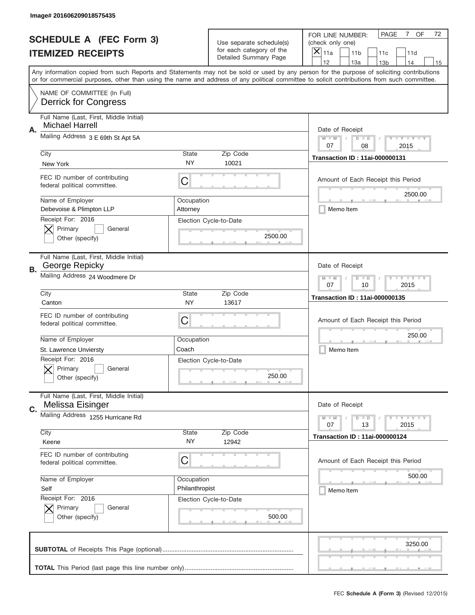|    | Image# 201606209018575435                                         |                        |                                                   |                                                                                                                                                                                                                                                                                                                                     |
|----|-------------------------------------------------------------------|------------------------|---------------------------------------------------|-------------------------------------------------------------------------------------------------------------------------------------------------------------------------------------------------------------------------------------------------------------------------------------------------------------------------------------|
|    | <b>SCHEDULE A (FEC Form 3)</b>                                    |                        | Use separate schedule(s)                          | OF<br><b>PAGE</b><br>$7\overline{ }$<br>72<br>FOR LINE NUMBER:<br>(check only one)                                                                                                                                                                                                                                                  |
|    | <b>ITEMIZED RECEIPTS</b>                                          |                        | for each category of the<br>Detailed Summary Page | ×<br>11a<br>11 <sub>b</sub><br>11c<br>11d                                                                                                                                                                                                                                                                                           |
|    |                                                                   |                        |                                                   | 12<br>13a<br>14<br>13 <sub>b</sub><br>15<br>Any information copied from such Reports and Statements may not be sold or used by any person for the purpose of soliciting contributions<br>or for commercial purposes, other than using the name and address of any political committee to solicit contributions from such committee. |
|    | NAME OF COMMITTEE (In Full)<br><b>Derrick for Congress</b>        |                        |                                                   |                                                                                                                                                                                                                                                                                                                                     |
| Α. | Full Name (Last, First, Middle Initial)<br><b>Michael Harrell</b> |                        |                                                   | Date of Receipt                                                                                                                                                                                                                                                                                                                     |
|    | Mailing Address 3 E 69th St Apt 5A                                |                        |                                                   | $M - M$<br><b>LYLYLY</b><br>$D$ $D$<br>07<br>08<br>2015                                                                                                                                                                                                                                                                             |
|    | City<br>New York                                                  | State<br>NY            | Zip Code<br>10021                                 | <b>Transaction ID: 11ai-000000131</b>                                                                                                                                                                                                                                                                                               |
|    | FEC ID number of contributing<br>federal political committee.     | C                      |                                                   | Amount of Each Receipt this Period<br>2500.00                                                                                                                                                                                                                                                                                       |
|    | Name of Employer<br>Debevoise & Plimpton LLP                      | Occupation<br>Attornev |                                                   | Memo Item                                                                                                                                                                                                                                                                                                                           |
|    | Receipt For: 2016<br>Primary<br>General<br>Other (specify)        |                        | Election Cycle-to-Date<br>2500.00                 |                                                                                                                                                                                                                                                                                                                                     |
| В. | Full Name (Last, First, Middle Initial)<br>George Repicky         |                        |                                                   | Date of Receipt                                                                                                                                                                                                                                                                                                                     |
|    | Mailing Address 24 Woodmere Dr                                    |                        |                                                   | $M - M$<br><b>LYLYLY</b><br>$D$ $D$<br>07<br>10<br>2015                                                                                                                                                                                                                                                                             |
|    | City<br>Canton                                                    | <b>State</b><br>NY     | Zip Code<br>13617                                 | <b>Transaction ID: 11ai-000000135</b>                                                                                                                                                                                                                                                                                               |
|    | FEC ID number of contributing<br>federal political committee.     | C                      |                                                   | Amount of Each Receipt this Period                                                                                                                                                                                                                                                                                                  |
|    | Name of Employer                                                  | Occupation             |                                                   | 250.00                                                                                                                                                                                                                                                                                                                              |
|    | St. Lawrence Unviersty<br>Receipt For: 2016                       | Coach                  | Election Cycle-to-Date                            | Memo Item                                                                                                                                                                                                                                                                                                                           |
|    | General<br>Primary<br>Other (specify)                             |                        | 250.00                                            |                                                                                                                                                                                                                                                                                                                                     |
| C. | Full Name (Last, First, Middle Initial)<br>Melissa Eisinger       |                        |                                                   | Date of Receipt                                                                                                                                                                                                                                                                                                                     |
|    | Mailing Address 1255 Hurricane Rd                                 |                        |                                                   | <b>LYLYLY</b><br>$M - M$<br>$D$ $D$<br>07<br>13<br>2015                                                                                                                                                                                                                                                                             |
|    | City<br>Keene                                                     | State<br>ΝY            | Zip Code<br>12942                                 | <b>Transaction ID: 11ai-000000124</b>                                                                                                                                                                                                                                                                                               |
|    |                                                                   |                        |                                                   |                                                                                                                                                                                                                                                                                                                                     |
|    | FEC ID number of contributing<br>federal political committee.     | С                      |                                                   | Amount of Each Receipt this Period                                                                                                                                                                                                                                                                                                  |
|    | Name of Employer                                                  | Occupation             |                                                   | 500.00                                                                                                                                                                                                                                                                                                                              |
|    | Self                                                              | Philanthropist         |                                                   | Memo Item                                                                                                                                                                                                                                                                                                                           |
|    | Receipt For: 2016<br>Primary<br>General<br>Other (specify)        |                        | Election Cycle-to-Date<br>500.00                  |                                                                                                                                                                                                                                                                                                                                     |
|    |                                                                   |                        |                                                   | 3250.00                                                                                                                                                                                                                                                                                                                             |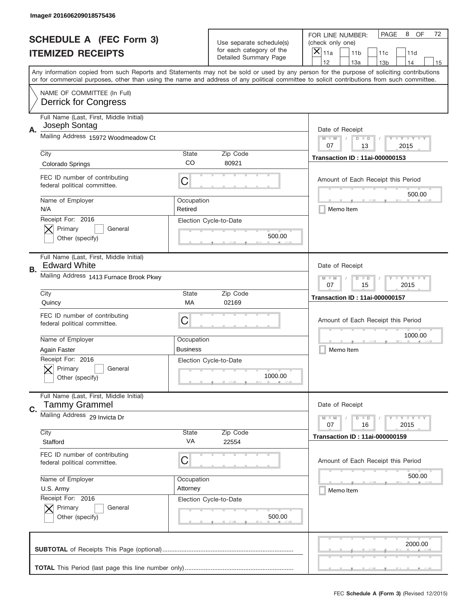|    | Image# 201606209018575436                                       |                       |                                                   |                                                                                                                                                                                                                                                                                                                                     |
|----|-----------------------------------------------------------------|-----------------------|---------------------------------------------------|-------------------------------------------------------------------------------------------------------------------------------------------------------------------------------------------------------------------------------------------------------------------------------------------------------------------------------------|
|    | <b>SCHEDULE A (FEC Form 3)</b>                                  |                       | Use separate schedule(s)                          | PAGE<br>8<br>OF<br>72<br>FOR LINE NUMBER:<br>(check only one)                                                                                                                                                                                                                                                                       |
|    | <b>ITEMIZED RECEIPTS</b>                                        |                       | for each category of the<br>Detailed Summary Page | $\boldsymbol{\times}$<br>11a<br>11 <sub>b</sub><br>11c<br>11d                                                                                                                                                                                                                                                                       |
|    |                                                                 |                       |                                                   | 12<br>13a<br>14<br>13 <sub>b</sub><br>15<br>Any information copied from such Reports and Statements may not be sold or used by any person for the purpose of soliciting contributions<br>or for commercial purposes, other than using the name and address of any political committee to solicit contributions from such committee. |
|    | NAME OF COMMITTEE (In Full)<br><b>Derrick for Congress</b>      |                       |                                                   |                                                                                                                                                                                                                                                                                                                                     |
|    | Full Name (Last, First, Middle Initial)                         |                       |                                                   |                                                                                                                                                                                                                                                                                                                                     |
| Α. | Joseph Sontag<br>Mailing Address 15972 Woodmeadow Ct            |                       |                                                   | Date of Receipt<br><b>LYLYLY</b><br>$M - M$<br>$D$ $D$                                                                                                                                                                                                                                                                              |
|    |                                                                 |                       |                                                   | 07<br>13<br>2015                                                                                                                                                                                                                                                                                                                    |
|    | City<br>Colorado Springs                                        | <b>State</b><br>CO    | Zip Code<br>80921                                 | <b>Transaction ID: 11ai-000000153</b>                                                                                                                                                                                                                                                                                               |
|    | FEC ID number of contributing<br>federal political committee.   | С                     |                                                   | Amount of Each Receipt this Period                                                                                                                                                                                                                                                                                                  |
|    | Name of Employer<br>N/A                                         | Occupation<br>Retired |                                                   | 500.00<br>Memo Item                                                                                                                                                                                                                                                                                                                 |
|    | Receipt For: 2016<br>Primary<br>General<br>Other (specify)      |                       | Election Cycle-to-Date<br>500.00                  |                                                                                                                                                                                                                                                                                                                                     |
| В. | Full Name (Last, First, Middle Initial)<br><b>Edward White</b>  |                       |                                                   | Date of Receipt                                                                                                                                                                                                                                                                                                                     |
|    | Mailing Address 1413 Furnace Brook Pkwy                         |                       |                                                   | <b>LY LY LY</b><br>$M - M$<br>$D$ $D$<br>07<br>15<br>2015                                                                                                                                                                                                                                                                           |
|    | City<br>Quincy                                                  | <b>State</b><br>МA    | Zip Code<br>02169                                 | <b>Transaction ID: 11ai-000000157</b>                                                                                                                                                                                                                                                                                               |
|    | FEC ID number of contributing<br>federal political committee.   | С                     |                                                   | Amount of Each Receipt this Period                                                                                                                                                                                                                                                                                                  |
|    | Name of Employer                                                | Occupation            |                                                   | 1000.00                                                                                                                                                                                                                                                                                                                             |
|    | Again Faster<br>Receipt For: 2016                               | <b>Business</b>       |                                                   | Memo Item                                                                                                                                                                                                                                                                                                                           |
|    | General<br>Primary<br>Other (specify)                           |                       | Election Cycle-to-Date<br>1000.00                 |                                                                                                                                                                                                                                                                                                                                     |
| C. | Full Name (Last, First, Middle Initial)<br><b>Tammy Grammel</b> |                       |                                                   | Date of Receipt                                                                                                                                                                                                                                                                                                                     |
|    | Mailing Address 29 Invicta Dr                                   |                       |                                                   | <b>LYLYLY</b><br>$M - M$<br>$D$ $D$<br>2015<br>07<br>16                                                                                                                                                                                                                                                                             |
|    | City<br>Stafford                                                | <b>State</b><br>VA    | Zip Code<br>22554                                 | <b>Transaction ID: 11ai-000000159</b>                                                                                                                                                                                                                                                                                               |
|    | FEC ID number of contributing<br>federal political committee.   | С                     |                                                   | Amount of Each Receipt this Period                                                                                                                                                                                                                                                                                                  |
|    | Name of Employer                                                | Occupation            |                                                   | 500.00                                                                                                                                                                                                                                                                                                                              |
|    | U.S. Army                                                       | Attorney              |                                                   | Memo Item                                                                                                                                                                                                                                                                                                                           |
|    | Receipt For: 2016<br>Primary<br>General<br>Other (specify)      |                       | Election Cycle-to-Date<br>500.00                  |                                                                                                                                                                                                                                                                                                                                     |
|    |                                                                 |                       |                                                   | 2000.00                                                                                                                                                                                                                                                                                                                             |
|    |                                                                 |                       |                                                   |                                                                                                                                                                                                                                                                                                                                     |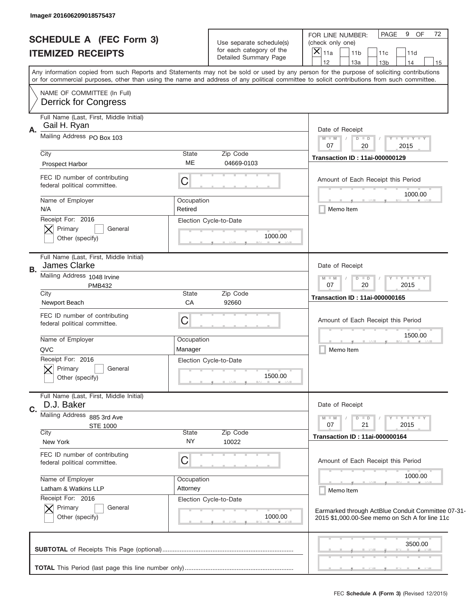| Image# 201606209018575437                                            |                                                                                                                                                                                                                                                                                         |                                                                                                                                                                         |
|----------------------------------------------------------------------|-----------------------------------------------------------------------------------------------------------------------------------------------------------------------------------------------------------------------------------------------------------------------------------------|-------------------------------------------------------------------------------------------------------------------------------------------------------------------------|
| <b>SCHEDULE A (FEC Form 3)</b><br><b>ITEMIZED RECEIPTS</b>           | Use separate schedule(s)<br>for each category of the<br>Detailed Summary Page                                                                                                                                                                                                           | PAGE<br>9 OF<br>72<br>FOR LINE NUMBER:<br>(check only one)<br>$\boldsymbol{\times}$<br>11a<br>11 <sub>b</sub><br>11c<br>11d<br>12<br>13a<br>13 <sub>b</sub><br>14<br>15 |
|                                                                      | Any information copied from such Reports and Statements may not be sold or used by any person for the purpose of soliciting contributions<br>or for commercial purposes, other than using the name and address of any political committee to solicit contributions from such committee. |                                                                                                                                                                         |
| NAME OF COMMITTEE (In Full)<br><b>Derrick for Congress</b>           |                                                                                                                                                                                                                                                                                         |                                                                                                                                                                         |
| Full Name (Last, First, Middle Initial)<br>Gail H. Ryan<br>Α.        |                                                                                                                                                                                                                                                                                         | Date of Receipt                                                                                                                                                         |
| Mailing Address PO Box 103                                           |                                                                                                                                                                                                                                                                                         | $M$ M<br>$Y - Y - Y - Y$<br>$D$ $D$<br>$\sqrt{2}$<br>07<br>2015<br>20                                                                                                   |
| City<br><b>Prospect Harbor</b>                                       | State<br>Zip Code<br><b>ME</b><br>04669-0103                                                                                                                                                                                                                                            | <b>Transaction ID: 11ai-000000129</b>                                                                                                                                   |
| FEC ID number of contributing<br>federal political committee.        | C                                                                                                                                                                                                                                                                                       | Amount of Each Receipt this Period<br>1000.00                                                                                                                           |
| Name of Employer<br>N/A                                              | Occupation<br>Retired                                                                                                                                                                                                                                                                   | Memo Item                                                                                                                                                               |
| Receipt For: 2016<br>Primary<br>General<br>Other (specify)           | Election Cycle-to-Date<br>1000.00                                                                                                                                                                                                                                                       |                                                                                                                                                                         |
| Full Name (Last, First, Middle Initial)<br>James Clarke<br>В.        |                                                                                                                                                                                                                                                                                         | Date of Receipt                                                                                                                                                         |
| Mailing Address 1048 Irvine<br><b>PMB432</b>                         |                                                                                                                                                                                                                                                                                         | $Y - Y - Y - Y - Y$<br>$M - M$<br>$D$ $D$<br>07<br>20<br>2015                                                                                                           |
| City<br>Newport Beach                                                | State<br>Zip Code<br>CA<br>92660                                                                                                                                                                                                                                                        | <b>Transaction ID: 11ai-000000165</b>                                                                                                                                   |
| FEC ID number of contributing<br>federal political committee.        | C                                                                                                                                                                                                                                                                                       | Amount of Each Receipt this Period                                                                                                                                      |
| Name of Employer<br>QVC                                              | Occupation<br>Manager                                                                                                                                                                                                                                                                   | 1500.00<br>Memo Item                                                                                                                                                    |
| Receipt For: 2016<br>General<br>Primary<br>Other (specify)           | Election Cycle-to-Date<br>1500.00                                                                                                                                                                                                                                                       |                                                                                                                                                                         |
| Full Name (Last, First, Middle Initial)<br>D.J. Baker<br>$C_{\cdot}$ |                                                                                                                                                                                                                                                                                         | Date of Receipt                                                                                                                                                         |
| Mailing Address<br>885 3rd Ave<br><b>STE 1000</b>                    |                                                                                                                                                                                                                                                                                         | Y FY FY FY<br>$M - M$<br>$D$ $D$<br>2015<br>07<br>21                                                                                                                    |
| City<br>New York                                                     | State<br>Zip Code<br><b>NY</b><br>10022                                                                                                                                                                                                                                                 | <b>Transaction ID: 11ai-000000164</b>                                                                                                                                   |
| FEC ID number of contributing<br>federal political committee.        | C                                                                                                                                                                                                                                                                                       | Amount of Each Receipt this Period                                                                                                                                      |
| Name of Employer<br>Latham & Watkins LLP<br>Receipt For: 2016        | Occupation<br>Attorney<br>Election Cycle-to-Date                                                                                                                                                                                                                                        | 1000.00<br>Memo Item                                                                                                                                                    |
| Primary<br>General<br>Other (specify)                                | 1000.00                                                                                                                                                                                                                                                                                 | Earmarked through ActBlue Conduit Committee 07-31-<br>2015 \$1,000.00-See memo on Sch A for line 11c                                                                    |
|                                                                      |                                                                                                                                                                                                                                                                                         | 3500.00                                                                                                                                                                 |
|                                                                      |                                                                                                                                                                                                                                                                                         | , , ,                                                                                                                                                                   |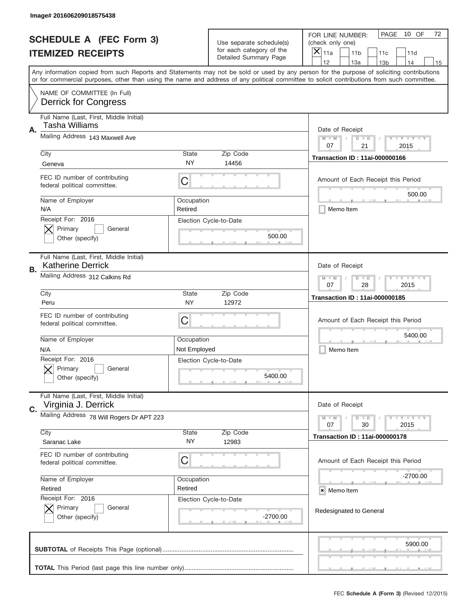|    | Image# 201606209018575438                                           |                       |                                                   |                                                                                                                                                                                       |
|----|---------------------------------------------------------------------|-----------------------|---------------------------------------------------|---------------------------------------------------------------------------------------------------------------------------------------------------------------------------------------|
|    | <b>SCHEDULE A (FEC Form 3)</b>                                      |                       | Use separate schedule(s)                          | PAGE<br>10 OF<br>72<br>FOR LINE NUMBER:<br>(check only one)                                                                                                                           |
|    | <b>ITEMIZED RECEIPTS</b>                                            |                       | for each category of the<br>Detailed Summary Page | $\boldsymbol{\times}$<br>11a<br>11 <sub>b</sub><br>11c<br>11d                                                                                                                         |
|    |                                                                     |                       |                                                   | 12<br>13a<br>14<br>13 <sub>b</sub><br>15<br>Any information copied from such Reports and Statements may not be sold or used by any person for the purpose of soliciting contributions |
|    |                                                                     |                       |                                                   | or for commercial purposes, other than using the name and address of any political committee to solicit contributions from such committee.                                            |
|    | NAME OF COMMITTEE (In Full)<br><b>Derrick for Congress</b>          |                       |                                                   |                                                                                                                                                                                       |
| Α. | Full Name (Last, First, Middle Initial)<br>Tasha Williams           |                       |                                                   | Date of Receipt                                                                                                                                                                       |
|    | Mailing Address 143 Maxwell Ave                                     |                       |                                                   | <b>LYLYLY</b><br>$M - M$<br>$D$ $D$<br>07<br>21<br>2015                                                                                                                               |
|    | City                                                                | <b>State</b>          | Zip Code                                          | <b>Transaction ID: 11ai-000000166</b>                                                                                                                                                 |
|    | Geneva                                                              | NY.                   | 14456                                             |                                                                                                                                                                                       |
|    | FEC ID number of contributing<br>federal political committee.       | C                     |                                                   | Amount of Each Receipt this Period<br>500.00                                                                                                                                          |
|    | Name of Employer<br>N/A                                             | Occupation<br>Retired |                                                   | Memo Item                                                                                                                                                                             |
|    | Receipt For: 2016<br>Primary<br>General<br>Other (specify)          |                       | Election Cycle-to-Date<br>500.00                  |                                                                                                                                                                                       |
| В. | Full Name (Last, First, Middle Initial)<br><b>Katherine Derrick</b> |                       |                                                   | Date of Receipt                                                                                                                                                                       |
|    | Mailing Address 312 Calkins Rd                                      |                       |                                                   | <b>LY LY LY</b><br>$M - M$<br>$D$ $D$<br>07<br>28<br>2015                                                                                                                             |
|    | City<br>Peru                                                        | <b>State</b><br>NY    | Zip Code<br>12972                                 | <b>Transaction ID: 11ai-000000185</b>                                                                                                                                                 |
|    |                                                                     |                       |                                                   |                                                                                                                                                                                       |
|    | FEC ID number of contributing<br>federal political committee.       | С                     |                                                   | Amount of Each Receipt this Period                                                                                                                                                    |
|    | Name of Employer                                                    | Occupation            |                                                   | 5400.00                                                                                                                                                                               |
|    | N/A                                                                 | Not Employed          |                                                   | Memo Item                                                                                                                                                                             |
|    | Receipt For: 2016<br>General<br>Primary<br>Other (specify)          |                       | Election Cycle-to-Date<br>5400.00                 |                                                                                                                                                                                       |
| C. | Full Name (Last, First, Middle Initial)<br>Virginia J. Derrick      |                       |                                                   | Date of Receipt                                                                                                                                                                       |
|    | Mailing Address 78 Will Rogers Dr APT 223                           |                       |                                                   | <b>LY LY LY</b><br>$M - M$<br>$D$ $D$<br>2015<br>07<br>30                                                                                                                             |
|    | City                                                                | State                 | Zip Code                                          | <b>Transaction ID: 11ai-000000178</b>                                                                                                                                                 |
|    | Saranac Lake                                                        | NY.                   | 12983                                             |                                                                                                                                                                                       |
|    | FEC ID number of contributing<br>federal political committee.       | С                     |                                                   | Amount of Each Receipt this Period                                                                                                                                                    |
|    | Name of Employer                                                    | Occupation            |                                                   | -2700.00                                                                                                                                                                              |
|    | Retired                                                             | Retired               |                                                   | × Memo Item                                                                                                                                                                           |
|    | Receipt For: 2016<br>Primary<br>General<br>Other (specify)          |                       | Election Cycle-to-Date<br>-2700.00                | Redesignated to General                                                                                                                                                               |
|    |                                                                     |                       |                                                   | 5900.00                                                                                                                                                                               |
|    |                                                                     |                       |                                                   |                                                                                                                                                                                       |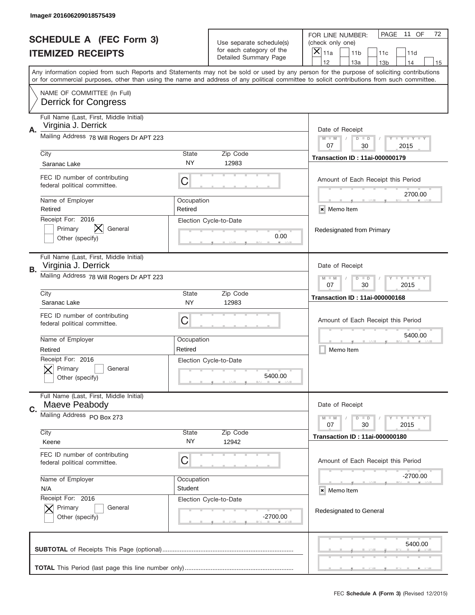|    | Image# 201606209018575439                                         |                       |                                                      |                                                                                                                                                                                                                                                                                                                                     |
|----|-------------------------------------------------------------------|-----------------------|------------------------------------------------------|-------------------------------------------------------------------------------------------------------------------------------------------------------------------------------------------------------------------------------------------------------------------------------------------------------------------------------------|
|    | <b>SCHEDULE A (FEC Form 3)</b>                                    |                       | Use separate schedule(s)<br>for each category of the | PAGE<br>11 OF<br>72<br>FOR LINE NUMBER:<br>(check only one)                                                                                                                                                                                                                                                                         |
|    | <b>ITEMIZED RECEIPTS</b>                                          |                       | Detailed Summary Page                                | ×<br>11a<br>11 <sub>b</sub><br>11c<br>11d                                                                                                                                                                                                                                                                                           |
|    |                                                                   |                       |                                                      | 12<br>13a<br>14<br>13 <sub>b</sub><br>15<br>Any information copied from such Reports and Statements may not be sold or used by any person for the purpose of soliciting contributions<br>or for commercial purposes, other than using the name and address of any political committee to solicit contributions from such committee. |
|    | NAME OF COMMITTEE (In Full)<br><b>Derrick for Congress</b>        |                       |                                                      |                                                                                                                                                                                                                                                                                                                                     |
| Α. | Full Name (Last, First, Middle Initial)<br>Virginia J. Derrick    |                       |                                                      | Date of Receipt                                                                                                                                                                                                                                                                                                                     |
|    | Mailing Address 78 Will Rogers Dr APT 223                         |                       |                                                      | <b>LEY LEY LEY</b><br>$M - M$<br>$D$ $D$<br>07<br>30<br>2015                                                                                                                                                                                                                                                                        |
|    | City<br>Saranac Lake                                              | State<br>NY           | Zip Code<br>12983                                    | <b>Transaction ID: 11ai-000000179</b>                                                                                                                                                                                                                                                                                               |
|    | FEC ID number of contributing<br>federal political committee.     | C                     |                                                      | Amount of Each Receipt this Period<br>2700.00                                                                                                                                                                                                                                                                                       |
|    | Name of Employer<br>Retired                                       | Occupation<br>Retired |                                                      | × Memo Item                                                                                                                                                                                                                                                                                                                         |
|    | Receipt For: 2016<br>Primary<br>General<br>Other (specify)        |                       | Election Cycle-to-Date<br>0.00                       | Redesignated from Primary                                                                                                                                                                                                                                                                                                           |
| В. | Full Name (Last, First, Middle Initial)<br>Virginia J. Derrick    |                       |                                                      | Date of Receipt                                                                                                                                                                                                                                                                                                                     |
|    | Mailing Address 78 Will Rogers Dr APT 223                         |                       |                                                      | <b>LEYTEY LEY</b><br>$M - M$<br>$D$ $D$<br>07<br>30<br>2015                                                                                                                                                                                                                                                                         |
|    | City<br>Saranac Lake                                              | State<br>NY           | Zip Code<br>12983                                    | <b>Transaction ID: 11ai-000000168</b>                                                                                                                                                                                                                                                                                               |
|    |                                                                   |                       |                                                      |                                                                                                                                                                                                                                                                                                                                     |
|    | FEC ID number of contributing<br>federal political committee.     | C                     |                                                      | Amount of Each Receipt this Period                                                                                                                                                                                                                                                                                                  |
|    | Name of Employer<br>Retired                                       | Occupation<br>Retired |                                                      | 5400.00<br>Memo Item                                                                                                                                                                                                                                                                                                                |
|    | Receipt For: 2016<br>General<br>Primary<br>Other (specify)        |                       | Election Cycle-to-Date<br>5400.00                    |                                                                                                                                                                                                                                                                                                                                     |
| C. | Full Name (Last, First, Middle Initial)<br>Maeve Peabody          |                       |                                                      | Date of Receipt                                                                                                                                                                                                                                                                                                                     |
|    | Mailing Address PO Box 273                                        |                       |                                                      | <b>LYLYLY</b><br>$M - M$<br>$D$ $D$<br>07<br>2015<br>30                                                                                                                                                                                                                                                                             |
|    | City<br>Keene                                                     | State<br>NY.          | Zip Code<br>12942                                    | <b>Transaction ID: 11ai-000000180</b>                                                                                                                                                                                                                                                                                               |
|    | FEC ID number of contributing<br>federal political committee.     | C                     |                                                      | Amount of Each Receipt this Period                                                                                                                                                                                                                                                                                                  |
|    | Name of Employer                                                  | Occupation            |                                                      | -2700.00                                                                                                                                                                                                                                                                                                                            |
|    | N/A<br>Receipt For: 2016<br>Primary<br>General<br>Other (specify) | Student               | Election Cycle-to-Date<br>$-2700.00$                 | × Memo Item<br>Redesignated to General                                                                                                                                                                                                                                                                                              |
|    |                                                                   |                       |                                                      | 5400.00                                                                                                                                                                                                                                                                                                                             |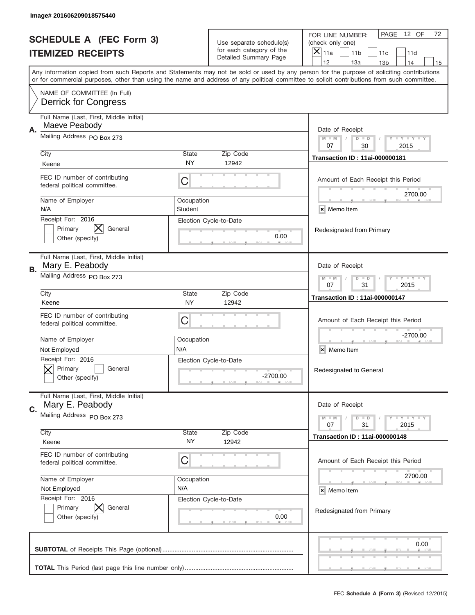|    | Image# 201606209018575440                                     |                                                             |                                                      |                                                                                                                                                                                                                                                                                                                                     |
|----|---------------------------------------------------------------|-------------------------------------------------------------|------------------------------------------------------|-------------------------------------------------------------------------------------------------------------------------------------------------------------------------------------------------------------------------------------------------------------------------------------------------------------------------------------|
|    | <b>SCHEDULE A (FEC Form 3)</b>                                |                                                             | Use separate schedule(s)<br>for each category of the | PAGE<br>12 OF<br>72<br>FOR LINE NUMBER:<br>(check only one)                                                                                                                                                                                                                                                                         |
|    | <b>ITEMIZED RECEIPTS</b>                                      |                                                             | Detailed Summary Page                                | ×<br>11a<br>11 <sub>b</sub><br>11c<br>11d                                                                                                                                                                                                                                                                                           |
|    |                                                               |                                                             |                                                      | 12<br>13a<br>14<br>13 <sub>b</sub><br>15<br>Any information copied from such Reports and Statements may not be sold or used by any person for the purpose of soliciting contributions<br>or for commercial purposes, other than using the name and address of any political committee to solicit contributions from such committee. |
|    | NAME OF COMMITTEE (In Full)<br><b>Derrick for Congress</b>    |                                                             |                                                      |                                                                                                                                                                                                                                                                                                                                     |
| Α. | Full Name (Last, First, Middle Initial)<br>Maeve Peabody      |                                                             |                                                      | Date of Receipt                                                                                                                                                                                                                                                                                                                     |
|    | Mailing Address PO Box 273                                    |                                                             |                                                      | $M - M$<br><b>LEY LEY LEY</b><br>$D$ $D$<br>07<br>30<br>2015                                                                                                                                                                                                                                                                        |
|    | City<br>Keene                                                 | State<br>NY                                                 | Zip Code<br>12942                                    | <b>Transaction ID: 11ai-000000181</b>                                                                                                                                                                                                                                                                                               |
|    | FEC ID number of contributing<br>federal political committee. | C                                                           |                                                      | Amount of Each Receipt this Period<br>2700.00                                                                                                                                                                                                                                                                                       |
|    | Name of Employer<br>N/A                                       | Occupation<br>Student                                       |                                                      | × Memo Item                                                                                                                                                                                                                                                                                                                         |
|    | Receipt For: 2016<br>Primary<br>General<br>Other (specify)    |                                                             | Election Cycle-to-Date<br>0.00                       | Redesignated from Primary                                                                                                                                                                                                                                                                                                           |
| В. | Full Name (Last, First, Middle Initial)<br>Mary E. Peabody    |                                                             |                                                      | Date of Receipt                                                                                                                                                                                                                                                                                                                     |
|    | Mailing Address PO Box 273                                    | <b>LEYTEY LEY</b><br>$M - M$<br>$D$ $D$<br>07<br>31<br>2015 |                                                      |                                                                                                                                                                                                                                                                                                                                     |
|    | City<br>Keene                                                 | State<br>NY                                                 | Zip Code<br>12942                                    | <b>Transaction ID: 11ai-000000147</b>                                                                                                                                                                                                                                                                                               |
|    | FEC ID number of contributing<br>federal political committee. | C                                                           |                                                      | Amount of Each Receipt this Period                                                                                                                                                                                                                                                                                                  |
|    | Name of Employer<br>Not Employed                              | Occupation<br>N/A                                           |                                                      | $-2700.00$<br>Memo Item<br>×                                                                                                                                                                                                                                                                                                        |
|    | Receipt For: 2016<br>General<br>Primary<br>Other (specify)    |                                                             | Election Cycle-to-Date<br>-2700.00                   | Redesignated to General                                                                                                                                                                                                                                                                                                             |
| C. | Full Name (Last, First, Middle Initial)<br>Mary E. Peabody    |                                                             |                                                      | Date of Receipt                                                                                                                                                                                                                                                                                                                     |
|    | Mailing Address PO Box 273                                    |                                                             |                                                      | <b>LY LY LY</b><br>$M - M$<br>$D$ $D$<br>07<br>2015<br>31                                                                                                                                                                                                                                                                           |
|    | City<br>Keene                                                 | State<br>NY.                                                | Zip Code<br>12942                                    | <b>Transaction ID: 11ai-000000148</b>                                                                                                                                                                                                                                                                                               |
|    | FEC ID number of contributing<br>federal political committee. | C                                                           |                                                      | Amount of Each Receipt this Period                                                                                                                                                                                                                                                                                                  |
|    | Name of Employer<br>Not Employed                              | Occupation<br>N/A                                           |                                                      | 2700.00<br>× Memo Item                                                                                                                                                                                                                                                                                                              |
|    | Receipt For: 2016<br>Primary<br>General<br>Other (specify)    |                                                             | Election Cycle-to-Date<br>0.00                       | Redesignated from Primary                                                                                                                                                                                                                                                                                                           |
|    |                                                               |                                                             |                                                      | 0.00                                                                                                                                                                                                                                                                                                                                |
|    |                                                               |                                                             |                                                      |                                                                                                                                                                                                                                                                                                                                     |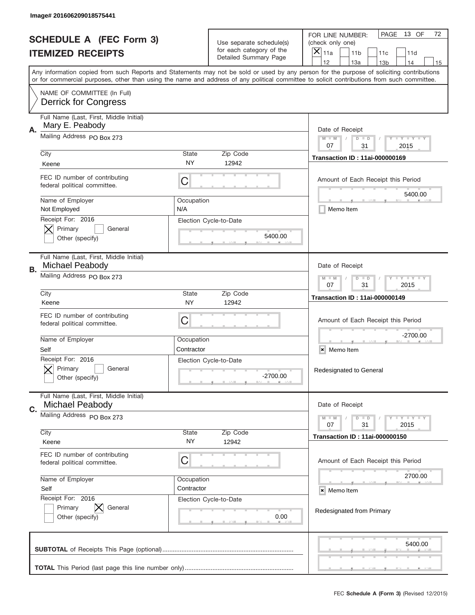|    | Image# 201606209018575441                                     |                                                             |                                                   |                                                                                                                                                                                                                                                                                                                                     |
|----|---------------------------------------------------------------|-------------------------------------------------------------|---------------------------------------------------|-------------------------------------------------------------------------------------------------------------------------------------------------------------------------------------------------------------------------------------------------------------------------------------------------------------------------------------|
|    | <b>SCHEDULE A (FEC Form 3)</b>                                |                                                             | Use separate schedule(s)                          | PAGE<br>13 OF<br>72<br>FOR LINE NUMBER:<br>(check only one)                                                                                                                                                                                                                                                                         |
|    | <b>ITEMIZED RECEIPTS</b>                                      |                                                             | for each category of the<br>Detailed Summary Page | ×<br>11a<br>11 <sub>b</sub><br>11c<br>11d                                                                                                                                                                                                                                                                                           |
|    |                                                               |                                                             |                                                   | 12<br>13a<br>14<br>13 <sub>b</sub><br>15<br>Any information copied from such Reports and Statements may not be sold or used by any person for the purpose of soliciting contributions<br>or for commercial purposes, other than using the name and address of any political committee to solicit contributions from such committee. |
|    | NAME OF COMMITTEE (In Full)<br><b>Derrick for Congress</b>    |                                                             |                                                   |                                                                                                                                                                                                                                                                                                                                     |
| Α. | Full Name (Last, First, Middle Initial)<br>Mary E. Peabody    |                                                             |                                                   | Date of Receipt                                                                                                                                                                                                                                                                                                                     |
|    | Mailing Address PO Box 273                                    |                                                             |                                                   | $M - M$<br><b>LEY LEY LEY</b><br>$D$ $D$<br>07<br>31<br>2015                                                                                                                                                                                                                                                                        |
|    | City<br>Keene                                                 | State<br>NY                                                 | Zip Code<br>12942                                 | <b>Transaction ID: 11ai-000000169</b>                                                                                                                                                                                                                                                                                               |
|    | FEC ID number of contributing<br>federal political committee. | C                                                           |                                                   | Amount of Each Receipt this Period<br>5400.00                                                                                                                                                                                                                                                                                       |
|    | Name of Employer<br>Not Employed                              | Occupation<br>N/A                                           |                                                   | Memo Item                                                                                                                                                                                                                                                                                                                           |
|    | Receipt For: 2016<br>Primary<br>General<br>Other (specify)    |                                                             | Election Cycle-to-Date<br>5400.00                 |                                                                                                                                                                                                                                                                                                                                     |
| В. | Full Name (Last, First, Middle Initial)<br>Michael Peabody    |                                                             |                                                   | Date of Receipt                                                                                                                                                                                                                                                                                                                     |
|    | Mailing Address PO Box 273                                    | <b>LEYTEY LEY</b><br>$M - M$<br>$D$ $D$<br>07<br>31<br>2015 |                                                   |                                                                                                                                                                                                                                                                                                                                     |
|    | City<br>Keene                                                 | State<br>NY                                                 | Zip Code<br>12942                                 | <b>Transaction ID: 11ai-000000149</b>                                                                                                                                                                                                                                                                                               |
|    | FEC ID number of contributing<br>federal political committee. | C                                                           |                                                   | Amount of Each Receipt this Period                                                                                                                                                                                                                                                                                                  |
|    | Name of Employer<br>Self                                      | Occupation<br>Contractor                                    |                                                   | $-2700.00$<br>×<br>Memo Item                                                                                                                                                                                                                                                                                                        |
|    | Receipt For: 2016<br>General<br>Primary<br>Other (specify)    |                                                             | Election Cycle-to-Date<br>-2700.00                | Redesignated to General                                                                                                                                                                                                                                                                                                             |
| C. | Full Name (Last, First, Middle Initial)<br>Michael Peabody    |                                                             |                                                   | Date of Receipt                                                                                                                                                                                                                                                                                                                     |
|    | Mailing Address PO Box 273                                    |                                                             |                                                   | <b>LY LY LY</b><br>$M - M$<br>$D$ $D$<br>07<br>2015<br>31                                                                                                                                                                                                                                                                           |
|    | City<br>Keene                                                 | State<br>NY.                                                | Zip Code<br>12942                                 | <b>Transaction ID: 11ai-000000150</b>                                                                                                                                                                                                                                                                                               |
|    | FEC ID number of contributing<br>federal political committee. | C                                                           |                                                   | Amount of Each Receipt this Period                                                                                                                                                                                                                                                                                                  |
|    | Name of Employer<br>Self                                      | Occupation<br>Contractor                                    |                                                   | 2700.00<br>× Memo Item                                                                                                                                                                                                                                                                                                              |
|    | Receipt For: 2016<br>Primary<br>General<br>Other (specify)    |                                                             | Election Cycle-to-Date<br>0.00                    | Redesignated from Primary                                                                                                                                                                                                                                                                                                           |
|    |                                                               |                                                             |                                                   | 5400.00                                                                                                                                                                                                                                                                                                                             |
|    |                                                               |                                                             |                                                   | __                                                                                                                                                                                                                                                                                                                                  |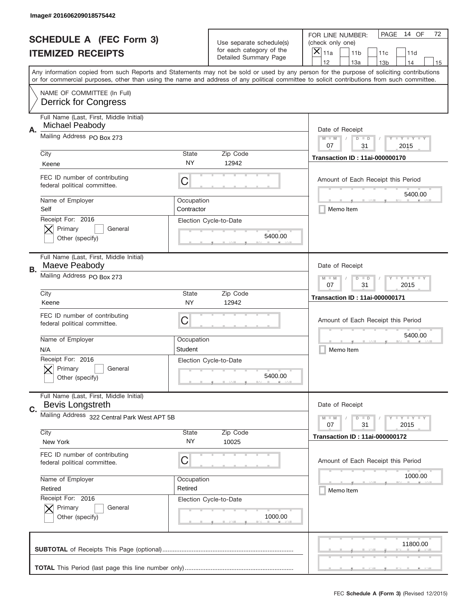|    | Image# 201606209018575442                                     |                                                             |                                                      |                                                                                                                                                                                                                                                                                                                                     |
|----|---------------------------------------------------------------|-------------------------------------------------------------|------------------------------------------------------|-------------------------------------------------------------------------------------------------------------------------------------------------------------------------------------------------------------------------------------------------------------------------------------------------------------------------------------|
|    | <b>SCHEDULE A (FEC Form 3)</b>                                |                                                             | Use separate schedule(s)<br>for each category of the | PAGE<br>14 OF<br>72<br>FOR LINE NUMBER:<br>(check only one)                                                                                                                                                                                                                                                                         |
|    | <b>ITEMIZED RECEIPTS</b>                                      |                                                             | <b>Detailed Summary Page</b>                         | ×<br>11a<br>11 <sub>b</sub><br>11c<br>11d                                                                                                                                                                                                                                                                                           |
|    |                                                               |                                                             |                                                      | 12<br>13a<br>14<br>13 <sub>b</sub><br>15<br>Any information copied from such Reports and Statements may not be sold or used by any person for the purpose of soliciting contributions<br>or for commercial purposes, other than using the name and address of any political committee to solicit contributions from such committee. |
|    | NAME OF COMMITTEE (In Full)<br><b>Derrick for Congress</b>    |                                                             |                                                      |                                                                                                                                                                                                                                                                                                                                     |
| Α. | Full Name (Last, First, Middle Initial)<br>Michael Peabody    |                                                             |                                                      | Date of Receipt                                                                                                                                                                                                                                                                                                                     |
|    | Mailing Address PO Box 273                                    |                                                             |                                                      | $M - M$<br><b>LYLYLY</b><br>$D$ $D$<br>07<br>31<br>2015                                                                                                                                                                                                                                                                             |
|    | City<br>Keene                                                 | State<br>NY                                                 | Zip Code<br>12942                                    | <b>Transaction ID: 11ai-000000170</b>                                                                                                                                                                                                                                                                                               |
|    | FEC ID number of contributing<br>federal political committee. | C                                                           |                                                      | Amount of Each Receipt this Period<br>5400.00                                                                                                                                                                                                                                                                                       |
|    | Name of Employer<br>Self                                      | Occupation<br>Contractor                                    |                                                      | Memo Item                                                                                                                                                                                                                                                                                                                           |
|    | Receipt For: 2016<br>Primary<br>General<br>Other (specify)    |                                                             | Election Cycle-to-Date<br>5400.00                    |                                                                                                                                                                                                                                                                                                                                     |
| В. | Full Name (Last, First, Middle Initial)<br>Maeve Peabody      |                                                             |                                                      | Date of Receipt                                                                                                                                                                                                                                                                                                                     |
|    | Mailing Address PO Box 273                                    | <b>LEYTEY LEY</b><br>$M - M$<br>$D$ $D$<br>07<br>31<br>2015 |                                                      |                                                                                                                                                                                                                                                                                                                                     |
|    | City<br>Keene                                                 | State<br><b>NY</b>                                          | Zip Code<br>12942                                    | <b>Transaction ID: 11ai-000000171</b>                                                                                                                                                                                                                                                                                               |
|    | FEC ID number of contributing<br>federal political committee. | C                                                           |                                                      | Amount of Each Receipt this Period                                                                                                                                                                                                                                                                                                  |
|    | Name of Employer<br>N/A                                       | Occupation<br>Student                                       |                                                      | 5400.00<br>Memo Item                                                                                                                                                                                                                                                                                                                |
|    | Receipt For: 2016<br>General<br>Primary<br>Other (specify)    |                                                             | Election Cycle-to-Date<br>5400.00                    |                                                                                                                                                                                                                                                                                                                                     |
| C. | Full Name (Last, First, Middle Initial)<br>Bevis Longstreth   |                                                             |                                                      | Date of Receipt                                                                                                                                                                                                                                                                                                                     |
|    | Mailing Address 322 Central Park West APT 5B                  | <b>LYLYLY</b><br>$M - M$<br>$D$ $D$<br>07<br>2015<br>31     |                                                      |                                                                                                                                                                                                                                                                                                                                     |
|    | City<br>New York                                              | State<br>NY.                                                | Zip Code<br>10025                                    | <b>Transaction ID: 11ai-000000172</b>                                                                                                                                                                                                                                                                                               |
|    | FEC ID number of contributing<br>federal political committee. | C                                                           |                                                      | Amount of Each Receipt this Period                                                                                                                                                                                                                                                                                                  |
|    | Name of Employer<br>Retired                                   | Occupation<br>Retired                                       |                                                      | 1000.00<br>Memo Item                                                                                                                                                                                                                                                                                                                |
|    | Receipt For: 2016<br>Primary<br>General<br>Other (specify)    |                                                             | Election Cycle-to-Date<br>1000.00                    |                                                                                                                                                                                                                                                                                                                                     |
|    |                                                               |                                                             |                                                      | 11800.00                                                                                                                                                                                                                                                                                                                            |
|    |                                                               |                                                             |                                                      | _                                                                                                                                                                                                                                                                                                                                   |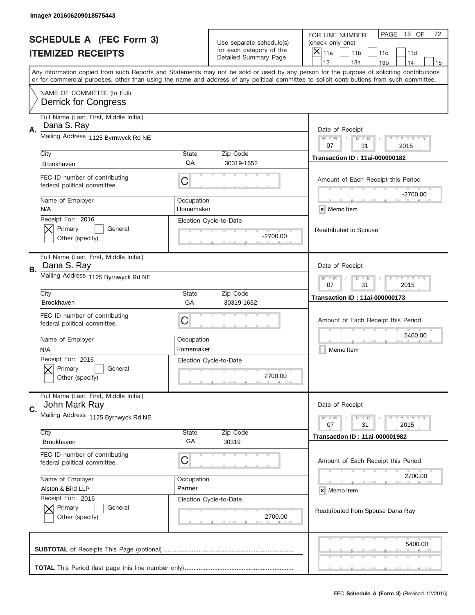|                          | Image# 201606209018575443                                     |                                                           |                                                   |                                                                                                                                                                                                                                                                                                                                     |
|--------------------------|---------------------------------------------------------------|-----------------------------------------------------------|---------------------------------------------------|-------------------------------------------------------------------------------------------------------------------------------------------------------------------------------------------------------------------------------------------------------------------------------------------------------------------------------------|
|                          | <b>SCHEDULE A (FEC Form 3)</b>                                |                                                           | Use separate schedule(s)                          | PAGE<br>15 OF<br>72<br>FOR LINE NUMBER:<br>(check only one)                                                                                                                                                                                                                                                                         |
| <b>ITEMIZED RECEIPTS</b> |                                                               |                                                           | for each category of the<br>Detailed Summary Page | ×<br>11a<br>11 <sub>b</sub><br>11c<br>11d                                                                                                                                                                                                                                                                                           |
|                          |                                                               |                                                           |                                                   | 12<br>13a<br>13 <sub>b</sub><br>14<br>15<br>Any information copied from such Reports and Statements may not be sold or used by any person for the purpose of soliciting contributions<br>or for commercial purposes, other than using the name and address of any political committee to solicit contributions from such committee. |
|                          | NAME OF COMMITTEE (In Full)<br><b>Derrick for Congress</b>    |                                                           |                                                   |                                                                                                                                                                                                                                                                                                                                     |
| А.                       | Full Name (Last, First, Middle Initial)<br>Dana S. Ray        |                                                           |                                                   | Date of Receipt                                                                                                                                                                                                                                                                                                                     |
|                          | Mailing Address 1125 Byrnwyck Rd NE                           |                                                           |                                                   | $M - M$<br>Y FY FY FY<br>$D$ $D$<br>07<br>31<br>2015                                                                                                                                                                                                                                                                                |
|                          | City<br><b>Brookhaven</b>                                     | State<br>GA                                               | Zip Code<br>30319-1652                            | <b>Transaction ID: 11ai-000000182</b>                                                                                                                                                                                                                                                                                               |
|                          | FEC ID number of contributing<br>federal political committee. | C                                                         |                                                   | Amount of Each Receipt this Period<br>$-2700.00$                                                                                                                                                                                                                                                                                    |
|                          | Name of Employer<br>N/A                                       | Occupation<br>Homemaker                                   |                                                   | × Memo Item                                                                                                                                                                                                                                                                                                                         |
|                          | Receipt For: 2016<br>Primary<br>General<br>Other (specify)    |                                                           | Election Cycle-to-Date<br>$-2700.00$              | <b>Reattributed to Spouse</b>                                                                                                                                                                                                                                                                                                       |
| В.                       | Full Name (Last, First, Middle Initial)<br>Dana S. Ray        |                                                           |                                                   | Date of Receipt                                                                                                                                                                                                                                                                                                                     |
|                          | Mailing Address 1125 Byrnwyck Rd NE                           | <b>LY LY LY</b><br>$M - M$<br>$D$ $D$<br>07<br>31<br>2015 |                                                   |                                                                                                                                                                                                                                                                                                                                     |
|                          | City<br>Brookhaven                                            | State<br>GA                                               | Zip Code<br>30319-1652                            | <b>Transaction ID: 11ai-000000173</b>                                                                                                                                                                                                                                                                                               |
|                          | FEC ID number of contributing<br>federal political committee. | C                                                         |                                                   | Amount of Each Receipt this Period                                                                                                                                                                                                                                                                                                  |
|                          | Name of Employer<br>N/A                                       | Occupation<br>Homemaker                                   |                                                   | 5400.00<br>Memo Item                                                                                                                                                                                                                                                                                                                |
|                          | Receipt For: 2016<br>General<br>Primary<br>Other (specify)    |                                                           | Election Cycle-to-Date<br>2700.00                 |                                                                                                                                                                                                                                                                                                                                     |
| C.                       | Full Name (Last, First, Middle Initial)<br>John Mark Ray      |                                                           |                                                   | Date of Receipt                                                                                                                                                                                                                                                                                                                     |
|                          | Mailing Address 1125 Byrnwyck Rd NE                           |                                                           |                                                   | <b>TEY TEY TEY</b><br>$M$ $M$<br>$D$ $D$<br>2015<br>07<br>31                                                                                                                                                                                                                                                                        |
|                          | City<br><b>Brookhaven</b>                                     | State<br>GA                                               | Zip Code<br>30319                                 | <b>Transaction ID: 11ai-000001982</b>                                                                                                                                                                                                                                                                                               |
|                          |                                                               |                                                           |                                                   |                                                                                                                                                                                                                                                                                                                                     |
|                          | FEC ID number of contributing<br>federal political committee. | C                                                         |                                                   | Amount of Each Receipt this Period                                                                                                                                                                                                                                                                                                  |
|                          | Name of Employer<br>Alston & Bird LLP                         | Occupation<br>Partner                                     |                                                   | 2700.00<br>× Memo Item                                                                                                                                                                                                                                                                                                              |
|                          | Receipt For: 2016<br>Primary<br>General<br>Other (specify)    |                                                           | Election Cycle-to-Date<br>2700.00                 | Reattributed from Spouse Dana Ray                                                                                                                                                                                                                                                                                                   |
|                          |                                                               |                                                           |                                                   | 5400.00                                                                                                                                                                                                                                                                                                                             |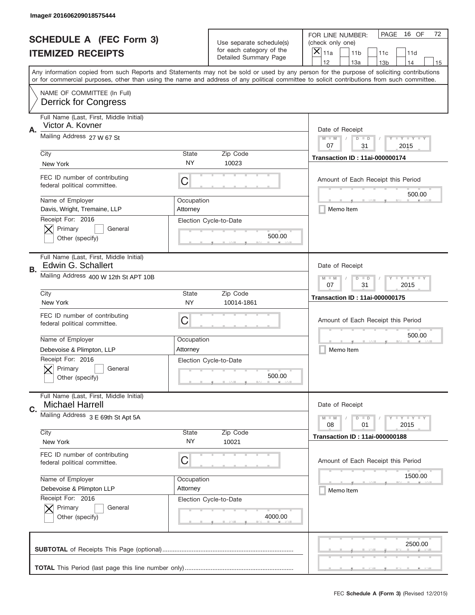|    | Image# 201606209018575444                                         |                                                         |                                                      |                                                                                                                                                                                                                                                                                                                                     |
|----|-------------------------------------------------------------------|---------------------------------------------------------|------------------------------------------------------|-------------------------------------------------------------------------------------------------------------------------------------------------------------------------------------------------------------------------------------------------------------------------------------------------------------------------------------|
|    | <b>SCHEDULE A (FEC Form 3)</b>                                    |                                                         | Use separate schedule(s)<br>for each category of the | PAGE<br>16 OF<br>72<br>FOR LINE NUMBER:<br>(check only one)                                                                                                                                                                                                                                                                         |
|    | <b>ITEMIZED RECEIPTS</b>                                          |                                                         | Detailed Summary Page                                | ×<br>11a<br>11 <sub>b</sub><br>11c<br>11d                                                                                                                                                                                                                                                                                           |
|    |                                                                   |                                                         |                                                      | 12<br>13a<br>13 <sub>b</sub><br>14<br>15<br>Any information copied from such Reports and Statements may not be sold or used by any person for the purpose of soliciting contributions<br>or for commercial purposes, other than using the name and address of any political committee to solicit contributions from such committee. |
|    | NAME OF COMMITTEE (In Full)<br><b>Derrick for Congress</b>        |                                                         |                                                      |                                                                                                                                                                                                                                                                                                                                     |
| Α. | Full Name (Last, First, Middle Initial)<br>Victor A. Kovner       |                                                         |                                                      | Date of Receipt                                                                                                                                                                                                                                                                                                                     |
|    | Mailing Address 27 W 67 St                                        |                                                         |                                                      | $M - M$<br><b>LEY LEY LEY</b><br>$D$ $D$<br>07<br>31<br>2015                                                                                                                                                                                                                                                                        |
|    | City<br>New York                                                  | State<br>NY                                             | Zip Code<br>10023                                    | <b>Transaction ID: 11ai-000000174</b>                                                                                                                                                                                                                                                                                               |
|    | FEC ID number of contributing<br>federal political committee.     | C                                                       |                                                      | Amount of Each Receipt this Period<br>500.00                                                                                                                                                                                                                                                                                        |
|    | Name of Employer<br>Davis, Wright, Tremaine, LLP                  | Occupation<br>Attorney                                  |                                                      | Memo Item                                                                                                                                                                                                                                                                                                                           |
|    | Receipt For: 2016<br>Primary<br>General<br>Other (specify)        |                                                         | Election Cycle-to-Date<br>500.00                     |                                                                                                                                                                                                                                                                                                                                     |
| В. | Full Name (Last, First, Middle Initial)<br>Edwin G. Schallert     |                                                         |                                                      | Date of Receipt                                                                                                                                                                                                                                                                                                                     |
|    | Mailing Address 400 W 12th St APT 10B                             | <b>LY LY LY</b><br>$M$ M<br>$D$ $D$<br>07<br>31<br>2015 |                                                      |                                                                                                                                                                                                                                                                                                                                     |
|    | City<br>New York                                                  | State<br><b>NY</b>                                      | Zip Code<br>10014-1861                               | <b>Transaction ID: 11ai-000000175</b>                                                                                                                                                                                                                                                                                               |
|    | FEC ID number of contributing<br>federal political committee.     | C                                                       |                                                      | Amount of Each Receipt this Period                                                                                                                                                                                                                                                                                                  |
|    | Name of Employer                                                  | Occupation                                              |                                                      | 500.00                                                                                                                                                                                                                                                                                                                              |
|    | Debevoise & Plimpton, LLP                                         | Attorney                                                |                                                      | Memo Item                                                                                                                                                                                                                                                                                                                           |
|    | Receipt For: 2016<br>General<br>Primary<br>Other (specify)        |                                                         | Election Cycle-to-Date<br>500.00                     |                                                                                                                                                                                                                                                                                                                                     |
| C. | Full Name (Last, First, Middle Initial)<br><b>Michael Harrell</b> |                                                         |                                                      | Date of Receipt                                                                                                                                                                                                                                                                                                                     |
|    | Mailing Address 3 E 69th St Apt 5A                                |                                                         |                                                      | <b>LY LY LY</b><br>$M - M$<br>$D$ $D$<br>08<br>2015<br>01                                                                                                                                                                                                                                                                           |
|    | City<br>New York                                                  | <b>State</b><br>NY.                                     | Zip Code<br>10021                                    | <b>Transaction ID: 11ai-000000188</b>                                                                                                                                                                                                                                                                                               |
|    | FEC ID number of contributing<br>federal political committee.     | C                                                       |                                                      | Amount of Each Receipt this Period                                                                                                                                                                                                                                                                                                  |
|    | Name of Employer                                                  | Occupation                                              |                                                      | 1500.00                                                                                                                                                                                                                                                                                                                             |
|    | Debevoise & Plimpton LLP                                          | Attorney                                                |                                                      | Memo Item                                                                                                                                                                                                                                                                                                                           |
|    | Receipt For: 2016<br>Primary<br>General<br>Other (specify)        |                                                         | Election Cycle-to-Date<br>4000.00                    |                                                                                                                                                                                                                                                                                                                                     |
|    |                                                                   |                                                         |                                                      | 2500.00                                                                                                                                                                                                                                                                                                                             |
|    |                                                                   |                                                         |                                                      |                                                                                                                                                                                                                                                                                                                                     |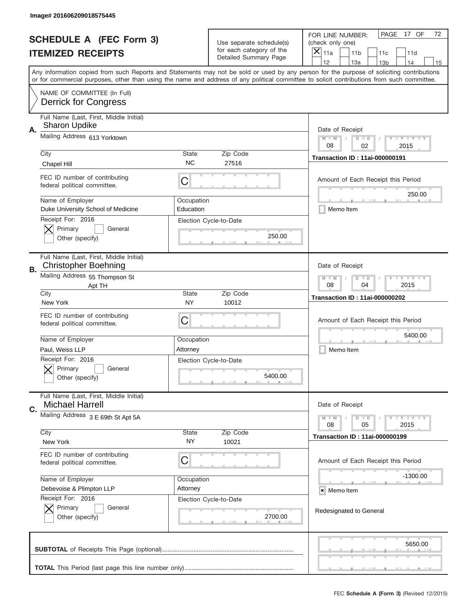|           | Image# 201606209018575445                                              |                                                             |                                                      |                                                                                                                                                                                                                                                                                                                                     |
|-----------|------------------------------------------------------------------------|-------------------------------------------------------------|------------------------------------------------------|-------------------------------------------------------------------------------------------------------------------------------------------------------------------------------------------------------------------------------------------------------------------------------------------------------------------------------------|
|           | <b>SCHEDULE A (FEC Form 3)</b>                                         |                                                             | Use separate schedule(s)<br>for each category of the | PAGE<br>17 OF<br>72<br>FOR LINE NUMBER:<br>(check only one)                                                                                                                                                                                                                                                                         |
|           | <b>ITEMIZED RECEIPTS</b>                                               |                                                             | Detailed Summary Page                                | ×<br>11a<br>11 <sub>b</sub><br>11c<br>11d                                                                                                                                                                                                                                                                                           |
|           |                                                                        |                                                             |                                                      | 12<br>13a<br>13 <sub>b</sub><br>14<br>15<br>Any information copied from such Reports and Statements may not be sold or used by any person for the purpose of soliciting contributions<br>or for commercial purposes, other than using the name and address of any political committee to solicit contributions from such committee. |
|           | NAME OF COMMITTEE (In Full)<br><b>Derrick for Congress</b>             |                                                             |                                                      |                                                                                                                                                                                                                                                                                                                                     |
| Α.        | Full Name (Last, First, Middle Initial)<br><b>Sharon Updike</b>        |                                                             |                                                      | Date of Receipt                                                                                                                                                                                                                                                                                                                     |
|           | Mailing Address 613 Yorktown                                           |                                                             |                                                      | $M - M$<br><b>LEY LEY LEY</b><br>$D$ $D$<br>08<br>02<br>2015                                                                                                                                                                                                                                                                        |
|           | City<br>Chapel Hill                                                    | State<br><b>NC</b>                                          | Zip Code<br>27516                                    | <b>Transaction ID: 11ai-000000191</b>                                                                                                                                                                                                                                                                                               |
|           | FEC ID number of contributing<br>federal political committee.          | C                                                           |                                                      | Amount of Each Receipt this Period<br>250.00                                                                                                                                                                                                                                                                                        |
|           | Name of Employer<br>Duke University School of Medicine                 | Occupation<br>Education                                     |                                                      | Memo Item                                                                                                                                                                                                                                                                                                                           |
|           | Receipt For: 2016<br>Primary<br>General<br>Other (specify)             |                                                             | Election Cycle-to-Date<br>250.00                     |                                                                                                                                                                                                                                                                                                                                     |
| <b>B.</b> | Full Name (Last, First, Middle Initial)<br><b>Christopher Boehning</b> |                                                             |                                                      | Date of Receipt                                                                                                                                                                                                                                                                                                                     |
|           | Mailing Address 55 Thompson St<br>Apt TH                               | <b>LEYTEY LEY</b><br>$M - M$<br>$D$ $D$<br>08<br>04<br>2015 |                                                      |                                                                                                                                                                                                                                                                                                                                     |
|           | City<br>New York                                                       | <b>State</b><br>NY                                          | Zip Code<br>10012                                    | <b>Transaction ID: 11ai-000000202</b>                                                                                                                                                                                                                                                                                               |
|           | FEC ID number of contributing<br>federal political committee.          | C                                                           |                                                      | Amount of Each Receipt this Period                                                                                                                                                                                                                                                                                                  |
|           |                                                                        |                                                             |                                                      | 5400.00                                                                                                                                                                                                                                                                                                                             |
|           | Name of Employer                                                       | Occupation                                                  |                                                      |                                                                                                                                                                                                                                                                                                                                     |
|           | Paul, Weiss LLP                                                        | Attorney                                                    |                                                      | Memo Item                                                                                                                                                                                                                                                                                                                           |
|           | Receipt For: 2016<br>General<br>Primary<br>Other (specify)             |                                                             | Election Cycle-to-Date<br>5400.00                    |                                                                                                                                                                                                                                                                                                                                     |
| C.        | Full Name (Last, First, Middle Initial)<br><b>Michael Harrell</b>      |                                                             |                                                      | Date of Receipt                                                                                                                                                                                                                                                                                                                     |
|           | Mailing Address 3 E 69th St Apt 5A                                     |                                                             |                                                      | <b>LEY LEY LEY</b><br>$M - M$<br>$D$ $D$                                                                                                                                                                                                                                                                                            |
|           | City                                                                   | State                                                       | Zip Code                                             | 08<br>2015<br>05<br><b>Transaction ID: 11ai-000000199</b>                                                                                                                                                                                                                                                                           |
|           | New York                                                               | ΝY                                                          | 10021                                                |                                                                                                                                                                                                                                                                                                                                     |
|           | FEC ID number of contributing<br>federal political committee.          | С                                                           |                                                      | Amount of Each Receipt this Period                                                                                                                                                                                                                                                                                                  |
|           | Name of Employer                                                       | Occupation                                                  |                                                      | -1300.00                                                                                                                                                                                                                                                                                                                            |
|           | Debevoise & Plimpton LLP                                               | Attorney                                                    |                                                      | × Memo Item                                                                                                                                                                                                                                                                                                                         |
|           | Receipt For: 2016<br>Primary<br>General<br>Other (specify)             |                                                             | Election Cycle-to-Date<br>2700.00                    | Redesignated to General                                                                                                                                                                                                                                                                                                             |
|           |                                                                        |                                                             |                                                      | 5650.00                                                                                                                                                                                                                                                                                                                             |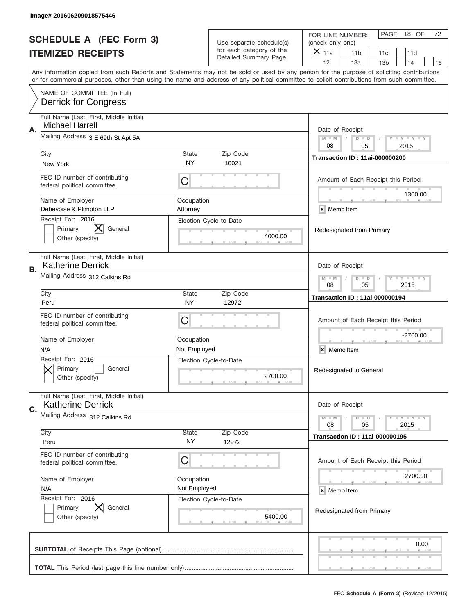|    | Image# 201606209018575446                                           |                                                         |                                                      |                                                                                                                                                                                                                                                                                         |
|----|---------------------------------------------------------------------|---------------------------------------------------------|------------------------------------------------------|-----------------------------------------------------------------------------------------------------------------------------------------------------------------------------------------------------------------------------------------------------------------------------------------|
|    | <b>SCHEDULE A (FEC Form 3)</b>                                      |                                                         | Use separate schedule(s)<br>for each category of the | PAGE<br>18 OF<br>72<br>FOR LINE NUMBER:<br>(check only one)                                                                                                                                                                                                                             |
|    | <b>ITEMIZED RECEIPTS</b>                                            |                                                         | Detailed Summary Page                                | $\overline{X} _{11a}$<br>11 <sub>b</sub><br>11c<br>11d<br>12<br>13a<br>14<br>13 <sub>b</sub><br>15                                                                                                                                                                                      |
|    |                                                                     |                                                         |                                                      | Any information copied from such Reports and Statements may not be sold or used by any person for the purpose of soliciting contributions<br>or for commercial purposes, other than using the name and address of any political committee to solicit contributions from such committee. |
|    | NAME OF COMMITTEE (In Full)<br><b>Derrick for Congress</b>          |                                                         |                                                      |                                                                                                                                                                                                                                                                                         |
| Α. | Full Name (Last, First, Middle Initial)<br><b>Michael Harrell</b>   |                                                         |                                                      | Date of Receipt                                                                                                                                                                                                                                                                         |
|    | Mailing Address 3 E 69th St Apt 5A                                  |                                                         |                                                      | <b>LEY LEY LEY</b><br>$M - M$<br>$D$ $D$<br>08<br>05<br>2015                                                                                                                                                                                                                            |
|    | City<br>New York                                                    | <b>State</b><br>NY                                      | Zip Code<br>10021                                    | <b>Transaction ID: 11ai-000000200</b>                                                                                                                                                                                                                                                   |
|    | FEC ID number of contributing<br>federal political committee.       | C                                                       |                                                      | Amount of Each Receipt this Period<br>1300.00                                                                                                                                                                                                                                           |
|    | Name of Employer<br>Debevoise & Plimpton LLP                        | Occupation<br>Attorney                                  |                                                      | × Memo Item                                                                                                                                                                                                                                                                             |
|    | Receipt For: 2016<br>Primary<br>General<br>Other (specify)          |                                                         | Election Cycle-to-Date<br>4000.00                    | Redesignated from Primary                                                                                                                                                                                                                                                               |
| В. | Full Name (Last, First, Middle Initial)<br><b>Katherine Derrick</b> |                                                         |                                                      | Date of Receipt                                                                                                                                                                                                                                                                         |
|    | Mailing Address 312 Calkins Rd                                      | <b>LYLYLY</b><br>$M - M$<br>$D$ $D$<br>08<br>05<br>2015 |                                                      |                                                                                                                                                                                                                                                                                         |
|    | City<br>Peru                                                        | <b>State</b><br>NY                                      | Zip Code<br>12972                                    | <b>Transaction ID: 11ai-000000194</b>                                                                                                                                                                                                                                                   |
|    | FEC ID number of contributing<br>federal political committee.       | С                                                       |                                                      | Amount of Each Receipt this Period                                                                                                                                                                                                                                                      |
|    | Name of Employer<br>N/A                                             | Occupation<br>Not Employed                              |                                                      | $-2700.00$<br>×<br>Memo Item                                                                                                                                                                                                                                                            |
|    | Receipt For: 2016<br>General<br>Primary<br>Other (specify)          |                                                         | Election Cycle-to-Date<br>2700.00                    | Redesignated to General                                                                                                                                                                                                                                                                 |
| C. | Full Name (Last, First, Middle Initial)<br><b>Katherine Derrick</b> |                                                         |                                                      | Date of Receipt                                                                                                                                                                                                                                                                         |
|    | Mailing Address 312 Calkins Rd                                      |                                                         |                                                      | <b>LYLYLY</b><br>$M - M$<br>$D$ $D$<br>05<br>2015<br>08                                                                                                                                                                                                                                 |
|    | City<br>Peru                                                        | State<br>NY.                                            | Zip Code<br>12972                                    | <b>Transaction ID: 11ai-000000195</b>                                                                                                                                                                                                                                                   |
|    | FEC ID number of contributing<br>federal political committee.       | С                                                       |                                                      | Amount of Each Receipt this Period                                                                                                                                                                                                                                                      |
|    | Name of Employer<br>N/A                                             | Occupation<br>Not Employed                              |                                                      | 2700.00<br>× Memo Item                                                                                                                                                                                                                                                                  |
|    | Receipt For: 2016<br>Primary<br>General<br>Other (specify)          |                                                         | Election Cycle-to-Date<br>5400.00                    | Redesignated from Primary                                                                                                                                                                                                                                                               |
|    |                                                                     |                                                         |                                                      | 0.00                                                                                                                                                                                                                                                                                    |
|    |                                                                     |                                                         |                                                      |                                                                                                                                                                                                                                                                                         |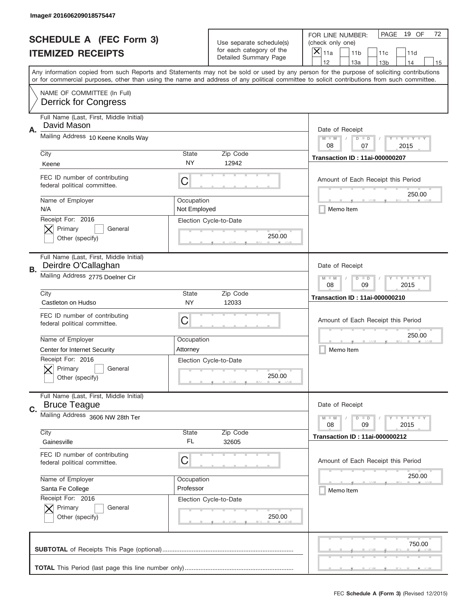|    | Image# 201606209018575447                                      |                                                             |                                                   |                                                                                                                                                                                       |
|----|----------------------------------------------------------------|-------------------------------------------------------------|---------------------------------------------------|---------------------------------------------------------------------------------------------------------------------------------------------------------------------------------------|
|    | <b>SCHEDULE A (FEC Form 3)</b>                                 |                                                             | Use separate schedule(s)                          | PAGE<br>19 OF<br>72<br>FOR LINE NUMBER:<br>(check only one)                                                                                                                           |
|    | <b>ITEMIZED RECEIPTS</b>                                       |                                                             | for each category of the<br>Detailed Summary Page | ×<br>11a<br>11 <sub>b</sub><br>11c<br>11d                                                                                                                                             |
|    |                                                                |                                                             |                                                   | 12<br>13a<br>14<br>13 <sub>b</sub><br>15<br>Any information copied from such Reports and Statements may not be sold or used by any person for the purpose of soliciting contributions |
|    |                                                                |                                                             |                                                   | or for commercial purposes, other than using the name and address of any political committee to solicit contributions from such committee.                                            |
|    | NAME OF COMMITTEE (In Full)<br><b>Derrick for Congress</b>     |                                                             |                                                   |                                                                                                                                                                                       |
| Α. | Full Name (Last, First, Middle Initial)<br>David Mason         |                                                             |                                                   | Date of Receipt                                                                                                                                                                       |
|    | Mailing Address 10 Keene Knolls Way                            |                                                             |                                                   | $M - M$<br><b>LEY LEY LEY</b><br>$D$ $D$<br>08<br>07<br>2015                                                                                                                          |
|    | City                                                           | State                                                       | Zip Code                                          | <b>Transaction ID: 11ai-000000207</b>                                                                                                                                                 |
|    | Keene                                                          | NY                                                          | 12942                                             |                                                                                                                                                                                       |
|    | FEC ID number of contributing<br>federal political committee.  | C                                                           |                                                   | Amount of Each Receipt this Period<br>250.00                                                                                                                                          |
|    | Name of Employer<br>N/A                                        | Occupation<br>Not Employed                                  |                                                   | Memo Item                                                                                                                                                                             |
|    | Receipt For: 2016<br>Primary<br>General<br>Other (specify)     |                                                             | Election Cycle-to-Date<br>250.00                  |                                                                                                                                                                                       |
| В. | Full Name (Last, First, Middle Initial)<br>Deirdre O'Callaghan |                                                             |                                                   | Date of Receipt                                                                                                                                                                       |
|    | Mailing Address 2775 Doelner Cir                               | $M - M$<br><b>LEYTEY LEY</b><br>$D$ $D$<br>08<br>09<br>2015 |                                                   |                                                                                                                                                                                       |
|    | City<br>Castleton on Hudso                                     | State<br>NY                                                 | Zip Code<br>12033                                 | <b>Transaction ID: 11ai-000000210</b>                                                                                                                                                 |
|    | FEC ID number of contributing<br>federal political committee.  | C                                                           |                                                   | Amount of Each Receipt this Period                                                                                                                                                    |
|    | Name of Employer                                               | Occupation                                                  |                                                   | 250.00                                                                                                                                                                                |
|    | Center for Internet Security                                   | Attorney                                                    |                                                   | Memo Item                                                                                                                                                                             |
|    | Receipt For: 2016<br>General<br>Primary<br>Other (specify)     |                                                             | Election Cycle-to-Date<br>250.00                  |                                                                                                                                                                                       |
| C. | Full Name (Last, First, Middle Initial)<br><b>Bruce Teague</b> |                                                             |                                                   | Date of Receipt                                                                                                                                                                       |
|    | Mailing Address 3606 NW 28th Ter                               |                                                             |                                                   | <b>LEY LEY LEY</b><br>$M - M$<br>$D$ $D$<br>08<br>09<br>2015                                                                                                                          |
|    | City<br>Gainesville                                            | State<br>FL                                                 | Zip Code<br>32605                                 | <b>Transaction ID: 11ai-000000212</b>                                                                                                                                                 |
|    | FEC ID number of contributing<br>federal political committee.  | C                                                           |                                                   | Amount of Each Receipt this Period                                                                                                                                                    |
|    | Name of Employer                                               | Occupation                                                  |                                                   | 250.00                                                                                                                                                                                |
|    | Santa Fe College                                               | Professor                                                   |                                                   | Memo Item                                                                                                                                                                             |
|    | Receipt For: 2016<br>Primary<br>General<br>Other (specify)     |                                                             | Election Cycle-to-Date<br>250.00                  |                                                                                                                                                                                       |
|    |                                                                |                                                             |                                                   | 750.00                                                                                                                                                                                |
|    |                                                                |                                                             |                                                   |                                                                                                                                                                                       |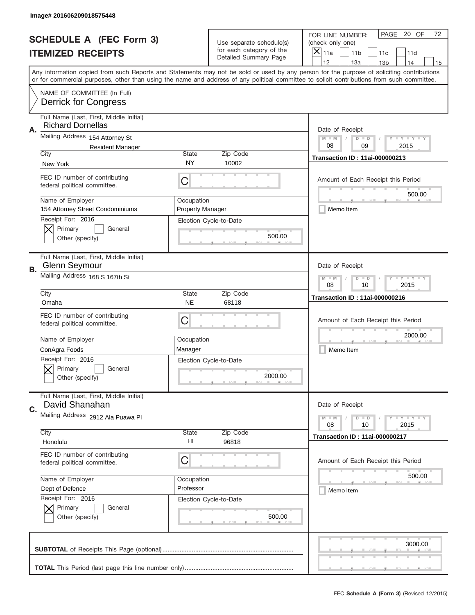|    | Image# 201606209018575448                                                   |                                                           |                                                      |                                                                                                                                                                                                                                                                                         |
|----|-----------------------------------------------------------------------------|-----------------------------------------------------------|------------------------------------------------------|-----------------------------------------------------------------------------------------------------------------------------------------------------------------------------------------------------------------------------------------------------------------------------------------|
|    | <b>SCHEDULE A (FEC Form 3)</b>                                              |                                                           | Use separate schedule(s)<br>for each category of the | PAGE<br>20 OF<br>72<br>FOR LINE NUMBER:<br>(check only one)                                                                                                                                                                                                                             |
|    | <b>ITEMIZED RECEIPTS</b>                                                    |                                                           | Detailed Summary Page                                | ×<br>11a<br>11 <sub>b</sub><br>11c<br>11d<br>12<br>13a<br>13 <sub>b</sub><br>14<br>15                                                                                                                                                                                                   |
|    |                                                                             |                                                           |                                                      | Any information copied from such Reports and Statements may not be sold or used by any person for the purpose of soliciting contributions<br>or for commercial purposes, other than using the name and address of any political committee to solicit contributions from such committee. |
|    | NAME OF COMMITTEE (In Full)<br><b>Derrick for Congress</b>                  |                                                           |                                                      |                                                                                                                                                                                                                                                                                         |
| Α. | Full Name (Last, First, Middle Initial)<br><b>Richard Dornellas</b>         |                                                           |                                                      | Date of Receipt                                                                                                                                                                                                                                                                         |
|    | Mailing Address 154 Attorney St<br><b>Resident Manager</b>                  |                                                           |                                                      | $M - M$<br><b>LEY LEY LEY</b><br>$D$ $D$<br>08<br>09<br>2015                                                                                                                                                                                                                            |
|    | City<br>New York                                                            | State<br>NY                                               | Zip Code<br>10002                                    | <b>Transaction ID: 11ai-000000213</b>                                                                                                                                                                                                                                                   |
|    | FEC ID number of contributing<br>federal political committee.               | C                                                         |                                                      | Amount of Each Receipt this Period<br>500.00                                                                                                                                                                                                                                            |
|    | Name of Employer<br>154 Attorney Street Condominiums                        | Occupation<br><b>Property Manager</b>                     |                                                      | Memo Item                                                                                                                                                                                                                                                                               |
|    | Receipt For: 2016<br>Primary<br>General<br>Other (specify)                  |                                                           | Election Cycle-to-Date<br>500.00                     |                                                                                                                                                                                                                                                                                         |
| В. | Full Name (Last, First, Middle Initial)<br><b>Glenn Seymour</b>             |                                                           |                                                      | Date of Receipt                                                                                                                                                                                                                                                                         |
|    | Mailing Address 168 S 167th St                                              | $M - M$<br><b>LY LY LY</b><br>$D$ $D$<br>08<br>10<br>2015 |                                                      |                                                                                                                                                                                                                                                                                         |
|    | City<br>Omaha                                                               | State<br><b>NE</b>                                        | Zip Code<br>68118                                    | <b>Transaction ID: 11ai-000000216</b>                                                                                                                                                                                                                                                   |
|    | FEC ID number of contributing<br>federal political committee.               | C                                                         |                                                      | Amount of Each Receipt this Period                                                                                                                                                                                                                                                      |
|    | Name of Employer                                                            | Occupation                                                |                                                      | 2000.00                                                                                                                                                                                                                                                                                 |
|    |                                                                             |                                                           |                                                      |                                                                                                                                                                                                                                                                                         |
|    | ConAgra Foods<br>Receipt For: 2016<br>General<br>Primary<br>Other (specify) | Manager                                                   | Election Cycle-to-Date<br>2000.00                    | Memo Item                                                                                                                                                                                                                                                                               |
| C. | Full Name (Last, First, Middle Initial)<br>David Shanahan                   |                                                           |                                                      | Date of Receipt                                                                                                                                                                                                                                                                         |
|    | Mailing Address 2912 Ala Puawa Pl                                           |                                                           |                                                      | <b>LY LY LY</b><br>$M - M$<br>$D$ $D$<br>08<br>2015<br>10                                                                                                                                                                                                                               |
|    | City<br>Honolulu                                                            | State<br>HI                                               | Zip Code<br>96818                                    | <b>Transaction ID: 11ai-000000217</b>                                                                                                                                                                                                                                                   |
|    | FEC ID number of contributing<br>federal political committee.               | C                                                         |                                                      | Amount of Each Receipt this Period                                                                                                                                                                                                                                                      |
|    | Name of Employer                                                            | Occupation                                                |                                                      | 500.00                                                                                                                                                                                                                                                                                  |
|    | Dept of Defence                                                             | Professor                                                 |                                                      | Memo Item                                                                                                                                                                                                                                                                               |
|    | Receipt For: 2016<br>Primary<br>General<br>Other (specify)                  |                                                           | Election Cycle-to-Date<br>500.00                     |                                                                                                                                                                                                                                                                                         |
|    |                                                                             |                                                           |                                                      | 3000.00                                                                                                                                                                                                                                                                                 |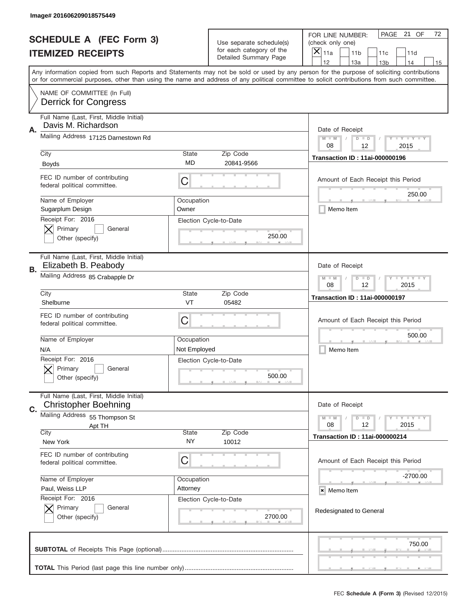|           | Image# 201606209018575449                                              |                                                           |                                                   |                                                                                                                                                                                                                                                                                                                                     |
|-----------|------------------------------------------------------------------------|-----------------------------------------------------------|---------------------------------------------------|-------------------------------------------------------------------------------------------------------------------------------------------------------------------------------------------------------------------------------------------------------------------------------------------------------------------------------------|
|           | <b>SCHEDULE A (FEC Form 3)</b>                                         |                                                           | Use separate schedule(s)                          | PAGE 21 OF<br>72<br>FOR LINE NUMBER:<br>(check only one)                                                                                                                                                                                                                                                                            |
|           | <b>ITEMIZED RECEIPTS</b>                                               |                                                           | for each category of the<br>Detailed Summary Page | $\boldsymbol{\times}$<br>11a<br>11 <sub>b</sub><br>11c<br>11d                                                                                                                                                                                                                                                                       |
|           |                                                                        |                                                           |                                                   | 12<br>13a<br>14<br>13 <sub>b</sub><br>15<br>Any information copied from such Reports and Statements may not be sold or used by any person for the purpose of soliciting contributions<br>or for commercial purposes, other than using the name and address of any political committee to solicit contributions from such committee. |
|           | NAME OF COMMITTEE (In Full)<br><b>Derrick for Congress</b>             |                                                           |                                                   |                                                                                                                                                                                                                                                                                                                                     |
| Α.        | Full Name (Last, First, Middle Initial)<br>Davis M. Richardson         |                                                           |                                                   | Date of Receipt                                                                                                                                                                                                                                                                                                                     |
|           | Mailing Address 17125 Darnestown Rd                                    |                                                           |                                                   | <b>LEY LEY LEY</b><br>$M - M$<br>$D$ $D$<br>08<br>12<br>2015                                                                                                                                                                                                                                                                        |
|           | City<br><b>Boyds</b>                                                   | <b>State</b><br><b>MD</b>                                 | Zip Code<br>20841-9566                            | <b>Transaction ID: 11ai-000000196</b>                                                                                                                                                                                                                                                                                               |
|           | FEC ID number of contributing<br>federal political committee.          | C                                                         |                                                   | Amount of Each Receipt this Period<br>250.00                                                                                                                                                                                                                                                                                        |
|           | Name of Employer<br>Sugarplum Design                                   | Occupation<br>Owner                                       |                                                   | Memo Item                                                                                                                                                                                                                                                                                                                           |
|           | Receipt For: 2016<br>Primary<br>General<br>Other (specify)             |                                                           | Election Cycle-to-Date<br>250.00                  |                                                                                                                                                                                                                                                                                                                                     |
| <b>B.</b> | Full Name (Last, First, Middle Initial)<br>Elizabeth B. Peabody        |                                                           |                                                   | Date of Receipt                                                                                                                                                                                                                                                                                                                     |
|           | Mailing Address 85 Crabapple Dr                                        | <b>LY LY LY</b><br>$M$ $M$<br>$D$ $D$<br>08<br>12<br>2015 |                                                   |                                                                                                                                                                                                                                                                                                                                     |
|           | City<br>Shelburne                                                      | <b>State</b><br><b>VT</b>                                 | Zip Code<br>05482                                 | <b>Transaction ID: 11ai-000000197</b>                                                                                                                                                                                                                                                                                               |
|           | FEC ID number of contributing<br>federal political committee.          | C                                                         |                                                   | Amount of Each Receipt this Period                                                                                                                                                                                                                                                                                                  |
|           | Name of Employer<br>N/A                                                | Occupation<br>Not Employed                                |                                                   | 500.00<br>Memo Item                                                                                                                                                                                                                                                                                                                 |
|           | Receipt For: 2016<br>General<br>Primary<br>Other (specify)             |                                                           | Election Cycle-to-Date<br>500.00                  |                                                                                                                                                                                                                                                                                                                                     |
| C.        | Full Name (Last, First, Middle Initial)<br><b>Christopher Boehning</b> |                                                           |                                                   | Date of Receipt                                                                                                                                                                                                                                                                                                                     |
|           | Mailing Address 55 Thompson St<br>Apt TH                               |                                                           |                                                   | <b>LY LY LY</b><br>$M - M$<br>$D$ $D$<br>12<br>2015<br>08                                                                                                                                                                                                                                                                           |
|           | City<br>New York                                                       | State<br>NY.                                              | Zip Code<br>10012                                 | <b>Transaction ID: 11ai-000000214</b>                                                                                                                                                                                                                                                                                               |
|           | FEC ID number of contributing<br>federal political committee.          | С                                                         |                                                   | Amount of Each Receipt this Period                                                                                                                                                                                                                                                                                                  |
|           | Name of Employer<br>Paul, Weiss LLP                                    | Occupation<br>Attorney                                    |                                                   | -2700.00                                                                                                                                                                                                                                                                                                                            |
|           | Receipt For: 2016                                                      |                                                           | Election Cycle-to-Date                            | × Memo Item                                                                                                                                                                                                                                                                                                                         |
|           | Primary<br>General<br>Other (specify)                                  |                                                           | 2700.00                                           | Redesignated to General                                                                                                                                                                                                                                                                                                             |
|           |                                                                        |                                                           |                                                   | 750.00                                                                                                                                                                                                                                                                                                                              |
|           |                                                                        |                                                           |                                                   |                                                                                                                                                                                                                                                                                                                                     |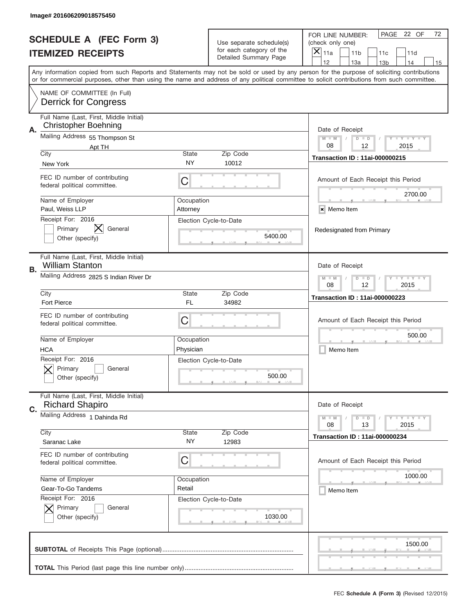|    | Image# 201606209018575450                                                        |                                                           |                                                      |                                                                                                                                                                                                                                                                                         |
|----|----------------------------------------------------------------------------------|-----------------------------------------------------------|------------------------------------------------------|-----------------------------------------------------------------------------------------------------------------------------------------------------------------------------------------------------------------------------------------------------------------------------------------|
|    | <b>SCHEDULE A (FEC Form 3)</b>                                                   |                                                           | Use separate schedule(s)<br>for each category of the | PAGE 22 OF<br>72<br>FOR LINE NUMBER:<br>(check only one)<br>×<br>11a<br>11 <sub>b</sub>                                                                                                                                                                                                 |
|    | <b>ITEMIZED RECEIPTS</b>                                                         |                                                           | Detailed Summary Page                                | 11c<br>11d<br>12<br>13a<br>13 <sub>b</sub><br>14<br>15                                                                                                                                                                                                                                  |
|    |                                                                                  |                                                           |                                                      | Any information copied from such Reports and Statements may not be sold or used by any person for the purpose of soliciting contributions<br>or for commercial purposes, other than using the name and address of any political committee to solicit contributions from such committee. |
|    | NAME OF COMMITTEE (In Full)<br><b>Derrick for Congress</b>                       |                                                           |                                                      |                                                                                                                                                                                                                                                                                         |
| Α. | Full Name (Last, First, Middle Initial)<br><b>Christopher Boehning</b>           |                                                           |                                                      | Date of Receipt                                                                                                                                                                                                                                                                         |
|    | Mailing Address 55 Thompson St<br>Apt TH                                         |                                                           |                                                      | $M - M$<br><b>LEY LEY LEY</b><br>$D$ $D$<br>08<br>12<br>2015                                                                                                                                                                                                                            |
|    | City<br>New York                                                                 | State<br>NY                                               | Zip Code<br>10012                                    | <b>Transaction ID: 11ai-000000215</b>                                                                                                                                                                                                                                                   |
|    | FEC ID number of contributing<br>federal political committee.                    | C                                                         |                                                      | Amount of Each Receipt this Period                                                                                                                                                                                                                                                      |
|    | Name of Employer<br>Paul, Weiss LLP                                              | Occupation<br>Attorney                                    |                                                      | 2700.00<br>× Memo Item                                                                                                                                                                                                                                                                  |
|    | Receipt For: 2016<br>Primary<br>General<br>Other (specify)                       |                                                           | Election Cycle-to-Date<br>5400.00                    | Redesignated from Primary                                                                                                                                                                                                                                                               |
| В. | Full Name (Last, First, Middle Initial)<br><b>William Stanton</b>                |                                                           |                                                      | Date of Receipt                                                                                                                                                                                                                                                                         |
|    | Mailing Address 2825 S Indian River Dr                                           | <b>LEYTEY LEY</b><br>$M$ M<br>$D$ $D$<br>08<br>12<br>2015 |                                                      |                                                                                                                                                                                                                                                                                         |
|    | City<br>Fort Pierce                                                              | State<br>FL                                               | Zip Code<br>34982                                    | <b>Transaction ID: 11ai-000000223</b>                                                                                                                                                                                                                                                   |
|    | FEC ID number of contributing<br>federal political committee.                    | C                                                         |                                                      | Amount of Each Receipt this Period                                                                                                                                                                                                                                                      |
|    |                                                                                  |                                                           |                                                      | 500.00                                                                                                                                                                                                                                                                                  |
|    | Name of Employer<br><b>HCA</b>                                                   | Occupation<br>Physician                                   |                                                      | Memo Item                                                                                                                                                                                                                                                                               |
|    | Receipt For: 2016<br>General<br>Primary<br>Other (specify)                       |                                                           | Election Cycle-to-Date<br>500.00                     |                                                                                                                                                                                                                                                                                         |
|    | Full Name (Last, First, Middle Initial)<br><b>Richard Shapiro</b>                |                                                           |                                                      | Date of Receipt                                                                                                                                                                                                                                                                         |
| C. | Mailing Address 1 Dahinda Rd                                                     |                                                           |                                                      | <b>LYLYLY</b><br>$M - M$<br>$D$ $D$<br>08<br>13<br>2015                                                                                                                                                                                                                                 |
|    | City<br>Saranac Lake                                                             | <b>State</b><br>NY.                                       | Zip Code<br>12983                                    | <b>Transaction ID: 11ai-000000234</b>                                                                                                                                                                                                                                                   |
|    | FEC ID number of contributing<br>federal political committee.                    | C                                                         |                                                      | Amount of Each Receipt this Period                                                                                                                                                                                                                                                      |
|    | Name of Employer                                                                 | Occupation                                                |                                                      | 1000.00                                                                                                                                                                                                                                                                                 |
|    | Gear-To-Go Tandems<br>Receipt For: 2016<br>Primary<br>General<br>Other (specify) | Retail                                                    | Election Cycle-to-Date<br>1030.00                    | Memo Item                                                                                                                                                                                                                                                                               |
|    |                                                                                  |                                                           |                                                      | 1500.00                                                                                                                                                                                                                                                                                 |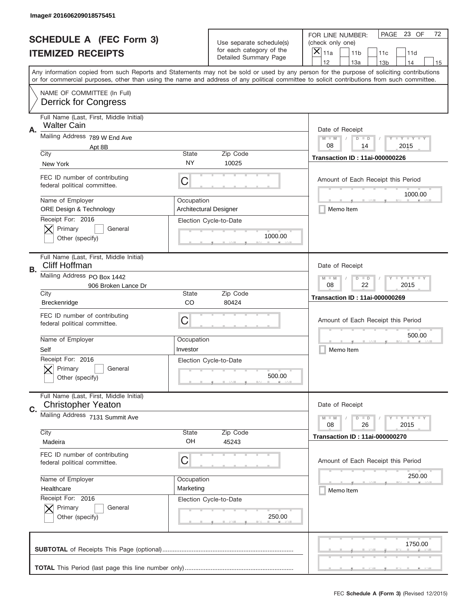|    | Image# 201606209018575451                                            |                                                             |                                                   |                                                                                                                                                                                                                                                                                                                         |
|----|----------------------------------------------------------------------|-------------------------------------------------------------|---------------------------------------------------|-------------------------------------------------------------------------------------------------------------------------------------------------------------------------------------------------------------------------------------------------------------------------------------------------------------------------|
|    | <b>SCHEDULE A (FEC Form 3)</b>                                       |                                                             | Use separate schedule(s)                          | PAGE 23 OF<br>72<br>FOR LINE NUMBER:<br>(check only one)                                                                                                                                                                                                                                                                |
|    | <b>ITEMIZED RECEIPTS</b>                                             |                                                             | for each category of the<br>Detailed Summary Page | ×<br>11a<br>11 <sub>b</sub><br>11c<br>11d<br>12<br>14                                                                                                                                                                                                                                                                   |
|    |                                                                      |                                                             |                                                   | 13a<br>13 <sub>b</sub><br>15<br>Any information copied from such Reports and Statements may not be sold or used by any person for the purpose of soliciting contributions<br>or for commercial purposes, other than using the name and address of any political committee to solicit contributions from such committee. |
|    | NAME OF COMMITTEE (In Full)<br><b>Derrick for Congress</b>           |                                                             |                                                   |                                                                                                                                                                                                                                                                                                                         |
| Α. | Full Name (Last, First, Middle Initial)<br><b>Walter Cain</b>        |                                                             |                                                   | Date of Receipt                                                                                                                                                                                                                                                                                                         |
|    | Mailing Address 789 W End Ave<br>Apt 8B                              |                                                             |                                                   | $M - M$<br><b>LEY LEY LEY</b><br>$D$ $D$<br>08<br>2015<br>14                                                                                                                                                                                                                                                            |
|    | City<br>New York                                                     | State<br>NY                                                 | Zip Code<br>10025                                 | <b>Transaction ID: 11ai-000000226</b>                                                                                                                                                                                                                                                                                   |
|    | FEC ID number of contributing<br>federal political committee.        | C                                                           |                                                   | Amount of Each Receipt this Period<br>1000.00                                                                                                                                                                                                                                                                           |
|    | Name of Employer<br><b>ORE Design &amp; Technology</b>               | Occupation                                                  | <b>Architectural Designer</b>                     | Memo Item                                                                                                                                                                                                                                                                                                               |
|    | Receipt For: 2016<br>Primary<br>General<br>Other (specify)           |                                                             | Election Cycle-to-Date<br>1000.00                 |                                                                                                                                                                                                                                                                                                                         |
| В. | Full Name (Last, First, Middle Initial)<br><b>Cliff Hoffman</b>      |                                                             |                                                   | Date of Receipt                                                                                                                                                                                                                                                                                                         |
|    | Mailing Address PO Box 1442<br>906 Broken Lance Dr                   | $M - M$<br><b>LEYTEY LEY</b><br>$D$ $D$<br>08<br>22<br>2015 |                                                   |                                                                                                                                                                                                                                                                                                                         |
|    | City<br>Breckenridge                                                 | State<br>CO                                                 | Zip Code<br>80424                                 | <b>Transaction ID: 11ai-000000269</b>                                                                                                                                                                                                                                                                                   |
|    | FEC ID number of contributing<br>federal political committee.        | C                                                           |                                                   | Amount of Each Receipt this Period                                                                                                                                                                                                                                                                                      |
|    | Name of Employer<br>Self                                             | Occupation<br>Investor                                      |                                                   | 500.00<br>Memo Item                                                                                                                                                                                                                                                                                                     |
|    | Receipt For: 2016<br>General<br>Primary<br>Other (specify)           |                                                             | Election Cycle-to-Date<br>500.00                  |                                                                                                                                                                                                                                                                                                                         |
| C. | Full Name (Last, First, Middle Initial)<br><b>Christopher Yeaton</b> |                                                             |                                                   | Date of Receipt                                                                                                                                                                                                                                                                                                         |
|    | Mailing Address 7131 Summit Ave                                      |                                                             |                                                   | <b>LEY LEY LEY</b><br>$M - M$<br>$D$ $D$<br>08<br>2015<br>26                                                                                                                                                                                                                                                            |
|    | City<br>Madeira                                                      | State<br>OH                                                 | Zip Code<br>45243                                 | <b>Transaction ID: 11ai-000000270</b>                                                                                                                                                                                                                                                                                   |
|    | FEC ID number of contributing<br>federal political committee.        | С                                                           |                                                   | Amount of Each Receipt this Period                                                                                                                                                                                                                                                                                      |
|    | Name of Employer<br>Healthcare                                       | Occupation<br>Marketing                                     |                                                   | 250.00<br>Memo Item                                                                                                                                                                                                                                                                                                     |
|    | Receipt For: 2016<br>Primary<br>General                              |                                                             | Election Cycle-to-Date                            |                                                                                                                                                                                                                                                                                                                         |
|    | Other (specify)                                                      |                                                             | 250.00                                            |                                                                                                                                                                                                                                                                                                                         |
|    |                                                                      |                                                             |                                                   | 1750.00                                                                                                                                                                                                                                                                                                                 |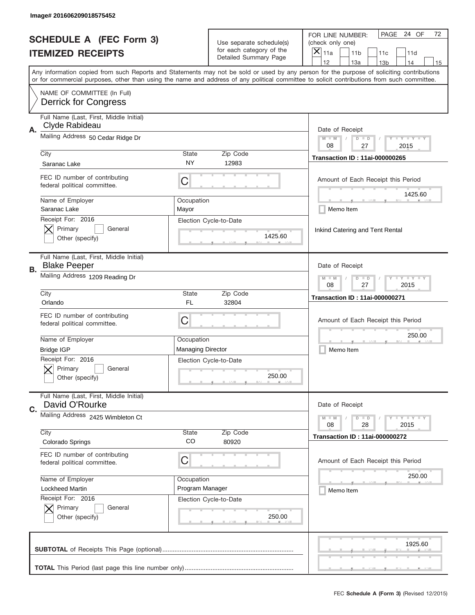|    | Image# 201606209018575452                                      |                                                           |                                                      |                                                                                                                                                                                                                                                                                                                                     |
|----|----------------------------------------------------------------|-----------------------------------------------------------|------------------------------------------------------|-------------------------------------------------------------------------------------------------------------------------------------------------------------------------------------------------------------------------------------------------------------------------------------------------------------------------------------|
|    | <b>SCHEDULE A (FEC Form 3)</b>                                 |                                                           | Use separate schedule(s)<br>for each category of the | PAGE 24 OF<br>72<br>FOR LINE NUMBER:<br>(check only one)                                                                                                                                                                                                                                                                            |
|    | <b>ITEMIZED RECEIPTS</b>                                       |                                                           | Detailed Summary Page                                | ×<br>11a<br>11 <sub>b</sub><br>11c<br>11d                                                                                                                                                                                                                                                                                           |
|    |                                                                |                                                           |                                                      | 12<br>13a<br>14<br>13 <sub>b</sub><br>15<br>Any information copied from such Reports and Statements may not be sold or used by any person for the purpose of soliciting contributions<br>or for commercial purposes, other than using the name and address of any political committee to solicit contributions from such committee. |
|    | NAME OF COMMITTEE (In Full)<br><b>Derrick for Congress</b>     |                                                           |                                                      |                                                                                                                                                                                                                                                                                                                                     |
| Α. | Full Name (Last, First, Middle Initial)<br>Clyde Rabideau      |                                                           |                                                      | Date of Receipt                                                                                                                                                                                                                                                                                                                     |
|    | Mailing Address 50 Cedar Ridge Dr                              |                                                           |                                                      | $M - M$<br><b>LEY LEY LEY</b><br>$D$ $D$<br>08<br>27<br>2015                                                                                                                                                                                                                                                                        |
|    | City<br>Saranac Lake                                           | State<br>NY                                               | Zip Code<br>12983                                    | <b>Transaction ID: 11ai-000000265</b>                                                                                                                                                                                                                                                                                               |
|    | FEC ID number of contributing<br>federal political committee.  | C                                                         |                                                      | Amount of Each Receipt this Period<br>1425.60                                                                                                                                                                                                                                                                                       |
|    | Name of Employer<br>Saranac Lake                               | Occupation<br>Mayor                                       |                                                      | Memo Item                                                                                                                                                                                                                                                                                                                           |
|    | Receipt For: 2016<br>Primary<br>General<br>Other (specify)     |                                                           | Election Cycle-to-Date<br>1425.60                    | Inkind Catering and Tent Rental                                                                                                                                                                                                                                                                                                     |
| В. | Full Name (Last, First, Middle Initial)<br><b>Blake Peeper</b> |                                                           |                                                      | Date of Receipt                                                                                                                                                                                                                                                                                                                     |
|    | Mailing Address 1209 Reading Dr                                | $M$ M<br><b>LEYTEY LEY</b><br>$D$ $D$<br>08<br>27<br>2015 |                                                      |                                                                                                                                                                                                                                                                                                                                     |
|    | City<br>Orlando                                                | State<br>FL                                               | Zip Code<br>32804                                    | <b>Transaction ID: 11ai-000000271</b>                                                                                                                                                                                                                                                                                               |
|    | FEC ID number of contributing                                  |                                                           |                                                      | Amount of Each Receipt this Period                                                                                                                                                                                                                                                                                                  |
|    | federal political committee.                                   | C                                                         |                                                      |                                                                                                                                                                                                                                                                                                                                     |
|    | Name of Employer<br><b>Bridge IGP</b>                          | Occupation<br><b>Managing Director</b>                    |                                                      | 250.00<br>Memo Item                                                                                                                                                                                                                                                                                                                 |
|    | Receipt For: 2016<br>General<br>Primary<br>Other (specify)     |                                                           | Election Cycle-to-Date<br>250.00                     |                                                                                                                                                                                                                                                                                                                                     |
| C. | Full Name (Last, First, Middle Initial)<br>David O'Rourke      |                                                           |                                                      | Date of Receipt                                                                                                                                                                                                                                                                                                                     |
|    | Mailing Address 2425 Wimbleton Ct                              |                                                           |                                                      | <b>LEY LEY LEY</b><br>$M - M$<br>$D$ $D$<br>08<br>2015<br>28                                                                                                                                                                                                                                                                        |
|    | City<br>Colorado Springs                                       | State<br>CO                                               | Zip Code<br>80920                                    | <b>Transaction ID: 11ai-000000272</b>                                                                                                                                                                                                                                                                                               |
|    | FEC ID number of contributing<br>federal political committee.  | C                                                         |                                                      | Amount of Each Receipt this Period                                                                                                                                                                                                                                                                                                  |
|    | Name of Employer                                               | Occupation                                                |                                                      | 250.00                                                                                                                                                                                                                                                                                                                              |
|    | <b>Lockheed Martin</b>                                         | Program Manager                                           |                                                      | Memo Item                                                                                                                                                                                                                                                                                                                           |
|    | Receipt For: 2016<br>Primary<br>General<br>Other (specify)     |                                                           | Election Cycle-to-Date<br>250.00                     |                                                                                                                                                                                                                                                                                                                                     |
|    |                                                                |                                                           |                                                      | 1925.60                                                                                                                                                                                                                                                                                                                             |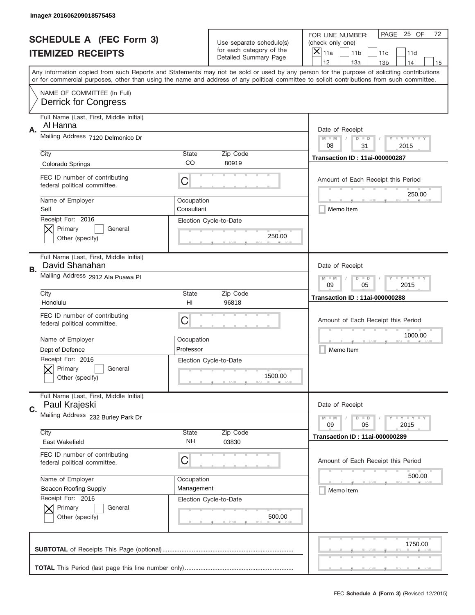|    | Image# 201606209018575453                                     |                                                           |                                                   |                                                                                                                                                                                       |
|----|---------------------------------------------------------------|-----------------------------------------------------------|---------------------------------------------------|---------------------------------------------------------------------------------------------------------------------------------------------------------------------------------------|
|    | <b>SCHEDULE A (FEC Form 3)</b>                                |                                                           | Use separate schedule(s)                          | PAGE 25 OF<br>72<br>FOR LINE NUMBER:<br>(check only one)                                                                                                                              |
|    | <b>ITEMIZED RECEIPTS</b>                                      |                                                           | for each category of the<br>Detailed Summary Page | $\boldsymbol{\times}$<br>11a<br>11 <sub>b</sub><br>11c<br>11d                                                                                                                         |
|    |                                                               |                                                           |                                                   | 12<br>13a<br>14<br>13 <sub>b</sub><br>15<br>Any information copied from such Reports and Statements may not be sold or used by any person for the purpose of soliciting contributions |
|    |                                                               |                                                           |                                                   | or for commercial purposes, other than using the name and address of any political committee to solicit contributions from such committee.                                            |
|    | NAME OF COMMITTEE (In Full)<br><b>Derrick for Congress</b>    |                                                           |                                                   |                                                                                                                                                                                       |
|    | Full Name (Last, First, Middle Initial)<br>Al Hanna           |                                                           |                                                   |                                                                                                                                                                                       |
| Α. | Mailing Address 7120 Delmonico Dr                             |                                                           |                                                   | Date of Receipt<br><b>LEY LEY LEY</b><br>$M - M$<br>$D$ $D$<br>08<br>31<br>2015                                                                                                       |
|    | City                                                          | <b>State</b>                                              | Zip Code                                          | <b>Transaction ID: 11ai-000000287</b>                                                                                                                                                 |
|    | Colorado Springs                                              | CO                                                        | 80919                                             |                                                                                                                                                                                       |
|    | FEC ID number of contributing<br>federal political committee. | C                                                         |                                                   | Amount of Each Receipt this Period<br>250.00                                                                                                                                          |
|    | Name of Employer<br>Self                                      | Occupation<br>Consultant                                  |                                                   | Memo Item                                                                                                                                                                             |
|    | Receipt For: 2016<br>Primary<br>General<br>Other (specify)    |                                                           | Election Cycle-to-Date<br>250.00                  |                                                                                                                                                                                       |
| В. | Full Name (Last, First, Middle Initial)<br>David Shanahan     |                                                           |                                                   | Date of Receipt                                                                                                                                                                       |
|    | Mailing Address 2912 Ala Puawa Pl                             | <b>LY LY LY</b><br>$M - M$<br>$D$ $D$<br>09<br>05<br>2015 |                                                   |                                                                                                                                                                                       |
|    | City                                                          | <b>State</b>                                              | Zip Code                                          | <b>Transaction ID: 11ai-000000288</b>                                                                                                                                                 |
|    | Honolulu                                                      | H <sub>l</sub>                                            | 96818                                             |                                                                                                                                                                                       |
|    | FEC ID number of contributing<br>federal political committee. | C                                                         |                                                   | Amount of Each Receipt this Period                                                                                                                                                    |
|    | Name of Employer                                              | Occupation                                                |                                                   | 1000.00                                                                                                                                                                               |
|    | Dept of Defence                                               | Professor                                                 |                                                   | Memo Item                                                                                                                                                                             |
|    | Receipt For: 2016<br>General<br>Primary<br>Other (specify)    |                                                           | Election Cycle-to-Date<br>1500.00                 |                                                                                                                                                                                       |
| C. | Full Name (Last, First, Middle Initial)<br>Paul Krajeski      |                                                           |                                                   | Date of Receipt                                                                                                                                                                       |
|    | Mailing Address 232 Burley Park Dr                            |                                                           |                                                   | <b>LY LY LY</b><br>$M - M$<br>$D$ $D$<br>09<br>05<br>2015                                                                                                                             |
|    | City<br>East Wakefield                                        | <b>State</b><br>NH                                        | Zip Code<br>03830                                 | <b>Transaction ID: 11ai-000000289</b>                                                                                                                                                 |
|    | FEC ID number of contributing<br>federal political committee. | С                                                         |                                                   | Amount of Each Receipt this Period                                                                                                                                                    |
|    | Name of Employer                                              | Occupation                                                |                                                   | 500.00                                                                                                                                                                                |
|    | <b>Beacon Roofing Supply</b>                                  | Management                                                |                                                   | Memo Item                                                                                                                                                                             |
|    | Receipt For: 2016<br>Primary<br>General                       |                                                           | Election Cycle-to-Date<br>500.00                  |                                                                                                                                                                                       |
|    | Other (specify)                                               |                                                           |                                                   |                                                                                                                                                                                       |
|    |                                                               |                                                           |                                                   | 1750.00                                                                                                                                                                               |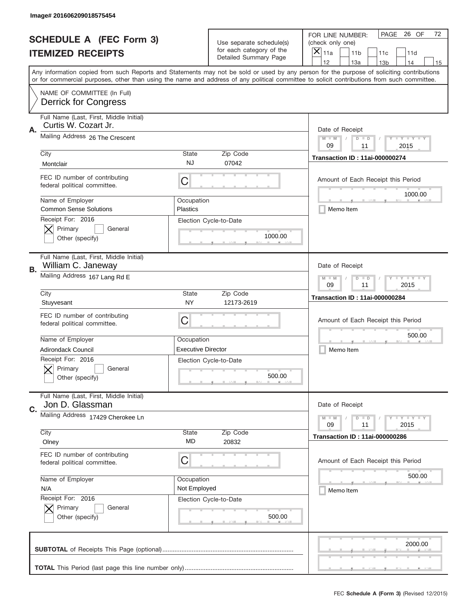|    | Image# 201606209018575454                                                               |                                                           |                                                   |                                                                                                                                                                                                                                                                                                                                     |  |
|----|-----------------------------------------------------------------------------------------|-----------------------------------------------------------|---------------------------------------------------|-------------------------------------------------------------------------------------------------------------------------------------------------------------------------------------------------------------------------------------------------------------------------------------------------------------------------------------|--|
|    | <b>SCHEDULE A (FEC Form 3)</b>                                                          |                                                           | Use separate schedule(s)                          | PAGE<br>26 OF<br>72<br>FOR LINE NUMBER:<br>(check only one)                                                                                                                                                                                                                                                                         |  |
|    | <b>ITEMIZED RECEIPTS</b>                                                                |                                                           | for each category of the<br>Detailed Summary Page | $\boldsymbol{\times}$<br>11a<br>11 <sub>b</sub><br>11c<br>11d                                                                                                                                                                                                                                                                       |  |
|    |                                                                                         |                                                           |                                                   | 12<br>13a<br>14<br>13 <sub>b</sub><br>15<br>Any information copied from such Reports and Statements may not be sold or used by any person for the purpose of soliciting contributions<br>or for commercial purposes, other than using the name and address of any political committee to solicit contributions from such committee. |  |
|    | NAME OF COMMITTEE (In Full)<br><b>Derrick for Congress</b>                              |                                                           |                                                   |                                                                                                                                                                                                                                                                                                                                     |  |
| Α. | Full Name (Last, First, Middle Initial)<br>Curtis W. Cozart Jr.                         |                                                           |                                                   | Date of Receipt                                                                                                                                                                                                                                                                                                                     |  |
|    | Mailing Address 26 The Crescent                                                         |                                                           |                                                   | $M - M$<br><b>LEY LEY LEY</b><br>$D$ $D$<br>09<br>11<br>2015                                                                                                                                                                                                                                                                        |  |
|    | City<br>Montclair                                                                       | <b>State</b><br><b>NJ</b>                                 | Zip Code<br>07042                                 | <b>Transaction ID: 11ai-000000274</b>                                                                                                                                                                                                                                                                                               |  |
|    | FEC ID number of contributing<br>federal political committee.                           | C                                                         |                                                   | Amount of Each Receipt this Period<br>1000.00                                                                                                                                                                                                                                                                                       |  |
|    | Name of Employer<br><b>Common Sense Solutions</b>                                       | Occupation<br><b>Plastics</b>                             |                                                   | Memo Item                                                                                                                                                                                                                                                                                                                           |  |
|    | Receipt For: 2016<br>Primary<br>General<br>Other (specify)                              |                                                           | Election Cycle-to-Date<br>1000.00                 |                                                                                                                                                                                                                                                                                                                                     |  |
| В. | Full Name (Last, First, Middle Initial)<br>William C. Janeway                           |                                                           |                                                   | Date of Receipt                                                                                                                                                                                                                                                                                                                     |  |
|    | Mailing Address 167 Lang Rd E                                                           | <b>LY LY LY</b><br>$M - M$<br>$D$ $D$<br>09<br>11<br>2015 |                                                   |                                                                                                                                                                                                                                                                                                                                     |  |
|    | City<br>Stuyvesant                                                                      | <b>State</b><br><b>NY</b>                                 | Zip Code<br>12173-2619                            | <b>Transaction ID: 11ai-000000284</b>                                                                                                                                                                                                                                                                                               |  |
|    | FEC ID number of contributing<br>federal political committee.                           | C                                                         |                                                   | Amount of Each Receipt this Period                                                                                                                                                                                                                                                                                                  |  |
|    | Name of Employer                                                                        | Occupation<br><b>Executive Director</b>                   |                                                   | 500.00<br>Memo Item                                                                                                                                                                                                                                                                                                                 |  |
|    | <b>Adirondack Council</b><br>Receipt For: 2016<br>General<br>Primary<br>Other (specify) |                                                           | Election Cycle-to-Date<br>500.00                  |                                                                                                                                                                                                                                                                                                                                     |  |
| C. | Full Name (Last, First, Middle Initial)<br>Jon D. Glassman                              |                                                           |                                                   | Date of Receipt                                                                                                                                                                                                                                                                                                                     |  |
|    | Mailing Address 17429 Cherokee Ln                                                       |                                                           |                                                   | <b>LYLYLY</b><br>$M - M$<br>$D$ $D$<br>09<br>2015<br>11                                                                                                                                                                                                                                                                             |  |
|    | City<br>Olney                                                                           | <b>State</b><br>MD                                        | Zip Code<br>20832                                 | <b>Transaction ID: 11ai-000000286</b>                                                                                                                                                                                                                                                                                               |  |
|    | FEC ID number of contributing<br>federal political committee.                           | С                                                         |                                                   | Amount of Each Receipt this Period                                                                                                                                                                                                                                                                                                  |  |
|    | Name of Employer<br>N/A                                                                 | Occupation<br>Not Employed                                |                                                   | 500.00<br>Memo Item                                                                                                                                                                                                                                                                                                                 |  |
|    | Receipt For: 2016<br>Primary<br>General<br>Other (specify)                              |                                                           | Election Cycle-to-Date<br>500.00                  |                                                                                                                                                                                                                                                                                                                                     |  |
|    |                                                                                         |                                                           |                                                   | 2000.00                                                                                                                                                                                                                                                                                                                             |  |
|    |                                                                                         |                                                           |                                                   |                                                                                                                                                                                                                                                                                                                                     |  |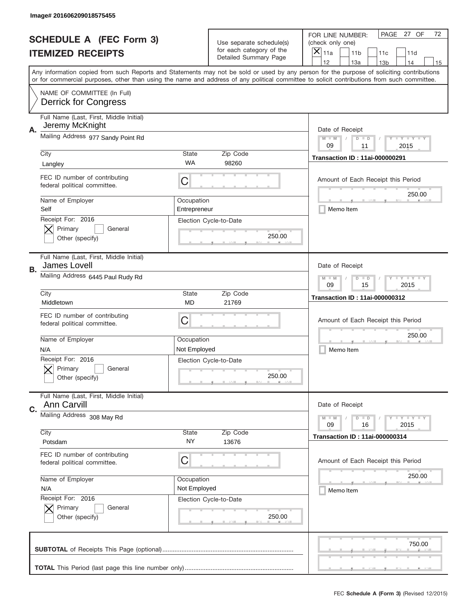|    | Image# 201606209018575455                                     |                                                         |                                                   |                                                                                                                                                                                                                                                                                                                                     |
|----|---------------------------------------------------------------|---------------------------------------------------------|---------------------------------------------------|-------------------------------------------------------------------------------------------------------------------------------------------------------------------------------------------------------------------------------------------------------------------------------------------------------------------------------------|
|    | <b>SCHEDULE A (FEC Form 3)</b>                                |                                                         | Use separate schedule(s)                          | PAGE 27 OF<br>72<br>FOR LINE NUMBER:<br>(check only one)                                                                                                                                                                                                                                                                            |
|    | <b>ITEMIZED RECEIPTS</b>                                      |                                                         | for each category of the<br>Detailed Summary Page | ×<br>11a<br>11 <sub>b</sub><br>11c<br>11d                                                                                                                                                                                                                                                                                           |
|    |                                                               |                                                         |                                                   | 12<br>13a<br>14<br>13 <sub>b</sub><br>15<br>Any information copied from such Reports and Statements may not be sold or used by any person for the purpose of soliciting contributions<br>or for commercial purposes, other than using the name and address of any political committee to solicit contributions from such committee. |
|    | NAME OF COMMITTEE (In Full)<br><b>Derrick for Congress</b>    |                                                         |                                                   |                                                                                                                                                                                                                                                                                                                                     |
| Α. | Full Name (Last, First, Middle Initial)<br>Jeremy McKnight    |                                                         |                                                   | Date of Receipt                                                                                                                                                                                                                                                                                                                     |
|    | Mailing Address 977 Sandy Point Rd                            |                                                         |                                                   | $M - M$<br><b>LEY LEY LEY</b><br>$D$ $D$<br>09<br>11<br>2015                                                                                                                                                                                                                                                                        |
|    | City<br>Langley                                               | State<br>WA                                             | Zip Code<br>98260                                 | <b>Transaction ID: 11ai-000000291</b>                                                                                                                                                                                                                                                                                               |
|    | FEC ID number of contributing<br>federal political committee. | C                                                       |                                                   | Amount of Each Receipt this Period<br>250.00                                                                                                                                                                                                                                                                                        |
|    | Name of Employer<br>Self                                      | Occupation<br>Entrepreneur                              |                                                   | Memo Item                                                                                                                                                                                                                                                                                                                           |
|    | Receipt For: 2016<br>Primary<br>General<br>Other (specify)    |                                                         | Election Cycle-to-Date<br>250.00                  |                                                                                                                                                                                                                                                                                                                                     |
| В. | Full Name (Last, First, Middle Initial)<br>James Lovell       |                                                         |                                                   | Date of Receipt                                                                                                                                                                                                                                                                                                                     |
|    | Mailing Address 6445 Paul Rudy Rd                             | $M - M$<br><b>LYLYLY</b><br>$D$ $D$<br>09<br>15<br>2015 |                                                   |                                                                                                                                                                                                                                                                                                                                     |
|    | City<br>Middletown                                            | <b>State</b><br>MD                                      | Zip Code<br>21769                                 | <b>Transaction ID: 11ai-000000312</b>                                                                                                                                                                                                                                                                                               |
|    | FEC ID number of contributing<br>federal political committee. | C                                                       |                                                   | Amount of Each Receipt this Period                                                                                                                                                                                                                                                                                                  |
|    | Name of Employer<br>N/A                                       | Occupation<br>Not Employed                              |                                                   | 250.00<br>Memo Item                                                                                                                                                                                                                                                                                                                 |
|    | Receipt For: 2016<br>General<br>Primary<br>Other (specify)    |                                                         | Election Cycle-to-Date<br>250.00                  |                                                                                                                                                                                                                                                                                                                                     |
|    | Full Name (Last, First, Middle Initial)                       |                                                         |                                                   |                                                                                                                                                                                                                                                                                                                                     |
| C. | Ann Carvill                                                   |                                                         |                                                   | Date of Receipt                                                                                                                                                                                                                                                                                                                     |
|    | Mailing Address 308 May Rd                                    |                                                         |                                                   | <b>LEY LEY LEY</b><br>$M - M$<br>$D$ $D$<br>09<br>2015<br>16                                                                                                                                                                                                                                                                        |
|    | City<br>Potsdam                                               | State<br>ΝY                                             | Zip Code<br>13676                                 | <b>Transaction ID: 11ai-000000314</b>                                                                                                                                                                                                                                                                                               |
|    | FEC ID number of contributing<br>federal political committee. | С                                                       |                                                   | Amount of Each Receipt this Period                                                                                                                                                                                                                                                                                                  |
|    | Name of Employer<br>N/A                                       | Occupation<br>Not Employed                              |                                                   | 250.00<br>Memo Item                                                                                                                                                                                                                                                                                                                 |
|    | Receipt For: 2016<br>Primary<br>General<br>Other (specify)    |                                                         | Election Cycle-to-Date<br>250.00                  |                                                                                                                                                                                                                                                                                                                                     |
|    |                                                               |                                                         |                                                   | 750.00                                                                                                                                                                                                                                                                                                                              |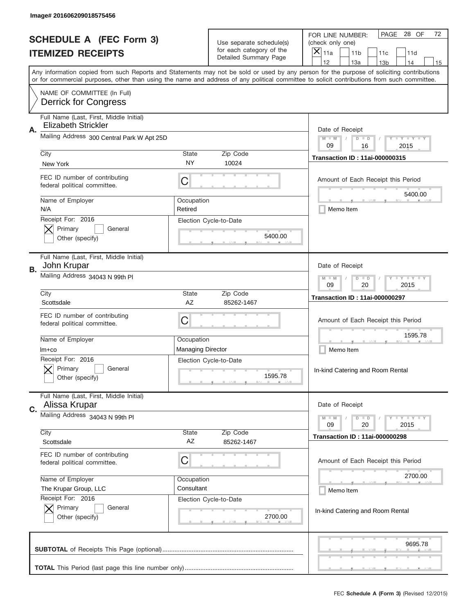|    | Image# 201606209018575456                                             |                                                           |                                                   |                                                                                                                                                                                                                                                                                                                                     |
|----|-----------------------------------------------------------------------|-----------------------------------------------------------|---------------------------------------------------|-------------------------------------------------------------------------------------------------------------------------------------------------------------------------------------------------------------------------------------------------------------------------------------------------------------------------------------|
|    | <b>SCHEDULE A (FEC Form 3)</b>                                        |                                                           | Use separate schedule(s)                          | PAGE 28 OF<br>72<br>FOR LINE NUMBER:<br>(check only one)                                                                                                                                                                                                                                                                            |
|    | <b>ITEMIZED RECEIPTS</b>                                              |                                                           | for each category of the<br>Detailed Summary Page | $\boldsymbol{\times}$<br>11a<br>11 <sub>b</sub><br>11c<br>11d                                                                                                                                                                                                                                                                       |
|    |                                                                       |                                                           |                                                   | 12<br>13a<br>14<br>13 <sub>b</sub><br>15<br>Any information copied from such Reports and Statements may not be sold or used by any person for the purpose of soliciting contributions<br>or for commercial purposes, other than using the name and address of any political committee to solicit contributions from such committee. |
|    | NAME OF COMMITTEE (In Full)<br><b>Derrick for Congress</b>            |                                                           |                                                   |                                                                                                                                                                                                                                                                                                                                     |
| Α. | Full Name (Last, First, Middle Initial)<br><b>Elizabeth Strickler</b> |                                                           |                                                   | Date of Receipt                                                                                                                                                                                                                                                                                                                     |
|    | Mailing Address 300 Central Park W Apt 25D                            |                                                           |                                                   | <b>LYLYLY</b><br>$M - M$<br>$D$ $D$<br>09<br>16<br>2015                                                                                                                                                                                                                                                                             |
|    | City<br>New York                                                      | <b>State</b><br>NY.                                       | Zip Code<br>10024                                 | <b>Transaction ID: 11ai-000000315</b>                                                                                                                                                                                                                                                                                               |
|    | FEC ID number of contributing<br>federal political committee.         | С                                                         |                                                   | Amount of Each Receipt this Period<br>5400.00                                                                                                                                                                                                                                                                                       |
|    | Name of Employer<br>N/A                                               | Occupation<br>Retired                                     |                                                   | Memo Item                                                                                                                                                                                                                                                                                                                           |
|    | Receipt For: 2016<br>Primary<br>General<br>Other (specify)            |                                                           | Election Cycle-to-Date<br>5400.00                 |                                                                                                                                                                                                                                                                                                                                     |
| В. | Full Name (Last, First, Middle Initial)<br>John Krupar                |                                                           |                                                   | Date of Receipt                                                                                                                                                                                                                                                                                                                     |
|    | Mailing Address 34043 N 99th PI                                       | <b>LY LY LY</b><br>$M - M$<br>$D$ $D$<br>09<br>20<br>2015 |                                                   |                                                                                                                                                                                                                                                                                                                                     |
|    | City<br>Scottsdale                                                    | <b>State</b><br>AZ                                        | Zip Code<br>85262-1467                            | <b>Transaction ID: 11ai-000000297</b>                                                                                                                                                                                                                                                                                               |
|    | FEC ID number of contributing<br>federal political committee.         | C                                                         |                                                   | Amount of Each Receipt this Period                                                                                                                                                                                                                                                                                                  |
|    | Name of Employer<br>$Im+co$                                           | Occupation<br><b>Managing Director</b>                    |                                                   | 1595.78<br>Memo Item                                                                                                                                                                                                                                                                                                                |
|    | Receipt For: 2016<br>General<br>Primary<br>Other (specify)            |                                                           | Election Cycle-to-Date<br>1595.78                 | In-kind Catering and Room Rental                                                                                                                                                                                                                                                                                                    |
| C. | Full Name (Last, First, Middle Initial)<br>Alissa Krupar              |                                                           |                                                   | Date of Receipt                                                                                                                                                                                                                                                                                                                     |
|    | Mailing Address 34043 N 99th Pl<br>City                               | <b>State</b>                                              | Zip Code                                          | <b>LY LY LY</b><br>$M - M$<br>$D$ $D$<br>20<br>2015<br>09                                                                                                                                                                                                                                                                           |
|    | Scottsdale                                                            | AZ                                                        | 85262-1467                                        | <b>Transaction ID: 11ai-000000298</b>                                                                                                                                                                                                                                                                                               |
|    | FEC ID number of contributing<br>federal political committee.         | С                                                         |                                                   | Amount of Each Receipt this Period                                                                                                                                                                                                                                                                                                  |
|    | Name of Employer<br>The Krupar Group, LLC                             | Occupation<br>Consultant                                  |                                                   | 2700.00<br>Memo Item                                                                                                                                                                                                                                                                                                                |
|    | Receipt For: 2016<br>Primary<br>General<br>Other (specify)            |                                                           | Election Cycle-to-Date<br>2700.00                 | In-kind Catering and Room Rental                                                                                                                                                                                                                                                                                                    |
|    |                                                                       |                                                           |                                                   | 9695.78                                                                                                                                                                                                                                                                                                                             |
|    |                                                                       |                                                           |                                                   |                                                                                                                                                                                                                                                                                                                                     |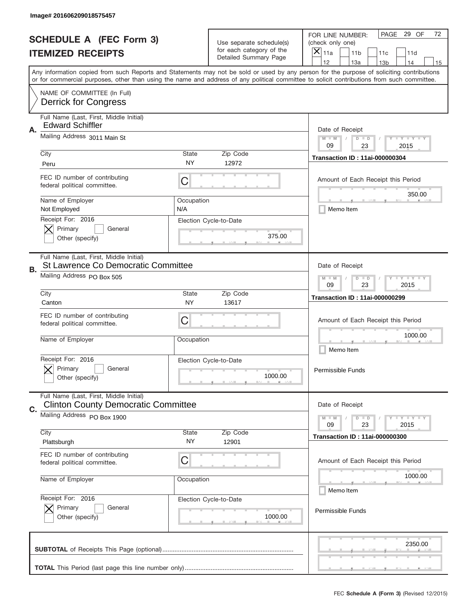|    | Image# 201606209018575457                                                             |                                                       |                                                   |                                                                                                                                                                                                                                                                                                                                     |
|----|---------------------------------------------------------------------------------------|-------------------------------------------------------|---------------------------------------------------|-------------------------------------------------------------------------------------------------------------------------------------------------------------------------------------------------------------------------------------------------------------------------------------------------------------------------------------|
|    | <b>SCHEDULE A (FEC Form 3)</b>                                                        |                                                       | Use separate schedule(s)                          | PAGE<br>29 OF<br>72<br>FOR LINE NUMBER:<br>(check only one)                                                                                                                                                                                                                                                                         |
|    | <b>ITEMIZED RECEIPTS</b>                                                              |                                                       | for each category of the<br>Detailed Summary Page | $\boldsymbol{\times}$<br>11a<br>11 <sub>b</sub><br>11c<br>11d                                                                                                                                                                                                                                                                       |
|    |                                                                                       |                                                       |                                                   | 12<br>13a<br>14<br>13 <sub>b</sub><br>15<br>Any information copied from such Reports and Statements may not be sold or used by any person for the purpose of soliciting contributions<br>or for commercial purposes, other than using the name and address of any political committee to solicit contributions from such committee. |
|    | NAME OF COMMITTEE (In Full)<br><b>Derrick for Congress</b>                            |                                                       |                                                   |                                                                                                                                                                                                                                                                                                                                     |
| Α. | Full Name (Last, First, Middle Initial)<br><b>Edward Schiffler</b>                    |                                                       |                                                   | Date of Receipt                                                                                                                                                                                                                                                                                                                     |
|    | Mailing Address 3011 Main St                                                          |                                                       |                                                   | <b>LEY LEY LEY</b><br>$M - M$<br>$D$ $D$<br>09<br>23<br>2015                                                                                                                                                                                                                                                                        |
|    | City<br>Peru                                                                          | <b>State</b><br>NY                                    | Zip Code<br>12972                                 | <b>Transaction ID: 11ai-000000304</b>                                                                                                                                                                                                                                                                                               |
|    | FEC ID number of contributing<br>federal political committee.                         | C                                                     |                                                   | Amount of Each Receipt this Period<br>350.00                                                                                                                                                                                                                                                                                        |
|    | Name of Employer<br>Not Employed                                                      | Occupation<br>N/A                                     |                                                   | Memo Item                                                                                                                                                                                                                                                                                                                           |
|    | Receipt For: 2016<br>Primary<br>General<br>Other (specify)                            |                                                       | Election Cycle-to-Date<br>375.00                  |                                                                                                                                                                                                                                                                                                                                     |
| В. | Full Name (Last, First, Middle Initial)<br><b>St Lawrence Co Democratic Committee</b> |                                                       |                                                   | Date of Receipt                                                                                                                                                                                                                                                                                                                     |
|    | Mailing Address PO Box 505                                                            | <b>LYLYLY</b><br>$M$ M<br>$D$ $D$<br>09<br>23<br>2015 |                                                   |                                                                                                                                                                                                                                                                                                                                     |
|    | City<br>Canton                                                                        | <b>State</b><br>NY                                    | Zip Code<br>13617                                 | <b>Transaction ID: 11ai-000000299</b>                                                                                                                                                                                                                                                                                               |
|    | FEC ID number of contributing<br>federal political committee.                         | С                                                     |                                                   | Amount of Each Receipt this Period                                                                                                                                                                                                                                                                                                  |
|    | Name of Employer                                                                      | Occupation                                            |                                                   | 1000.00<br>Memo Item                                                                                                                                                                                                                                                                                                                |
|    | Receipt For: 2016<br>General<br>Primary<br>Other (specify)                            |                                                       | Election Cycle-to-Date<br>1000.00                 | Permissible Funds                                                                                                                                                                                                                                                                                                                   |
| C. | Full Name (Last, First, Middle Initial)<br><b>Clinton County Democratic Committee</b> |                                                       |                                                   | Date of Receipt                                                                                                                                                                                                                                                                                                                     |
|    | Mailing Address PO Box 1900                                                           |                                                       |                                                   | <b>LYLYLY</b><br>$M - M$<br>$D$ $D$<br>23<br>2015<br>09                                                                                                                                                                                                                                                                             |
|    | City<br>Plattsburgh                                                                   | <b>State</b><br>NY.                                   | Zip Code<br>12901                                 | <b>Transaction ID: 11ai-000000300</b>                                                                                                                                                                                                                                                                                               |
|    | FEC ID number of contributing<br>federal political committee.                         | С                                                     |                                                   | Amount of Each Receipt this Period                                                                                                                                                                                                                                                                                                  |
|    | Name of Employer                                                                      | Occupation                                            |                                                   | 1000.00<br>Memo Item                                                                                                                                                                                                                                                                                                                |
|    | Receipt For: 2016<br>Primary<br>General<br>Other (specify)                            |                                                       | Election Cycle-to-Date<br>1000.00                 | Permissible Funds                                                                                                                                                                                                                                                                                                                   |
|    |                                                                                       |                                                       |                                                   | 2350.00                                                                                                                                                                                                                                                                                                                             |
|    |                                                                                       |                                                       |                                                   |                                                                                                                                                                                                                                                                                                                                     |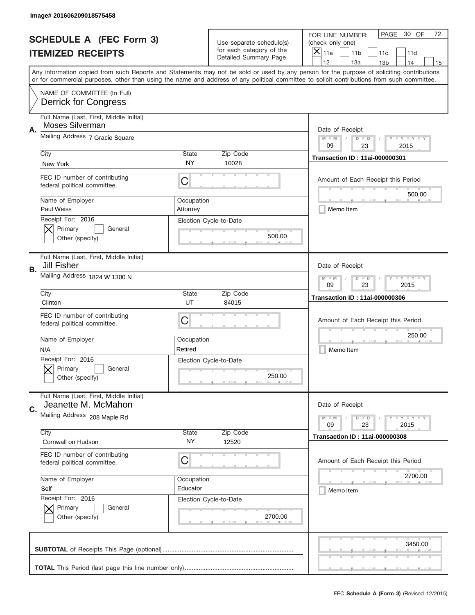|    | Image# 201606209018575458                                      |                                                           |                                                   |                                                                                                                                                                                                                                                                                                                                     |
|----|----------------------------------------------------------------|-----------------------------------------------------------|---------------------------------------------------|-------------------------------------------------------------------------------------------------------------------------------------------------------------------------------------------------------------------------------------------------------------------------------------------------------------------------------------|
|    | <b>SCHEDULE A (FEC Form 3)</b>                                 |                                                           | Use separate schedule(s)                          | PAGE<br>30 OF<br>72<br>FOR LINE NUMBER:<br>(check only one)                                                                                                                                                                                                                                                                         |
|    | <b>ITEMIZED RECEIPTS</b>                                       |                                                           | for each category of the<br>Detailed Summary Page | ×<br>11a<br>11 <sub>b</sub><br>11c<br>11d                                                                                                                                                                                                                                                                                           |
|    |                                                                |                                                           |                                                   | 12<br>13a<br>14<br>13 <sub>b</sub><br>15<br>Any information copied from such Reports and Statements may not be sold or used by any person for the purpose of soliciting contributions<br>or for commercial purposes, other than using the name and address of any political committee to solicit contributions from such committee. |
|    | NAME OF COMMITTEE (In Full)<br><b>Derrick for Congress</b>     |                                                           |                                                   |                                                                                                                                                                                                                                                                                                                                     |
| Α. | Full Name (Last, First, Middle Initial)<br>Moses Silverman     |                                                           |                                                   | Date of Receipt                                                                                                                                                                                                                                                                                                                     |
|    | Mailing Address 7 Gracie Square                                |                                                           |                                                   | $M - M$<br>Y FY FY FY<br>$D$ $D$<br>09<br>23<br>2015                                                                                                                                                                                                                                                                                |
|    | City<br>New York                                               | State<br><b>NY</b>                                        | Zip Code<br>10028                                 | <b>Transaction ID: 11ai-000000301</b>                                                                                                                                                                                                                                                                                               |
|    | FEC ID number of contributing<br>federal political committee.  | C                                                         |                                                   | Amount of Each Receipt this Period<br>500.00                                                                                                                                                                                                                                                                                        |
|    | Name of Employer<br>Paul Weiss                                 | Occupation<br>Attorney                                    |                                                   | Memo Item                                                                                                                                                                                                                                                                                                                           |
|    | Receipt For: 2016<br>Primary<br>General<br>Other (specify)     |                                                           | Election Cycle-to-Date<br>500.00                  |                                                                                                                                                                                                                                                                                                                                     |
| В. | Full Name (Last, First, Middle Initial)<br><b>Jill Fisher</b>  |                                                           |                                                   | Date of Receipt                                                                                                                                                                                                                                                                                                                     |
|    | Mailing Address 1824 W 1300 N                                  | <b>LY LY LY</b><br>$M - M$<br>$D$ $D$<br>09<br>23<br>2015 |                                                   |                                                                                                                                                                                                                                                                                                                                     |
|    | City<br>Clinton                                                | State<br>UT                                               | Zip Code<br>84015                                 | <b>Transaction ID: 11ai-000000306</b>                                                                                                                                                                                                                                                                                               |
|    | FEC ID number of contributing<br>federal political committee.  | C                                                         |                                                   | Amount of Each Receipt this Period                                                                                                                                                                                                                                                                                                  |
|    | Name of Employer<br>N/A                                        | Occupation<br>Retired                                     |                                                   | 250.00<br>Memo Item                                                                                                                                                                                                                                                                                                                 |
|    | Receipt For: 2016<br>General<br>Primary<br>Other (specify)     |                                                           | Election Cycle-to-Date<br>250.00                  |                                                                                                                                                                                                                                                                                                                                     |
| C. | Full Name (Last, First, Middle Initial)<br>Jeanette M. McMahon |                                                           |                                                   | Date of Receipt                                                                                                                                                                                                                                                                                                                     |
|    | Mailing Address 208 Maple Rd                                   |                                                           |                                                   | <b>TEY TEY TEY</b><br>$M - M$<br>$D$ $D$<br>23<br>2015<br>09                                                                                                                                                                                                                                                                        |
|    | City<br>Cornwall on Hudson                                     | State<br>NY                                               | Zip Code<br>12520                                 | <b>Transaction ID: 11ai-000000308</b>                                                                                                                                                                                                                                                                                               |
|    | FEC ID number of contributing<br>federal political committee.  | C                                                         |                                                   | Amount of Each Receipt this Period                                                                                                                                                                                                                                                                                                  |
|    | Name of Employer<br>Self<br>Receipt For: 2016                  | Occupation<br>Educator                                    |                                                   | 2700.00<br>Memo Item                                                                                                                                                                                                                                                                                                                |
|    | Primary<br>General<br>Other (specify)                          |                                                           | Election Cycle-to-Date<br>2700.00                 |                                                                                                                                                                                                                                                                                                                                     |
|    |                                                                |                                                           |                                                   | 3450.00                                                                                                                                                                                                                                                                                                                             |
|    |                                                                |                                                           |                                                   |                                                                                                                                                                                                                                                                                                                                     |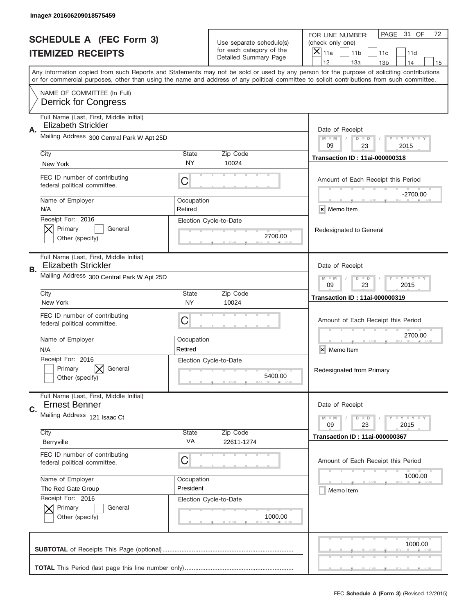|    | Image# 201606209018575459                                             |                                                           |                                                   |                                                                                                                                                                                                                                                                                                                                     |
|----|-----------------------------------------------------------------------|-----------------------------------------------------------|---------------------------------------------------|-------------------------------------------------------------------------------------------------------------------------------------------------------------------------------------------------------------------------------------------------------------------------------------------------------------------------------------|
|    | <b>SCHEDULE A (FEC Form 3)</b>                                        |                                                           | Use separate schedule(s)                          | PAGE<br>31 OF<br>72<br>FOR LINE NUMBER:<br>(check only one)                                                                                                                                                                                                                                                                         |
|    | <b>ITEMIZED RECEIPTS</b>                                              |                                                           | for each category of the<br>Detailed Summary Page | ×<br>11a<br>11 <sub>b</sub><br>11d<br>11c                                                                                                                                                                                                                                                                                           |
|    |                                                                       |                                                           |                                                   | 12<br>13a<br>14<br>13 <sub>b</sub><br>15<br>Any information copied from such Reports and Statements may not be sold or used by any person for the purpose of soliciting contributions<br>or for commercial purposes, other than using the name and address of any political committee to solicit contributions from such committee. |
|    | NAME OF COMMITTEE (In Full)<br><b>Derrick for Congress</b>            |                                                           |                                                   |                                                                                                                                                                                                                                                                                                                                     |
| Α. | Full Name (Last, First, Middle Initial)<br><b>Elizabeth Strickler</b> |                                                           |                                                   | Date of Receipt                                                                                                                                                                                                                                                                                                                     |
|    | Mailing Address 300 Central Park W Apt 25D                            |                                                           |                                                   | $M - M$<br>Y FY FY FY<br>$D$ $D$<br>09<br>23<br>2015                                                                                                                                                                                                                                                                                |
|    | City<br>New York                                                      | State<br><b>NY</b>                                        | Zip Code<br>10024                                 | <b>Transaction ID: 11ai-000000318</b>                                                                                                                                                                                                                                                                                               |
|    | FEC ID number of contributing<br>federal political committee.         | C                                                         |                                                   | Amount of Each Receipt this Period<br>$-2700.00$                                                                                                                                                                                                                                                                                    |
|    | Name of Employer<br>N/A                                               | Occupation<br>Retired                                     |                                                   | × Memo Item                                                                                                                                                                                                                                                                                                                         |
|    | Receipt For: 2016<br>Primary<br>General<br>Other (specify)            |                                                           | Election Cycle-to-Date<br>2700.00                 | Redesignated to General                                                                                                                                                                                                                                                                                                             |
| В. | Full Name (Last, First, Middle Initial)<br><b>Elizabeth Strickler</b> |                                                           |                                                   | Date of Receipt                                                                                                                                                                                                                                                                                                                     |
|    | Mailing Address 300 Central Park W Apt 25D                            | <b>LY LY LY</b><br>$M - M$<br>$D$ $D$<br>09<br>23<br>2015 |                                                   |                                                                                                                                                                                                                                                                                                                                     |
|    | City<br>New York                                                      | State<br><b>NY</b>                                        | Zip Code<br>10024                                 | <b>Transaction ID: 11ai-000000319</b>                                                                                                                                                                                                                                                                                               |
|    | FEC ID number of contributing<br>federal political committee.         | C                                                         |                                                   | Amount of Each Receipt this Period                                                                                                                                                                                                                                                                                                  |
|    | Name of Employer<br>N/A                                               | Occupation<br>Retired                                     |                                                   | 2700.00<br>Memo Item<br>×                                                                                                                                                                                                                                                                                                           |
|    | Receipt For: 2016<br>General<br>Primary<br>Other (specify)            |                                                           | Election Cycle-to-Date<br>5400.00                 | Redesignated from Primary                                                                                                                                                                                                                                                                                                           |
| C. | Full Name (Last, First, Middle Initial)<br><b>Ernest Benner</b>       |                                                           |                                                   | Date of Receipt                                                                                                                                                                                                                                                                                                                     |
|    | Mailing Address 121 Isaac Ct                                          |                                                           | Zip Code                                          | $T - Y = Y - T - Y$<br>$M - M$<br>$D$ $D$<br>23<br>2015<br>09                                                                                                                                                                                                                                                                       |
|    | City<br>Berryville                                                    | State<br>VA                                               | 22611-1274                                        | <b>Transaction ID: 11ai-000000367</b>                                                                                                                                                                                                                                                                                               |
|    | FEC ID number of contributing<br>federal political committee.         | C                                                         |                                                   | Amount of Each Receipt this Period                                                                                                                                                                                                                                                                                                  |
|    | Name of Employer<br>The Red Gate Group                                | Occupation<br>President                                   |                                                   | 1000.00<br>Memo Item                                                                                                                                                                                                                                                                                                                |
|    | Receipt For: 2016<br>Primary<br>General<br>Other (specify)            |                                                           | Election Cycle-to-Date<br>1000.00                 |                                                                                                                                                                                                                                                                                                                                     |
|    |                                                                       |                                                           |                                                   | 1000.00                                                                                                                                                                                                                                                                                                                             |
|    |                                                                       |                                                           |                                                   |                                                                                                                                                                                                                                                                                                                                     |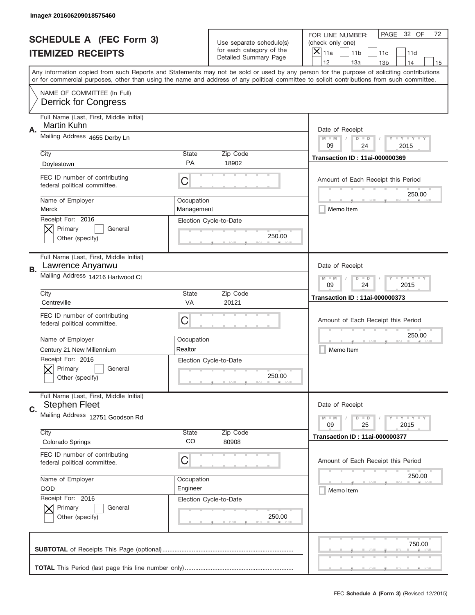|    | Image# 201606209018575460                                                               |                                                           |                                                   |                                                                                                                                                                                                                                                                                                                                     |
|----|-----------------------------------------------------------------------------------------|-----------------------------------------------------------|---------------------------------------------------|-------------------------------------------------------------------------------------------------------------------------------------------------------------------------------------------------------------------------------------------------------------------------------------------------------------------------------------|
|    | <b>SCHEDULE A (FEC Form 3)</b>                                                          |                                                           | Use separate schedule(s)                          | PAGE<br>32 OF<br>72<br>FOR LINE NUMBER:<br>(check only one)                                                                                                                                                                                                                                                                         |
|    | <b>ITEMIZED RECEIPTS</b>                                                                |                                                           | for each category of the<br>Detailed Summary Page | ×<br>11a<br>11 <sub>b</sub><br>11c<br>11d                                                                                                                                                                                                                                                                                           |
|    |                                                                                         |                                                           |                                                   | 12<br>13a<br>14<br>13 <sub>b</sub><br>15<br>Any information copied from such Reports and Statements may not be sold or used by any person for the purpose of soliciting contributions<br>or for commercial purposes, other than using the name and address of any political committee to solicit contributions from such committee. |
|    | NAME OF COMMITTEE (In Full)<br><b>Derrick for Congress</b>                              |                                                           |                                                   |                                                                                                                                                                                                                                                                                                                                     |
| Α. | Full Name (Last, First, Middle Initial)<br>Martin Kuhn                                  |                                                           |                                                   | Date of Receipt                                                                                                                                                                                                                                                                                                                     |
|    | Mailing Address 4655 Derby Ln                                                           |                                                           |                                                   | $M - M$<br><b>LEY LEY LEY</b><br>$D$ $D$<br>09<br>24<br>2015                                                                                                                                                                                                                                                                        |
|    | City<br>Doylestown                                                                      | State<br><b>PA</b>                                        | Zip Code<br>18902                                 | <b>Transaction ID: 11ai-000000369</b>                                                                                                                                                                                                                                                                                               |
|    | FEC ID number of contributing<br>federal political committee.                           | C                                                         |                                                   | Amount of Each Receipt this Period<br>250.00                                                                                                                                                                                                                                                                                        |
|    | Name of Employer<br>Merck                                                               | Occupation<br>Management                                  |                                                   | Memo Item                                                                                                                                                                                                                                                                                                                           |
|    | Receipt For: 2016<br>Primary<br>General<br>Other (specify)                              |                                                           | Election Cycle-to-Date<br>250.00                  |                                                                                                                                                                                                                                                                                                                                     |
| В. | Full Name (Last, First, Middle Initial)<br>Lawrence Anyanwu                             |                                                           |                                                   | Date of Receipt                                                                                                                                                                                                                                                                                                                     |
|    | Mailing Address 14216 Hartwood Ct                                                       | $M$ M<br><b>LEYTEY LEY</b><br>$D$ $D$<br>09<br>24<br>2015 |                                                   |                                                                                                                                                                                                                                                                                                                                     |
|    | City<br>Centreville                                                                     | State<br>VA                                               | Zip Code<br>20121                                 | <b>Transaction ID: 11ai-000000373</b>                                                                                                                                                                                                                                                                                               |
|    | FEC ID number of contributing<br>federal political committee.                           | C                                                         |                                                   | Amount of Each Receipt this Period                                                                                                                                                                                                                                                                                                  |
|    | Name of Employer                                                                        | Occupation                                                |                                                   | 250.00                                                                                                                                                                                                                                                                                                                              |
|    | Century 21 New Millennium<br>Receipt For: 2016<br>General<br>Primary<br>Other (specify) | Realtor                                                   | Election Cycle-to-Date<br>250.00                  | Memo Item                                                                                                                                                                                                                                                                                                                           |
| C. | Full Name (Last, First, Middle Initial)<br><b>Stephen Fleet</b>                         |                                                           |                                                   | Date of Receipt                                                                                                                                                                                                                                                                                                                     |
|    | Mailing Address 12751 Goodson Rd                                                        |                                                           |                                                   | <b>LYLYLY</b><br>$M - M$<br>$D$ $D$<br>09<br>2015<br>25                                                                                                                                                                                                                                                                             |
|    | City<br>Colorado Springs                                                                | State<br>CO                                               | Zip Code<br>80908                                 | <b>Transaction ID: 11ai-000000377</b>                                                                                                                                                                                                                                                                                               |
|    | FEC ID number of contributing<br>federal political committee.                           | C                                                         |                                                   | Amount of Each Receipt this Period                                                                                                                                                                                                                                                                                                  |
|    | Name of Employer<br><b>DOD</b>                                                          | Occupation<br>Engineer                                    |                                                   | 250.00<br>Memo Item                                                                                                                                                                                                                                                                                                                 |
|    | Receipt For: 2016<br>Primary<br>General<br>Other (specify)                              |                                                           | Election Cycle-to-Date<br>250.00                  |                                                                                                                                                                                                                                                                                                                                     |
|    |                                                                                         |                                                           |                                                   | 750.00                                                                                                                                                                                                                                                                                                                              |
|    |                                                                                         |                                                           |                                                   |                                                                                                                                                                                                                                                                                                                                     |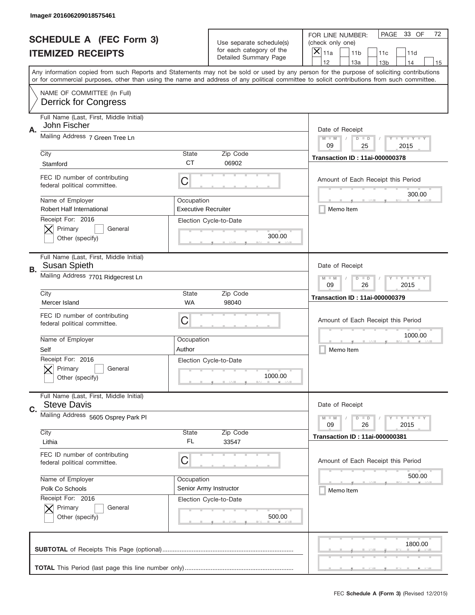|    | Image# 201606209018575461                                     |                                                                               |                                                   |                                                                                                                                                                                                                                                                                                                                     |
|----|---------------------------------------------------------------|-------------------------------------------------------------------------------|---------------------------------------------------|-------------------------------------------------------------------------------------------------------------------------------------------------------------------------------------------------------------------------------------------------------------------------------------------------------------------------------------|
|    | <b>SCHEDULE A (FEC Form 3)</b>                                |                                                                               | Use separate schedule(s)                          | PAGE<br>33 OF<br>72<br>FOR LINE NUMBER:<br>(check only one)                                                                                                                                                                                                                                                                         |
|    | <b>ITEMIZED RECEIPTS</b>                                      |                                                                               | for each category of the<br>Detailed Summary Page | ×<br>11a<br>11 <sub>b</sub><br>11c<br>11d                                                                                                                                                                                                                                                                                           |
|    |                                                               |                                                                               |                                                   | 12<br>13a<br>14<br>13 <sub>b</sub><br>15<br>Any information copied from such Reports and Statements may not be sold or used by any person for the purpose of soliciting contributions<br>or for commercial purposes, other than using the name and address of any political committee to solicit contributions from such committee. |
|    | NAME OF COMMITTEE (In Full)<br><b>Derrick for Congress</b>    |                                                                               |                                                   |                                                                                                                                                                                                                                                                                                                                     |
| Α. | Full Name (Last, First, Middle Initial)<br>John Fischer       |                                                                               |                                                   | Date of Receipt                                                                                                                                                                                                                                                                                                                     |
|    | Mailing Address 7 Green Tree Ln                               |                                                                               |                                                   | $M - M$<br><b>LYLYLY</b><br>$D$ $D$<br>09<br>25<br>2015                                                                                                                                                                                                                                                                             |
|    | City<br>Stamford                                              | State<br><b>CT</b>                                                            | Zip Code<br>06902                                 | <b>Transaction ID: 11ai-000000378</b>                                                                                                                                                                                                                                                                                               |
|    | FEC ID number of contributing<br>federal political committee. | C                                                                             |                                                   | Amount of Each Receipt this Period<br>300.00                                                                                                                                                                                                                                                                                        |
|    | Name of Employer<br><b>Robert Half International</b>          | Occupation<br><b>Executive Recruiter</b>                                      |                                                   | Memo Item                                                                                                                                                                                                                                                                                                                           |
|    | Receipt For: 2016<br>Primary<br>General<br>Other (specify)    |                                                                               | Election Cycle-to-Date<br>300.00                  |                                                                                                                                                                                                                                                                                                                                     |
| В. | Full Name (Last, First, Middle Initial)<br>Susan Spieth       |                                                                               |                                                   | Date of Receipt                                                                                                                                                                                                                                                                                                                     |
|    | Mailing Address 7701 Ridgecrest Ln                            | $M$ M<br><b>LEYTEY LEY</b><br>$D$ $D$<br>09<br>26<br>2015                     |                                                   |                                                                                                                                                                                                                                                                                                                                     |
|    | City<br>Mercer Island                                         | State<br>WA                                                                   | Zip Code<br>98040                                 | <b>Transaction ID: 11ai-000000379</b>                                                                                                                                                                                                                                                                                               |
|    | FEC ID number of contributing<br>federal political committee. | C                                                                             |                                                   | Amount of Each Receipt this Period                                                                                                                                                                                                                                                                                                  |
|    | Name of Employer<br>Self                                      | Occupation<br>Author                                                          |                                                   | 1000.00<br>Memo Item                                                                                                                                                                                                                                                                                                                |
|    | Receipt For: 2016<br>General<br>Primary<br>Other (specify)    |                                                                               | Election Cycle-to-Date<br>1000.00                 |                                                                                                                                                                                                                                                                                                                                     |
| C. | Full Name (Last, First, Middle Initial)<br><b>Steve Davis</b> |                                                                               |                                                   | Date of Receipt                                                                                                                                                                                                                                                                                                                     |
|    | Mailing Address 5605 Osprey Park PI                           | <b>LEY LEY LEY</b><br>$M - M$<br>$\overline{D}$<br>$\Box$<br>09<br>2015<br>26 |                                                   |                                                                                                                                                                                                                                                                                                                                     |
|    | City<br>Lithia                                                | State<br>FL                                                                   | Zip Code<br>33547                                 | <b>Transaction ID: 11ai-000000381</b>                                                                                                                                                                                                                                                                                               |
|    | FEC ID number of contributing<br>federal political committee. | C                                                                             |                                                   | Amount of Each Receipt this Period                                                                                                                                                                                                                                                                                                  |
|    | Name of Employer                                              | Occupation                                                                    |                                                   | 500.00                                                                                                                                                                                                                                                                                                                              |
|    | Polk Co Schools<br>Receipt For: 2016                          |                                                                               | Senior Army Instructor                            | Memo Item                                                                                                                                                                                                                                                                                                                           |
|    | Primary<br>General<br>Other (specify)                         |                                                                               | Election Cycle-to-Date<br>500.00                  |                                                                                                                                                                                                                                                                                                                                     |
|    |                                                               |                                                                               |                                                   | 1800.00                                                                                                                                                                                                                                                                                                                             |
|    |                                                               |                                                                               |                                                   |                                                                                                                                                                                                                                                                                                                                     |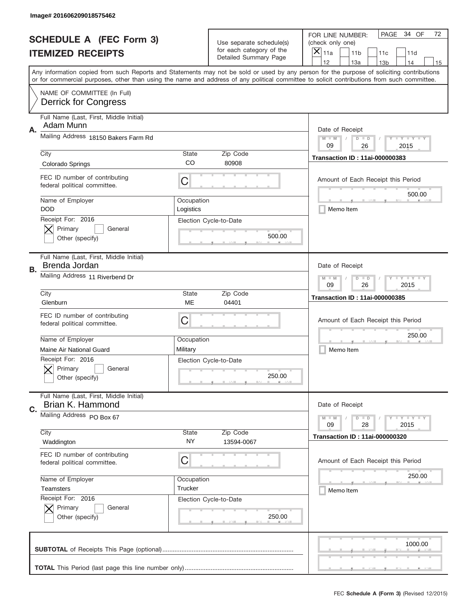|    | Image# 201606209018575462                                     |                                                             |                                                   |                                                                                                                                                                                                                                                                                                                                     |
|----|---------------------------------------------------------------|-------------------------------------------------------------|---------------------------------------------------|-------------------------------------------------------------------------------------------------------------------------------------------------------------------------------------------------------------------------------------------------------------------------------------------------------------------------------------|
|    | <b>SCHEDULE A (FEC Form 3)</b>                                |                                                             | Use separate schedule(s)                          | PAGE<br>34 OF<br>72<br>FOR LINE NUMBER:<br>(check only one)                                                                                                                                                                                                                                                                         |
|    | <b>ITEMIZED RECEIPTS</b>                                      |                                                             | for each category of the<br>Detailed Summary Page | ×<br>11a<br>11 <sub>b</sub><br>11c<br>11d                                                                                                                                                                                                                                                                                           |
|    |                                                               |                                                             |                                                   | 12<br>13a<br>14<br>13 <sub>b</sub><br>15<br>Any information copied from such Reports and Statements may not be sold or used by any person for the purpose of soliciting contributions<br>or for commercial purposes, other than using the name and address of any political committee to solicit contributions from such committee. |
|    | NAME OF COMMITTEE (In Full)<br><b>Derrick for Congress</b>    |                                                             |                                                   |                                                                                                                                                                                                                                                                                                                                     |
| Α. | Full Name (Last, First, Middle Initial)<br>Adam Munn          |                                                             |                                                   | Date of Receipt                                                                                                                                                                                                                                                                                                                     |
|    | Mailing Address 18150 Bakers Farm Rd                          |                                                             |                                                   | $M - M$<br><b>LEY LEY LEY</b><br>$D$ $D$<br>09<br>26<br>2015                                                                                                                                                                                                                                                                        |
|    | City<br>Colorado Springs                                      | State<br>CO                                                 | Zip Code<br>80908                                 | <b>Transaction ID: 11ai-000000383</b>                                                                                                                                                                                                                                                                                               |
|    | FEC ID number of contributing<br>federal political committee. | C                                                           |                                                   | Amount of Each Receipt this Period<br>500.00                                                                                                                                                                                                                                                                                        |
|    | Name of Employer<br><b>DOD</b>                                | Occupation<br>Logistics                                     |                                                   | Memo Item                                                                                                                                                                                                                                                                                                                           |
|    | Receipt For: 2016<br>Primary<br>General<br>Other (specify)    |                                                             | Election Cycle-to-Date<br>500.00                  |                                                                                                                                                                                                                                                                                                                                     |
| В. | Full Name (Last, First, Middle Initial)<br>Brenda Jordan      |                                                             |                                                   | Date of Receipt                                                                                                                                                                                                                                                                                                                     |
|    | Mailing Address 11 Riverbend Dr                               | $M - M$<br><b>LEYTEY LEY</b><br>$D$ $D$<br>09<br>26<br>2015 |                                                   |                                                                                                                                                                                                                                                                                                                                     |
|    | City<br>Glenburn                                              | State<br>ME                                                 | Zip Code<br>04401                                 | <b>Transaction ID: 11ai-000000385</b>                                                                                                                                                                                                                                                                                               |
|    | FEC ID number of contributing<br>federal political committee. | C                                                           |                                                   | Amount of Each Receipt this Period                                                                                                                                                                                                                                                                                                  |
|    | Name of Employer                                              | Occupation                                                  |                                                   | 250.00                                                                                                                                                                                                                                                                                                                              |
|    | Maine Air National Guard                                      | Military                                                    |                                                   | Memo Item                                                                                                                                                                                                                                                                                                                           |
|    | Receipt For: 2016<br>General<br>Primary<br>Other (specify)    |                                                             | Election Cycle-to-Date<br>250.00                  |                                                                                                                                                                                                                                                                                                                                     |
| C. | Full Name (Last, First, Middle Initial)<br>Brian K. Hammond   |                                                             |                                                   | Date of Receipt                                                                                                                                                                                                                                                                                                                     |
|    | Mailing Address PO Box 67                                     |                                                             |                                                   | <b>LEY LEY LEY</b><br>$M - M$<br>$D$ $D$<br>09<br>2015<br>28                                                                                                                                                                                                                                                                        |
|    | City<br>Waddington                                            | State<br>NY.                                                | Zip Code<br>13594-0067                            | <b>Transaction ID: 11ai-000000320</b>                                                                                                                                                                                                                                                                                               |
|    | FEC ID number of contributing<br>federal political committee. | C                                                           |                                                   | Amount of Each Receipt this Period                                                                                                                                                                                                                                                                                                  |
|    | Name of Employer                                              | Occupation                                                  |                                                   | 250.00                                                                                                                                                                                                                                                                                                                              |
|    | <b>Teamsters</b><br>Receipt For: 2016                         | Trucker                                                     |                                                   | Memo Item                                                                                                                                                                                                                                                                                                                           |
|    | Primary<br>General<br>Other (specify)                         |                                                             | Election Cycle-to-Date<br>250.00                  |                                                                                                                                                                                                                                                                                                                                     |
|    |                                                               |                                                             |                                                   | 1000.00                                                                                                                                                                                                                                                                                                                             |
|    |                                                               |                                                             |                                                   |                                                                                                                                                                                                                                                                                                                                     |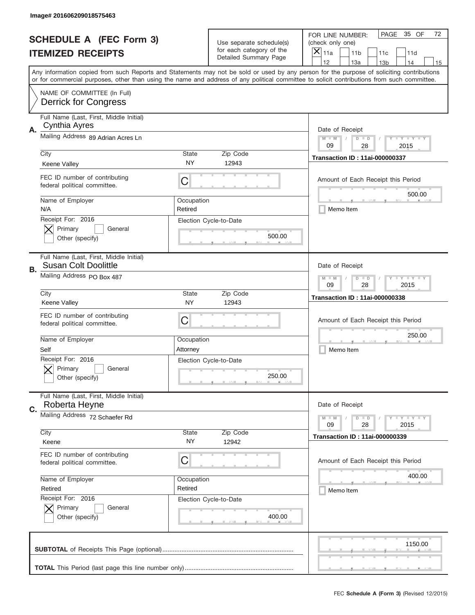|    | Image# 201606209018575463                                              |                                                              |                                                          |                                                                                                                                                                                                                                                                                                                                     |
|----|------------------------------------------------------------------------|--------------------------------------------------------------|----------------------------------------------------------|-------------------------------------------------------------------------------------------------------------------------------------------------------------------------------------------------------------------------------------------------------------------------------------------------------------------------------------|
|    | <b>SCHEDULE A (FEC Form 3)</b>                                         |                                                              | Use separate schedule(s)                                 | PAGE<br>35 OF<br>72<br>FOR LINE NUMBER:<br>(check only one)                                                                                                                                                                                                                                                                         |
|    | <b>ITEMIZED RECEIPTS</b>                                               |                                                              | for each category of the<br><b>Detailed Summary Page</b> | ×<br>11a<br>11 <sub>b</sub><br>11c<br>11d                                                                                                                                                                                                                                                                                           |
|    |                                                                        |                                                              |                                                          | 12<br>13a<br>14<br>13 <sub>b</sub><br>15<br>Any information copied from such Reports and Statements may not be sold or used by any person for the purpose of soliciting contributions<br>or for commercial purposes, other than using the name and address of any political committee to solicit contributions from such committee. |
|    | NAME OF COMMITTEE (In Full)<br><b>Derrick for Congress</b>             |                                                              |                                                          |                                                                                                                                                                                                                                                                                                                                     |
| Α. | Full Name (Last, First, Middle Initial)<br>Cynthia Ayres               |                                                              |                                                          | Date of Receipt                                                                                                                                                                                                                                                                                                                     |
|    | Mailing Address 89 Adrian Acres Ln                                     |                                                              |                                                          | $M - M$<br><b>LYLYLY</b><br>$D$ $D$<br>09<br>28<br>2015                                                                                                                                                                                                                                                                             |
|    | City<br>Keene Valley                                                   | State<br><b>NY</b>                                           | Zip Code<br>12943                                        | <b>Transaction ID: 11ai-000000337</b>                                                                                                                                                                                                                                                                                               |
|    | FEC ID number of contributing<br>federal political committee.          | C                                                            |                                                          | Amount of Each Receipt this Period<br>500.00                                                                                                                                                                                                                                                                                        |
|    | Name of Employer<br>N/A                                                | Occupation<br>Retired                                        |                                                          | Memo Item                                                                                                                                                                                                                                                                                                                           |
|    | Receipt For: 2016<br>Primary<br>General<br>Other (specify)             |                                                              | Election Cycle-to-Date<br>500.00                         |                                                                                                                                                                                                                                                                                                                                     |
| В. | Full Name (Last, First, Middle Initial)<br><b>Susan Colt Doolittle</b> |                                                              |                                                          | Date of Receipt                                                                                                                                                                                                                                                                                                                     |
|    | Mailing Address PO Box 487                                             | $M - M$<br><b>LEYTEY LEY</b><br>$D$ $D$<br>09<br>28<br>2015  |                                                          |                                                                                                                                                                                                                                                                                                                                     |
|    | City<br>Keene Valley                                                   | State<br><b>NY</b>                                           | Zip Code<br>12943                                        | <b>Transaction ID: 11ai-000000338</b>                                                                                                                                                                                                                                                                                               |
|    | FEC ID number of contributing<br>federal political committee.          | C                                                            |                                                          | Amount of Each Receipt this Period                                                                                                                                                                                                                                                                                                  |
|    | Name of Employer<br>Self                                               | Occupation<br>Attorney                                       |                                                          | 250.00<br>Memo Item                                                                                                                                                                                                                                                                                                                 |
|    | Receipt For: 2016<br>General<br>Primary<br>Other (specify)             |                                                              | Election Cycle-to-Date<br>250.00                         |                                                                                                                                                                                                                                                                                                                                     |
| C. | Full Name (Last, First, Middle Initial)<br>Roberta Heyne               |                                                              |                                                          | Date of Receipt                                                                                                                                                                                                                                                                                                                     |
|    | Mailing Address 72 Schaefer Rd<br>City                                 | <b>LEY LEY LEY</b><br>$M - M$<br>$D$ $D$<br>09<br>2015<br>28 |                                                          |                                                                                                                                                                                                                                                                                                                                     |
|    | Keene                                                                  | <b>State</b><br>NY.                                          | Zip Code<br>12942                                        | <b>Transaction ID: 11ai-000000339</b>                                                                                                                                                                                                                                                                                               |
|    | FEC ID number of contributing<br>federal political committee.          | C                                                            |                                                          | Amount of Each Receipt this Period                                                                                                                                                                                                                                                                                                  |
|    | Name of Employer<br>Retired                                            | Occupation<br>Retired                                        |                                                          | 400.00<br>Memo Item                                                                                                                                                                                                                                                                                                                 |
|    | Receipt For: 2016<br>Primary<br>General<br>Other (specify)             |                                                              | Election Cycle-to-Date<br>400.00                         |                                                                                                                                                                                                                                                                                                                                     |
|    |                                                                        |                                                              |                                                          | 1150.00                                                                                                                                                                                                                                                                                                                             |
|    |                                                                        |                                                              |                                                          | _                                                                                                                                                                                                                                                                                                                                   |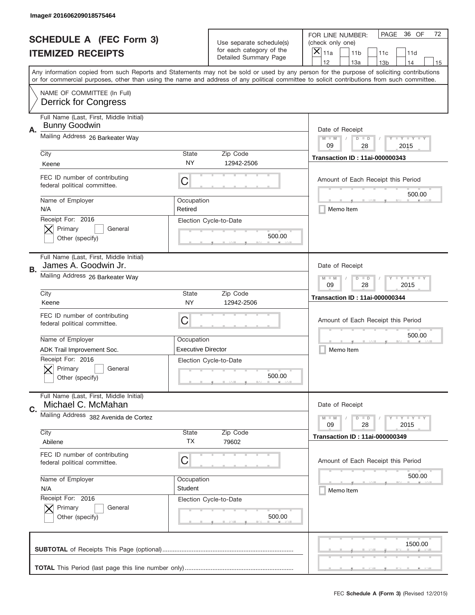|                                | Image# 201606209018575464                                       |                           |                                                   |                                                                                                                                                                                                                                                                                                                                     |  |
|--------------------------------|-----------------------------------------------------------------|---------------------------|---------------------------------------------------|-------------------------------------------------------------------------------------------------------------------------------------------------------------------------------------------------------------------------------------------------------------------------------------------------------------------------------------|--|
| <b>SCHEDULE A (FEC Form 3)</b> |                                                                 |                           | Use separate schedule(s)                          | PAGE<br>36 OF<br>72<br>FOR LINE NUMBER:<br>(check only one)                                                                                                                                                                                                                                                                         |  |
|                                | <b>ITEMIZED RECEIPTS</b>                                        |                           | for each category of the<br>Detailed Summary Page | ×<br>11a<br>11 <sub>b</sub><br>11c<br>11d                                                                                                                                                                                                                                                                                           |  |
|                                |                                                                 |                           |                                                   | 12<br>13a<br>14<br>13 <sub>b</sub><br>15<br>Any information copied from such Reports and Statements may not be sold or used by any person for the purpose of soliciting contributions<br>or for commercial purposes, other than using the name and address of any political committee to solicit contributions from such committee. |  |
|                                | NAME OF COMMITTEE (In Full)<br><b>Derrick for Congress</b>      |                           |                                                   |                                                                                                                                                                                                                                                                                                                                     |  |
| Α.                             | Full Name (Last, First, Middle Initial)<br><b>Bunny Goodwin</b> |                           |                                                   | Date of Receipt                                                                                                                                                                                                                                                                                                                     |  |
|                                | Mailing Address 26 Barkeater Way                                |                           |                                                   | $M - M$<br><b>LEY LEY LEY</b><br>$D$ $D$<br>09<br>28<br>2015                                                                                                                                                                                                                                                                        |  |
|                                | City<br>Keene                                                   | State<br>NY               | Zip Code<br>12942-2506                            | <b>Transaction ID: 11ai-000000343</b>                                                                                                                                                                                                                                                                                               |  |
|                                | FEC ID number of contributing<br>federal political committee.   | C                         |                                                   | Amount of Each Receipt this Period<br>500.00                                                                                                                                                                                                                                                                                        |  |
|                                | Name of Employer<br>N/A                                         | Occupation<br>Retired     |                                                   | Memo Item                                                                                                                                                                                                                                                                                                                           |  |
|                                | Receipt For: 2016<br>Primary<br>General<br>Other (specify)      |                           | Election Cycle-to-Date<br>500.00                  |                                                                                                                                                                                                                                                                                                                                     |  |
| В.                             | Full Name (Last, First, Middle Initial)<br>James A. Goodwin Jr. |                           |                                                   | Date of Receipt                                                                                                                                                                                                                                                                                                                     |  |
|                                | Mailing Address 26 Barkeater Way                                |                           |                                                   | $M - M$<br><b>LEYTEY LEY</b><br>$D$ $D$<br>09<br>28<br>2015                                                                                                                                                                                                                                                                         |  |
|                                | City<br>Keene                                                   | State<br>NY               | Zip Code<br>12942-2506                            | <b>Transaction ID: 11ai-000000344</b>                                                                                                                                                                                                                                                                                               |  |
|                                | FEC ID number of contributing<br>federal political committee.   | C                         |                                                   | Amount of Each Receipt this Period                                                                                                                                                                                                                                                                                                  |  |
|                                | Name of Employer                                                | Occupation                |                                                   | 500.00                                                                                                                                                                                                                                                                                                                              |  |
|                                | ADK Trail Improvement Soc.                                      | <b>Executive Director</b> |                                                   | Memo Item                                                                                                                                                                                                                                                                                                                           |  |
|                                | Receipt For: 2016<br>General<br>Primary<br>Other (specify)      |                           | Election Cycle-to-Date<br>500.00                  |                                                                                                                                                                                                                                                                                                                                     |  |
| C.                             | Full Name (Last, First, Middle Initial)<br>Michael C. McMahan   |                           |                                                   | Date of Receipt                                                                                                                                                                                                                                                                                                                     |  |
|                                | Mailing Address 382 Avenida de Cortez                           |                           |                                                   | <b>LEY LEY LEY</b><br>$M - M$<br>$D$ $D$<br>09<br>2015<br>28                                                                                                                                                                                                                                                                        |  |
|                                | City<br>Abilene                                                 | State<br>TX               | Zip Code<br>79602                                 | <b>Transaction ID: 11ai-000000349</b>                                                                                                                                                                                                                                                                                               |  |
|                                | FEC ID number of contributing<br>federal political committee.   | C                         |                                                   | Amount of Each Receipt this Period                                                                                                                                                                                                                                                                                                  |  |
|                                | Name of Employer                                                | Occupation                |                                                   | 500.00                                                                                                                                                                                                                                                                                                                              |  |
|                                | N/A<br>Receipt For: 2016                                        | Student                   |                                                   | Memo Item                                                                                                                                                                                                                                                                                                                           |  |
|                                | Primary<br>General<br>Other (specify)                           |                           | Election Cycle-to-Date<br>500.00                  |                                                                                                                                                                                                                                                                                                                                     |  |
|                                |                                                                 |                           |                                                   | 1500.00                                                                                                                                                                                                                                                                                                                             |  |
|                                |                                                                 |                           |                                                   |                                                                                                                                                                                                                                                                                                                                     |  |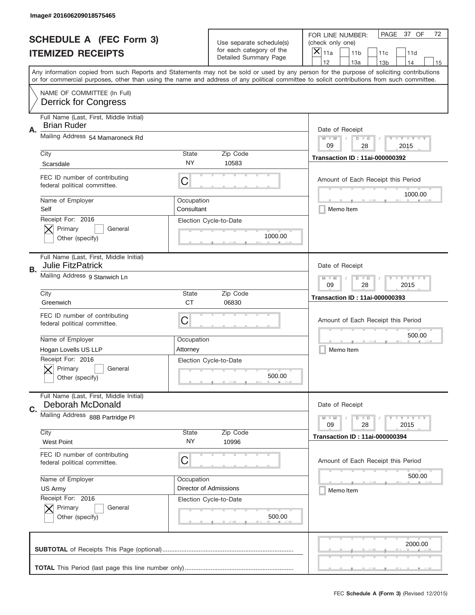|    | Image# 201606209018575465                                           |                          |                                                      |                                                                                                                                                                                                                                                                                                                                     |
|----|---------------------------------------------------------------------|--------------------------|------------------------------------------------------|-------------------------------------------------------------------------------------------------------------------------------------------------------------------------------------------------------------------------------------------------------------------------------------------------------------------------------------|
|    | <b>SCHEDULE A (FEC Form 3)</b>                                      |                          | Use separate schedule(s)<br>for each category of the | PAGE<br>37 OF<br>72<br>FOR LINE NUMBER:<br>(check only one)                                                                                                                                                                                                                                                                         |
|    | <b>ITEMIZED RECEIPTS</b>                                            |                          | Detailed Summary Page                                | ×<br>11a<br>11 <sub>b</sub><br>11c<br>11d                                                                                                                                                                                                                                                                                           |
|    |                                                                     |                          |                                                      | 12<br>13a<br>14<br>13 <sub>b</sub><br>15<br>Any information copied from such Reports and Statements may not be sold or used by any person for the purpose of soliciting contributions<br>or for commercial purposes, other than using the name and address of any political committee to solicit contributions from such committee. |
|    | NAME OF COMMITTEE (In Full)<br><b>Derrick for Congress</b>          |                          |                                                      |                                                                                                                                                                                                                                                                                                                                     |
| Α. | Full Name (Last, First, Middle Initial)<br><b>Brian Ruder</b>       |                          |                                                      | Date of Receipt                                                                                                                                                                                                                                                                                                                     |
|    | Mailing Address 54 Mamaroneck Rd                                    |                          |                                                      | $M - M$<br><b>LYLYLY</b><br>$D$ $D$<br>09<br>28<br>2015                                                                                                                                                                                                                                                                             |
|    | City<br>Scarsdale                                                   | State<br><b>NY</b>       | Zip Code<br>10583                                    | <b>Transaction ID: 11ai-000000392</b>                                                                                                                                                                                                                                                                                               |
|    | FEC ID number of contributing<br>federal political committee.       | C                        |                                                      | Amount of Each Receipt this Period<br>1000.00                                                                                                                                                                                                                                                                                       |
|    | Name of Employer<br>Self                                            | Occupation<br>Consultant |                                                      | Memo Item                                                                                                                                                                                                                                                                                                                           |
|    | Receipt For: 2016<br>Primary<br>General<br>Other (specify)          |                          | Election Cycle-to-Date<br>1000.00                    |                                                                                                                                                                                                                                                                                                                                     |
| В. | Full Name (Last, First, Middle Initial)<br><b>Julie FitzPatrick</b> |                          |                                                      | Date of Receipt                                                                                                                                                                                                                                                                                                                     |
|    | Mailing Address 9 Stanwich Ln                                       |                          |                                                      | $M - M$<br><b>LEYTEY LEY</b><br>$D$ $D$<br>09<br>28<br>2015                                                                                                                                                                                                                                                                         |
|    | City<br>Greenwich                                                   | State<br><b>CT</b>       | Zip Code<br>06830                                    | <b>Transaction ID: 11ai-000000393</b>                                                                                                                                                                                                                                                                                               |
|    | FEC ID number of contributing<br>federal political committee.       | C                        |                                                      | Amount of Each Receipt this Period                                                                                                                                                                                                                                                                                                  |
|    | Name of Employer                                                    | Occupation               |                                                      | 500.00                                                                                                                                                                                                                                                                                                                              |
|    | Hogan Lovells US LLP                                                | Attorney                 |                                                      | Memo Item                                                                                                                                                                                                                                                                                                                           |
|    | Receipt For: 2016<br>General<br>Primary<br>Other (specify)          |                          | Election Cycle-to-Date<br>500.00                     |                                                                                                                                                                                                                                                                                                                                     |
| C. | Full Name (Last, First, Middle Initial)<br>Deborah McDonald         |                          |                                                      | Date of Receipt                                                                                                                                                                                                                                                                                                                     |
|    | Mailing Address 88B Partridge PI                                    |                          |                                                      | <b>LEY LEY LEY</b><br>$M - M$<br>$D$ $D$<br>09<br>2015<br>28                                                                                                                                                                                                                                                                        |
|    | City<br><b>West Point</b>                                           | <b>State</b><br>NY.      | Zip Code<br>10996                                    | <b>Transaction ID: 11ai-000000394</b>                                                                                                                                                                                                                                                                                               |
|    | FEC ID number of contributing<br>federal political committee.       | C                        |                                                      | Amount of Each Receipt this Period                                                                                                                                                                                                                                                                                                  |
|    | Name of Employer                                                    | Occupation               |                                                      | 500.00                                                                                                                                                                                                                                                                                                                              |
|    | US Army                                                             |                          | Director of Admissions                               | Memo Item                                                                                                                                                                                                                                                                                                                           |
|    | Receipt For: 2016<br>Primary<br>General<br>Other (specify)          |                          | Election Cycle-to-Date<br>500.00                     |                                                                                                                                                                                                                                                                                                                                     |
|    |                                                                     |                          |                                                      | 2000.00                                                                                                                                                                                                                                                                                                                             |
|    |                                                                     |                          |                                                      |                                                                                                                                                                                                                                                                                                                                     |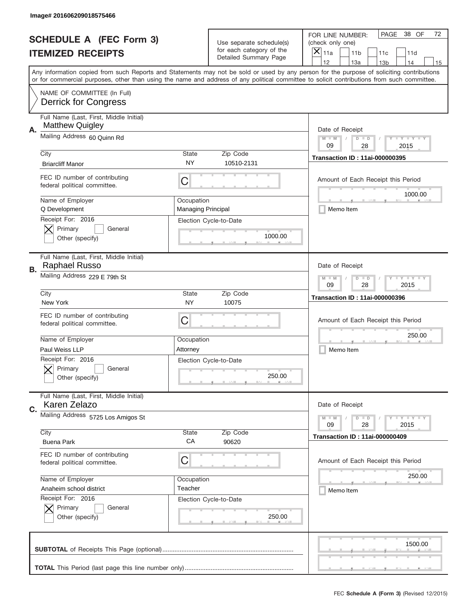|    | Image# 201606209018575466                                         |                                         |                                                      |                                                                                                                                                                                                                                                                                                                                     |
|----|-------------------------------------------------------------------|-----------------------------------------|------------------------------------------------------|-------------------------------------------------------------------------------------------------------------------------------------------------------------------------------------------------------------------------------------------------------------------------------------------------------------------------------------|
|    | <b>SCHEDULE A (FEC Form 3)</b>                                    |                                         | Use separate schedule(s)<br>for each category of the | PAGE<br>38 OF<br>72<br>FOR LINE NUMBER:<br>(check only one)                                                                                                                                                                                                                                                                         |
|    | <b>ITEMIZED RECEIPTS</b>                                          |                                         | Detailed Summary Page                                | ×<br>11a<br>11 <sub>b</sub><br>11c<br>11d                                                                                                                                                                                                                                                                                           |
|    |                                                                   |                                         |                                                      | 12<br>13a<br>14<br>13 <sub>b</sub><br>15<br>Any information copied from such Reports and Statements may not be sold or used by any person for the purpose of soliciting contributions<br>or for commercial purposes, other than using the name and address of any political committee to solicit contributions from such committee. |
|    | NAME OF COMMITTEE (In Full)<br><b>Derrick for Congress</b>        |                                         |                                                      |                                                                                                                                                                                                                                                                                                                                     |
| А. | Full Name (Last, First, Middle Initial)<br><b>Matthew Quigley</b> |                                         |                                                      | Date of Receipt                                                                                                                                                                                                                                                                                                                     |
|    | Mailing Address 60 Quinn Rd                                       |                                         |                                                      | $M - M$<br><b>LEY LEY LEY</b><br>$D$ $D$<br>09<br>28<br>2015                                                                                                                                                                                                                                                                        |
|    | City<br><b>Briarcliff Manor</b>                                   | State<br>NY                             | Zip Code<br>10510-2131                               | <b>Transaction ID: 11ai-000000395</b>                                                                                                                                                                                                                                                                                               |
|    | FEC ID number of contributing<br>federal political committee.     | C                                       |                                                      | Amount of Each Receipt this Period<br>1000.00                                                                                                                                                                                                                                                                                       |
|    | Name of Employer<br>Q Development                                 | Occupation<br><b>Managing Principal</b> |                                                      | Memo Item                                                                                                                                                                                                                                                                                                                           |
|    | Receipt For: 2016<br>Primary<br>General<br>Other (specify)        |                                         | Election Cycle-to-Date<br>1000.00                    |                                                                                                                                                                                                                                                                                                                                     |
| В. | Full Name (Last, First, Middle Initial)<br>Raphael Russo          |                                         |                                                      | Date of Receipt                                                                                                                                                                                                                                                                                                                     |
|    | Mailing Address 229 E 79th St                                     |                                         |                                                      | <b>LY LY LY</b><br>$M - M$<br>$D$ $D$<br>09<br>28<br>2015                                                                                                                                                                                                                                                                           |
|    | City<br>New York                                                  | State<br>NY                             | Zip Code<br>10075                                    | <b>Transaction ID: 11ai-000000396</b>                                                                                                                                                                                                                                                                                               |
|    | FEC ID number of contributing<br>federal political committee.     | C                                       |                                                      | Amount of Each Receipt this Period                                                                                                                                                                                                                                                                                                  |
|    | Name of Employer<br>Paul Weiss LLP                                | Occupation<br>Attorney                  |                                                      | 250.00<br>Memo Item                                                                                                                                                                                                                                                                                                                 |
|    |                                                                   |                                         |                                                      |                                                                                                                                                                                                                                                                                                                                     |
|    | Receipt For: 2016<br>General<br>Primary<br>Other (specify)        |                                         | Election Cycle-to-Date<br>250.00                     |                                                                                                                                                                                                                                                                                                                                     |
| C. | Full Name (Last, First, Middle Initial)<br>Karen Zelazo           |                                         |                                                      | Date of Receipt                                                                                                                                                                                                                                                                                                                     |
|    | Mailing Address 5725 Los Amigos St                                |                                         |                                                      | <b>LEY LEY LEY</b><br>$M - M$<br>$D$ $D$<br>09<br>2015<br>28                                                                                                                                                                                                                                                                        |
|    | City<br><b>Buena Park</b>                                         | State<br>CA                             | Zip Code<br>90620                                    | <b>Transaction ID: 11ai-000000409</b>                                                                                                                                                                                                                                                                                               |
|    | FEC ID number of contributing<br>federal political committee.     | C                                       |                                                      | Amount of Each Receipt this Period                                                                                                                                                                                                                                                                                                  |
|    | Name of Employer                                                  | Occupation                              |                                                      | 250.00                                                                                                                                                                                                                                                                                                                              |
|    | Anaheim school district                                           | Teacher                                 |                                                      | Memo Item                                                                                                                                                                                                                                                                                                                           |
|    | Receipt For: 2016<br>Primary<br>General<br>Other (specify)        |                                         | Election Cycle-to-Date<br>250.00                     |                                                                                                                                                                                                                                                                                                                                     |
|    |                                                                   |                                         |                                                      | 1500.00                                                                                                                                                                                                                                                                                                                             |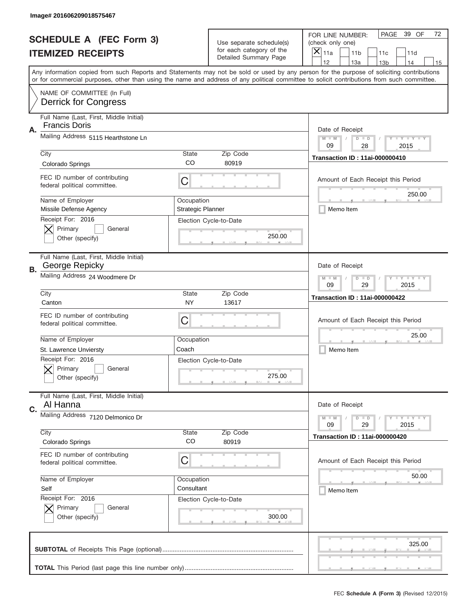|    | Image# 201606209018575467                                       |                                        |                                                   |                                                                                                                                                                                                                                                                                                                                     |
|----|-----------------------------------------------------------------|----------------------------------------|---------------------------------------------------|-------------------------------------------------------------------------------------------------------------------------------------------------------------------------------------------------------------------------------------------------------------------------------------------------------------------------------------|
|    | <b>SCHEDULE A (FEC Form 3)</b>                                  |                                        | Use separate schedule(s)                          | PAGE<br>39 OF<br>72<br>FOR LINE NUMBER:<br>(check only one)                                                                                                                                                                                                                                                                         |
|    | <b>ITEMIZED RECEIPTS</b>                                        |                                        | for each category of the<br>Detailed Summary Page | ×<br>11a<br>11 <sub>b</sub><br>11c<br>11d                                                                                                                                                                                                                                                                                           |
|    |                                                                 |                                        |                                                   | 12<br>13a<br>14<br>13 <sub>b</sub><br>15<br>Any information copied from such Reports and Statements may not be sold or used by any person for the purpose of soliciting contributions<br>or for commercial purposes, other than using the name and address of any political committee to solicit contributions from such committee. |
|    | NAME OF COMMITTEE (In Full)<br><b>Derrick for Congress</b>      |                                        |                                                   |                                                                                                                                                                                                                                                                                                                                     |
| Α. | Full Name (Last, First, Middle Initial)<br><b>Francis Doris</b> |                                        |                                                   | Date of Receipt                                                                                                                                                                                                                                                                                                                     |
|    | Mailing Address 5115 Hearthstone Ln                             |                                        |                                                   | $M - M$<br>Y I Y I Y I Y<br>$D$ $D$<br>09<br>28<br>2015                                                                                                                                                                                                                                                                             |
|    | City<br>Colorado Springs                                        | State<br>CO                            | Zip Code<br>80919                                 | <b>Transaction ID: 11ai-000000410</b>                                                                                                                                                                                                                                                                                               |
|    | FEC ID number of contributing<br>federal political committee.   | C                                      |                                                   | Amount of Each Receipt this Period<br>250.00                                                                                                                                                                                                                                                                                        |
|    | Name of Employer<br>Missile Defense Agency                      | Occupation<br><b>Strategic Planner</b> |                                                   | Memo Item                                                                                                                                                                                                                                                                                                                           |
|    | Receipt For: 2016<br>Primary<br>General<br>Other (specify)      |                                        | Election Cycle-to-Date<br>250.00                  |                                                                                                                                                                                                                                                                                                                                     |
| В. | Full Name (Last, First, Middle Initial)<br>George Repicky       |                                        |                                                   | Date of Receipt                                                                                                                                                                                                                                                                                                                     |
|    | Mailing Address 24 Woodmere Dr                                  |                                        |                                                   | <b>LY LY LY</b><br>$M - M$<br>$D$ $D$<br>09<br>29<br>2015                                                                                                                                                                                                                                                                           |
|    | City<br>Canton                                                  | State<br>NY                            | Zip Code<br>13617                                 | <b>Transaction ID: 11ai-000000422</b>                                                                                                                                                                                                                                                                                               |
|    | FEC ID number of contributing<br>federal political committee.   | C                                      |                                                   | Amount of Each Receipt this Period                                                                                                                                                                                                                                                                                                  |
|    | Name of Employer<br>St. Lawrence Unviersty                      | Occupation<br>Coach                    |                                                   | 25.00<br>Memo Item                                                                                                                                                                                                                                                                                                                  |
|    | Receipt For: 2016<br>General<br>Primary<br>Other (specify)      |                                        | Election Cycle-to-Date<br>275.00                  |                                                                                                                                                                                                                                                                                                                                     |
| C. | Full Name (Last, First, Middle Initial)<br>Al Hanna             |                                        |                                                   | Date of Receipt                                                                                                                                                                                                                                                                                                                     |
|    | Mailing Address 7120 Delmonico Dr                               |                                        |                                                   | $T$ $Y$ $Y$ $Y$ $Y$<br>$M - M$<br>$D$ $D$<br>09<br>29<br>2015                                                                                                                                                                                                                                                                       |
|    | City<br>Colorado Springs                                        | State<br>CO                            | Zip Code<br>80919                                 | <b>Transaction ID: 11ai-000000420</b>                                                                                                                                                                                                                                                                                               |
|    | FEC ID number of contributing<br>federal political committee.   | C                                      |                                                   | Amount of Each Receipt this Period                                                                                                                                                                                                                                                                                                  |
|    | Name of Employer<br>Self                                        | Occupation<br>Consultant               |                                                   | 50.00<br>Memo Item                                                                                                                                                                                                                                                                                                                  |
|    | Receipt For: 2016<br>Primary<br>General<br>Other (specify)      |                                        | Election Cycle-to-Date<br>300.00                  |                                                                                                                                                                                                                                                                                                                                     |
|    |                                                                 |                                        |                                                   | 325.00                                                                                                                                                                                                                                                                                                                              |
|    |                                                                 |                                        |                                                   |                                                                                                                                                                                                                                                                                                                                     |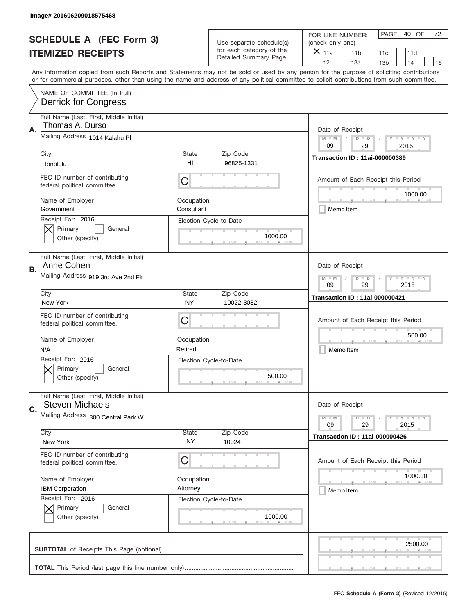|    | Image# 201606209018575468                                         |                          |                                                      |                                                                                                                                                                                                                                                                                                                  |
|----|-------------------------------------------------------------------|--------------------------|------------------------------------------------------|------------------------------------------------------------------------------------------------------------------------------------------------------------------------------------------------------------------------------------------------------------------------------------------------------------------|
|    | <b>SCHEDULE A (FEC Form 3)</b>                                    |                          | Use separate schedule(s)<br>for each category of the | PAGE<br>40 OF<br>72<br>FOR LINE NUMBER:<br>(check only one)                                                                                                                                                                                                                                                      |
|    | <b>ITEMIZED RECEIPTS</b>                                          |                          | Detailed Summary Page                                | ×<br>11a<br>11 <sub>b</sub><br>11c<br>11d<br>12<br>13a<br>14                                                                                                                                                                                                                                                     |
|    |                                                                   |                          |                                                      | 13 <sub>b</sub><br>15<br>Any information copied from such Reports and Statements may not be sold or used by any person for the purpose of soliciting contributions<br>or for commercial purposes, other than using the name and address of any political committee to solicit contributions from such committee. |
|    | NAME OF COMMITTEE (In Full)<br><b>Derrick for Congress</b>        |                          |                                                      |                                                                                                                                                                                                                                                                                                                  |
| Α. | Full Name (Last, First, Middle Initial)<br>Thomas A. Durso        |                          |                                                      | Date of Receipt                                                                                                                                                                                                                                                                                                  |
|    | Mailing Address 1014 Kalahu PI                                    |                          |                                                      | $M - M$<br>Y FY FY FY<br>$D$ $D$<br>09<br>29<br>2015                                                                                                                                                                                                                                                             |
|    | City<br>Honolulu                                                  | State<br>H <sub>l</sub>  | Zip Code<br>96825-1331                               | <b>Transaction ID: 11ai-000000389</b>                                                                                                                                                                                                                                                                            |
|    | FEC ID number of contributing<br>federal political committee.     | C                        |                                                      | Amount of Each Receipt this Period<br>1000.00                                                                                                                                                                                                                                                                    |
|    | Name of Employer<br>Government                                    | Occupation<br>Consultant |                                                      | Memo Item                                                                                                                                                                                                                                                                                                        |
|    | Receipt For: 2016<br>Primary<br>General<br>Other (specify)        |                          | Election Cycle-to-Date<br>1000.00                    |                                                                                                                                                                                                                                                                                                                  |
| В. | Full Name (Last, First, Middle Initial)<br>Anne Cohen             |                          |                                                      | Date of Receipt                                                                                                                                                                                                                                                                                                  |
|    | Mailing Address 919 3rd Ave 2nd Flr                               |                          |                                                      | <b>LY LY LY</b><br>$M - M$<br>$D$ $D$<br>09<br>29<br>2015                                                                                                                                                                                                                                                        |
|    | City<br>New York                                                  | State<br><b>NY</b>       | Zip Code<br>10022-3082                               | <b>Transaction ID: 11ai-000000421</b>                                                                                                                                                                                                                                                                            |
|    | FEC ID number of contributing<br>federal political committee.     | C                        |                                                      | Amount of Each Receipt this Period                                                                                                                                                                                                                                                                               |
|    | Name of Employer<br>N/A                                           | Occupation<br>Retired    |                                                      | 500.00<br>Memo Item                                                                                                                                                                                                                                                                                              |
|    | Receipt For: 2016<br>General<br>Primary<br>Other (specify)        |                          | Election Cycle-to-Date<br>500.00                     |                                                                                                                                                                                                                                                                                                                  |
| C. | Full Name (Last, First, Middle Initial)<br><b>Steven Michaels</b> |                          |                                                      | Date of Receipt                                                                                                                                                                                                                                                                                                  |
|    | Mailing Address 300 Central Park W                                |                          |                                                      | <b>LYLYLY</b><br>$M - M$<br>$D$ $D$<br>29<br>2015<br>09                                                                                                                                                                                                                                                          |
|    | City<br>New York                                                  | State<br>NY              | Zip Code<br>10024                                    | <b>Transaction ID: 11ai-000000426</b>                                                                                                                                                                                                                                                                            |
|    | FEC ID number of contributing<br>federal political committee.     | C                        |                                                      | Amount of Each Receipt this Period                                                                                                                                                                                                                                                                               |
|    | Name of Employer                                                  | Occupation               |                                                      | 1000.00                                                                                                                                                                                                                                                                                                          |
|    | <b>IBM Corporation</b><br>Receipt For: 2016                       | Attorney                 |                                                      | Memo Item                                                                                                                                                                                                                                                                                                        |
|    | Primary<br>General<br>Other (specify)                             |                          | Election Cycle-to-Date<br>1000.00                    |                                                                                                                                                                                                                                                                                                                  |
|    |                                                                   |                          |                                                      | 2500.00                                                                                                                                                                                                                                                                                                          |
|    |                                                                   |                          |                                                      |                                                                                                                                                                                                                                                                                                                  |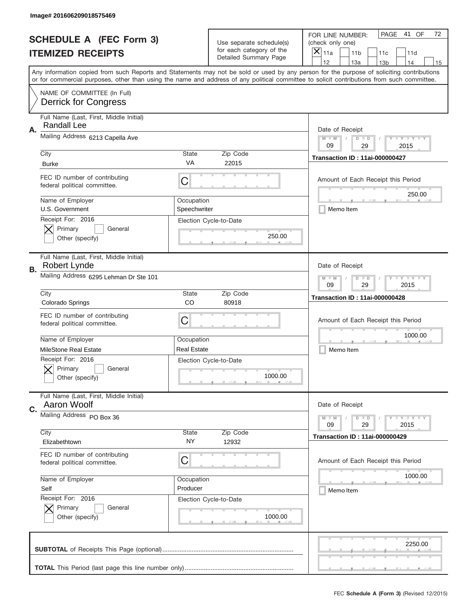|           | Image# 201606209018575469                                     |                            |                                                   |                                                                                                                                                                                       |
|-----------|---------------------------------------------------------------|----------------------------|---------------------------------------------------|---------------------------------------------------------------------------------------------------------------------------------------------------------------------------------------|
|           | <b>SCHEDULE A (FEC Form 3)</b>                                |                            | Use separate schedule(s)                          | PAGE<br>41 OF<br>72<br>FOR LINE NUMBER:<br>(check only one)                                                                                                                           |
|           | <b>ITEMIZED RECEIPTS</b>                                      |                            | for each category of the<br>Detailed Summary Page | $\boldsymbol{\times}$<br>11a<br>11 <sub>b</sub><br>11c<br>11d                                                                                                                         |
|           |                                                               |                            |                                                   | 12<br>13a<br>14<br>13 <sub>b</sub><br>15<br>Any information copied from such Reports and Statements may not be sold or used by any person for the purpose of soliciting contributions |
|           |                                                               |                            |                                                   | or for commercial purposes, other than using the name and address of any political committee to solicit contributions from such committee.                                            |
|           | NAME OF COMMITTEE (In Full)<br><b>Derrick for Congress</b>    |                            |                                                   |                                                                                                                                                                                       |
| Α.        | Full Name (Last, First, Middle Initial)<br>Randall Lee        |                            |                                                   | Date of Receipt                                                                                                                                                                       |
|           | Mailing Address 6213 Capella Ave                              |                            |                                                   | <b>LYLYLY</b><br>$M - M$<br>$D$ $D$<br>09<br>29<br>2015                                                                                                                               |
|           | City                                                          | <b>State</b>               | Zip Code                                          | <b>Transaction ID: 11ai-000000427</b>                                                                                                                                                 |
|           | <b>Burke</b>                                                  | VA                         | 22015                                             |                                                                                                                                                                                       |
|           | FEC ID number of contributing<br>federal political committee. | C                          |                                                   | Amount of Each Receipt this Period<br>250.00                                                                                                                                          |
|           | Name of Employer<br>U.S. Government                           | Occupation<br>Speechwriter |                                                   | Memo Item                                                                                                                                                                             |
|           | Receipt For: 2016<br>Primary<br>General<br>Other (specify)    |                            | Election Cycle-to-Date<br>250.00                  |                                                                                                                                                                                       |
| <b>B.</b> | Full Name (Last, First, Middle Initial)<br>Robert Lynde       |                            |                                                   | Date of Receipt                                                                                                                                                                       |
|           | Mailing Address 6295 Lehman Dr Ste 101                        |                            |                                                   | <b>LY LY LY</b><br>$M - M$<br>$D$ $D$<br>09<br>29<br>2015                                                                                                                             |
|           | City                                                          | <b>State</b>               | Zip Code                                          | <b>Transaction ID: 11ai-000000428</b>                                                                                                                                                 |
|           | Colorado Springs                                              | CO                         | 80918                                             |                                                                                                                                                                                       |
|           | FEC ID number of contributing<br>federal political committee. | С                          |                                                   | Amount of Each Receipt this Period                                                                                                                                                    |
|           | Name of Employer                                              | Occupation                 |                                                   | 1000.00                                                                                                                                                                               |
|           | <b>MileStone Real Estate</b>                                  | <b>Real Estate</b>         |                                                   | Memo Item                                                                                                                                                                             |
|           | Receipt For: 2016<br>General<br>Primary<br>Other (specify)    |                            | Election Cycle-to-Date<br>1000.00                 |                                                                                                                                                                                       |
| C.        | Full Name (Last, First, Middle Initial)<br>Aaron Woolf        |                            |                                                   | Date of Receipt                                                                                                                                                                       |
|           | Mailing Address PO Box 36                                     |                            |                                                   | <b>LY LY LY</b><br>$M - M$<br>$D$ $D$<br>09<br>29<br>2015                                                                                                                             |
|           | City<br>Elizabethtown                                         | <b>State</b><br>NY.        | Zip Code<br>12932                                 | <b>Transaction ID: 11ai-000000429</b>                                                                                                                                                 |
|           | FEC ID number of contributing<br>federal political committee. | С                          |                                                   | Amount of Each Receipt this Period                                                                                                                                                    |
|           | Name of Employer                                              | Occupation                 |                                                   | 1000.00                                                                                                                                                                               |
|           | Self                                                          | Producer                   |                                                   | Memo Item                                                                                                                                                                             |
|           | Receipt For: 2016<br>Primary<br>General<br>Other (specify)    |                            | Election Cycle-to-Date<br>1000.00                 |                                                                                                                                                                                       |
|           |                                                               |                            |                                                   | 2250.00                                                                                                                                                                               |
|           |                                                               |                            |                                                   |                                                                                                                                                                                       |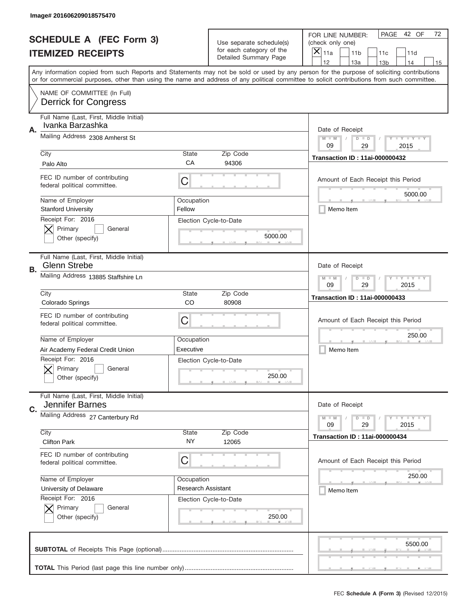|    | Image# 201606209018575470                                      |                           |                                                   |                                                                                                                                                                                                                                                                                                                                     |
|----|----------------------------------------------------------------|---------------------------|---------------------------------------------------|-------------------------------------------------------------------------------------------------------------------------------------------------------------------------------------------------------------------------------------------------------------------------------------------------------------------------------------|
|    | <b>SCHEDULE A (FEC Form 3)</b>                                 |                           | Use separate schedule(s)                          | PAGE<br>42 OF<br>72<br>FOR LINE NUMBER:<br>(check only one)                                                                                                                                                                                                                                                                         |
|    | <b>ITEMIZED RECEIPTS</b>                                       |                           | for each category of the<br>Detailed Summary Page | ×<br>11a<br>11 <sub>b</sub><br>11c<br>11d                                                                                                                                                                                                                                                                                           |
|    |                                                                |                           |                                                   | 12<br>13a<br>13 <sub>b</sub><br>14<br>15<br>Any information copied from such Reports and Statements may not be sold or used by any person for the purpose of soliciting contributions<br>or for commercial purposes, other than using the name and address of any political committee to solicit contributions from such committee. |
|    | NAME OF COMMITTEE (In Full)<br><b>Derrick for Congress</b>     |                           |                                                   |                                                                                                                                                                                                                                                                                                                                     |
| Α. | Full Name (Last, First, Middle Initial)<br>Ivanka Barzashka    |                           |                                                   | Date of Receipt                                                                                                                                                                                                                                                                                                                     |
|    | Mailing Address 2308 Amherst St                                |                           |                                                   | $M - M$<br><b>LEY LEY LEY</b><br>$D$ $D$<br>09<br>29<br>2015                                                                                                                                                                                                                                                                        |
|    | City<br>Palo Alto                                              | State<br>CA               | Zip Code<br>94306                                 | <b>Transaction ID: 11ai-000000432</b>                                                                                                                                                                                                                                                                                               |
|    | FEC ID number of contributing<br>federal political committee.  | C                         |                                                   | Amount of Each Receipt this Period<br>5000.00                                                                                                                                                                                                                                                                                       |
|    | Name of Employer<br><b>Stanford University</b>                 | Occupation<br>Fellow      |                                                   | Memo Item                                                                                                                                                                                                                                                                                                                           |
|    | Receipt For: 2016<br>Primary<br>General<br>Other (specify)     |                           | Election Cycle-to-Date<br>5000.00                 |                                                                                                                                                                                                                                                                                                                                     |
| В. | Full Name (Last, First, Middle Initial)<br><b>Glenn Strebe</b> |                           |                                                   | Date of Receipt                                                                                                                                                                                                                                                                                                                     |
|    | Mailing Address 13885 Staffshire Ln                            |                           |                                                   | $M - M$<br><b>LY LY LY</b><br>$D$ $D$<br>09<br>29<br>2015                                                                                                                                                                                                                                                                           |
|    | City<br>Colorado Springs                                       | State<br>CO               | Zip Code<br>80908                                 | <b>Transaction ID: 11ai-000000433</b>                                                                                                                                                                                                                                                                                               |
|    | FEC ID number of contributing<br>federal political committee.  | C                         |                                                   | Amount of Each Receipt this Period                                                                                                                                                                                                                                                                                                  |
|    |                                                                |                           |                                                   | 250.00                                                                                                                                                                                                                                                                                                                              |
|    | Name of Employer                                               | Occupation                |                                                   |                                                                                                                                                                                                                                                                                                                                     |
|    | Air Academy Federal Credit Union                               | Executive                 |                                                   | Memo Item                                                                                                                                                                                                                                                                                                                           |
|    | Receipt For: 2016<br>General<br>Primary<br>Other (specify)     |                           | Election Cycle-to-Date<br>250.00                  |                                                                                                                                                                                                                                                                                                                                     |
| C. | Full Name (Last, First, Middle Initial)<br>Jennifer Barnes     |                           |                                                   | Date of Receipt                                                                                                                                                                                                                                                                                                                     |
|    | Mailing Address 27 Canterbury Rd                               |                           |                                                   | <b>LEY LEY LEY</b><br>$M - M$<br>$D$ $D$<br>09<br>29<br>2015                                                                                                                                                                                                                                                                        |
|    | City<br><b>Clifton Park</b>                                    | State<br>NY.              | Zip Code<br>12065                                 | <b>Transaction ID: 11ai-000000434</b>                                                                                                                                                                                                                                                                                               |
|    | FEC ID number of contributing<br>federal political committee.  | C                         |                                                   | Amount of Each Receipt this Period                                                                                                                                                                                                                                                                                                  |
|    | Name of Employer                                               | Occupation                |                                                   | 250.00                                                                                                                                                                                                                                                                                                                              |
|    | University of Delaware                                         | <b>Research Assistant</b> |                                                   | Memo Item                                                                                                                                                                                                                                                                                                                           |
|    | Receipt For: 2016<br>Primary<br>General<br>Other (specify)     |                           | Election Cycle-to-Date<br>250.00                  |                                                                                                                                                                                                                                                                                                                                     |
|    |                                                                |                           |                                                   | 5500.00                                                                                                                                                                                                                                                                                                                             |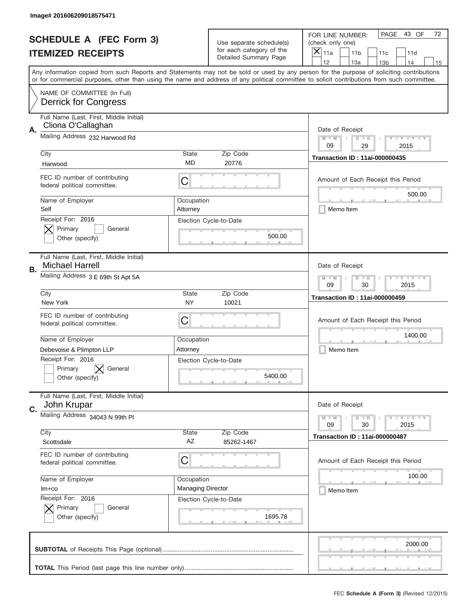|    | Image# 201606209018575471                                                              |                          |                                                      |                                                                                                                                                                                                                                                                                                                                     |
|----|----------------------------------------------------------------------------------------|--------------------------|------------------------------------------------------|-------------------------------------------------------------------------------------------------------------------------------------------------------------------------------------------------------------------------------------------------------------------------------------------------------------------------------------|
|    | <b>SCHEDULE A (FEC Form 3)</b>                                                         |                          | Use separate schedule(s)<br>for each category of the | PAGE<br>43 OF<br>72<br>FOR LINE NUMBER:<br>(check only one)                                                                                                                                                                                                                                                                         |
|    | <b>ITEMIZED RECEIPTS</b>                                                               |                          | Detailed Summary Page                                | ×<br>11a<br>11 <sub>b</sub><br>11c<br>11d                                                                                                                                                                                                                                                                                           |
|    |                                                                                        |                          |                                                      | 12<br>13a<br>14<br>13 <sub>b</sub><br>15<br>Any information copied from such Reports and Statements may not be sold or used by any person for the purpose of soliciting contributions<br>or for commercial purposes, other than using the name and address of any political committee to solicit contributions from such committee. |
|    | NAME OF COMMITTEE (In Full)<br><b>Derrick for Congress</b>                             |                          |                                                      |                                                                                                                                                                                                                                                                                                                                     |
| Α. | Full Name (Last, First, Middle Initial)<br>Cliona O'Callaghan                          |                          |                                                      | Date of Receipt                                                                                                                                                                                                                                                                                                                     |
|    | Mailing Address 232 Harwood Rd                                                         |                          |                                                      | $M - M$<br><b>LEY LEY LEY</b><br>$D$ $D$<br>09<br>29<br>2015                                                                                                                                                                                                                                                                        |
|    | City<br>Harwood                                                                        | State<br><b>MD</b>       | Zip Code<br>20776                                    | <b>Transaction ID: 11ai-000000435</b>                                                                                                                                                                                                                                                                                               |
|    | FEC ID number of contributing<br>federal political committee.                          | C                        |                                                      | Amount of Each Receipt this Period<br>500.00                                                                                                                                                                                                                                                                                        |
|    | Name of Employer<br>Self                                                               | Occupation<br>Attorney   |                                                      | Memo Item                                                                                                                                                                                                                                                                                                                           |
|    | Receipt For: 2016<br>Primary<br>General<br>Other (specify)                             |                          | Election Cycle-to-Date<br>500.00                     |                                                                                                                                                                                                                                                                                                                                     |
| В. | Full Name (Last, First, Middle Initial)<br><b>Michael Harrell</b>                      |                          |                                                      | Date of Receipt                                                                                                                                                                                                                                                                                                                     |
|    | Mailing Address 3 E 69th St Apt 5A                                                     |                          |                                                      | $M - M$<br><b>LEYTEY LEY</b><br>$D$ $D$<br>09<br>30<br>2015                                                                                                                                                                                                                                                                         |
|    | City<br>New York                                                                       | State<br>NY              | Zip Code<br>10021                                    | <b>Transaction ID: 11ai-000000459</b>                                                                                                                                                                                                                                                                                               |
|    | FEC ID number of contributing<br>federal political committee.                          | C                        |                                                      | Amount of Each Receipt this Period                                                                                                                                                                                                                                                                                                  |
|    | Name of Employer                                                                       | Occupation               |                                                      | 1400.00                                                                                                                                                                                                                                                                                                                             |
|    | Debevoise & Plimpton LLP<br>Receipt For: 2016<br>General<br>Primary<br>Other (specify) | Attorney                 | Election Cycle-to-Date<br>5400.00                    | Memo Item                                                                                                                                                                                                                                                                                                                           |
| C. | Full Name (Last, First, Middle Initial)<br>John Krupar                                 |                          |                                                      | Date of Receipt                                                                                                                                                                                                                                                                                                                     |
|    | Mailing Address 34043 N 99th Pl                                                        |                          |                                                      | <b>LY LY LY</b><br>$M - M$<br>$D$ $D$<br>09<br>2015<br>30                                                                                                                                                                                                                                                                           |
|    | City<br>Scottsdale                                                                     | State<br>AZ              | Zip Code<br>85262-1467                               | <b>Transaction ID: 11ai-000000487</b>                                                                                                                                                                                                                                                                                               |
|    | FEC ID number of contributing<br>federal political committee.                          | C                        |                                                      | Amount of Each Receipt this Period                                                                                                                                                                                                                                                                                                  |
|    | Name of Employer                                                                       | Occupation               |                                                      | 100.00                                                                                                                                                                                                                                                                                                                              |
|    | $Im+co$<br>Receipt For: 2016                                                           | <b>Managing Director</b> |                                                      | Memo Item                                                                                                                                                                                                                                                                                                                           |
|    | Primary<br>General<br>Other (specify)                                                  |                          | Election Cycle-to-Date<br>1695.78                    |                                                                                                                                                                                                                                                                                                                                     |
|    |                                                                                        |                          |                                                      |                                                                                                                                                                                                                                                                                                                                     |
|    |                                                                                        |                          |                                                      | 2000.00                                                                                                                                                                                                                                                                                                                             |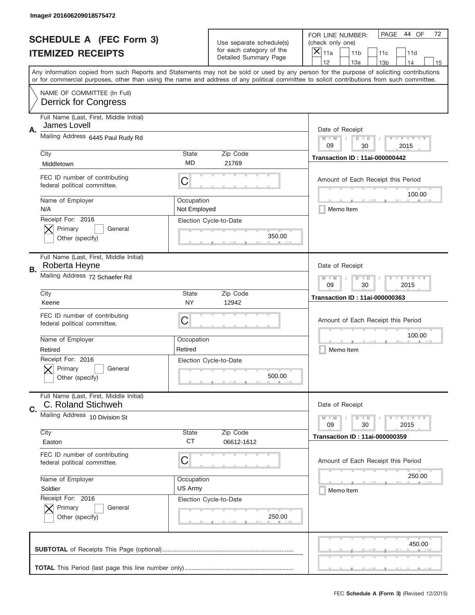|    | Image# 201606209018575472                                     |                            |                                                   |                                                                                                                                                                                                                                                                                                                                     |
|----|---------------------------------------------------------------|----------------------------|---------------------------------------------------|-------------------------------------------------------------------------------------------------------------------------------------------------------------------------------------------------------------------------------------------------------------------------------------------------------------------------------------|
|    | <b>SCHEDULE A (FEC Form 3)</b>                                |                            | Use separate schedule(s)                          | PAGE<br>44 OF<br>72<br>FOR LINE NUMBER:<br>(check only one)                                                                                                                                                                                                                                                                         |
|    | <b>ITEMIZED RECEIPTS</b>                                      |                            | for each category of the<br>Detailed Summary Page | $\boldsymbol{\times}$<br>11a<br>11 <sub>b</sub><br>11c<br>11d                                                                                                                                                                                                                                                                       |
|    |                                                               |                            |                                                   | 12<br>13a<br>14<br>13 <sub>b</sub><br>15<br>Any information copied from such Reports and Statements may not be sold or used by any person for the purpose of soliciting contributions<br>or for commercial purposes, other than using the name and address of any political committee to solicit contributions from such committee. |
|    | NAME OF COMMITTEE (In Full)<br><b>Derrick for Congress</b>    |                            |                                                   |                                                                                                                                                                                                                                                                                                                                     |
| Α. | Full Name (Last, First, Middle Initial)<br>James Lovell       |                            |                                                   | Date of Receipt                                                                                                                                                                                                                                                                                                                     |
|    | Mailing Address 6445 Paul Rudy Rd                             |                            |                                                   | <b>LYLYLY</b><br>$M - M$<br>$D$ $D$<br>09<br>30<br>2015                                                                                                                                                                                                                                                                             |
|    | City<br>Middletown                                            | <b>State</b><br><b>MD</b>  | Zip Code<br>21769                                 | <b>Transaction ID: 11ai-000000442</b>                                                                                                                                                                                                                                                                                               |
|    | FEC ID number of contributing<br>federal political committee. | C                          |                                                   | Amount of Each Receipt this Period<br>100.00                                                                                                                                                                                                                                                                                        |
|    | Name of Employer<br>N/A                                       | Occupation<br>Not Employed |                                                   | Memo Item                                                                                                                                                                                                                                                                                                                           |
|    | Receipt For: 2016<br>Primary<br>General<br>Other (specify)    |                            | Election Cycle-to-Date<br>350.00                  |                                                                                                                                                                                                                                                                                                                                     |
| В. | Full Name (Last, First, Middle Initial)<br>Roberta Heyne      |                            |                                                   | Date of Receipt                                                                                                                                                                                                                                                                                                                     |
|    | Mailing Address 72 Schaefer Rd                                |                            |                                                   | <b>LY LY LY</b><br>$M$ M<br>$D$ $D$<br>09<br>30<br>2015                                                                                                                                                                                                                                                                             |
|    | City<br>Keene                                                 | <b>State</b><br>NY         | Zip Code<br>12942                                 | <b>Transaction ID: 11ai-000000363</b>                                                                                                                                                                                                                                                                                               |
|    | FEC ID number of contributing<br>federal political committee. | С                          |                                                   | Amount of Each Receipt this Period                                                                                                                                                                                                                                                                                                  |
|    | Name of Employer<br>Retired                                   | Occupation<br>Retired      |                                                   | 100.00<br>Memo Item                                                                                                                                                                                                                                                                                                                 |
|    | Receipt For: 2016<br>General<br>Primary<br>Other (specify)    |                            | Election Cycle-to-Date<br>500.00                  |                                                                                                                                                                                                                                                                                                                                     |
| C. | Full Name (Last, First, Middle Initial)<br>C. Roland Stichweh |                            |                                                   | Date of Receipt                                                                                                                                                                                                                                                                                                                     |
|    | Mailing Address 10 Division St<br>City                        | State                      |                                                   | <b>LY LY LY</b><br>$M - M$<br>$D$ $D$<br>09<br>2015<br>30                                                                                                                                                                                                                                                                           |
|    | Easton                                                        | <b>CT</b>                  | Zip Code<br>06612-1612                            | <b>Transaction ID: 11ai-000000359</b>                                                                                                                                                                                                                                                                                               |
|    | FEC ID number of contributing<br>federal political committee. | С                          |                                                   | Amount of Each Receipt this Period                                                                                                                                                                                                                                                                                                  |
|    | Name of Employer<br>Soldier                                   | Occupation<br>US Army      |                                                   | 250.00<br>Memo Item                                                                                                                                                                                                                                                                                                                 |
|    | Receipt For: 2016<br>Primary<br>General<br>Other (specify)    |                            | Election Cycle-to-Date<br>250.00                  |                                                                                                                                                                                                                                                                                                                                     |
|    |                                                               |                            |                                                   | 450.00                                                                                                                                                                                                                                                                                                                              |
|    |                                                               |                            |                                                   |                                                                                                                                                                                                                                                                                                                                     |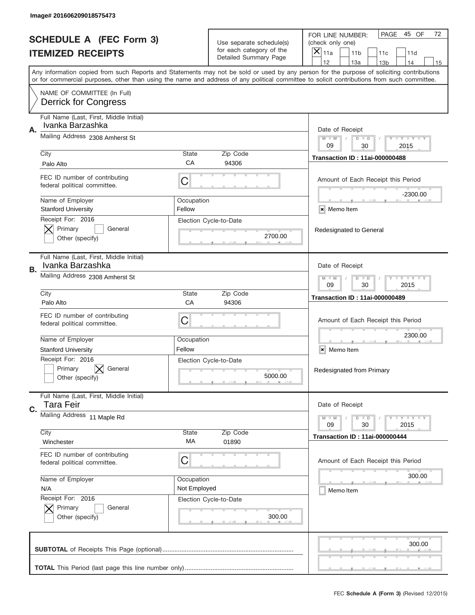|    | Image# 201606209018575473                                     |                            |                                                   |                                                                                                                                                                                                                                                                                                                                     |
|----|---------------------------------------------------------------|----------------------------|---------------------------------------------------|-------------------------------------------------------------------------------------------------------------------------------------------------------------------------------------------------------------------------------------------------------------------------------------------------------------------------------------|
|    | <b>SCHEDULE A (FEC Form 3)</b>                                |                            | Use separate schedule(s)                          | PAGE<br>45 OF<br>72<br>FOR LINE NUMBER:<br>(check only one)                                                                                                                                                                                                                                                                         |
|    | <b>ITEMIZED RECEIPTS</b>                                      |                            | for each category of the<br>Detailed Summary Page | ×<br>11a<br>11 <sub>b</sub><br>11c<br>11d                                                                                                                                                                                                                                                                                           |
|    |                                                               |                            |                                                   | 12<br>13a<br>14<br>13 <sub>b</sub><br>15<br>Any information copied from such Reports and Statements may not be sold or used by any person for the purpose of soliciting contributions<br>or for commercial purposes, other than using the name and address of any political committee to solicit contributions from such committee. |
|    | NAME OF COMMITTEE (In Full)<br><b>Derrick for Congress</b>    |                            |                                                   |                                                                                                                                                                                                                                                                                                                                     |
| Α. | Full Name (Last, First, Middle Initial)<br>Ivanka Barzashka   |                            |                                                   | Date of Receipt                                                                                                                                                                                                                                                                                                                     |
|    | Mailing Address 2308 Amherst St                               |                            |                                                   | $M - M$<br>$T$ $Y$ $Y$ $Y$ $Y$ $Y$<br>$D$ $D$<br>09<br>30<br>2015                                                                                                                                                                                                                                                                   |
|    | City<br>Palo Alto                                             | <b>State</b><br>CA         | Zip Code<br>94306                                 | <b>Transaction ID: 11ai-000000488</b>                                                                                                                                                                                                                                                                                               |
|    | FEC ID number of contributing<br>federal political committee. | C                          |                                                   | Amount of Each Receipt this Period<br>$-2300.00$                                                                                                                                                                                                                                                                                    |
|    | Name of Employer<br><b>Stanford University</b>                | Occupation<br>Fellow       |                                                   | × Memo Item                                                                                                                                                                                                                                                                                                                         |
|    | Receipt For: 2016<br>Primary<br>General<br>Other (specify)    |                            | Election Cycle-to-Date<br>2700.00                 | Redesignated to General                                                                                                                                                                                                                                                                                                             |
| В. | Full Name (Last, First, Middle Initial)<br>Ivanka Barzashka   |                            |                                                   | Date of Receipt                                                                                                                                                                                                                                                                                                                     |
|    | Mailing Address 2308 Amherst St                               |                            |                                                   | <b>LY LY LY</b><br>$M - M$<br>$D$ $D$<br>09<br>30<br>2015                                                                                                                                                                                                                                                                           |
|    | City<br>Palo Alto                                             | <b>State</b><br>CA         | Zip Code<br>94306                                 | <b>Transaction ID: 11ai-000000489</b>                                                                                                                                                                                                                                                                                               |
|    | FEC ID number of contributing<br>federal political committee. | C                          |                                                   | Amount of Each Receipt this Period                                                                                                                                                                                                                                                                                                  |
|    | Name of Employer<br><b>Stanford University</b>                | Occupation<br>Fellow       |                                                   | 2300.00<br>×<br>Memo Item                                                                                                                                                                                                                                                                                                           |
|    | Receipt For: 2016<br>General<br>Primary<br>Other (specify)    |                            | Election Cycle-to-Date<br>5000.00                 | Redesignated from Primary                                                                                                                                                                                                                                                                                                           |
| C. | Full Name (Last, First, Middle Initial)<br><b>Tara Feir</b>   |                            |                                                   | Date of Receipt                                                                                                                                                                                                                                                                                                                     |
|    | Mailing Address 11 Maple Rd                                   |                            |                                                   | <b>TEY TEY TEY</b><br>$M - M$<br>$D$ $D$<br>09<br>30<br>2015                                                                                                                                                                                                                                                                        |
|    | City<br>Winchester                                            | State<br>МA                | Zip Code<br>01890                                 | <b>Transaction ID: 11ai-000000444</b>                                                                                                                                                                                                                                                                                               |
|    | FEC ID number of contributing<br>federal political committee. | C                          |                                                   | Amount of Each Receipt this Period                                                                                                                                                                                                                                                                                                  |
|    | Name of Employer<br>N/A                                       | Occupation<br>Not Employed |                                                   | 300.00<br>Memo Item                                                                                                                                                                                                                                                                                                                 |
|    | Receipt For: 2016<br>Primary<br>General<br>Other (specify)    |                            | Election Cycle-to-Date<br>300.00                  |                                                                                                                                                                                                                                                                                                                                     |
|    |                                                               |                            |                                                   | 300.00                                                                                                                                                                                                                                                                                                                              |
|    |                                                               |                            |                                                   |                                                                                                                                                                                                                                                                                                                                     |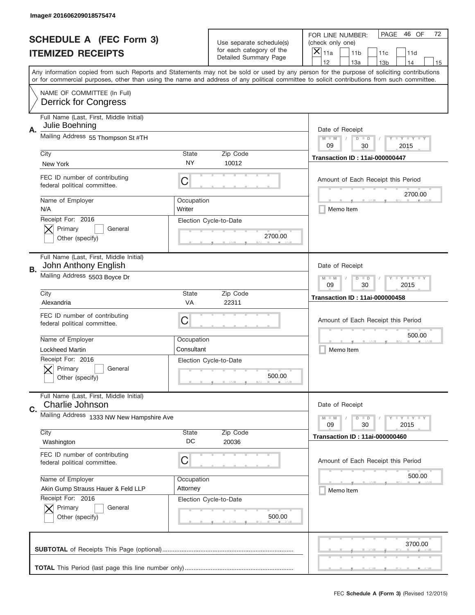|    | Image# 201606209018575474                                       |                           |                                                   |                                                                                                                                                                                                                                                                                                                                     |  |
|----|-----------------------------------------------------------------|---------------------------|---------------------------------------------------|-------------------------------------------------------------------------------------------------------------------------------------------------------------------------------------------------------------------------------------------------------------------------------------------------------------------------------------|--|
|    | <b>SCHEDULE A (FEC Form 3)</b>                                  |                           | Use separate schedule(s)                          | PAGE<br>46 OF<br>72<br>FOR LINE NUMBER:<br>(check only one)                                                                                                                                                                                                                                                                         |  |
|    | <b>ITEMIZED RECEIPTS</b>                                        |                           | for each category of the<br>Detailed Summary Page | $\boldsymbol{\times}$<br>11a<br>11 <sub>b</sub><br>11c<br>11d                                                                                                                                                                                                                                                                       |  |
|    |                                                                 |                           |                                                   | 12<br>13a<br>14<br>13 <sub>b</sub><br>15<br>Any information copied from such Reports and Statements may not be sold or used by any person for the purpose of soliciting contributions<br>or for commercial purposes, other than using the name and address of any political committee to solicit contributions from such committee. |  |
|    | NAME OF COMMITTEE (In Full)<br><b>Derrick for Congress</b>      |                           |                                                   |                                                                                                                                                                                                                                                                                                                                     |  |
| Α. | Full Name (Last, First, Middle Initial)<br>Julie Boehning       |                           |                                                   | Date of Receipt                                                                                                                                                                                                                                                                                                                     |  |
|    | Mailing Address 55 Thompson St #TH                              |                           |                                                   | <b>LYLYLY</b><br>$M - M$<br>$D$ $D$<br>09<br>30<br>2015                                                                                                                                                                                                                                                                             |  |
|    | City<br>New York                                                | <b>State</b><br>NY        | Zip Code<br>10012                                 | <b>Transaction ID: 11ai-000000447</b>                                                                                                                                                                                                                                                                                               |  |
|    | FEC ID number of contributing<br>federal political committee.   | С                         |                                                   | Amount of Each Receipt this Period<br>2700.00                                                                                                                                                                                                                                                                                       |  |
|    | Name of Employer<br>N/A                                         | Occupation<br>Writer      |                                                   | Memo Item                                                                                                                                                                                                                                                                                                                           |  |
|    | Receipt For: 2016<br>Primary<br>General<br>Other (specify)      |                           | Election Cycle-to-Date<br>2700.00                 |                                                                                                                                                                                                                                                                                                                                     |  |
| В. | Full Name (Last, First, Middle Initial)<br>John Anthony English |                           |                                                   | Date of Receipt                                                                                                                                                                                                                                                                                                                     |  |
|    | Mailing Address 5503 Boyce Dr                                   |                           |                                                   | <b>LY LY LY</b><br>$M$ M<br>$D$ $D$<br>09<br>30<br>2015                                                                                                                                                                                                                                                                             |  |
|    | City<br>Alexandria                                              | <b>State</b><br><b>VA</b> | Zip Code<br>22311                                 | <b>Transaction ID: 11ai-000000458</b>                                                                                                                                                                                                                                                                                               |  |
|    | FEC ID number of contributing<br>federal political committee.   | С                         |                                                   | Amount of Each Receipt this Period                                                                                                                                                                                                                                                                                                  |  |
|    | Name of Employer                                                | Occupation                |                                                   | 500.00                                                                                                                                                                                                                                                                                                                              |  |
|    | <b>Lockheed Martin</b>                                          | Consultant                |                                                   | Memo Item                                                                                                                                                                                                                                                                                                                           |  |
|    | Receipt For: 2016<br>General<br>Primary<br>Other (specify)      |                           | Election Cycle-to-Date<br>500.00                  |                                                                                                                                                                                                                                                                                                                                     |  |
| C. | Full Name (Last, First, Middle Initial)<br>Charlie Johnson      |                           |                                                   | Date of Receipt                                                                                                                                                                                                                                                                                                                     |  |
|    | Mailing Address 1333 NW New Hampshire Ave                       |                           |                                                   | <b>LEY LEY LEY</b><br>$M - M$<br>$D$ $D$<br>09<br>2015<br>30                                                                                                                                                                                                                                                                        |  |
|    | City<br>Washington                                              | State<br>DC               | Zip Code<br>20036                                 | <b>Transaction ID: 11ai-000000460</b>                                                                                                                                                                                                                                                                                               |  |
|    | FEC ID number of contributing<br>federal political committee.   | С                         |                                                   | Amount of Each Receipt this Period                                                                                                                                                                                                                                                                                                  |  |
|    | Name of Employer                                                | Occupation                |                                                   | 500.00                                                                                                                                                                                                                                                                                                                              |  |
|    | Akin Gump Strauss Hauer & Feld LLP                              | Attorney                  |                                                   | Memo Item                                                                                                                                                                                                                                                                                                                           |  |
|    | Receipt For: 2016<br>Primary<br>General<br>Other (specify)      |                           | Election Cycle-to-Date<br>500.00                  |                                                                                                                                                                                                                                                                                                                                     |  |
|    |                                                                 |                           |                                                   | 3700.00                                                                                                                                                                                                                                                                                                                             |  |
|    |                                                                 |                           |                                                   |                                                                                                                                                                                                                                                                                                                                     |  |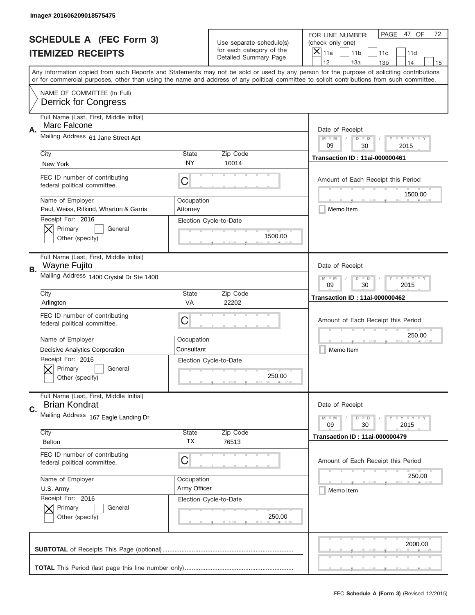|           | Image# 201606209018575475                                       |                        |                                                   |                                                                                                                                                                                                                                                                                                                                     |
|-----------|-----------------------------------------------------------------|------------------------|---------------------------------------------------|-------------------------------------------------------------------------------------------------------------------------------------------------------------------------------------------------------------------------------------------------------------------------------------------------------------------------------------|
|           | <b>SCHEDULE A (FEC Form 3)</b>                                  |                        | Use separate schedule(s)                          | PAGE<br>47 OF<br>72<br>FOR LINE NUMBER:<br>(check only one)                                                                                                                                                                                                                                                                         |
|           | <b>ITEMIZED RECEIPTS</b>                                        |                        | for each category of the<br>Detailed Summary Page | ×<br>11a<br>11 <sub>b</sub><br>11c<br>11d                                                                                                                                                                                                                                                                                           |
|           |                                                                 |                        |                                                   | 12<br>13a<br>13 <sub>b</sub><br>14<br>15<br>Any information copied from such Reports and Statements may not be sold or used by any person for the purpose of soliciting contributions<br>or for commercial purposes, other than using the name and address of any political committee to solicit contributions from such committee. |
|           | NAME OF COMMITTEE (In Full)<br><b>Derrick for Congress</b>      |                        |                                                   |                                                                                                                                                                                                                                                                                                                                     |
| Α.        | Full Name (Last, First, Middle Initial)<br>Marc Falcone         |                        |                                                   | Date of Receipt                                                                                                                                                                                                                                                                                                                     |
|           | Mailing Address 61 Jane Street Apt                              |                        |                                                   | $M - M$<br><b>LEY LEY LEY</b><br>$D$ $D$<br>09<br>30<br>2015                                                                                                                                                                                                                                                                        |
|           | City<br>New York                                                | State<br>NY            | Zip Code<br>10014                                 | <b>Transaction ID: 11ai-000000461</b>                                                                                                                                                                                                                                                                                               |
|           | FEC ID number of contributing<br>federal political committee.   | C                      |                                                   | Amount of Each Receipt this Period<br>1500.00                                                                                                                                                                                                                                                                                       |
|           | Name of Employer<br>Paul, Weiss, Rifkind, Wharton & Garris      | Occupation<br>Attorney |                                                   | Memo Item                                                                                                                                                                                                                                                                                                                           |
|           | Receipt For: 2016<br>Primary<br>General<br>Other (specify)      |                        | Election Cycle-to-Date<br>1500.00                 |                                                                                                                                                                                                                                                                                                                                     |
| <b>B.</b> | Full Name (Last, First, Middle Initial)<br>Wayne Fujito         |                        |                                                   | Date of Receipt                                                                                                                                                                                                                                                                                                                     |
|           | Mailing Address 1400 Crystal Dr Ste 1400                        |                        |                                                   | <b>LEYTEY LEY</b><br>$M$ $M$<br>$D$ $D$<br>09<br>30<br>2015                                                                                                                                                                                                                                                                         |
|           | City<br>Arlington                                               | <b>State</b><br>VA     | Zip Code<br>22202                                 | <b>Transaction ID: 11ai-000000462</b>                                                                                                                                                                                                                                                                                               |
|           | FEC ID number of contributing<br>federal political committee.   | C                      |                                                   | Amount of Each Receipt this Period                                                                                                                                                                                                                                                                                                  |
|           | Name of Employer                                                | Occupation             |                                                   | 250.00                                                                                                                                                                                                                                                                                                                              |
|           | Decisive Analytics Corporation                                  | Consultant             |                                                   | Memo Item                                                                                                                                                                                                                                                                                                                           |
|           | Receipt For: 2016                                               |                        | Election Cycle-to-Date                            |                                                                                                                                                                                                                                                                                                                                     |
|           | General<br>Primary<br>Other (specify)                           |                        | 250.00                                            |                                                                                                                                                                                                                                                                                                                                     |
| C.        | Full Name (Last, First, Middle Initial)<br><b>Brian Kondrat</b> |                        |                                                   | Date of Receipt                                                                                                                                                                                                                                                                                                                     |
|           | Mailing Address 167 Eagle Landing Dr                            |                        |                                                   | <b>LEY LEY LEY</b><br>$M - M$<br>$D$ $D$<br>09<br>2015<br>30                                                                                                                                                                                                                                                                        |
|           | City<br>Belton                                                  | State<br>TX            | Zip Code<br>76513                                 | <b>Transaction ID: 11ai-000000479</b>                                                                                                                                                                                                                                                                                               |
|           | FEC ID number of contributing<br>federal political committee.   | С                      |                                                   | Amount of Each Receipt this Period                                                                                                                                                                                                                                                                                                  |
|           | Name of Employer                                                | Occupation             |                                                   | 250.00                                                                                                                                                                                                                                                                                                                              |
|           | U.S. Army                                                       | Army Officer           |                                                   | Memo Item                                                                                                                                                                                                                                                                                                                           |
|           | Receipt For: 2016<br>Primary<br>General<br>Other (specify)      |                        | Election Cycle-to-Date<br>250.00                  |                                                                                                                                                                                                                                                                                                                                     |
|           |                                                                 |                        |                                                   | 2000.00                                                                                                                                                                                                                                                                                                                             |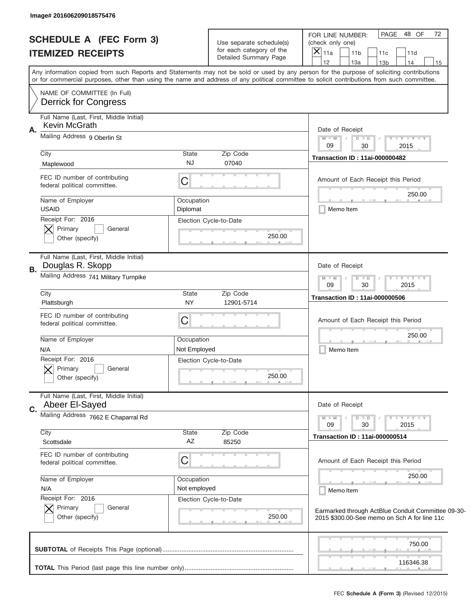| Image# 201606209018575476                                                                                                                                                                                                                                                               |                                                                               |                                                                                                                                                                       |
|-----------------------------------------------------------------------------------------------------------------------------------------------------------------------------------------------------------------------------------------------------------------------------------------|-------------------------------------------------------------------------------|-----------------------------------------------------------------------------------------------------------------------------------------------------------------------|
| <b>SCHEDULE A (FEC Form 3)</b><br><b>ITEMIZED RECEIPTS</b>                                                                                                                                                                                                                              | Use separate schedule(s)<br>for each category of the<br>Detailed Summary Page | 72<br>PAGE 48 OF<br>FOR LINE NUMBER:<br>(check only one)<br>$\boldsymbol{\times}$<br>11a<br>11 <sub>b</sub><br>11c<br>11d<br>12<br>13a<br>13 <sub>b</sub><br>14<br>15 |
| Any information copied from such Reports and Statements may not be sold or used by any person for the purpose of soliciting contributions<br>or for commercial purposes, other than using the name and address of any political committee to solicit contributions from such committee. |                                                                               |                                                                                                                                                                       |
| NAME OF COMMITTEE (In Full)<br><b>Derrick for Congress</b>                                                                                                                                                                                                                              |                                                                               |                                                                                                                                                                       |
| Full Name (Last, First, Middle Initial)<br><b>Kevin McGrath</b>                                                                                                                                                                                                                         |                                                                               | Date of Receipt                                                                                                                                                       |
| Α.<br>Mailing Address 9 Oberlin St                                                                                                                                                                                                                                                      |                                                                               | $M - M$<br>$Y - Y - Y - Y$<br>$D$ $D$<br>$\sqrt{2}$<br>09<br>2015<br>30                                                                                               |
| City<br>Maplewood                                                                                                                                                                                                                                                                       | State<br>Zip Code<br><b>NJ</b><br>07040                                       | <b>Transaction ID: 11ai-000000482</b>                                                                                                                                 |
| FEC ID number of contributing<br>federal political committee.                                                                                                                                                                                                                           | C                                                                             | Amount of Each Receipt this Period<br>250.00                                                                                                                          |
| Name of Employer<br><b>USAID</b>                                                                                                                                                                                                                                                        | Occupation<br>Diplomat                                                        | Memo Item                                                                                                                                                             |
| Receipt For: 2016<br>Primary<br>General<br>Other (specify)                                                                                                                                                                                                                              | Election Cycle-to-Date<br>250.00                                              |                                                                                                                                                                       |
| Full Name (Last, First, Middle Initial)<br>Douglas R. Skopp<br>В.                                                                                                                                                                                                                       |                                                                               | Date of Receipt                                                                                                                                                       |
| Mailing Address 741 Military Turnpike                                                                                                                                                                                                                                                   | $Y - Y - Y - Y - Y$<br>$M - M$<br>$D$ $D$<br>09<br>30<br>2015                 |                                                                                                                                                                       |
| City<br>Plattsburgh                                                                                                                                                                                                                                                                     | State<br>Zip Code<br><b>NY</b><br>12901-5714                                  | <b>Transaction ID: 11ai-000000506</b>                                                                                                                                 |
| FEC ID number of contributing<br>federal political committee.                                                                                                                                                                                                                           | C                                                                             | Amount of Each Receipt this Period                                                                                                                                    |
| Name of Employer<br>N/A                                                                                                                                                                                                                                                                 | Occupation<br>Not Employed                                                    | 250.00<br>Memo Item                                                                                                                                                   |
| Receipt For: 2016<br>General<br>Primary<br>Other (specify)                                                                                                                                                                                                                              | Election Cycle-to-Date<br>250.00                                              |                                                                                                                                                                       |
| Full Name (Last, First, Middle Initial)<br>Abeer El-Sayed<br>C.                                                                                                                                                                                                                         |                                                                               | Date of Receipt                                                                                                                                                       |
| Mailing Address 7662 E Chaparral Rd                                                                                                                                                                                                                                                     |                                                                               | Y FY FY FY<br>$M - M$<br>$D$ $D$<br>09<br>30<br>2015                                                                                                                  |
| City<br>Scottsdale                                                                                                                                                                                                                                                                      | State<br>Zip Code<br>AZ<br>85250                                              | <b>Transaction ID: 11ai-000000514</b>                                                                                                                                 |
| FEC ID number of contributing<br>federal political committee.                                                                                                                                                                                                                           | C                                                                             | Amount of Each Receipt this Period                                                                                                                                    |
| Name of Employer<br>N/A                                                                                                                                                                                                                                                                 | Occupation<br>Not employed                                                    | 250.00<br>Memo Item                                                                                                                                                   |
| Receipt For: 2016<br>Primary<br>General<br>Other (specify)                                                                                                                                                                                                                              | Election Cycle-to-Date<br>250.00                                              | Earmarked through ActBlue Conduit Committee 09-30-<br>2015 \$300.00-See memo on Sch A for line 11c                                                                    |
|                                                                                                                                                                                                                                                                                         |                                                                               | 750.00                                                                                                                                                                |
|                                                                                                                                                                                                                                                                                         |                                                                               | 116346.38                                                                                                                                                             |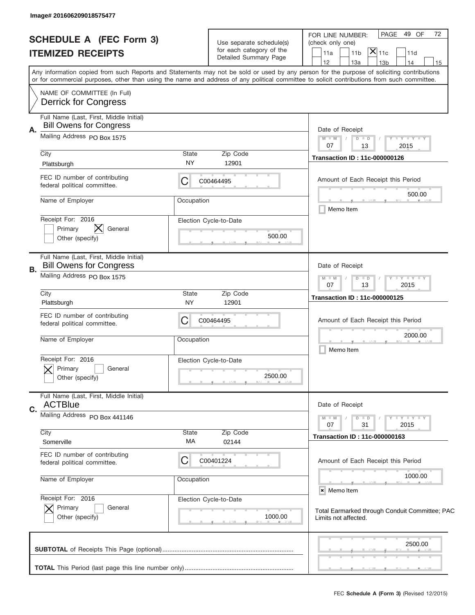|    | Image# 201606209018575477                                                                                |                    |                                                                               |                                                                                                                                                                                                                                                                                         |
|----|----------------------------------------------------------------------------------------------------------|--------------------|-------------------------------------------------------------------------------|-----------------------------------------------------------------------------------------------------------------------------------------------------------------------------------------------------------------------------------------------------------------------------------------|
|    | <b>SCHEDULE A (FEC Form 3)</b><br><b>ITEMIZED RECEIPTS</b>                                               |                    | Use separate schedule(s)<br>for each category of the<br>Detailed Summary Page | PAGE 49 OF<br>72<br>FOR LINE NUMBER:<br>(check only one)<br>$\bar{[{\mathsf X}]}_{11\text{c}}$<br>11 <sub>b</sub><br>11a<br>11d<br>12<br>13a<br>14<br>13 <sub>b</sub><br>15                                                                                                             |
|    | NAME OF COMMITTEE (In Full)                                                                              |                    |                                                                               | Any information copied from such Reports and Statements may not be sold or used by any person for the purpose of soliciting contributions<br>or for commercial purposes, other than using the name and address of any political committee to solicit contributions from such committee. |
| Α. | <b>Derrick for Congress</b><br>Full Name (Last, First, Middle Initial)<br><b>Bill Owens for Congress</b> |                    |                                                                               | Date of Receipt                                                                                                                                                                                                                                                                         |
|    | Mailing Address PO Box 1575<br>City<br>Plattsburgh                                                       | State<br><b>NY</b> | Zip Code<br>12901                                                             | $M$ M<br><b>LYLYLY</b><br>$D$ $D$<br>07<br>13<br>2015<br><b>Transaction ID: 11c-000000126</b>                                                                                                                                                                                           |
|    | FEC ID number of contributing<br>federal political committee.                                            | C                  | C00464495                                                                     | Amount of Each Receipt this Period                                                                                                                                                                                                                                                      |
|    | Name of Employer<br>Receipt For: 2016                                                                    | Occupation         | Election Cycle-to-Date                                                        | 500.00<br>Memo Item                                                                                                                                                                                                                                                                     |
|    | Primary<br>General<br>Other (specify)                                                                    |                    | 500.00                                                                        |                                                                                                                                                                                                                                                                                         |
| В. | Full Name (Last, First, Middle Initial)<br><b>Bill Owens for Congress</b><br>Mailing Address PO Box 1575 |                    |                                                                               | Date of Receipt<br><b>LYLYLY</b><br>$M - M$<br>$D$ $D$                                                                                                                                                                                                                                  |
|    | City<br>Plattsburgh                                                                                      | State<br><b>NY</b> | Zip Code<br>12901                                                             | 07<br>13<br>2015<br><b>Transaction ID: 11c-000000125</b>                                                                                                                                                                                                                                |
|    | FEC ID number of contributing<br>federal political committee.                                            | C                  | C00464495                                                                     | Amount of Each Receipt this Period                                                                                                                                                                                                                                                      |
|    | Name of Employer<br>Receipt For: 2016                                                                    | Occupation         | Election Cycle-to-Date                                                        | 2000.00<br>Memo Item                                                                                                                                                                                                                                                                    |
|    | General<br>Primary<br>Other (specify)                                                                    |                    | 2500.00                                                                       |                                                                                                                                                                                                                                                                                         |
| C. | Full Name (Last, First, Middle Initial)<br><b>ACTBlue</b><br>Mailing Address PO Box 441146               |                    |                                                                               | Date of Receipt                                                                                                                                                                                                                                                                         |
|    | City<br>Somerville                                                                                       | State<br>MA        | Zip Code<br>02144                                                             | <b>LYLYLY</b><br>$M - M$<br>$D$ $D$<br>2015<br>07<br>31<br><b>Transaction ID: 11c-000000163</b>                                                                                                                                                                                         |
|    | FEC ID number of contributing<br>federal political committee.                                            | C                  | C00401224                                                                     | Amount of Each Receipt this Period                                                                                                                                                                                                                                                      |
|    | Name of Employer<br>Receipt For: 2016                                                                    | Occupation         | Election Cycle-to-Date                                                        | 1000.00<br>× Memo Item                                                                                                                                                                                                                                                                  |
|    | Primary<br>General<br>Other (specify)                                                                    |                    | 1000.00                                                                       | Total Earmarked through Conduit Committee; PAC<br>Limits not affected.                                                                                                                                                                                                                  |
|    |                                                                                                          |                    |                                                                               | 2500.00                                                                                                                                                                                                                                                                                 |
|    |                                                                                                          |                    |                                                                               | , , ,                                                                                                                                                                                                                                                                                   |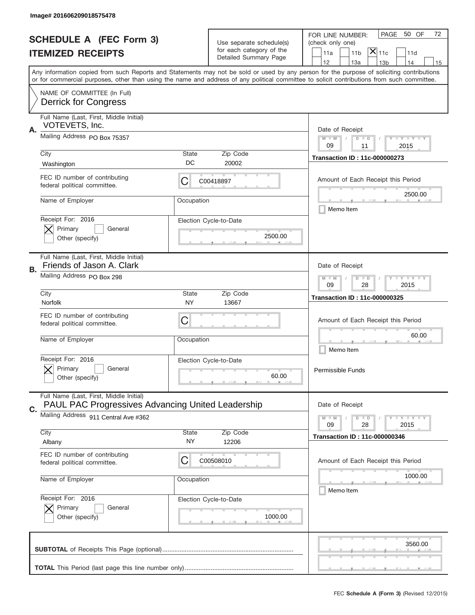|                          | Image# 201606209018575478                                                                    |              |                                                   |                                                                                                                                                                                                                                                                                         |
|--------------------------|----------------------------------------------------------------------------------------------|--------------|---------------------------------------------------|-----------------------------------------------------------------------------------------------------------------------------------------------------------------------------------------------------------------------------------------------------------------------------------------|
|                          | <b>SCHEDULE A (FEC Form 3)</b>                                                               |              | Use separate schedule(s)                          | PAGE<br>50 OF<br>72<br>FOR LINE NUMBER:<br>(check only one)                                                                                                                                                                                                                             |
| <b>ITEMIZED RECEIPTS</b> |                                                                                              |              | for each category of the<br>Detailed Summary Page | $ \mathsf{X} _{\mathsf{11c}}$<br>11 <sub>b</sub><br>11a<br>11d                                                                                                                                                                                                                          |
|                          |                                                                                              |              |                                                   | 12<br>13a<br>14<br>13 <sub>b</sub><br>15                                                                                                                                                                                                                                                |
|                          |                                                                                              |              |                                                   | Any information copied from such Reports and Statements may not be sold or used by any person for the purpose of soliciting contributions<br>or for commercial purposes, other than using the name and address of any political committee to solicit contributions from such committee. |
|                          | NAME OF COMMITTEE (In Full)<br><b>Derrick for Congress</b>                                   |              |                                                   |                                                                                                                                                                                                                                                                                         |
| Α.                       | Full Name (Last, First, Middle Initial)<br>VOTEVETS, Inc.                                    |              |                                                   | Date of Receipt                                                                                                                                                                                                                                                                         |
|                          | Mailing Address PO Box 75357                                                                 |              |                                                   | $M - M$<br>Y I Y I Y I Y<br>$D$ $D$<br>09<br>11<br>2015                                                                                                                                                                                                                                 |
|                          | City<br>Washington                                                                           | State<br>DC  | Zip Code<br>20002                                 | <b>Transaction ID: 11c-000000273</b>                                                                                                                                                                                                                                                    |
|                          | FEC ID number of contributing<br>federal political committee.                                | C            | C00418897                                         | Amount of Each Receipt this Period                                                                                                                                                                                                                                                      |
|                          | Name of Employer                                                                             | Occupation   |                                                   | 2500.00<br>Memo Item                                                                                                                                                                                                                                                                    |
|                          | Receipt For: 2016<br>Primary<br>General<br>Other (specify)                                   |              | Election Cycle-to-Date<br>2500.00                 |                                                                                                                                                                                                                                                                                         |
| В.                       | Full Name (Last, First, Middle Initial)<br>Friends of Jason A. Clark                         |              |                                                   | Date of Receipt                                                                                                                                                                                                                                                                         |
|                          | Mailing Address PO Box 298                                                                   |              |                                                   | <b>LY LY LY</b><br>$M - M$<br>$D$ $D$<br>09<br>28<br>2015                                                                                                                                                                                                                               |
|                          | City<br>Norfolk                                                                              | State<br>NY  | Zip Code<br>13667                                 | <b>Transaction ID: 11c-000000325</b>                                                                                                                                                                                                                                                    |
|                          | FEC ID number of contributing<br>federal political committee.                                | C            |                                                   | Amount of Each Receipt this Period                                                                                                                                                                                                                                                      |
|                          | Name of Employer                                                                             | Occupation   |                                                   | 60.00<br>Memo Item                                                                                                                                                                                                                                                                      |
|                          | Receipt For: 2016<br>General<br>Primary<br>Other (specify)                                   |              | Election Cycle-to-Date<br>60.00                   | Permissible Funds                                                                                                                                                                                                                                                                       |
| C.                       | Full Name (Last, First, Middle Initial)<br>PAUL PAC Progressives Advancing United Leadership |              |                                                   | Date of Receipt                                                                                                                                                                                                                                                                         |
|                          | Mailing Address 911 Central Ave #362                                                         |              |                                                   | <b>LY LY LY</b><br>$M - M$<br>$D$ $D$<br>28<br>2015<br>09                                                                                                                                                                                                                               |
|                          | City<br>Albany                                                                               | State<br>NY. | Zip Code<br>12206                                 | <b>Transaction ID: 11c-000000346</b>                                                                                                                                                                                                                                                    |
|                          | FEC ID number of contributing<br>federal political committee.                                | C            | C00508010                                         | Amount of Each Receipt this Period                                                                                                                                                                                                                                                      |
|                          | Name of Employer                                                                             | Occupation   |                                                   | 1000.00<br>Memo Item                                                                                                                                                                                                                                                                    |
|                          | Receipt For: 2016<br>Primary<br>General<br>Other (specify)                                   |              | Election Cycle-to-Date<br>1000.00                 |                                                                                                                                                                                                                                                                                         |
|                          |                                                                                              |              |                                                   | 3560.00                                                                                                                                                                                                                                                                                 |
|                          |                                                                                              |              |                                                   |                                                                                                                                                                                                                                                                                         |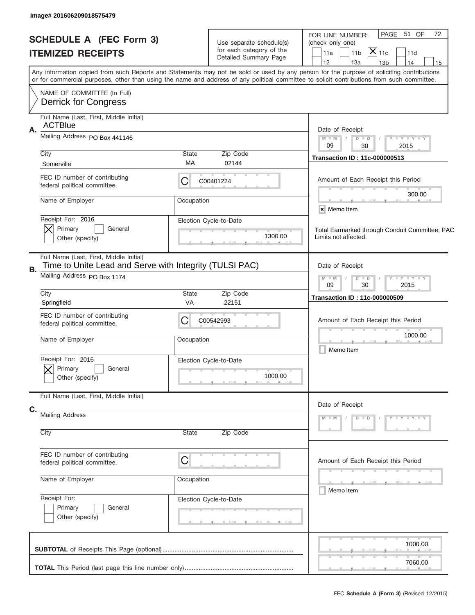| Image# 201606209018575479                                                                                                               |                                                               |                                                      |                                                                                                                                                                                                                                                                                         |
|-----------------------------------------------------------------------------------------------------------------------------------------|---------------------------------------------------------------|------------------------------------------------------|-----------------------------------------------------------------------------------------------------------------------------------------------------------------------------------------------------------------------------------------------------------------------------------------|
| <b>SCHEDULE A (FEC Form 3)</b>                                                                                                          |                                                               | Use separate schedule(s)<br>for each category of the | PAGE 51 OF<br>72<br>FOR LINE NUMBER:<br>(check only one)                                                                                                                                                                                                                                |
| <b>ITEMIZED RECEIPTS</b>                                                                                                                |                                                               | Detailed Summary Page                                | $ \mathsf{X} _{\mathsf{11c}}$<br>11 <sub>b</sub><br>11d<br>11a<br>12<br>13a<br>14<br>13 <sub>b</sub><br>15                                                                                                                                                                              |
|                                                                                                                                         |                                                               |                                                      | Any information copied from such Reports and Statements may not be sold or used by any person for the purpose of soliciting contributions<br>or for commercial purposes, other than using the name and address of any political committee to solicit contributions from such committee. |
| NAME OF COMMITTEE (In Full)<br><b>Derrick for Congress</b>                                                                              |                                                               |                                                      |                                                                                                                                                                                                                                                                                         |
| Full Name (Last, First, Middle Initial)<br><b>ACTBlue</b><br>Α.                                                                         |                                                               |                                                      | Date of Receipt                                                                                                                                                                                                                                                                         |
| Mailing Address PO Box 441146                                                                                                           |                                                               |                                                      | $M$ M<br><b>LEY LEY LEY</b><br>$D$ $D$<br>09<br>2015<br>30                                                                                                                                                                                                                              |
| City<br>Somerville                                                                                                                      | State<br>МA                                                   | Zip Code<br>02144                                    | <b>Transaction ID: 11c-000000513</b>                                                                                                                                                                                                                                                    |
| FEC ID number of contributing<br>federal political committee.                                                                           | C                                                             | C00401224                                            | Amount of Each Receipt this Period<br>300.00                                                                                                                                                                                                                                            |
| Name of Employer                                                                                                                        | Occupation                                                    |                                                      | × Memo Item                                                                                                                                                                                                                                                                             |
| Receipt For: 2016<br>Primary<br>General<br>Other (specify)                                                                              |                                                               | Election Cycle-to-Date<br>1300.00                    | Total Earmarked through Conduit Committee; PAC<br>Limits not affected.                                                                                                                                                                                                                  |
| Full Name (Last, First, Middle Initial)<br>Time to Unite Lead and Serve with Integrity (TULSI PAC)<br>В.<br>Mailing Address PO Box 1174 |                                                               |                                                      | Date of Receipt                                                                                                                                                                                                                                                                         |
|                                                                                                                                         | $Y - Y - Y - Y - Y$<br>$M - M$<br>$D$ $D$<br>09<br>30<br>2015 |                                                      |                                                                                                                                                                                                                                                                                         |
| City<br>Springfield                                                                                                                     | State<br>VA                                                   | Zip Code<br>22151                                    | <b>Transaction ID: 11c-000000509</b>                                                                                                                                                                                                                                                    |
| FEC ID number of contributing<br>federal political committee.                                                                           | C                                                             | C00542993                                            | Amount of Each Receipt this Period                                                                                                                                                                                                                                                      |
| Name of Employer                                                                                                                        | Occupation                                                    |                                                      | 1000.00<br>Memo Item                                                                                                                                                                                                                                                                    |
| Receipt For: 2016<br>General<br>Primary<br>Other (specify)                                                                              |                                                               | Election Cycle-to-Date<br>1000.00                    |                                                                                                                                                                                                                                                                                         |
| Full Name (Last, First, Middle Initial)                                                                                                 |                                                               |                                                      | Date of Receipt                                                                                                                                                                                                                                                                         |
| C.<br>Mailing Address                                                                                                                   |                                                               |                                                      | $M - M$<br>$D$ $D$<br>$Y = Y = Y + Y$                                                                                                                                                                                                                                                   |
| City                                                                                                                                    | State                                                         | Zip Code                                             |                                                                                                                                                                                                                                                                                         |
| FEC ID number of contributing<br>federal political committee.                                                                           | C                                                             |                                                      | Amount of Each Receipt this Period                                                                                                                                                                                                                                                      |
| Name of Employer                                                                                                                        | Occupation                                                    |                                                      | ________<br>Memo Item                                                                                                                                                                                                                                                                   |
| Receipt For:<br>Primary<br>General<br>Other (specify)                                                                                   |                                                               | Election Cycle-to-Date                               |                                                                                                                                                                                                                                                                                         |
|                                                                                                                                         |                                                               |                                                      | 1000.00                                                                                                                                                                                                                                                                                 |
|                                                                                                                                         |                                                               |                                                      | 7060.00                                                                                                                                                                                                                                                                                 |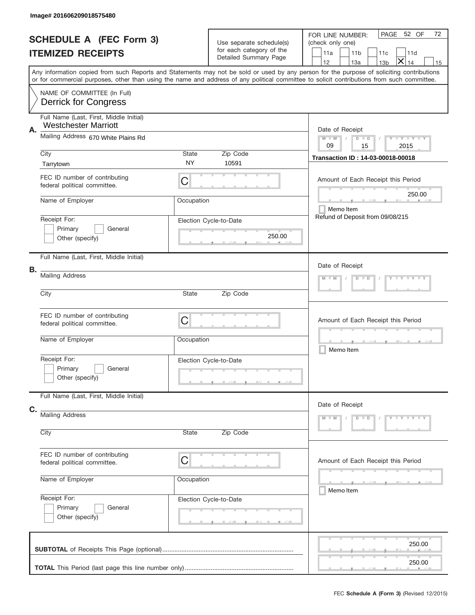| <b>SCHEDULE A (FEC Form 3)</b> |                                                                        |                                                     | Use separate schedule(s) | PAGE 52 OF<br>72<br>FOR LINE NUMBER:                                                                                                                                                                                                                                                    |  |  |  |  |
|--------------------------------|------------------------------------------------------------------------|-----------------------------------------------------|--------------------------|-----------------------------------------------------------------------------------------------------------------------------------------------------------------------------------------------------------------------------------------------------------------------------------------|--|--|--|--|
|                                |                                                                        |                                                     | for each category of the | (check only one)                                                                                                                                                                                                                                                                        |  |  |  |  |
|                                | <b>ITEMIZED RECEIPTS</b>                                               |                                                     | Detailed Summary Page    | 11a<br>11 <sub>b</sub><br>11c<br>11d                                                                                                                                                                                                                                                    |  |  |  |  |
|                                |                                                                        |                                                     |                          | ×<br>12<br>13a<br>14<br>13 <sub>b</sub><br>15                                                                                                                                                                                                                                           |  |  |  |  |
|                                |                                                                        |                                                     |                          | Any information copied from such Reports and Statements may not be sold or used by any person for the purpose of soliciting contributions<br>or for commercial purposes, other than using the name and address of any political committee to solicit contributions from such committee. |  |  |  |  |
|                                | NAME OF COMMITTEE (In Full)<br><b>Derrick for Congress</b>             |                                                     |                          |                                                                                                                                                                                                                                                                                         |  |  |  |  |
|                                | Full Name (Last, First, Middle Initial)<br><b>Westchester Marriott</b> |                                                     |                          |                                                                                                                                                                                                                                                                                         |  |  |  |  |
| Α.                             | Mailing Address 670 White Plains Rd                                    | Date of Receipt<br>Y LY LY LY<br>$M - M$<br>$D$ $D$ |                          |                                                                                                                                                                                                                                                                                         |  |  |  |  |
|                                | City                                                                   | State                                               | Zip Code                 | 09<br>15<br>2015                                                                                                                                                                                                                                                                        |  |  |  |  |
|                                |                                                                        | <b>NY</b>                                           | 10591                    | Transaction ID: 14-03-00018-00018                                                                                                                                                                                                                                                       |  |  |  |  |
|                                | Tarrytown                                                              |                                                     |                          |                                                                                                                                                                                                                                                                                         |  |  |  |  |
|                                | FEC ID number of contributing<br>federal political committee.          | C                                                   |                          | Amount of Each Receipt this Period<br>250.00                                                                                                                                                                                                                                            |  |  |  |  |
|                                | Name of Employer                                                       | Occupation                                          |                          | Memo Item                                                                                                                                                                                                                                                                               |  |  |  |  |
|                                | Receipt For:                                                           |                                                     | Election Cycle-to-Date   | Refund of Deposit from 09/08/215                                                                                                                                                                                                                                                        |  |  |  |  |
|                                | Primary<br>General                                                     |                                                     |                          |                                                                                                                                                                                                                                                                                         |  |  |  |  |
|                                | Other (specify)                                                        |                                                     | 250.00                   |                                                                                                                                                                                                                                                                                         |  |  |  |  |
|                                | Full Name (Last, First, Middle Initial)                                |                                                     |                          | Date of Receipt                                                                                                                                                                                                                                                                         |  |  |  |  |
| В.                             | <b>Mailing Address</b>                                                 | $Y = Y = Y$<br>$M - M$<br>$D$ $D$                   |                          |                                                                                                                                                                                                                                                                                         |  |  |  |  |
|                                | City                                                                   | State<br>Zip Code                                   |                          |                                                                                                                                                                                                                                                                                         |  |  |  |  |
|                                |                                                                        |                                                     |                          |                                                                                                                                                                                                                                                                                         |  |  |  |  |
|                                | FEC ID number of contributing                                          | C                                                   |                          |                                                                                                                                                                                                                                                                                         |  |  |  |  |
|                                | federal political committee.                                           |                                                     |                          | Amount of Each Receipt this Period                                                                                                                                                                                                                                                      |  |  |  |  |
|                                | Name of Employer                                                       | Occupation                                          |                          |                                                                                                                                                                                                                                                                                         |  |  |  |  |
|                                |                                                                        |                                                     |                          | _________<br>Memo Item                                                                                                                                                                                                                                                                  |  |  |  |  |
|                                | Receipt For:                                                           |                                                     | Election Cycle-to-Date   |                                                                                                                                                                                                                                                                                         |  |  |  |  |
|                                | Primary<br>General                                                     |                                                     |                          |                                                                                                                                                                                                                                                                                         |  |  |  |  |
|                                | Other (specify)                                                        |                                                     |                          |                                                                                                                                                                                                                                                                                         |  |  |  |  |
|                                | Full Name (Last, First, Middle Initial)                                |                                                     |                          | Date of Receipt                                                                                                                                                                                                                                                                         |  |  |  |  |
| C.                             | Mailing Address                                                        |                                                     |                          |                                                                                                                                                                                                                                                                                         |  |  |  |  |
|                                |                                                                        |                                                     |                          | $Y - Y - Y - Y - Y$<br>$M - M$<br>$D$ $D$                                                                                                                                                                                                                                               |  |  |  |  |
|                                | City                                                                   | State                                               | Zip Code                 |                                                                                                                                                                                                                                                                                         |  |  |  |  |
|                                | FEC ID number of contributing                                          | C                                                   |                          | Amount of Each Receipt this Period                                                                                                                                                                                                                                                      |  |  |  |  |
|                                | federal political committee.                                           |                                                     |                          |                                                                                                                                                                                                                                                                                         |  |  |  |  |
|                                | Name of Employer                                                       | Occupation                                          |                          | Memo Item                                                                                                                                                                                                                                                                               |  |  |  |  |
|                                | Receipt For:                                                           |                                                     | Election Cycle-to-Date   |                                                                                                                                                                                                                                                                                         |  |  |  |  |
|                                | Primary<br>General                                                     |                                                     |                          |                                                                                                                                                                                                                                                                                         |  |  |  |  |
|                                | Other (specify)                                                        |                                                     |                          |                                                                                                                                                                                                                                                                                         |  |  |  |  |
|                                |                                                                        |                                                     |                          | 250.00                                                                                                                                                                                                                                                                                  |  |  |  |  |
|                                |                                                                        |                                                     |                          |                                                                                                                                                                                                                                                                                         |  |  |  |  |
|                                |                                                                        |                                                     |                          | 250.00                                                                                                                                                                                                                                                                                  |  |  |  |  |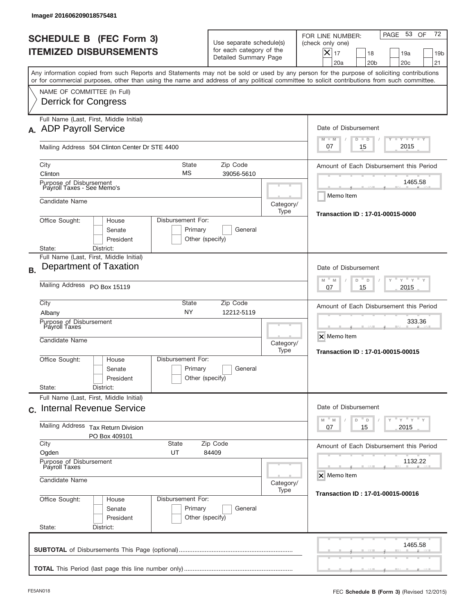|           | lmage#201606209018575481                                                 |                                                    |                                                                               |                   |                                                                                                                                                                                                                                                                                         |
|-----------|--------------------------------------------------------------------------|----------------------------------------------------|-------------------------------------------------------------------------------|-------------------|-----------------------------------------------------------------------------------------------------------------------------------------------------------------------------------------------------------------------------------------------------------------------------------------|
|           | <b>SCHEDULE B (FEC Form 3)</b><br><b>ITEMIZED DISBURSEMENTS</b>          |                                                    | Use separate schedule(s)<br>for each category of the<br>Detailed Summary Page |                   | 72<br>PAGE 53<br>OF<br>FOR LINE NUMBER:<br>(check only one)<br>$X _{17}$<br>18<br>19a<br>19 <sub>b</sub><br>20a<br>20 <sub>b</sub><br>20 <sub>c</sub><br>21                                                                                                                             |
|           |                                                                          |                                                    |                                                                               |                   | Any information copied from such Reports and Statements may not be sold or used by any person for the purpose of soliciting contributions<br>or for commercial purposes, other than using the name and address of any political committee to solicit contributions from such committee. |
|           | NAME OF COMMITTEE (In Full)<br>Derrick for Congress                      |                                                    |                                                                               |                   |                                                                                                                                                                                                                                                                                         |
|           | Full Name (Last, First, Middle Initial)<br>A. ADP Payroll Service        |                                                    |                                                                               |                   | Date of Disbursement<br>$T - Y$ $T - Y$ $T - Y$<br>$M - M$<br>$D$ $D$                                                                                                                                                                                                                   |
|           | Mailing Address 504 Clinton Center Dr STE 4400                           |                                                    |                                                                               |                   | 2015<br>07<br>15                                                                                                                                                                                                                                                                        |
|           | City<br>Clinton<br>Purpose of Disbursement<br>Payroll Taxes - See Memo's | State<br>МS                                        | Zip Code<br>39056-5610                                                        |                   | Amount of Each Disbursement this Period<br>1465.58                                                                                                                                                                                                                                      |
|           | Candidate Name                                                           |                                                    |                                                                               | Category/<br>Type | Memo Item                                                                                                                                                                                                                                                                               |
|           | Office Sought:<br>House<br>Senate<br>President<br>District:<br>State:    | Disbursement For:<br>Primary<br>Other (specify)    | General                                                                       |                   | Transaction ID: 17-01-00015-0000                                                                                                                                                                                                                                                        |
| <b>B.</b> | Full Name (Last, First, Middle Initial)<br>Department of Taxation        |                                                    |                                                                               |                   | Date of Disbursement                                                                                                                                                                                                                                                                    |
|           | Mailing Address PO Box 15119                                             | $-M$<br>$Y = Y$<br>M<br>D<br>D<br>2015<br>07<br>15 |                                                                               |                   |                                                                                                                                                                                                                                                                                         |
|           | City<br>Albany                                                           | <b>State</b><br><b>NY</b>                          | Zip Code<br>12212-5119                                                        |                   | Amount of Each Disbursement this Period<br>333.36                                                                                                                                                                                                                                       |
|           | Purpose of Disbursement<br>Payroll Taxes<br>Candidate Name               |                                                    |                                                                               |                   | X Memo Item<br>Category/<br>Transaction ID: 17-01-00015-00015                                                                                                                                                                                                                           |
|           | Office Sought:<br>House<br>Senate<br>President                           | Disbursement For:<br>Primary<br>Other (specify)    | General                                                                       |                   |                                                                                                                                                                                                                                                                                         |
|           | State:<br>District:<br>Full Name (Last, First, Middle Initial)           |                                                    |                                                                               |                   |                                                                                                                                                                                                                                                                                         |
|           | c. Internal Revenue Service                                              |                                                    |                                                                               |                   | Date of Disbursement<br>$-\gamma$ $-\gamma$ $-\gamma$<br>$\mathbb M$<br>M<br>D<br>D                                                                                                                                                                                                     |
|           | Mailing Address<br><b>Tax Return Division</b><br>PO Box 409101           | 15<br>2015<br>07                                   |                                                                               |                   |                                                                                                                                                                                                                                                                                         |
|           | City<br>Ogden                                                            | State<br>UT                                        | Zip Code<br>84409                                                             |                   | Amount of Each Disbursement this Period                                                                                                                                                                                                                                                 |
|           | Purpose of Disbursement<br>Payroll Taxes<br>Candidate Name               | Category/                                          | 1132.22<br>X Memo Item                                                        |                   |                                                                                                                                                                                                                                                                                         |
|           | Office Sought:<br>House<br>Senate<br>President<br>State:<br>District:    | Disbursement For:<br>Primary<br>Other (specify)    | General                                                                       | Type              | Transaction ID: 17-01-00015-00016                                                                                                                                                                                                                                                       |
|           |                                                                          |                                                    |                                                                               |                   | 1465.58                                                                                                                                                                                                                                                                                 |
|           |                                                                          |                                                    |                                                                               |                   |                                                                                                                                                                                                                                                                                         |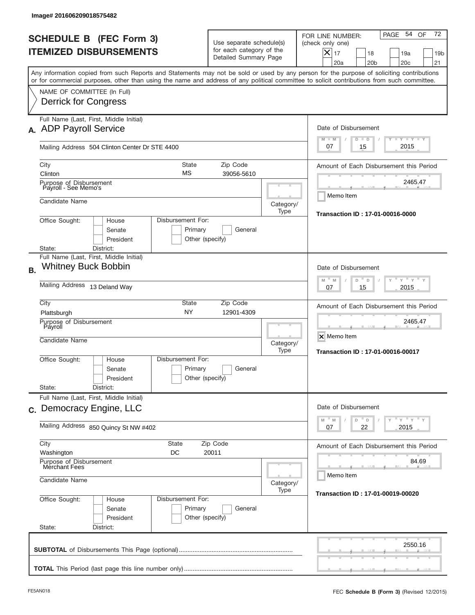| Image# 201606209018575482                                                                                                                                                                                                                                                               |                                                                           |                                                                               |                                                                                                                                                                               |  |  |
|-----------------------------------------------------------------------------------------------------------------------------------------------------------------------------------------------------------------------------------------------------------------------------------------|---------------------------------------------------------------------------|-------------------------------------------------------------------------------|-------------------------------------------------------------------------------------------------------------------------------------------------------------------------------|--|--|
| <b>SCHEDULE B (FEC Form 3)</b><br><b>ITEMIZED DISBURSEMENTS</b>                                                                                                                                                                                                                         |                                                                           | Use separate schedule(s)<br>for each category of the<br>Detailed Summary Page | 72<br>54 OF<br>PAGE<br>FOR LINE NUMBER:<br>(check only one)<br>$\boldsymbol{\times}$<br>17<br>19a<br>18<br>19 <sub>b</sub><br>20a<br>20 <sub>b</sub><br>20 <sub>c</sub><br>21 |  |  |
| Any information copied from such Reports and Statements may not be sold or used by any person for the purpose of soliciting contributions<br>or for commercial purposes, other than using the name and address of any political committee to solicit contributions from such committee. |                                                                           |                                                                               |                                                                                                                                                                               |  |  |
| NAME OF COMMITTEE (In Full)<br><b>Derrick for Congress</b>                                                                                                                                                                                                                              |                                                                           |                                                                               |                                                                                                                                                                               |  |  |
| Full Name (Last, First, Middle Initial)<br>A. ADP Payroll Service                                                                                                                                                                                                                       |                                                                           |                                                                               | Date of Disbursement<br>$T - Y$ $T - Y$<br>$M - M$<br>$D$ $D$                                                                                                                 |  |  |
| Mailing Address 504 Clinton Center Dr STE 4400                                                                                                                                                                                                                                          |                                                                           |                                                                               | 2015<br>07<br>15                                                                                                                                                              |  |  |
| <b>State</b><br>City<br>МS<br>Clinton                                                                                                                                                                                                                                                   | Zip Code<br>39056-5610                                                    |                                                                               | Amount of Each Disbursement this Period<br>2465.47                                                                                                                            |  |  |
| Purpose of Disbursement<br>Payroll - See Memo's<br>Candidate Name                                                                                                                                                                                                                       |                                                                           |                                                                               | Memo Item                                                                                                                                                                     |  |  |
| Office Sought:<br>Disbursement For:<br>House<br>Senate<br>President                                                                                                                                                                                                                     | Primary<br>Other (specify)                                                | Category/<br>Type<br>General                                                  | Transaction ID: 17-01-00016-0000                                                                                                                                              |  |  |
| State:<br>District:<br>Full Name (Last, First, Middle Initial)                                                                                                                                                                                                                          |                                                                           |                                                                               |                                                                                                                                                                               |  |  |
| <b>Whitney Buck Bobbin</b><br><b>B.</b>                                                                                                                                                                                                                                                 |                                                                           |                                                                               | Date of Disbursement<br>$-\gamma + \gamma - \gamma$<br>$M - M$<br>D<br>$\Box$                                                                                                 |  |  |
| Mailing Address 13 Deland Way                                                                                                                                                                                                                                                           | 2015<br>07<br>15                                                          |                                                                               |                                                                                                                                                                               |  |  |
| City<br>State<br><b>NY</b><br>Plattsburgh                                                                                                                                                                                                                                               | Amount of Each Disbursement this Period                                   |                                                                               |                                                                                                                                                                               |  |  |
| Purpose of Disbursement<br>Payroll<br>Candidate Name                                                                                                                                                                                                                                    | Category/<br>Type                                                         | 2465.47<br>X Memo Item<br><b>Transaction ID: 17-01-00016-00017</b>            |                                                                                                                                                                               |  |  |
| Office Sought:<br>House<br>Senate<br>President                                                                                                                                                                                                                                          | Disbursement For:<br>Primary<br>General<br>Other (specify)                |                                                                               |                                                                                                                                                                               |  |  |
| State:<br>District:<br>Full Name (Last, First, Middle Initial)                                                                                                                                                                                                                          |                                                                           |                                                                               |                                                                                                                                                                               |  |  |
| c. Democracy Engine, LLC                                                                                                                                                                                                                                                                | Date of Disbursement<br>$Y$ $Y$ $Y$ $Y$ $Y$<br>M<br>$\mathbb M$<br>D<br>D |                                                                               |                                                                                                                                                                               |  |  |
| Mailing Address 850 Quincy St NW #402                                                                                                                                                                                                                                                   | 22<br>2015<br>07                                                          |                                                                               |                                                                                                                                                                               |  |  |
| City<br><b>State</b><br>Washington<br>DC                                                                                                                                                                                                                                                | Amount of Each Disbursement this Period                                   |                                                                               |                                                                                                                                                                               |  |  |
| Purpose of Disbursement<br>Merchant Fees<br>Candidate Name                                                                                                                                                                                                                              | Category/                                                                 | 84.69<br>Memo Item                                                            |                                                                                                                                                                               |  |  |
| Office Sought:<br>Disbursement For:<br>House<br>Senate<br>President<br>State:<br>District:                                                                                                                                                                                              | Primary<br>Other (specify)                                                | Type<br>General                                                               | Transaction ID: 17-01-00019-00020                                                                                                                                             |  |  |
|                                                                                                                                                                                                                                                                                         |                                                                           |                                                                               | 2550.16                                                                                                                                                                       |  |  |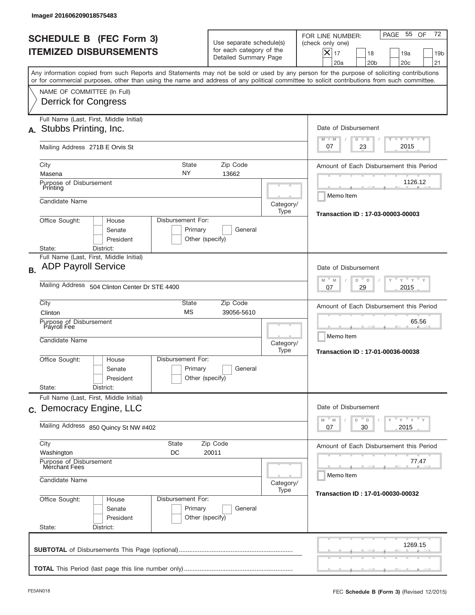| Image# 201606209018575483                                                                                                                                                                                                                                                               |                                                                               |                   |                                                                                                                                                                               |
|-----------------------------------------------------------------------------------------------------------------------------------------------------------------------------------------------------------------------------------------------------------------------------------------|-------------------------------------------------------------------------------|-------------------|-------------------------------------------------------------------------------------------------------------------------------------------------------------------------------|
| <b>SCHEDULE B (FEC Form 3)</b><br><b>ITEMIZED DISBURSEMENTS</b>                                                                                                                                                                                                                         | Use separate schedule(s)<br>for each category of the<br>Detailed Summary Page |                   | 72<br>55 OF<br>PAGE<br>FOR LINE NUMBER:<br>(check only one)<br>$\boldsymbol{\times}$<br>17<br>18<br>19a<br>19 <sub>b</sub><br>20a<br>20 <sub>b</sub><br>20 <sub>c</sub><br>21 |
| Any information copied from such Reports and Statements may not be sold or used by any person for the purpose of soliciting contributions<br>or for commercial purposes, other than using the name and address of any political committee to solicit contributions from such committee. |                                                                               |                   |                                                                                                                                                                               |
| NAME OF COMMITTEE (In Full)<br><b>Derrick for Congress</b>                                                                                                                                                                                                                              |                                                                               |                   |                                                                                                                                                                               |
| Full Name (Last, First, Middle Initial)<br>Stubbs Printing, Inc.                                                                                                                                                                                                                        |                                                                               |                   | Date of Disbursement                                                                                                                                                          |
| Mailing Address 271B E Orvis St                                                                                                                                                                                                                                                         |                                                                               |                   | <b>TAYLY LY</b><br>$M - M$<br>$D$ $D$<br>2015<br>07<br>23                                                                                                                     |
| <b>State</b><br>City<br>NY<br>Masena                                                                                                                                                                                                                                                    | Zip Code<br>13662                                                             |                   | Amount of Each Disbursement this Period                                                                                                                                       |
| Purpose of Disbursement<br>Printing<br>Candidate Name                                                                                                                                                                                                                                   |                                                                               | Category/         | 1126.12<br>Memo Item                                                                                                                                                          |
| Office Sought:<br>Disbursement For:<br>House<br>Senate<br>Primary<br>President                                                                                                                                                                                                          | General<br>Other (specify)                                                    | Type              | Transaction ID: 17-03-00003-00003                                                                                                                                             |
| State:<br>District:<br>Full Name (Last, First, Middle Initial)<br><b>ADP Payroll Service</b><br><b>B.</b><br>Mailing Address 504 Clinton Center Dr STE 4400                                                                                                                             |                                                                               |                   | Date of Disbursement<br>$-\gamma + \gamma - \gamma$<br>$M - M$<br>D<br>$\Box$<br>2015<br>07<br>29                                                                             |
| City<br>State<br><b>MS</b><br>Clinton<br>Purpose of Disbursement<br>Payroll Fee<br>Candidate Name                                                                                                                                                                                       | Zip Code<br>39056-5610                                                        | Category/<br>Type | Amount of Each Disbursement this Period<br>65.56<br>Memo Item<br>Transaction ID: 17-01-00036-00038                                                                            |
| Disbursement For:<br>Office Sought:<br>House<br>Primary<br>Senate<br>President<br>State:<br>District:                                                                                                                                                                                   | General<br>Other (specify)                                                    |                   |                                                                                                                                                                               |
| Full Name (Last, First, Middle Initial)<br>c. Democracy Engine, LLC                                                                                                                                                                                                                     |                                                                               |                   | Date of Disbursement                                                                                                                                                          |
| Mailing Address 850 Quincy St NW #402                                                                                                                                                                                                                                                   | $Y$ $Y$ $Y$ $Y$ $Y$<br>M<br>$\mathbb M$<br>D<br>D<br>2015<br>07<br>30         |                   |                                                                                                                                                                               |
| City<br><b>State</b><br>Washington<br>DC                                                                                                                                                                                                                                                | Amount of Each Disbursement this Period<br>77.47                              |                   |                                                                                                                                                                               |
| Purpose of Disbursement<br>Merchant Fees<br>Candidate Name                                                                                                                                                                                                                              | Category/                                                                     | Memo Item         |                                                                                                                                                                               |
| Office Sought:<br>Disbursement For:<br>House<br>Primary<br>Senate<br>President<br>State:<br>District:                                                                                                                                                                                   | General<br>Other (specify)                                                    | Type              | Transaction ID: 17-01-00030-00032                                                                                                                                             |
|                                                                                                                                                                                                                                                                                         |                                                                               |                   | 1269.15                                                                                                                                                                       |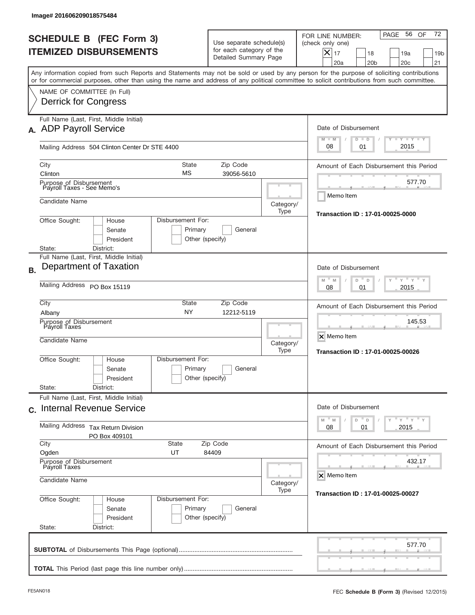| Image# 201606209018575484                                                                                                                                                                                                                                                               |                                                                  |                                                                               |                                                                                                                                                          |  |  |
|-----------------------------------------------------------------------------------------------------------------------------------------------------------------------------------------------------------------------------------------------------------------------------------------|------------------------------------------------------------------|-------------------------------------------------------------------------------|----------------------------------------------------------------------------------------------------------------------------------------------------------|--|--|
| <b>SCHEDULE B (FEC Form 3)</b><br><b>ITEMIZED DISBURSEMENTS</b>                                                                                                                                                                                                                         |                                                                  | Use separate schedule(s)<br>for each category of the<br>Detailed Summary Page | 72<br>PAGE 56 OF<br>FOR LINE NUMBER:<br>(check only one)<br>$X _{17}$<br>18<br>19a<br>19 <sub>b</sub><br>20a<br>20 <sub>b</sub><br>20 <sub>c</sub><br>21 |  |  |
| Any information copied from such Reports and Statements may not be sold or used by any person for the purpose of soliciting contributions<br>or for commercial purposes, other than using the name and address of any political committee to solicit contributions from such committee. |                                                                  |                                                                               |                                                                                                                                                          |  |  |
| NAME OF COMMITTEE (In Full)<br>Derrick for Congress                                                                                                                                                                                                                                     |                                                                  |                                                                               |                                                                                                                                                          |  |  |
| Full Name (Last, First, Middle Initial)<br>A. ADP Payroll Service                                                                                                                                                                                                                       |                                                                  |                                                                               | Date of Disbursement<br>$T - Y$ $T - Y$                                                                                                                  |  |  |
| Mailing Address 504 Clinton Center Dr STE 4400                                                                                                                                                                                                                                          |                                                                  |                                                                               | $M - M$<br>$D$ $D$<br>2015<br>08<br>01                                                                                                                   |  |  |
| City<br>Clinton                                                                                                                                                                                                                                                                         | <b>State</b><br>МS                                               | Zip Code<br>39056-5610                                                        | Amount of Each Disbursement this Period                                                                                                                  |  |  |
| Purpose of Disbursement<br>Payroll Taxes - See Memo's                                                                                                                                                                                                                                   |                                                                  |                                                                               | 577.70<br>Memo Item                                                                                                                                      |  |  |
| Candidate Name                                                                                                                                                                                                                                                                          |                                                                  | Category/<br>Type                                                             | Transaction ID: 17-01-00025-0000                                                                                                                         |  |  |
| Office Sought:<br>House<br>Senate<br>President<br>District:<br>State:                                                                                                                                                                                                                   | Disbursement For:<br>Primary<br>Other (specify)                  | General                                                                       |                                                                                                                                                          |  |  |
| Full Name (Last, First, Middle Initial)                                                                                                                                                                                                                                                 |                                                                  |                                                                               |                                                                                                                                                          |  |  |
| Department of Taxation<br><b>B.</b>                                                                                                                                                                                                                                                     | Date of Disbursement<br>$-\gamma + \gamma +$<br>M<br>D<br>M<br>D |                                                                               |                                                                                                                                                          |  |  |
| Mailing Address PO Box 15119                                                                                                                                                                                                                                                            | 2015<br>08<br>01                                                 |                                                                               |                                                                                                                                                          |  |  |
| City<br>Albany                                                                                                                                                                                                                                                                          | State<br><b>NY</b>                                               | Zip Code<br>12212-5119                                                        | Amount of Each Disbursement this Period                                                                                                                  |  |  |
| Purpose of Disbursement<br>Payroll Taxes<br>Candidate Name                                                                                                                                                                                                                              |                                                                  | Category/<br>Type                                                             | 145.53<br>X Memo Item<br>Transaction ID: 17-01-00025-00026                                                                                               |  |  |
| Office Sought:<br>House<br>Senate<br>President                                                                                                                                                                                                                                          | Disbursement For:<br>Primary<br>Other (specify)                  | General                                                                       |                                                                                                                                                          |  |  |
| State:<br>District:<br>Full Name (Last, First, Middle Initial)                                                                                                                                                                                                                          |                                                                  |                                                                               |                                                                                                                                                          |  |  |
| c. Internal Revenue Service                                                                                                                                                                                                                                                             |                                                                  |                                                                               | Date of Disbursement<br>$\overline{Y}$ $\overline{Y}$ $\overline{Y}$ $\overline{Y}$ $\overline{Y}$<br>M<br>$\mathbb M$<br>D<br>$\mathsf D$               |  |  |
| Mailing Address<br><b>Tax Return Division</b><br>PO Box 409101                                                                                                                                                                                                                          | 2015<br>08<br>01                                                 |                                                                               |                                                                                                                                                          |  |  |
| City<br>Ogden<br>UT                                                                                                                                                                                                                                                                     | State<br>Zip Code<br>84409                                       |                                                                               | Amount of Each Disbursement this Period                                                                                                                  |  |  |
| Purpose of Disbursement<br>Payroll Taxes<br>Candidate Name                                                                                                                                                                                                                              | 432.17<br>X Memo Item                                            |                                                                               |                                                                                                                                                          |  |  |
|                                                                                                                                                                                                                                                                                         | Category/<br>Type                                                |                                                                               |                                                                                                                                                          |  |  |
| Office Sought:<br>House<br>Senate<br>President                                                                                                                                                                                                                                          | Disbursement For:<br>Primary<br>Other (specify)                  | General                                                                       |                                                                                                                                                          |  |  |
| State:<br>District:                                                                                                                                                                                                                                                                     |                                                                  |                                                                               | 577.70                                                                                                                                                   |  |  |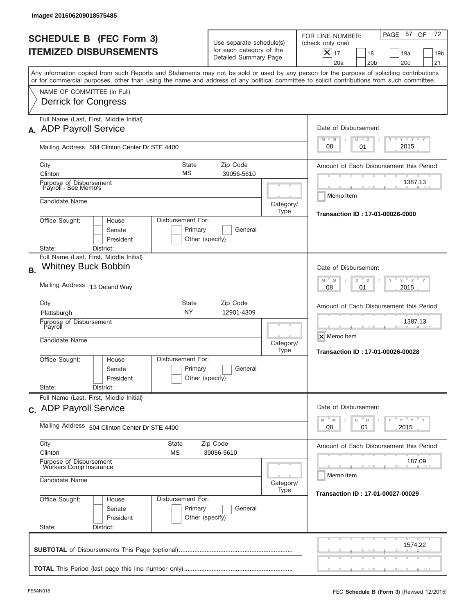| Image# 201606209018575485                                                                                                                                                                                                                                                               |                                                                                                     |                                                             |                                                                                                                                                          |
|-----------------------------------------------------------------------------------------------------------------------------------------------------------------------------------------------------------------------------------------------------------------------------------------|-----------------------------------------------------------------------------------------------------|-------------------------------------------------------------|----------------------------------------------------------------------------------------------------------------------------------------------------------|
| <b>SCHEDULE B (FEC Form 3)</b><br><b>ITEMIZED DISBURSEMENTS</b>                                                                                                                                                                                                                         | Use separate schedule(s)<br>for each category of the<br>Detailed Summary Page                       |                                                             | 72<br>PAGE 57 OF<br>FOR LINE NUMBER:<br>(check only one)<br>$X _{17}$<br>18<br>19a<br>19 <sub>b</sub><br>20a<br>20 <sub>b</sub><br>20 <sub>c</sub><br>21 |
| Any information copied from such Reports and Statements may not be sold or used by any person for the purpose of soliciting contributions<br>or for commercial purposes, other than using the name and address of any political committee to solicit contributions from such committee. |                                                                                                     |                                                             |                                                                                                                                                          |
| NAME OF COMMITTEE (In Full)<br><b>Derrick for Congress</b>                                                                                                                                                                                                                              |                                                                                                     |                                                             |                                                                                                                                                          |
| Full Name (Last, First, Middle Initial)<br>A. ADP Payroll Service                                                                                                                                                                                                                       |                                                                                                     |                                                             | Date of Disbursement<br>$T - Y$ $T - Y$<br>$M - M$                                                                                                       |
| Mailing Address 504 Clinton Center Dr STE 4400                                                                                                                                                                                                                                          |                                                                                                     |                                                             | $D$ $D$<br>2015<br>08<br>01                                                                                                                              |
| <b>State</b><br>City<br>МS<br>Clinton                                                                                                                                                                                                                                                   | Zip Code<br>39056-5610                                                                              |                                                             | Amount of Each Disbursement this Period                                                                                                                  |
| Purpose of Disbursement<br>Payroll - See Memo's<br>Candidate Name                                                                                                                                                                                                                       |                                                                                                     |                                                             | 1387.13<br>Memo Item                                                                                                                                     |
| Office Sought:<br>Disbursement For:<br>House<br>Senate<br>President                                                                                                                                                                                                                     | Primary<br>General<br>Other (specify)                                                               | Category/<br>Type                                           | Transaction ID: 17-01-00026-0000                                                                                                                         |
| State:<br>District:<br>Full Name (Last, First, Middle Initial)                                                                                                                                                                                                                          |                                                                                                     |                                                             |                                                                                                                                                          |
| <b>Whitney Buck Bobbin</b><br><b>B.</b>                                                                                                                                                                                                                                                 | Date of Disbursement<br>$-\gamma + \gamma - \gamma$<br>$M$ <sup><math>-</math></sup><br>D<br>M<br>D |                                                             |                                                                                                                                                          |
| Mailing Address 13 Deland Way                                                                                                                                                                                                                                                           | 2015<br>08<br>01                                                                                    |                                                             |                                                                                                                                                          |
| City<br>State<br><b>NY</b><br>Plattsburgh                                                                                                                                                                                                                                               | Zip Code<br>12901-4309                                                                              |                                                             | Amount of Each Disbursement this Period                                                                                                                  |
| Purpose of Disbursement<br>Payroll<br>Candidate Name                                                                                                                                                                                                                                    | Category/<br>Type                                                                                   | 1387.13<br>X Memo Item<br>Transaction ID: 17-01-00026-00028 |                                                                                                                                                          |
| Disbursement For:<br>Office Sought:<br>House<br>Senate<br>President                                                                                                                                                                                                                     | Primary<br>General<br>Other (specify)                                                               |                                                             |                                                                                                                                                          |
| State:<br>District:<br>Full Name (Last, First, Middle Initial)                                                                                                                                                                                                                          |                                                                                                     |                                                             |                                                                                                                                                          |
| c. ADP Payroll Service<br>Mailing Address 504 Clinton Center Dr STE 4400                                                                                                                                                                                                                | Date of Disbursement<br>ү" ү" ү" ү<br>M<br>$\mathbb M$<br>D<br>$\mathsf D$                          |                                                             |                                                                                                                                                          |
| City<br><b>State</b>                                                                                                                                                                                                                                                                    | 2015<br>08<br>01                                                                                    |                                                             |                                                                                                                                                          |
| Clinton<br>МS                                                                                                                                                                                                                                                                           | Amount of Each Disbursement this Period                                                             |                                                             |                                                                                                                                                          |
| Purpose of Disbursement<br>Workers Comp Insurance<br>Candidate Name                                                                                                                                                                                                                     | 187.09<br>Memo Item                                                                                 |                                                             |                                                                                                                                                          |
| Office Sought:<br>Disbursement For:<br>House<br>Senate<br>President<br>State:<br>District:                                                                                                                                                                                              | Primary<br>General<br>Other (specify)                                                               | Category/<br>Type                                           | Transaction ID: 17-01-00027-00029                                                                                                                        |
|                                                                                                                                                                                                                                                                                         |                                                                                                     |                                                             | 1574.22                                                                                                                                                  |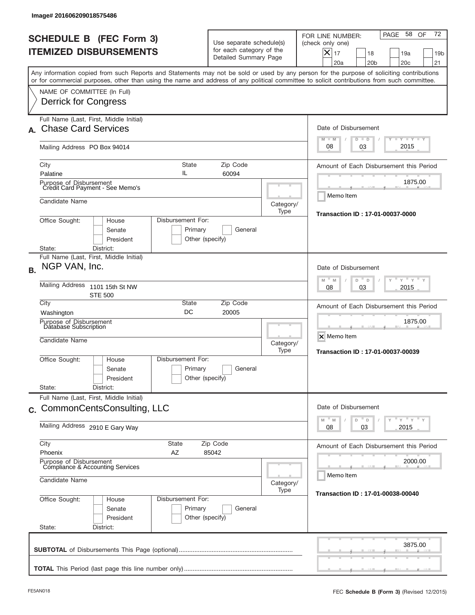|           | lmage#201606209018575486                                                                   |                                                                 |                                                    |                                                                               |                   |                                                                                                                                                                                                                                                                                         |
|-----------|--------------------------------------------------------------------------------------------|-----------------------------------------------------------------|----------------------------------------------------|-------------------------------------------------------------------------------|-------------------|-----------------------------------------------------------------------------------------------------------------------------------------------------------------------------------------------------------------------------------------------------------------------------------------|
|           |                                                                                            | <b>SCHEDULE B (FEC Form 3)</b><br><b>ITEMIZED DISBURSEMENTS</b> |                                                    | Use separate schedule(s)<br>for each category of the<br>Detailed Summary Page |                   | 72<br>58<br>OF<br>PAGE<br>FOR LINE NUMBER:<br>(check only one)<br>$\times$<br>17<br>18<br>19a<br>19 <sub>b</sub><br>20a<br>20 <sub>b</sub><br>20 <sub>c</sub><br>21                                                                                                                     |
|           |                                                                                            |                                                                 |                                                    |                                                                               |                   | Any information copied from such Reports and Statements may not be sold or used by any person for the purpose of soliciting contributions<br>or for commercial purposes, other than using the name and address of any political committee to solicit contributions from such committee. |
|           | NAME OF COMMITTEE (In Full)<br>Derrick for Congress                                        |                                                                 |                                                    |                                                                               |                   |                                                                                                                                                                                                                                                                                         |
|           | <b>Chase Card Services</b>                                                                 | Full Name (Last, First, Middle Initial)                         |                                                    |                                                                               |                   | Date of Disbursement                                                                                                                                                                                                                                                                    |
|           | Mailing Address PO Box 94014                                                               |                                                                 |                                                    |                                                                               |                   | <b>LYLYLY</b><br>$M - M$<br>$D$ $D$<br>2015<br>08<br>03                                                                                                                                                                                                                                 |
|           | City<br>Palatine                                                                           |                                                                 | <b>State</b><br>IL                                 | Zip Code<br>60094                                                             |                   | Amount of Each Disbursement this Period<br>1875.00                                                                                                                                                                                                                                      |
|           | Candidate Name                                                                             | Purpose of Disbursement<br>Credit Card Payment - See Memo's     |                                                    |                                                                               | Category/<br>Type | Memo Item                                                                                                                                                                                                                                                                               |
|           | Office Sought:<br>State:                                                                   | House<br>Senate<br>President<br>District:                       | Disbursement For:<br>Primary<br>Other (specify)    | General                                                                       |                   | Transaction ID: 17-01-00037-0000                                                                                                                                                                                                                                                        |
| <b>B.</b> | NGP VAN, Inc.                                                                              | Full Name (Last, First, Middle Initial)                         |                                                    |                                                                               |                   | Date of Disbursement                                                                                                                                                                                                                                                                    |
|           | <b>Mailing Address</b>                                                                     | 1101 15th St NW<br><b>STE 500</b>                               | $-M$<br>$Y = Y$<br>M<br>D<br>D<br>2015<br>08<br>03 |                                                                               |                   |                                                                                                                                                                                                                                                                                         |
|           | City<br>State<br>Zip Code<br>DC<br>20005<br>Washington                                     |                                                                 |                                                    |                                                                               |                   | Amount of Each Disbursement this Period<br>1875.00                                                                                                                                                                                                                                      |
|           | Purpose of Disbursement<br>Database Subscription<br>Candidate Name                         |                                                                 |                                                    |                                                                               | Category/<br>Type | X Memo Item<br>Transaction ID: 17-01-00037-00039                                                                                                                                                                                                                                        |
|           | Office Sought:                                                                             | House<br>Senate<br>President                                    | Disbursement For:<br>Primary<br>Other (specify)    | General                                                                       |                   |                                                                                                                                                                                                                                                                                         |
|           | State:                                                                                     | District:<br>Full Name (Last, First, Middle Initial)            |                                                    |                                                                               |                   |                                                                                                                                                                                                                                                                                         |
|           |                                                                                            | c. CommonCentsConsulting, LLC                                   |                                                    |                                                                               |                   | Date of Disbursement<br>$y + y + y$<br>M<br>D<br>M<br>D<br>Y                                                                                                                                                                                                                            |
|           | Mailing Address 2910 E Gary Way                                                            |                                                                 |                                                    |                                                                               |                   | 03<br>2015<br>08                                                                                                                                                                                                                                                                        |
|           | City<br>Phoenix                                                                            |                                                                 | State<br>ΑZ                                        | Zip Code<br>85042                                                             |                   | Amount of Each Disbursement this Period                                                                                                                                                                                                                                                 |
|           | Purpose of Disbursement<br>Compliance & Accounting Services<br>Candidate Name<br>Category/ |                                                                 |                                                    |                                                                               |                   | 2000.00<br>Memo Item                                                                                                                                                                                                                                                                    |
|           | Office Sought:<br>State:                                                                   | House<br>Senate<br>President<br>District:                       | Disbursement For:<br>Primary<br>Other (specify)    | General                                                                       | Type              | Transaction ID: 17-01-00038-00040                                                                                                                                                                                                                                                       |
|           |                                                                                            |                                                                 |                                                    |                                                                               |                   | 3875.00                                                                                                                                                                                                                                                                                 |
|           |                                                                                            |                                                                 |                                                    |                                                                               |                   |                                                                                                                                                                                                                                                                                         |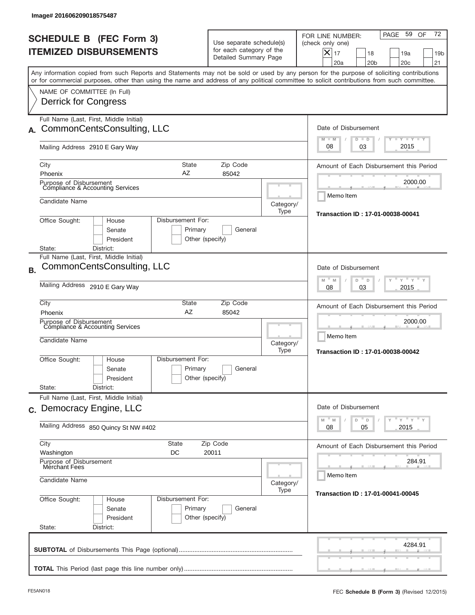| Image# 201606209018575487                                                                                                                                                                                                                                                                                              |                                                                                    |                   |                                                                                                                                                              |  |  |
|------------------------------------------------------------------------------------------------------------------------------------------------------------------------------------------------------------------------------------------------------------------------------------------------------------------------|------------------------------------------------------------------------------------|-------------------|--------------------------------------------------------------------------------------------------------------------------------------------------------------|--|--|
| <b>SCHEDULE B</b> (FEC Form 3)<br><b>ITEMIZED DISBURSEMENTS</b>                                                                                                                                                                                                                                                        | Use separate schedule(s)<br>for each category of the<br>Detailed Summary Page      |                   | 72<br>59<br>OF<br>PAGE<br>FOR LINE NUMBER:<br>(check only one)<br>$ \mathsf{X} _{17}$<br>18<br>19a<br>19 <sub>b</sub><br>20a<br>20 <sub>b</sub><br>20c<br>21 |  |  |
| Any information copied from such Reports and Statements may not be sold or used by any person for the purpose of soliciting contributions<br>or for commercial purposes, other than using the name and address of any political committee to solicit contributions from such committee.<br>NAME OF COMMITTEE (In Full) |                                                                                    |                   |                                                                                                                                                              |  |  |
| <b>Derrick for Congress</b>                                                                                                                                                                                                                                                                                            |                                                                                    |                   |                                                                                                                                                              |  |  |
| Full Name (Last, First, Middle Initial)<br>CommonCentsConsulting, LLC<br>А.                                                                                                                                                                                                                                            |                                                                                    |                   | Date of Disbursement<br>$T - Y$ $T - Y$<br>$M - M$<br>$D$ $D$                                                                                                |  |  |
| Mailing Address 2910 E Gary Way                                                                                                                                                                                                                                                                                        |                                                                                    |                   | 2015<br>08<br>03                                                                                                                                             |  |  |
| City<br>AZ<br>Phoenix                                                                                                                                                                                                                                                                                                  | <b>State</b><br>Zip Code<br>85042                                                  |                   | Amount of Each Disbursement this Period                                                                                                                      |  |  |
| Purpose of Disbursement<br>Compliance & Accounting Services                                                                                                                                                                                                                                                            |                                                                                    |                   | 2000.00<br>Memo Item                                                                                                                                         |  |  |
| Candidate Name                                                                                                                                                                                                                                                                                                         |                                                                                    | Category/<br>Type | Transaction ID: 17-01-00038-00041                                                                                                                            |  |  |
| Office Sought:<br>Disbursement For:<br>House<br>Senate<br>President<br>State:<br>District:                                                                                                                                                                                                                             | Primary<br>General<br>Other (specify)                                              |                   |                                                                                                                                                              |  |  |
| Full Name (Last, First, Middle Initial)                                                                                                                                                                                                                                                                                |                                                                                    |                   |                                                                                                                                                              |  |  |
| CommonCentsConsulting, LLC                                                                                                                                                                                                                                                                                             | Date of Disbursement<br>" γ " γ "<br>D<br>M<br>M<br>D                              |                   |                                                                                                                                                              |  |  |
| Mailing Address 2910 E Gary Way                                                                                                                                                                                                                                                                                        | 2015<br>08<br>03                                                                   |                   |                                                                                                                                                              |  |  |
| City<br>State<br>AZ<br>Phoenix                                                                                                                                                                                                                                                                                         | Amount of Each Disbursement this Period                                            |                   |                                                                                                                                                              |  |  |
| Purpose of Disbursement<br>Compliance & Accounting Services<br>Candidate Name                                                                                                                                                                                                                                          |                                                                                    | Category/<br>Type | 2000.00<br>Memo Item<br>Transaction ID: 17-01-00038-00042                                                                                                    |  |  |
| Disbursement For:<br>Office Sought:<br>House<br>Senate<br>President                                                                                                                                                                                                                                                    | Primary<br>General<br>Other (specify)                                              |                   |                                                                                                                                                              |  |  |
| State:<br>District:<br>Full Name (Last, First, Middle Initial)                                                                                                                                                                                                                                                         |                                                                                    |                   |                                                                                                                                                              |  |  |
| c. Democracy Engine, LLC                                                                                                                                                                                                                                                                                               | Date of Disbursement<br>ү "ү "ү "ү<br>$\overline{\phantom{a}}$ D<br>$-M$<br>M<br>D |                   |                                                                                                                                                              |  |  |
| Mailing Address 850 Quincy St NW #402                                                                                                                                                                                                                                                                                  | 2015<br>08<br>05                                                                   |                   |                                                                                                                                                              |  |  |
| City<br><b>State</b><br>Washington<br>DC                                                                                                                                                                                                                                                                               | Amount of Each Disbursement this Period                                            |                   |                                                                                                                                                              |  |  |
| Purpose of Disbursement<br>Merchant Fees                                                                                                                                                                                                                                                                               | 284.91<br>Memo Item                                                                |                   |                                                                                                                                                              |  |  |
| Candidate Name                                                                                                                                                                                                                                                                                                         | Category/<br>Transaction ID: 17-01-00041-00045                                     |                   |                                                                                                                                                              |  |  |
| Disbursement For:<br>Office Sought:<br>House<br>Senate<br>President<br>State:<br>District:                                                                                                                                                                                                                             | Primary<br>General<br>Other (specify)                                              |                   |                                                                                                                                                              |  |  |
|                                                                                                                                                                                                                                                                                                                        |                                                                                    |                   | 4284.91                                                                                                                                                      |  |  |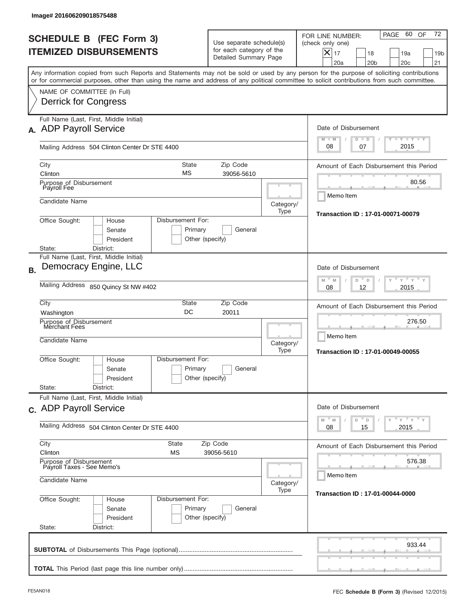| PAGE<br>FOR LINE NUMBER:<br><b>SCHEDULE B (FEC Form 3)</b><br>Use separate schedule(s)<br>(check only one)<br>for each category of the<br><b>ITEMIZED DISBURSEMENTS</b><br>$\boldsymbol{\times}$<br>17<br>19a<br>18<br>Detailed Summary Page<br>20a<br>20 <sub>b</sub><br>20 <sub>c</sub><br>Any information copied from such Reports and Statements may not be sold or used by any person for the purpose of soliciting contributions<br>or for commercial purposes, other than using the name and address of any political committee to solicit contributions from such committee.<br>NAME OF COMMITTEE (In Full)<br>Derrick for Congress<br>Full Name (Last, First, Middle Initial)<br>Date of Disbursement<br>A. ADP Payroll Service<br>$T - Y$ $T - Y$<br>$M - M$<br>$D$ $D$<br>2015<br>08<br>07<br>Mailing Address 504 Clinton Center Dr STE 4400<br><b>State</b><br>Zip Code<br>City<br>МS<br>Clinton<br>39056-5610<br>Purpose of Disbursement<br>Payroll Fee<br>Memo Item<br>Candidate Name<br>Category/<br>Type<br>Office Sought:<br>Disbursement For:<br>House<br>Primary<br>General<br>Senate<br>President<br>Other (specify)<br>State:<br>District:<br>Full Name (Last, First, Middle Initial)<br>Democracy Engine, LLC<br>Date of Disbursement<br><b>B.</b><br>$M - M$<br>D<br>$\Box$<br>Mailing Address 850 Quincy St NW #402<br>2015<br>08<br>12<br>City<br>State<br>Zip Code<br>DC<br>20011<br>Washington<br>Purpose of Disbursement<br>Merchant Fees<br>Memo Item<br>Candidate Name<br>Category/<br>Type<br>Transaction ID: 17-01-00049-00055<br>Disbursement For:<br>Office Sought:<br>House<br>Primary<br>General<br>Senate<br>Other (specify)<br>President<br>State:<br>District:<br>Full Name (Last, First, Middle Initial)<br>Date of Disbursement<br>c. ADP Payroll Service<br>$-M$<br>M<br>D<br>D<br>Mailing Address 504 Clinton Center Dr STE 4400<br>2015<br>08<br>15<br>City<br><b>State</b><br>Zip Code<br>Clinton<br>МS<br>39056-5610<br>Purpose of Disbursement<br>Payroll Taxes - See Memo's<br>Memo Item<br>Candidate Name<br>Category/<br>Type<br>Office Sought:<br>Disbursement For:<br>House<br>Primary<br>Senate<br>General<br>President<br>Other (specify)<br>State:<br>District: | Image# 201606209018575488 |                                         |  |        |                                                  |
|------------------------------------------------------------------------------------------------------------------------------------------------------------------------------------------------------------------------------------------------------------------------------------------------------------------------------------------------------------------------------------------------------------------------------------------------------------------------------------------------------------------------------------------------------------------------------------------------------------------------------------------------------------------------------------------------------------------------------------------------------------------------------------------------------------------------------------------------------------------------------------------------------------------------------------------------------------------------------------------------------------------------------------------------------------------------------------------------------------------------------------------------------------------------------------------------------------------------------------------------------------------------------------------------------------------------------------------------------------------------------------------------------------------------------------------------------------------------------------------------------------------------------------------------------------------------------------------------------------------------------------------------------------------------------------------------------------------------------------------------------------------------------------------------------------------------------------------------------------------------------------------------------------------------------------------------------------------------------------------------------------------------------------------------------------------------------------------------------------------------------------------------------------------------------------------------------------------------|---------------------------|-----------------------------------------|--|--------|--------------------------------------------------|
|                                                                                                                                                                                                                                                                                                                                                                                                                                                                                                                                                                                                                                                                                                                                                                                                                                                                                                                                                                                                                                                                                                                                                                                                                                                                                                                                                                                                                                                                                                                                                                                                                                                                                                                                                                                                                                                                                                                                                                                                                                                                                                                                                                                                                        |                           |                                         |  |        | 72<br>60 OF<br>19 <sub>b</sub><br>21             |
|                                                                                                                                                                                                                                                                                                                                                                                                                                                                                                                                                                                                                                                                                                                                                                                                                                                                                                                                                                                                                                                                                                                                                                                                                                                                                                                                                                                                                                                                                                                                                                                                                                                                                                                                                                                                                                                                                                                                                                                                                                                                                                                                                                                                                        |                           |                                         |  |        |                                                  |
|                                                                                                                                                                                                                                                                                                                                                                                                                                                                                                                                                                                                                                                                                                                                                                                                                                                                                                                                                                                                                                                                                                                                                                                                                                                                                                                                                                                                                                                                                                                                                                                                                                                                                                                                                                                                                                                                                                                                                                                                                                                                                                                                                                                                                        |                           |                                         |  |        |                                                  |
|                                                                                                                                                                                                                                                                                                                                                                                                                                                                                                                                                                                                                                                                                                                                                                                                                                                                                                                                                                                                                                                                                                                                                                                                                                                                                                                                                                                                                                                                                                                                                                                                                                                                                                                                                                                                                                                                                                                                                                                                                                                                                                                                                                                                                        |                           |                                         |  |        |                                                  |
|                                                                                                                                                                                                                                                                                                                                                                                                                                                                                                                                                                                                                                                                                                                                                                                                                                                                                                                                                                                                                                                                                                                                                                                                                                                                                                                                                                                                                                                                                                                                                                                                                                                                                                                                                                                                                                                                                                                                                                                                                                                                                                                                                                                                                        |                           |                                         |  |        |                                                  |
|                                                                                                                                                                                                                                                                                                                                                                                                                                                                                                                                                                                                                                                                                                                                                                                                                                                                                                                                                                                                                                                                                                                                                                                                                                                                                                                                                                                                                                                                                                                                                                                                                                                                                                                                                                                                                                                                                                                                                                                                                                                                                                                                                                                                                        |                           |                                         |  |        | Amount of Each Disbursement this Period<br>80.56 |
|                                                                                                                                                                                                                                                                                                                                                                                                                                                                                                                                                                                                                                                                                                                                                                                                                                                                                                                                                                                                                                                                                                                                                                                                                                                                                                                                                                                                                                                                                                                                                                                                                                                                                                                                                                                                                                                                                                                                                                                                                                                                                                                                                                                                                        |                           |                                         |  |        |                                                  |
|                                                                                                                                                                                                                                                                                                                                                                                                                                                                                                                                                                                                                                                                                                                                                                                                                                                                                                                                                                                                                                                                                                                                                                                                                                                                                                                                                                                                                                                                                                                                                                                                                                                                                                                                                                                                                                                                                                                                                                                                                                                                                                                                                                                                                        |                           |                                         |  |        | Transaction ID: 17-01-00071-00079                |
|                                                                                                                                                                                                                                                                                                                                                                                                                                                                                                                                                                                                                                                                                                                                                                                                                                                                                                                                                                                                                                                                                                                                                                                                                                                                                                                                                                                                                                                                                                                                                                                                                                                                                                                                                                                                                                                                                                                                                                                                                                                                                                                                                                                                                        |                           |                                         |  |        |                                                  |
|                                                                                                                                                                                                                                                                                                                                                                                                                                                                                                                                                                                                                                                                                                                                                                                                                                                                                                                                                                                                                                                                                                                                                                                                                                                                                                                                                                                                                                                                                                                                                                                                                                                                                                                                                                                                                                                                                                                                                                                                                                                                                                                                                                                                                        |                           |                                         |  |        | $Y$ $Y$ $Y$                                      |
|                                                                                                                                                                                                                                                                                                                                                                                                                                                                                                                                                                                                                                                                                                                                                                                                                                                                                                                                                                                                                                                                                                                                                                                                                                                                                                                                                                                                                                                                                                                                                                                                                                                                                                                                                                                                                                                                                                                                                                                                                                                                                                                                                                                                                        |                           |                                         |  |        |                                                  |
|                                                                                                                                                                                                                                                                                                                                                                                                                                                                                                                                                                                                                                                                                                                                                                                                                                                                                                                                                                                                                                                                                                                                                                                                                                                                                                                                                                                                                                                                                                                                                                                                                                                                                                                                                                                                                                                                                                                                                                                                                                                                                                                                                                                                                        |                           | Amount of Each Disbursement this Period |  |        |                                                  |
|                                                                                                                                                                                                                                                                                                                                                                                                                                                                                                                                                                                                                                                                                                                                                                                                                                                                                                                                                                                                                                                                                                                                                                                                                                                                                                                                                                                                                                                                                                                                                                                                                                                                                                                                                                                                                                                                                                                                                                                                                                                                                                                                                                                                                        |                           |                                         |  | 276.50 |                                                  |
|                                                                                                                                                                                                                                                                                                                                                                                                                                                                                                                                                                                                                                                                                                                                                                                                                                                                                                                                                                                                                                                                                                                                                                                                                                                                                                                                                                                                                                                                                                                                                                                                                                                                                                                                                                                                                                                                                                                                                                                                                                                                                                                                                                                                                        |                           |                                         |  |        |                                                  |
|                                                                                                                                                                                                                                                                                                                                                                                                                                                                                                                                                                                                                                                                                                                                                                                                                                                                                                                                                                                                                                                                                                                                                                                                                                                                                                                                                                                                                                                                                                                                                                                                                                                                                                                                                                                                                                                                                                                                                                                                                                                                                                                                                                                                                        |                           |                                         |  |        |                                                  |
|                                                                                                                                                                                                                                                                                                                                                                                                                                                                                                                                                                                                                                                                                                                                                                                                                                                                                                                                                                                                                                                                                                                                                                                                                                                                                                                                                                                                                                                                                                                                                                                                                                                                                                                                                                                                                                                                                                                                                                                                                                                                                                                                                                                                                        |                           | $Y$ $Y$ $Y$ $Y$ $Y$                     |  |        |                                                  |
|                                                                                                                                                                                                                                                                                                                                                                                                                                                                                                                                                                                                                                                                                                                                                                                                                                                                                                                                                                                                                                                                                                                                                                                                                                                                                                                                                                                                                                                                                                                                                                                                                                                                                                                                                                                                                                                                                                                                                                                                                                                                                                                                                                                                                        |                           |                                         |  |        |                                                  |
|                                                                                                                                                                                                                                                                                                                                                                                                                                                                                                                                                                                                                                                                                                                                                                                                                                                                                                                                                                                                                                                                                                                                                                                                                                                                                                                                                                                                                                                                                                                                                                                                                                                                                                                                                                                                                                                                                                                                                                                                                                                                                                                                                                                                                        |                           | Amount of Each Disbursement this Period |  |        |                                                  |
|                                                                                                                                                                                                                                                                                                                                                                                                                                                                                                                                                                                                                                                                                                                                                                                                                                                                                                                                                                                                                                                                                                                                                                                                                                                                                                                                                                                                                                                                                                                                                                                                                                                                                                                                                                                                                                                                                                                                                                                                                                                                                                                                                                                                                        |                           | 576.38                                  |  |        |                                                  |
|                                                                                                                                                                                                                                                                                                                                                                                                                                                                                                                                                                                                                                                                                                                                                                                                                                                                                                                                                                                                                                                                                                                                                                                                                                                                                                                                                                                                                                                                                                                                                                                                                                                                                                                                                                                                                                                                                                                                                                                                                                                                                                                                                                                                                        |                           |                                         |  |        | Transaction ID: 17-01-00044-0000                 |
|                                                                                                                                                                                                                                                                                                                                                                                                                                                                                                                                                                                                                                                                                                                                                                                                                                                                                                                                                                                                                                                                                                                                                                                                                                                                                                                                                                                                                                                                                                                                                                                                                                                                                                                                                                                                                                                                                                                                                                                                                                                                                                                                                                                                                        |                           |                                         |  |        | 933.44                                           |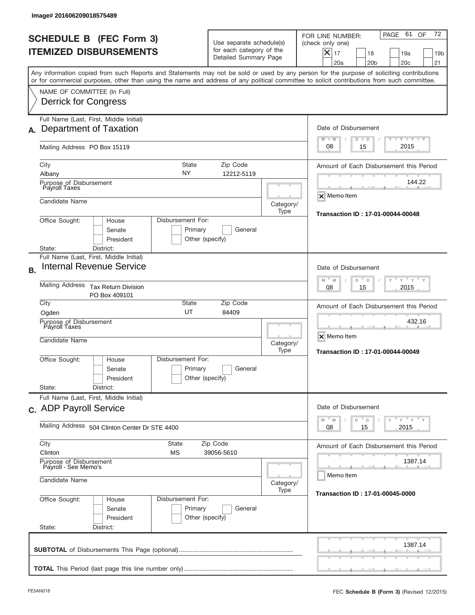| Image# 201606209018575489                                                                                                                                                                                                                                                                                              |                                                                                          |                                                                                                                                                             |  |  |  |  |  |
|------------------------------------------------------------------------------------------------------------------------------------------------------------------------------------------------------------------------------------------------------------------------------------------------------------------------|------------------------------------------------------------------------------------------|-------------------------------------------------------------------------------------------------------------------------------------------------------------|--|--|--|--|--|
| <b>SCHEDULE B (FEC Form 3)</b><br><b>ITEMIZED DISBURSEMENTS</b>                                                                                                                                                                                                                                                        | Use separate schedule(s)<br>for each category of the<br>Detailed Summary Page            | 72<br>PAGE 61<br>OF<br>FOR LINE NUMBER:<br>(check only one)<br>$X _{17}$<br>18<br>19a<br>19 <sub>b</sub><br>20a<br>20 <sub>b</sub><br>20 <sub>c</sub><br>21 |  |  |  |  |  |
| Any information copied from such Reports and Statements may not be sold or used by any person for the purpose of soliciting contributions<br>or for commercial purposes, other than using the name and address of any political committee to solicit contributions from such committee.<br>NAME OF COMMITTEE (In Full) |                                                                                          |                                                                                                                                                             |  |  |  |  |  |
| Derrick for Congress                                                                                                                                                                                                                                                                                                   |                                                                                          |                                                                                                                                                             |  |  |  |  |  |
| Full Name (Last, First, Middle Initial)<br>Department of Taxation<br>А.                                                                                                                                                                                                                                                | Date of Disbursement<br>$T - Y$ $T - Y$<br>$M - M$<br>$D$ $D$                            |                                                                                                                                                             |  |  |  |  |  |
| Mailing Address PO Box 15119                                                                                                                                                                                                                                                                                           |                                                                                          |                                                                                                                                                             |  |  |  |  |  |
| City<br>NY<br>Albany                                                                                                                                                                                                                                                                                                   | <b>State</b><br>Zip Code<br>12212-5119                                                   |                                                                                                                                                             |  |  |  |  |  |
| Purpose of Disbursement<br>Payroll Taxes                                                                                                                                                                                                                                                                               |                                                                                          | 144.22<br>X Memo Item                                                                                                                                       |  |  |  |  |  |
| Candidate Name<br>Disbursement For:<br>Office Sought:<br>House                                                                                                                                                                                                                                                         | Category/<br>Type                                                                        | Transaction ID: 17-01-00044-00048                                                                                                                           |  |  |  |  |  |
| Senate<br>Primary<br>President<br>Other (specify)<br>State:<br>District:                                                                                                                                                                                                                                               |                                                                                          |                                                                                                                                                             |  |  |  |  |  |
| Full Name (Last, First, Middle Initial)<br><b>Internal Revenue Service</b><br><b>B.</b>                                                                                                                                                                                                                                | Date of Disbursement                                                                     |                                                                                                                                                             |  |  |  |  |  |
| <b>Mailing Address</b><br><b>Tax Return Division</b><br>PO Box 409101                                                                                                                                                                                                                                                  | $-\gamma + \gamma +$<br>$M$ <sup><math>-</math></sup><br>D<br>M<br>D<br>2015<br>08<br>15 |                                                                                                                                                             |  |  |  |  |  |
| City<br>State<br>UT<br>Ogden                                                                                                                                                                                                                                                                                           | Amount of Each Disbursement this Period                                                  |                                                                                                                                                             |  |  |  |  |  |
| Purpose of Disbursement<br>Payroll Taxes<br>Candidate Name                                                                                                                                                                                                                                                             | Category/<br>Type                                                                        | 432.16<br>X Memo Item<br>Transaction ID: 17-01-00044-00049                                                                                                  |  |  |  |  |  |
| Disbursement For:<br>Office Sought:<br>House<br>Primary<br>Senate<br>President                                                                                                                                                                                                                                         | General<br>Other (specify)                                                               |                                                                                                                                                             |  |  |  |  |  |
| State:<br>District:<br>Full Name (Last, First, Middle Initial)                                                                                                                                                                                                                                                         |                                                                                          |                                                                                                                                                             |  |  |  |  |  |
| c. ADP Payroll Service                                                                                                                                                                                                                                                                                                 | Date of Disbursement<br>ү" ү" ү" ү<br>$-M$<br>M<br>D<br>$\mathsf D$                      |                                                                                                                                                             |  |  |  |  |  |
| Mailing Address 504 Clinton Center Dr STE 4400<br>City<br><b>State</b>                                                                                                                                                                                                                                                 | 2015<br>08<br>15<br>Amount of Each Disbursement this Period                              |                                                                                                                                                             |  |  |  |  |  |
| Clinton<br>МS<br>Purpose of Disbursement                                                                                                                                                                                                                                                                               | 1387.14                                                                                  |                                                                                                                                                             |  |  |  |  |  |
| Payroll - See Memo's<br>Candidate Name                                                                                                                                                                                                                                                                                 | Memo Item<br>Category/                                                                   |                                                                                                                                                             |  |  |  |  |  |
| Office Sought:<br>Disbursement For:<br>House<br>Primary<br>Senate<br>President<br>Other (specify)<br>State:<br>District:                                                                                                                                                                                               | Type<br>Transaction ID: 17-01-00045-0000                                                 |                                                                                                                                                             |  |  |  |  |  |
|                                                                                                                                                                                                                                                                                                                        |                                                                                          | 1387.14                                                                                                                                                     |  |  |  |  |  |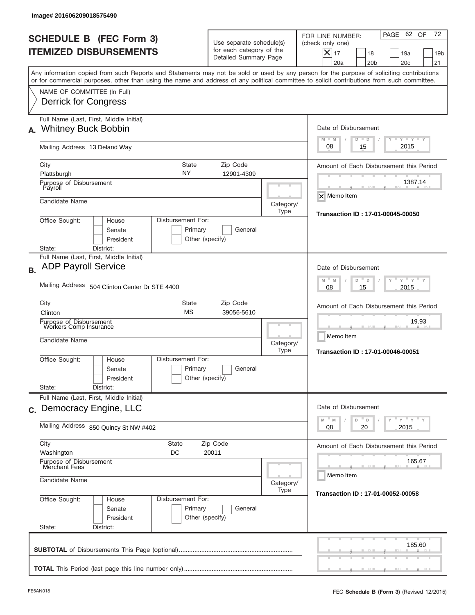| Image# 201606209018575490                                                                                                                                                                                                                                                                                              |                                                                                                                      |                                                                |                                                                                                                                                                              |  |  |  |
|------------------------------------------------------------------------------------------------------------------------------------------------------------------------------------------------------------------------------------------------------------------------------------------------------------------------|----------------------------------------------------------------------------------------------------------------------|----------------------------------------------------------------|------------------------------------------------------------------------------------------------------------------------------------------------------------------------------|--|--|--|
| <b>SCHEDULE B (FEC Form 3)</b><br><b>ITEMIZED DISBURSEMENTS</b>                                                                                                                                                                                                                                                        | Use separate schedule(s)<br>for each category of the<br>Detailed Summary Page                                        |                                                                | 72<br>PAGE 62 OF<br>FOR LINE NUMBER:<br>(check only one)<br>$ \boldsymbol{\times} $<br>17<br>18<br>19a<br>19 <sub>b</sub><br>20a<br>20 <sub>b</sub><br>20 <sub>c</sub><br>21 |  |  |  |
| Any information copied from such Reports and Statements may not be sold or used by any person for the purpose of soliciting contributions<br>or for commercial purposes, other than using the name and address of any political committee to solicit contributions from such committee.<br>NAME OF COMMITTEE (In Full) |                                                                                                                      |                                                                |                                                                                                                                                                              |  |  |  |
| <b>Derrick for Congress</b>                                                                                                                                                                                                                                                                                            |                                                                                                                      |                                                                |                                                                                                                                                                              |  |  |  |
| Full Name (Last, First, Middle Initial)<br><b>Whitney Buck Bobbin</b><br>А.                                                                                                                                                                                                                                            | Date of Disbursement<br>$T - Y$ $T - Y$<br>$M - M$<br>$D$ $D$                                                        |                                                                |                                                                                                                                                                              |  |  |  |
| Mailing Address 13 Deland Way                                                                                                                                                                                                                                                                                          |                                                                                                                      |                                                                |                                                                                                                                                                              |  |  |  |
| City<br><b>State</b><br>NY<br>Plattsburgh                                                                                                                                                                                                                                                                              | Amount of Each Disbursement this Period<br>1387.14                                                                   |                                                                |                                                                                                                                                                              |  |  |  |
| Purpose of Disbursement<br>Payroll<br>Candidate Name                                                                                                                                                                                                                                                                   |                                                                                                                      | Category/                                                      | $\overline{\mathsf{x}}$ Memo Item                                                                                                                                            |  |  |  |
| Disbursement For:<br>Office Sought:<br>House<br>Primary<br>Senate<br>President<br>Other (specify)                                                                                                                                                                                                                      | Type                                                                                                                 | Transaction ID: 17-01-00045-00050                              |                                                                                                                                                                              |  |  |  |
| State:<br>District:<br>Full Name (Last, First, Middle Initial)<br><b>ADP Payroll Service</b><br><b>B.</b><br>Mailing Address 504 Clinton Center Dr STE 4400                                                                                                                                                            | Date of Disbursement<br>$-\gamma + \gamma + \gamma$<br>M<br>D<br>M<br>D<br>2015<br>08<br>15                          |                                                                |                                                                                                                                                                              |  |  |  |
| City<br><b>State</b><br><b>MS</b><br>Clinton<br>Purpose of Disbursement<br>Workers Comp Insurance<br>Candidate Name                                                                                                                                                                                                    | Zip Code<br>39056-5610                                                                                               | Category/<br>Type                                              | Amount of Each Disbursement this Period<br>19.93<br>Memo Item<br>Transaction ID: 17-01-00046-00051                                                                           |  |  |  |
| Disbursement For:<br>Office Sought:<br>House<br>Primary<br>Senate<br>President<br>State:<br>District:                                                                                                                                                                                                                  | General<br>Other (specify)                                                                                           |                                                                |                                                                                                                                                                              |  |  |  |
| Full Name (Last, First, Middle Initial)<br>c. Democracy Engine, LLC                                                                                                                                                                                                                                                    | Date of Disbursement<br>$\gamma$ $\gamma$ $\gamma$ $\gamma$ $\gamma$<br>$M$ <sup><math>=</math></sup><br>D<br>D<br>M |                                                                |                                                                                                                                                                              |  |  |  |
| Mailing Address 850 Quincy St NW #402                                                                                                                                                                                                                                                                                  | 2015<br>08<br>20                                                                                                     |                                                                |                                                                                                                                                                              |  |  |  |
| City<br><b>State</b><br>Washington<br>DC<br>Purpose of Disbursement<br>Merchant Fees<br>Candidate Name                                                                                                                                                                                                                 | Category/                                                                                                            | Amount of Each Disbursement this Period<br>165.67<br>Memo Item |                                                                                                                                                                              |  |  |  |
| Office Sought:<br>Disbursement For:<br>House<br>Primary<br>Senate<br>President<br>Other (specify)<br>State:<br>District:                                                                                                                                                                                               | Transaction ID: 17-01-00052-00058                                                                                    |                                                                |                                                                                                                                                                              |  |  |  |
|                                                                                                                                                                                                                                                                                                                        |                                                                                                                      |                                                                | 185.60                                                                                                                                                                       |  |  |  |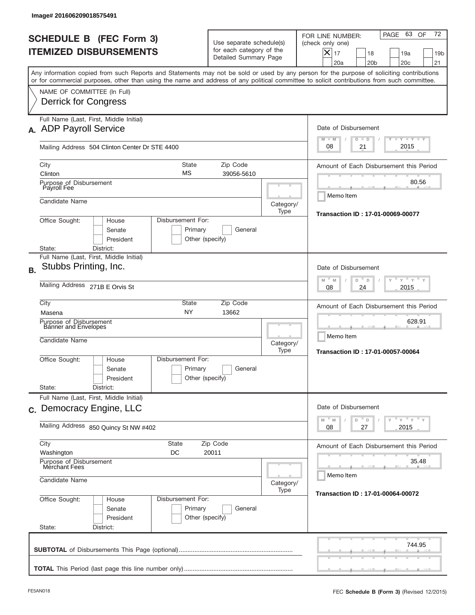|           | lmage# 201606209018575491                                                                                                                                                                                                                                                               |                                                              |                                                                               |                                                                 |                                                                                                                                                           |
|-----------|-----------------------------------------------------------------------------------------------------------------------------------------------------------------------------------------------------------------------------------------------------------------------------------------|--------------------------------------------------------------|-------------------------------------------------------------------------------|-----------------------------------------------------------------|-----------------------------------------------------------------------------------------------------------------------------------------------------------|
|           | <b>SCHEDULE B (FEC Form 3)</b><br><b>ITEMIZED DISBURSEMENTS</b>                                                                                                                                                                                                                         |                                                              | Use separate schedule(s)<br>for each category of the<br>Detailed Summary Page |                                                                 | 72<br>PAGE 63<br>OF<br>FOR LINE NUMBER:<br>(check only one)<br>X<br>17<br>19a<br>18<br>19 <sub>b</sub><br>21<br>20a<br>20 <sub>b</sub><br>20 <sub>c</sub> |
|           | Any information copied from such Reports and Statements may not be sold or used by any person for the purpose of soliciting contributions<br>or for commercial purposes, other than using the name and address of any political committee to solicit contributions from such committee. |                                                              |                                                                               |                                                                 |                                                                                                                                                           |
|           | NAME OF COMMITTEE (In Full)<br><b>Derrick for Congress</b>                                                                                                                                                                                                                              |                                                              |                                                                               |                                                                 |                                                                                                                                                           |
|           | Full Name (Last, First, Middle Initial)<br>A. ADP Payroll Service                                                                                                                                                                                                                       |                                                              |                                                                               |                                                                 | Date of Disbursement<br>$I - Y - I - Y - I - Y$<br>$M - M$<br>$D$ $D$                                                                                     |
|           | Mailing Address 504 Clinton Center Dr STE 4400                                                                                                                                                                                                                                          |                                                              |                                                                               |                                                                 | 2015<br>08<br>21                                                                                                                                          |
|           | City<br>Clinton                                                                                                                                                                                                                                                                         | <b>State</b><br>МS                                           | Zip Code<br>39056-5610                                                        |                                                                 | Amount of Each Disbursement this Period                                                                                                                   |
|           | Purpose of Disbursement<br>Payroll Fee                                                                                                                                                                                                                                                  |                                                              |                                                                               |                                                                 | 80.56<br>Memo Item                                                                                                                                        |
|           | Candidate Name                                                                                                                                                                                                                                                                          |                                                              |                                                                               | Category/<br>Type                                               | <b>Transaction ID: 17-01-00069-00077</b>                                                                                                                  |
|           | Office Sought:<br>House<br>Senate<br>President<br>District:<br>State:                                                                                                                                                                                                                   | Disbursement For:<br>Primary<br>Other (specify)              | General                                                                       |                                                                 |                                                                                                                                                           |
| <b>B.</b> | Full Name (Last, First, Middle Initial)<br>Stubbs Printing, Inc.                                                                                                                                                                                                                        |                                                              |                                                                               |                                                                 | Date of Disbursement<br>$Y$ $Y$<br>$-M$<br>M<br>D<br>D                                                                                                    |
|           | Mailing Address 271B E Orvis St                                                                                                                                                                                                                                                         |                                                              | 2015<br>08<br>24                                                              |                                                                 |                                                                                                                                                           |
|           | City<br>Masena                                                                                                                                                                                                                                                                          | State<br><b>NY</b>                                           | Zip Code<br>13662                                                             |                                                                 | Amount of Each Disbursement this Period                                                                                                                   |
|           | Purpose of Disbursement<br>Banner and Envelopes<br>Candidate Name                                                                                                                                                                                                                       |                                                              | Category/<br>Type                                                             | 628.91<br>Memo Item<br><b>Transaction ID: 17-01-00057-00064</b> |                                                                                                                                                           |
|           | Office Sought:<br>House<br>Senate<br>President<br>State:<br>District:                                                                                                                                                                                                                   | Disbursement For:<br>Primary<br>Other (specify)              | General                                                                       |                                                                 |                                                                                                                                                           |
|           | Full Name (Last, First, Middle Initial)<br>c. Democracy Engine, LLC                                                                                                                                                                                                                     |                                                              |                                                                               |                                                                 | Date of Disbursement                                                                                                                                      |
|           | Mailing Address 850 Quincy St NW #402                                                                                                                                                                                                                                                   | $Y$ $Y$ $Y$ $Y$ $Y$<br>$M$ $M$<br>D<br>D<br>27<br>2015<br>08 |                                                                               |                                                                 |                                                                                                                                                           |
|           | City<br><b>State</b><br>Washington<br>DC                                                                                                                                                                                                                                                | Amount of Each Disbursement this Period                      |                                                                               |                                                                 |                                                                                                                                                           |
|           | Purpose of Disbursement<br>Merchant Fees<br>Candidate Name                                                                                                                                                                                                                              |                                                              | 35.48<br>Memo Item                                                            |                                                                 |                                                                                                                                                           |
|           |                                                                                                                                                                                                                                                                                         | Category/<br>Type                                            | Transaction ID: 17-01-00064-00072                                             |                                                                 |                                                                                                                                                           |
|           | Office Sought:<br>House<br>Senate<br>President<br>State:<br>District:                                                                                                                                                                                                                   | Disbursement For:<br>Primary<br>Other (specify)              | General                                                                       |                                                                 |                                                                                                                                                           |
|           |                                                                                                                                                                                                                                                                                         |                                                              |                                                                               |                                                                 | 744.95                                                                                                                                                    |
|           |                                                                                                                                                                                                                                                                                         |                                                              |                                                                               |                                                                 |                                                                                                                                                           |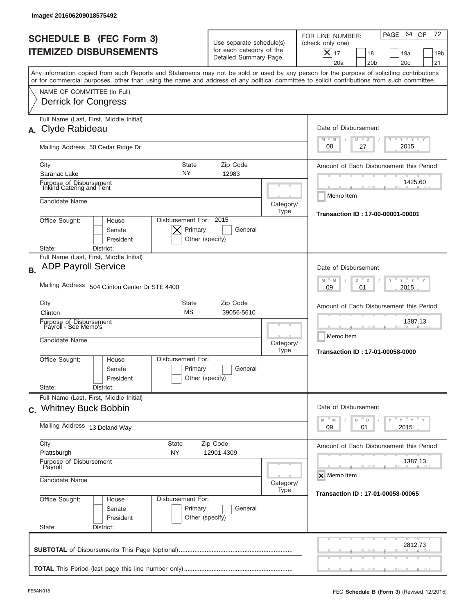| <b>SCHEDULE B (FEC Form 3)</b><br><b>ITEMIZED DISBURSEMENTS</b>                                                                                                                                                                                                                         |                                                                               |                                                                 | 72<br>64 OF                                                                                                                                                    |  |  |  |
|-----------------------------------------------------------------------------------------------------------------------------------------------------------------------------------------------------------------------------------------------------------------------------------------|-------------------------------------------------------------------------------|-----------------------------------------------------------------|----------------------------------------------------------------------------------------------------------------------------------------------------------------|--|--|--|
|                                                                                                                                                                                                                                                                                         | Use separate schedule(s)<br>for each category of the<br>Detailed Summary Page |                                                                 | PAGE<br>FOR LINE NUMBER:<br>(check only one)<br>$\boldsymbol{\times}$<br>17<br>19a<br>18<br>19 <sub>b</sub><br>20a<br>20 <sub>b</sub><br>20 <sub>c</sub><br>21 |  |  |  |
| Any information copied from such Reports and Statements may not be sold or used by any person for the purpose of soliciting contributions<br>or for commercial purposes, other than using the name and address of any political committee to solicit contributions from such committee. |                                                                               |                                                                 |                                                                                                                                                                |  |  |  |
| NAME OF COMMITTEE (In Full)<br><b>Derrick for Congress</b>                                                                                                                                                                                                                              |                                                                               |                                                                 |                                                                                                                                                                |  |  |  |
| Full Name (Last, First, Middle Initial)<br>Clyde Rabideau                                                                                                                                                                                                                               | Date of Disbursement                                                          |                                                                 |                                                                                                                                                                |  |  |  |
| Mailing Address 50 Cedar Ridge Dr                                                                                                                                                                                                                                                       | $T - Y$ $T - Y$ $T - Y$<br>$M - M$<br>$D$ $D$<br>2015<br>08<br>27             |                                                                 |                                                                                                                                                                |  |  |  |
| <b>State</b><br>City<br>NY<br>Saranac Lake                                                                                                                                                                                                                                              | Zip Code<br>12983                                                             |                                                                 | Amount of Each Disbursement this Period                                                                                                                        |  |  |  |
| Purpose of Disbursement<br>Inkind Catering and Tent                                                                                                                                                                                                                                     |                                                                               |                                                                 | 1425.60<br>Memo Item                                                                                                                                           |  |  |  |
| Candidate Name                                                                                                                                                                                                                                                                          |                                                                               | Category/<br>Type                                               | Transaction ID: 17-00-00001-00001                                                                                                                              |  |  |  |
| Disbursement For: 2015<br>Office Sought:<br>House<br>Primary<br>Senate<br>President<br>Other (specify)                                                                                                                                                                                  |                                                                               |                                                                 |                                                                                                                                                                |  |  |  |
| State:<br>District:<br>Full Name (Last, First, Middle Initial)<br><b>ADP Payroll Service</b>                                                                                                                                                                                            |                                                                               |                                                                 | Date of Disbursement                                                                                                                                           |  |  |  |
| Mailing Address 504 Clinton Center Dr STE 4400                                                                                                                                                                                                                                          | $Y$ $Y$ $Y$<br>$M - M$<br>D<br>$\Box$<br>2015<br>09<br>01                     |                                                                 |                                                                                                                                                                |  |  |  |
| City<br>Clinton                                                                                                                                                                                                                                                                         | State<br>Zip Code<br><b>MS</b><br>39056-5610                                  |                                                                 |                                                                                                                                                                |  |  |  |
| Purpose of Disbursement<br>Payroll - See Memo's<br>Candidate Name                                                                                                                                                                                                                       | Category/<br>Type                                                             | 1387.13<br>Memo Item<br><b>Transaction ID: 17-01-00058-0000</b> |                                                                                                                                                                |  |  |  |
| Disbursement For:<br>Office Sought:<br>House<br>Senate<br>President<br>State:<br>District:                                                                                                                                                                                              | Primary<br>General<br>Other (specify)                                         |                                                                 |                                                                                                                                                                |  |  |  |
| Full Name (Last, First, Middle Initial)<br>c. Whitney Buck Bobbin                                                                                                                                                                                                                       |                                                                               |                                                                 | Date of Disbursement                                                                                                                                           |  |  |  |
| Mailing Address 13 Deland Way                                                                                                                                                                                                                                                           | $Y$ $Y$ $Y$ $Y$ $Y$<br>$-M$<br>$\mathbb M$<br>D<br>D<br>09<br>2015<br>01      |                                                                 |                                                                                                                                                                |  |  |  |
| City<br>State<br>Plattsburgh<br>NY                                                                                                                                                                                                                                                      | Amount of Each Disbursement this Period                                       |                                                                 |                                                                                                                                                                |  |  |  |
| Purpose of Disbursement<br>Payroll                                                                                                                                                                                                                                                      | 1387.13<br>X Memo Item                                                        |                                                                 |                                                                                                                                                                |  |  |  |
| Candidate Name                                                                                                                                                                                                                                                                          | Category/<br>Transaction ID: 17-01-00058-00065                                |                                                                 |                                                                                                                                                                |  |  |  |
| Office Sought:<br>Disbursement For:<br>House<br>Senate<br>President<br>State:<br>District:                                                                                                                                                                                              | Primary<br>General<br>Other (specify)                                         |                                                                 |                                                                                                                                                                |  |  |  |
|                                                                                                                                                                                                                                                                                         |                                                                               |                                                                 | 2812.73                                                                                                                                                        |  |  |  |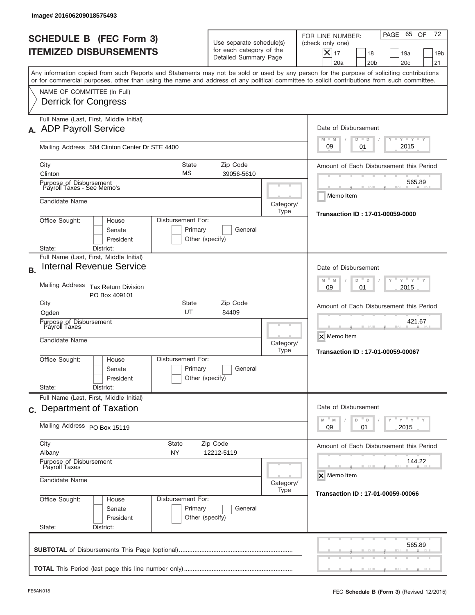| FOR LINE NUMBER:<br><b>SCHEDULE B (FEC Form 3)</b><br>Use separate schedule(s)<br>(check only one)<br>for each category of the<br><b>ITEMIZED DISBURSEMENTS</b><br>$X _{17}$<br>18<br>Detailed Summary Page<br>20a<br>20 <sub>b</sub><br>Any information copied from such Reports and Statements may not be sold or used by any person for the purpose of soliciting contributions<br>or for commercial purposes, other than using the name and address of any political committee to solicit contributions from such committee.<br>NAME OF COMMITTEE (In Full)<br>Derrick for Congress<br>Full Name (Last, First, Middle Initial)<br>Date of Disbursement<br>$M - M$<br>$D$ $D$<br>09<br>01<br>Mailing Address 504 Clinton Center Dr STE 4400<br>State<br>Zip Code<br>City<br>Amount of Each Disbursement this Period<br>МS<br>Clinton<br>39056-5610<br>Purpose of Disbursement<br>Payroll Taxes - See Memo's<br>Memo Item<br>Candidate Name<br>Category/<br>Type<br>Office Sought:<br>Disbursement For:<br>House<br>Senate<br>Primary<br>General<br>President<br>Other (specify)<br>District:<br>State:<br>Full Name (Last, First, Middle Initial)<br><b>Internal Revenue Service</b><br>Date of Disbursement<br>$-M$<br>M<br>D<br>D<br>Mailing Address<br><b>Tax Return Division</b><br>09<br>01<br>PO Box 409101<br>City<br><b>State</b><br>Zip Code<br>Amount of Each Disbursement this Period<br>UT<br>84409<br>Ogden<br>Purpose of Disbursement<br>Payroll Taxes<br>X Memo Item<br>Candidate Name<br>Category/<br>Type<br>Transaction ID: 17-01-00059-00067<br>Disbursement For:<br>Office Sought:<br>House |                              |         | PAGE                                    | 72<br>65<br>OF<br>19a<br>19 <sub>b</sub><br>20 <sub>c</sub><br>21 |  |  |  |
|--------------------------------------------------------------------------------------------------------------------------------------------------------------------------------------------------------------------------------------------------------------------------------------------------------------------------------------------------------------------------------------------------------------------------------------------------------------------------------------------------------------------------------------------------------------------------------------------------------------------------------------------------------------------------------------------------------------------------------------------------------------------------------------------------------------------------------------------------------------------------------------------------------------------------------------------------------------------------------------------------------------------------------------------------------------------------------------------------------------------------------------------------------------------------------------------------------------------------------------------------------------------------------------------------------------------------------------------------------------------------------------------------------------------------------------------------------------------------------------------------------------------------------------------------------------------------------------------------------------------|------------------------------|---------|-----------------------------------------|-------------------------------------------------------------------|--|--|--|
| A. ADP Payroll Service                                                                                                                                                                                                                                                                                                                                                                                                                                                                                                                                                                                                                                                                                                                                                                                                                                                                                                                                                                                                                                                                                                                                                                                                                                                                                                                                                                                                                                                                                                                                                                                             |                              |         |                                         |                                                                   |  |  |  |
|                                                                                                                                                                                                                                                                                                                                                                                                                                                                                                                                                                                                                                                                                                                                                                                                                                                                                                                                                                                                                                                                                                                                                                                                                                                                                                                                                                                                                                                                                                                                                                                                                    |                              |         |                                         |                                                                   |  |  |  |
|                                                                                                                                                                                                                                                                                                                                                                                                                                                                                                                                                                                                                                                                                                                                                                                                                                                                                                                                                                                                                                                                                                                                                                                                                                                                                                                                                                                                                                                                                                                                                                                                                    |                              |         |                                         |                                                                   |  |  |  |
|                                                                                                                                                                                                                                                                                                                                                                                                                                                                                                                                                                                                                                                                                                                                                                                                                                                                                                                                                                                                                                                                                                                                                                                                                                                                                                                                                                                                                                                                                                                                                                                                                    |                              |         |                                         | <b>LYLYLY</b>                                                     |  |  |  |
|                                                                                                                                                                                                                                                                                                                                                                                                                                                                                                                                                                                                                                                                                                                                                                                                                                                                                                                                                                                                                                                                                                                                                                                                                                                                                                                                                                                                                                                                                                                                                                                                                    |                              |         |                                         | 2015                                                              |  |  |  |
|                                                                                                                                                                                                                                                                                                                                                                                                                                                                                                                                                                                                                                                                                                                                                                                                                                                                                                                                                                                                                                                                                                                                                                                                                                                                                                                                                                                                                                                                                                                                                                                                                    |                              |         |                                         |                                                                   |  |  |  |
|                                                                                                                                                                                                                                                                                                                                                                                                                                                                                                                                                                                                                                                                                                                                                                                                                                                                                                                                                                                                                                                                                                                                                                                                                                                                                                                                                                                                                                                                                                                                                                                                                    |                              |         |                                         | 565.89                                                            |  |  |  |
| <b>B.</b>                                                                                                                                                                                                                                                                                                                                                                                                                                                                                                                                                                                                                                                                                                                                                                                                                                                                                                                                                                                                                                                                                                                                                                                                                                                                                                                                                                                                                                                                                                                                                                                                          |                              |         | Transaction ID: 17-01-00059-0000        |                                                                   |  |  |  |
|                                                                                                                                                                                                                                                                                                                                                                                                                                                                                                                                                                                                                                                                                                                                                                                                                                                                                                                                                                                                                                                                                                                                                                                                                                                                                                                                                                                                                                                                                                                                                                                                                    |                              |         |                                         |                                                                   |  |  |  |
|                                                                                                                                                                                                                                                                                                                                                                                                                                                                                                                                                                                                                                                                                                                                                                                                                                                                                                                                                                                                                                                                                                                                                                                                                                                                                                                                                                                                                                                                                                                                                                                                                    |                              |         |                                         |                                                                   |  |  |  |
|                                                                                                                                                                                                                                                                                                                                                                                                                                                                                                                                                                                                                                                                                                                                                                                                                                                                                                                                                                                                                                                                                                                                                                                                                                                                                                                                                                                                                                                                                                                                                                                                                    |                              |         |                                         |                                                                   |  |  |  |
|                                                                                                                                                                                                                                                                                                                                                                                                                                                                                                                                                                                                                                                                                                                                                                                                                                                                                                                                                                                                                                                                                                                                                                                                                                                                                                                                                                                                                                                                                                                                                                                                                    |                              |         |                                         |                                                                   |  |  |  |
|                                                                                                                                                                                                                                                                                                                                                                                                                                                                                                                                                                                                                                                                                                                                                                                                                                                                                                                                                                                                                                                                                                                                                                                                                                                                                                                                                                                                                                                                                                                                                                                                                    |                              |         | 421.67                                  |                                                                   |  |  |  |
| Senate<br>Other (specify)<br>President                                                                                                                                                                                                                                                                                                                                                                                                                                                                                                                                                                                                                                                                                                                                                                                                                                                                                                                                                                                                                                                                                                                                                                                                                                                                                                                                                                                                                                                                                                                                                                             | General                      | Primary |                                         |                                                                   |  |  |  |
| State:<br>District:<br>Full Name (Last, First, Middle Initial)                                                                                                                                                                                                                                                                                                                                                                                                                                                                                                                                                                                                                                                                                                                                                                                                                                                                                                                                                                                                                                                                                                                                                                                                                                                                                                                                                                                                                                                                                                                                                     |                              |         |                                         |                                                                   |  |  |  |
| Date of Disbursement<br>c. Department of Taxation<br>$-M$<br>$\mathbb M$<br>D<br>D<br>Y                                                                                                                                                                                                                                                                                                                                                                                                                                                                                                                                                                                                                                                                                                                                                                                                                                                                                                                                                                                                                                                                                                                                                                                                                                                                                                                                                                                                                                                                                                                            |                              |         |                                         |                                                                   |  |  |  |
| 01<br>09                                                                                                                                                                                                                                                                                                                                                                                                                                                                                                                                                                                                                                                                                                                                                                                                                                                                                                                                                                                                                                                                                                                                                                                                                                                                                                                                                                                                                                                                                                                                                                                                           | Mailing Address PO Box 15119 |         |                                         |                                                                   |  |  |  |
| City<br>State<br>Zip Code<br>Albany<br>NY<br>12212-5119                                                                                                                                                                                                                                                                                                                                                                                                                                                                                                                                                                                                                                                                                                                                                                                                                                                                                                                                                                                                                                                                                                                                                                                                                                                                                                                                                                                                                                                                                                                                                            |                              |         | Amount of Each Disbursement this Period |                                                                   |  |  |  |
| Purpose of Disbursement<br>Payroll Taxes<br>X Memo Item<br>Candidate Name                                                                                                                                                                                                                                                                                                                                                                                                                                                                                                                                                                                                                                                                                                                                                                                                                                                                                                                                                                                                                                                                                                                                                                                                                                                                                                                                                                                                                                                                                                                                          |                              |         |                                         |                                                                   |  |  |  |
| Type<br>Transaction ID: 17-01-00059-00066<br>Office Sought:<br>Disbursement For:<br>House<br>Primary<br>Senate<br>General<br>President<br>Other (specify)                                                                                                                                                                                                                                                                                                                                                                                                                                                                                                                                                                                                                                                                                                                                                                                                                                                                                                                                                                                                                                                                                                                                                                                                                                                                                                                                                                                                                                                          | Category/                    |         |                                         |                                                                   |  |  |  |
| State:<br>District:                                                                                                                                                                                                                                                                                                                                                                                                                                                                                                                                                                                                                                                                                                                                                                                                                                                                                                                                                                                                                                                                                                                                                                                                                                                                                                                                                                                                                                                                                                                                                                                                |                              |         |                                         | 565.89                                                            |  |  |  |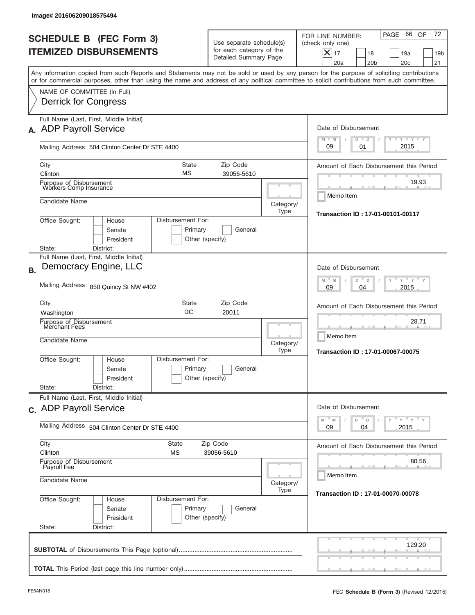|           | Image# 201606209018575494                                                                                                                                                                                                                                                               |                                                                                                                           |                                                                               |                   |                                                                                                                                                                |  |  |
|-----------|-----------------------------------------------------------------------------------------------------------------------------------------------------------------------------------------------------------------------------------------------------------------------------------------|---------------------------------------------------------------------------------------------------------------------------|-------------------------------------------------------------------------------|-------------------|----------------------------------------------------------------------------------------------------------------------------------------------------------------|--|--|
|           | <b>SCHEDULE B (FEC Form 3)</b><br><b>ITEMIZED DISBURSEMENTS</b>                                                                                                                                                                                                                         |                                                                                                                           | Use separate schedule(s)<br>for each category of the<br>Detailed Summary Page |                   | 72<br>66<br>PAGE<br>OF<br>FOR LINE NUMBER:<br>(check only one)<br>$X _{17}$<br>18<br>19a<br>19 <sub>b</sub><br>20a<br>20 <sub>b</sub><br>20 <sub>c</sub><br>21 |  |  |
|           | Any information copied from such Reports and Statements may not be sold or used by any person for the purpose of soliciting contributions<br>or for commercial purposes, other than using the name and address of any political committee to solicit contributions from such committee. |                                                                                                                           |                                                                               |                   |                                                                                                                                                                |  |  |
|           | NAME OF COMMITTEE (In Full)<br><b>Derrick for Congress</b>                                                                                                                                                                                                                              |                                                                                                                           |                                                                               |                   |                                                                                                                                                                |  |  |
|           | Full Name (Last, First, Middle Initial)<br>A. ADP Payroll Service                                                                                                                                                                                                                       |                                                                                                                           |                                                                               |                   |                                                                                                                                                                |  |  |
|           | Mailing Address 504 Clinton Center Dr STE 4400                                                                                                                                                                                                                                          | $T - Y$ $T - Y$ $T - Y$<br>$M - M$<br>$D$ $D$<br>2015<br>09<br>01                                                         |                                                                               |                   |                                                                                                                                                                |  |  |
|           | State<br>City<br>МS<br>Clinton                                                                                                                                                                                                                                                          | Amount of Each Disbursement this Period<br>19.93                                                                          |                                                                               |                   |                                                                                                                                                                |  |  |
|           | Purpose of Disbursement<br>Workers Comp Insurance<br>Candidate Name                                                                                                                                                                                                                     |                                                                                                                           |                                                                               | Category/<br>Type | Memo Item                                                                                                                                                      |  |  |
|           | Office Sought:<br>Disbursement For:<br>House<br>Senate<br>Primary<br>President<br>Other (specify)<br>District:<br>State:                                                                                                                                                                | Transaction ID: 17-01-00101-00117                                                                                         |                                                                               |                   |                                                                                                                                                                |  |  |
| <b>B.</b> | Full Name (Last, First, Middle Initial)<br>Democracy Engine, LLC                                                                                                                                                                                                                        |                                                                                                                           |                                                                               |                   | Date of Disbursement                                                                                                                                           |  |  |
|           | Mailing Address 850 Quincy St NW #402                                                                                                                                                                                                                                                   | $-M$<br>$Y = Y$<br>M<br>D<br>D<br>2015<br>09<br>04                                                                        |                                                                               |                   |                                                                                                                                                                |  |  |
|           | City<br>State<br>DC<br>Washington                                                                                                                                                                                                                                                       | Amount of Each Disbursement this Period                                                                                   |                                                                               |                   |                                                                                                                                                                |  |  |
|           | Purpose of Disbursement<br>Merchant Fees<br>Candidate Name                                                                                                                                                                                                                              | Category/<br>Type                                                                                                         | 28.71<br>Memo Item<br><b>Transaction ID: 17-01-00067-00075</b>                |                   |                                                                                                                                                                |  |  |
|           | Disbursement For:<br>Office Sought:<br>House<br>Primary<br>Senate<br>Other (specify)<br>President                                                                                                                                                                                       |                                                                                                                           |                                                                               |                   |                                                                                                                                                                |  |  |
|           | State:<br>District:<br>Full Name (Last, First, Middle Initial)<br>c. ADP Payroll Service                                                                                                                                                                                                |                                                                                                                           |                                                                               |                   | Date of Disbursement                                                                                                                                           |  |  |
|           | Mailing Address 504 Clinton Center Dr STE 4400                                                                                                                                                                                                                                          | $\cdots$ $\gamma$ $\cdots$ $\gamma$ $\cdots$ $\gamma$<br>$-M$<br>$\mathbb M$<br>D<br>$\mathsf D$<br>Y<br>2015<br>09<br>04 |                                                                               |                   |                                                                                                                                                                |  |  |
|           | City<br>State<br>Clinton<br>МS                                                                                                                                                                                                                                                          | Amount of Each Disbursement this Period                                                                                   |                                                                               |                   |                                                                                                                                                                |  |  |
|           | Purpose of Disbursement<br>Payroll Fee<br>Candidate Name                                                                                                                                                                                                                                | 80.56<br>Memo Item<br>Category/                                                                                           |                                                                               |                   |                                                                                                                                                                |  |  |
|           | Office Sought:<br>Disbursement For:<br>House<br>Primary<br>Senate<br>President<br>Other (specify)<br>State:<br>District:                                                                                                                                                                | Transaction ID: 17-01-00070-00078                                                                                         |                                                                               |                   |                                                                                                                                                                |  |  |
|           |                                                                                                                                                                                                                                                                                         |                                                                                                                           |                                                                               |                   | 129.20                                                                                                                                                         |  |  |
|           |                                                                                                                                                                                                                                                                                         |                                                                                                                           |                                                                               |                   |                                                                                                                                                                |  |  |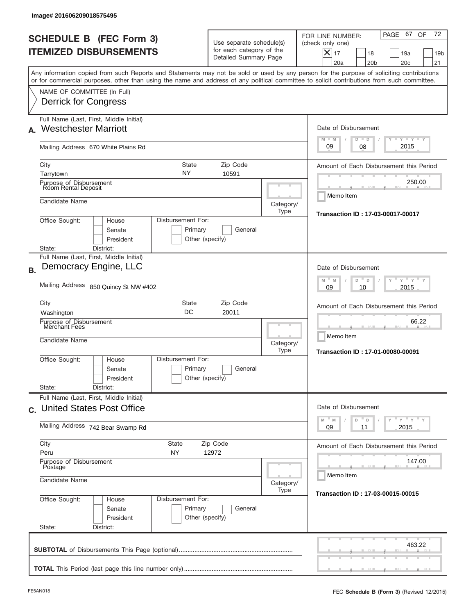| FOR LINE NUMBER:<br><b>SCHEDULE B (FEC Form 3)</b><br>Use separate schedule(s)<br>(check only one)<br>for each category of the<br><b>ITEMIZED DISBURSEMENTS</b><br>$\boldsymbol{\times}$<br>17<br>Detailed Summary Page<br>20a<br>Any information copied from such Reports and Statements may not be sold or used by any person for the purpose of soliciting contributions<br>or for commercial purposes, other than using the name and address of any political committee to solicit contributions from such committee.<br>NAME OF COMMITTEE (In Full)<br><b>Derrick for Congress</b><br>Full Name (Last, First, Middle Initial)<br><b>Westchester Marriott</b><br>$M - M$<br>09<br>Mailing Address 670 White Plains Rd<br><b>State</b><br>Zip Code<br>City<br>NY<br>10591<br>Tarrytown<br>Purpose of Disbursement<br>Room Rental Deposit<br>Candidate Name<br>Category/<br>Type<br>Office Sought:<br>Disbursement For:<br>House<br>Primary<br>General<br>Senate<br>President<br>Other (specify)<br>State:<br>District:<br>Full Name (Last, First, Middle Initial)<br>Democracy Engine, LLC<br><b>B.</b><br>$M - M$<br>Mailing Address 850 Quincy St NW #402<br>09<br>City<br>State<br>Zip Code<br>DC<br>20011<br>Washington<br>Purpose of Disbursement<br>Merchant Fees<br>Candidate Name<br>Category/<br>Type<br>Disbursement For:<br>Office Sought:<br>House<br>Primary<br>General<br>Senate<br>Other (specify)<br>President<br>State:<br>District:<br>Full Name (Last, First, Middle Initial)<br>c. United States Post Office<br>$-M$<br>$\mathbb M$<br>Mailing Address 742 Bear Swamp Rd<br>09<br>City<br><b>State</b><br>Zip Code<br>Peru<br>NY<br>12972<br>Purpose of Disbursement<br>Postage<br>Candidate Name<br>Category/<br>Type<br>Office Sought:<br>Disbursement For:<br>House |                                                                                              |
|-----------------------------------------------------------------------------------------------------------------------------------------------------------------------------------------------------------------------------------------------------------------------------------------------------------------------------------------------------------------------------------------------------------------------------------------------------------------------------------------------------------------------------------------------------------------------------------------------------------------------------------------------------------------------------------------------------------------------------------------------------------------------------------------------------------------------------------------------------------------------------------------------------------------------------------------------------------------------------------------------------------------------------------------------------------------------------------------------------------------------------------------------------------------------------------------------------------------------------------------------------------------------------------------------------------------------------------------------------------------------------------------------------------------------------------------------------------------------------------------------------------------------------------------------------------------------------------------------------------------------------------------------------------------------------------------------------------------------------------------------------------------------------------------------|----------------------------------------------------------------------------------------------|
|                                                                                                                                                                                                                                                                                                                                                                                                                                                                                                                                                                                                                                                                                                                                                                                                                                                                                                                                                                                                                                                                                                                                                                                                                                                                                                                                                                                                                                                                                                                                                                                                                                                                                                                                                                                               | 72<br>PAGE 67 OF<br>19a<br>18<br>19 <sub>b</sub><br>20 <sub>b</sub><br>20 <sub>c</sub><br>21 |
|                                                                                                                                                                                                                                                                                                                                                                                                                                                                                                                                                                                                                                                                                                                                                                                                                                                                                                                                                                                                                                                                                                                                                                                                                                                                                                                                                                                                                                                                                                                                                                                                                                                                                                                                                                                               |                                                                                              |
|                                                                                                                                                                                                                                                                                                                                                                                                                                                                                                                                                                                                                                                                                                                                                                                                                                                                                                                                                                                                                                                                                                                                                                                                                                                                                                                                                                                                                                                                                                                                                                                                                                                                                                                                                                                               |                                                                                              |
|                                                                                                                                                                                                                                                                                                                                                                                                                                                                                                                                                                                                                                                                                                                                                                                                                                                                                                                                                                                                                                                                                                                                                                                                                                                                                                                                                                                                                                                                                                                                                                                                                                                                                                                                                                                               | Date of Disbursement<br>$T - Y$ $T - Y$ $T - Y$                                              |
|                                                                                                                                                                                                                                                                                                                                                                                                                                                                                                                                                                                                                                                                                                                                                                                                                                                                                                                                                                                                                                                                                                                                                                                                                                                                                                                                                                                                                                                                                                                                                                                                                                                                                                                                                                                               | $D$ $D$<br>2015<br>08                                                                        |
|                                                                                                                                                                                                                                                                                                                                                                                                                                                                                                                                                                                                                                                                                                                                                                                                                                                                                                                                                                                                                                                                                                                                                                                                                                                                                                                                                                                                                                                                                                                                                                                                                                                                                                                                                                                               | Amount of Each Disbursement this Period<br>250.00                                            |
|                                                                                                                                                                                                                                                                                                                                                                                                                                                                                                                                                                                                                                                                                                                                                                                                                                                                                                                                                                                                                                                                                                                                                                                                                                                                                                                                                                                                                                                                                                                                                                                                                                                                                                                                                                                               | Memo Item                                                                                    |
|                                                                                                                                                                                                                                                                                                                                                                                                                                                                                                                                                                                                                                                                                                                                                                                                                                                                                                                                                                                                                                                                                                                                                                                                                                                                                                                                                                                                                                                                                                                                                                                                                                                                                                                                                                                               | Transaction ID: 17-03-00017-00017                                                            |
|                                                                                                                                                                                                                                                                                                                                                                                                                                                                                                                                                                                                                                                                                                                                                                                                                                                                                                                                                                                                                                                                                                                                                                                                                                                                                                                                                                                                                                                                                                                                                                                                                                                                                                                                                                                               |                                                                                              |
|                                                                                                                                                                                                                                                                                                                                                                                                                                                                                                                                                                                                                                                                                                                                                                                                                                                                                                                                                                                                                                                                                                                                                                                                                                                                                                                                                                                                                                                                                                                                                                                                                                                                                                                                                                                               | Date of Disbursement<br>$Y$ $Y$ $Y$<br>D<br>$\Box$                                           |
|                                                                                                                                                                                                                                                                                                                                                                                                                                                                                                                                                                                                                                                                                                                                                                                                                                                                                                                                                                                                                                                                                                                                                                                                                                                                                                                                                                                                                                                                                                                                                                                                                                                                                                                                                                                               | 2015<br>10                                                                                   |
|                                                                                                                                                                                                                                                                                                                                                                                                                                                                                                                                                                                                                                                                                                                                                                                                                                                                                                                                                                                                                                                                                                                                                                                                                                                                                                                                                                                                                                                                                                                                                                                                                                                                                                                                                                                               | Amount of Each Disbursement this Period                                                      |
|                                                                                                                                                                                                                                                                                                                                                                                                                                                                                                                                                                                                                                                                                                                                                                                                                                                                                                                                                                                                                                                                                                                                                                                                                                                                                                                                                                                                                                                                                                                                                                                                                                                                                                                                                                                               | 66.22<br>Memo Item<br>Transaction ID: 17-01-00080-00091                                      |
|                                                                                                                                                                                                                                                                                                                                                                                                                                                                                                                                                                                                                                                                                                                                                                                                                                                                                                                                                                                                                                                                                                                                                                                                                                                                                                                                                                                                                                                                                                                                                                                                                                                                                                                                                                                               |                                                                                              |
|                                                                                                                                                                                                                                                                                                                                                                                                                                                                                                                                                                                                                                                                                                                                                                                                                                                                                                                                                                                                                                                                                                                                                                                                                                                                                                                                                                                                                                                                                                                                                                                                                                                                                                                                                                                               |                                                                                              |
|                                                                                                                                                                                                                                                                                                                                                                                                                                                                                                                                                                                                                                                                                                                                                                                                                                                                                                                                                                                                                                                                                                                                                                                                                                                                                                                                                                                                                                                                                                                                                                                                                                                                                                                                                                                               | Date of Disbursement<br>$Y$ $Y$ $Y$ $Y$ $Y$<br>D<br>$\mathsf D$                              |
|                                                                                                                                                                                                                                                                                                                                                                                                                                                                                                                                                                                                                                                                                                                                                                                                                                                                                                                                                                                                                                                                                                                                                                                                                                                                                                                                                                                                                                                                                                                                                                                                                                                                                                                                                                                               | 2015<br>11                                                                                   |
|                                                                                                                                                                                                                                                                                                                                                                                                                                                                                                                                                                                                                                                                                                                                                                                                                                                                                                                                                                                                                                                                                                                                                                                                                                                                                                                                                                                                                                                                                                                                                                                                                                                                                                                                                                                               | Amount of Each Disbursement this Period                                                      |
|                                                                                                                                                                                                                                                                                                                                                                                                                                                                                                                                                                                                                                                                                                                                                                                                                                                                                                                                                                                                                                                                                                                                                                                                                                                                                                                                                                                                                                                                                                                                                                                                                                                                                                                                                                                               | 147.00<br>Memo Item                                                                          |
|                                                                                                                                                                                                                                                                                                                                                                                                                                                                                                                                                                                                                                                                                                                                                                                                                                                                                                                                                                                                                                                                                                                                                                                                                                                                                                                                                                                                                                                                                                                                                                                                                                                                                                                                                                                               | Transaction ID: 17-03-00015-00015                                                            |
| Primary<br>Senate<br>General<br>Other (specify)<br>President<br>State:<br>District:                                                                                                                                                                                                                                                                                                                                                                                                                                                                                                                                                                                                                                                                                                                                                                                                                                                                                                                                                                                                                                                                                                                                                                                                                                                                                                                                                                                                                                                                                                                                                                                                                                                                                                           |                                                                                              |
|                                                                                                                                                                                                                                                                                                                                                                                                                                                                                                                                                                                                                                                                                                                                                                                                                                                                                                                                                                                                                                                                                                                                                                                                                                                                                                                                                                                                                                                                                                                                                                                                                                                                                                                                                                                               | 463.22                                                                                       |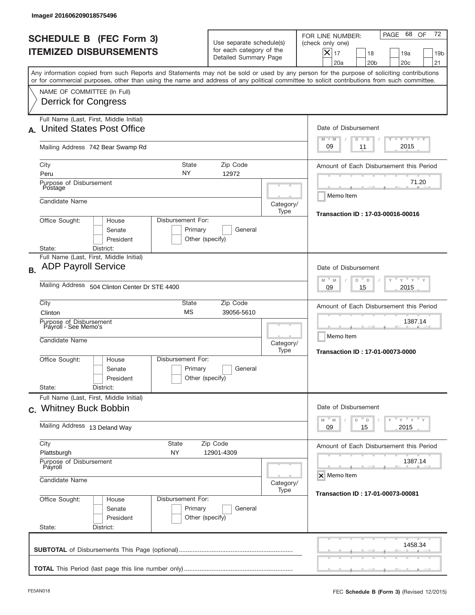|           | Image# 201606209018575496                                              |                                                   |                                                 |                                                                               |                   |                                                                                                                                                                                                                                                                                         |
|-----------|------------------------------------------------------------------------|---------------------------------------------------|-------------------------------------------------|-------------------------------------------------------------------------------|-------------------|-----------------------------------------------------------------------------------------------------------------------------------------------------------------------------------------------------------------------------------------------------------------------------------------|
|           | <b>SCHEDULE B (FEC Form 3)</b><br><b>ITEMIZED DISBURSEMENTS</b>        |                                                   |                                                 | Use separate schedule(s)<br>for each category of the<br>Detailed Summary Page |                   | 72<br>PAGE 68 OF<br>FOR LINE NUMBER:<br>(check only one)<br>$ \boldsymbol{\times} $<br>17<br>18<br>19a<br>19 <sub>b</sub><br>20a<br>20 <sub>b</sub><br>20 <sub>c</sub><br>21                                                                                                            |
|           | NAME OF COMMITTEE (In Full)                                            |                                                   |                                                 |                                                                               |                   | Any information copied from such Reports and Statements may not be sold or used by any person for the purpose of soliciting contributions<br>or for commercial purposes, other than using the name and address of any political committee to solicit contributions from such committee. |
|           | <b>Derrick for Congress</b><br>Full Name (Last, First, Middle Initial) |                                                   |                                                 |                                                                               |                   |                                                                                                                                                                                                                                                                                         |
|           | United States Post Office                                              |                                                   |                                                 |                                                                               |                   | Date of Disbursement<br>$T - Y$ $T - Y$<br>$M - M$<br>$D$ $D$                                                                                                                                                                                                                           |
|           | Mailing Address 742 Bear Swamp Rd                                      |                                                   | 2015<br>09<br>11                                |                                                                               |                   |                                                                                                                                                                                                                                                                                         |
| City      |                                                                        |                                                   | Amount of Each Disbursement this Period         |                                                                               |                   |                                                                                                                                                                                                                                                                                         |
| Peru      | Purpose of Disbursement<br>Postage                                     |                                                   | NY                                              | 12972                                                                         |                   | 71.20                                                                                                                                                                                                                                                                                   |
|           | Candidate Name                                                         |                                                   |                                                 |                                                                               | Category/<br>Type | Memo Item<br>Transaction ID: 17-03-00016-00016                                                                                                                                                                                                                                          |
| State:    | Office Sought:<br>District:                                            | Disbursement For:<br>House<br>Senate<br>President |                                                 |                                                                               |                   |                                                                                                                                                                                                                                                                                         |
|           | Full Name (Last, First, Middle Initial)                                |                                                   |                                                 |                                                                               |                   |                                                                                                                                                                                                                                                                                         |
| <b>B.</b> | <b>ADP Payroll Service</b>                                             |                                                   |                                                 |                                                                               |                   | Date of Disbursement<br>$-\gamma + \gamma - \gamma$<br>M<br>D<br>M<br>D                                                                                                                                                                                                                 |
|           | Mailing Address 504 Clinton Center Dr STE 4400                         |                                                   |                                                 |                                                                               |                   | 2015<br>09<br>15                                                                                                                                                                                                                                                                        |
| City      | Clinton                                                                |                                                   | Amount of Each Disbursement this Period         |                                                                               |                   |                                                                                                                                                                                                                                                                                         |
|           | Purpose of Disbursement<br>Payroll - See Memo's<br>Candidate Name      |                                                   |                                                 |                                                                               | Category/<br>Type | 1387.14<br>Memo Item<br>Transaction ID: 17-01-00073-0000                                                                                                                                                                                                                                |
|           | Office Sought:                                                         | House<br>Senate<br>President                      | Disbursement For:<br>Primary<br>Other (specify) | General                                                                       |                   |                                                                                                                                                                                                                                                                                         |
| State:    | District:<br>Full Name (Last, First, Middle Initial)                   |                                                   |                                                 |                                                                               |                   |                                                                                                                                                                                                                                                                                         |
|           | c. Whitney Buck Bobbin                                                 |                                                   |                                                 |                                                                               |                   | Date of Disbursement<br>ү "ү "ү "ү<br>$M$ <sup><math>=</math></sup><br>$\overline{\phantom{a}}$ D<br>M<br>D                                                                                                                                                                             |
|           | Mailing Address 13 Deland Way                                          |                                                   | 15<br>2015<br>09                                |                                                                               |                   |                                                                                                                                                                                                                                                                                         |
| City      | Plattsburgh                                                            |                                                   | Amount of Each Disbursement this Period         |                                                                               |                   |                                                                                                                                                                                                                                                                                         |
|           | Purpose of Disbursement<br>Payroll<br>Candidate Name                   |                                                   |                                                 |                                                                               |                   | 1387.14<br>X Memo Item                                                                                                                                                                                                                                                                  |
|           |                                                                        |                                                   | Category/<br>Transaction ID: 17-01-00073-00081  |                                                                               |                   |                                                                                                                                                                                                                                                                                         |
| State:    | Office Sought:<br>District:                                            | House<br>Senate<br>President                      | Disbursement For:<br>Primary<br>Other (specify) | General                                                                       |                   |                                                                                                                                                                                                                                                                                         |
|           |                                                                        |                                                   |                                                 |                                                                               |                   | 1458.34                                                                                                                                                                                                                                                                                 |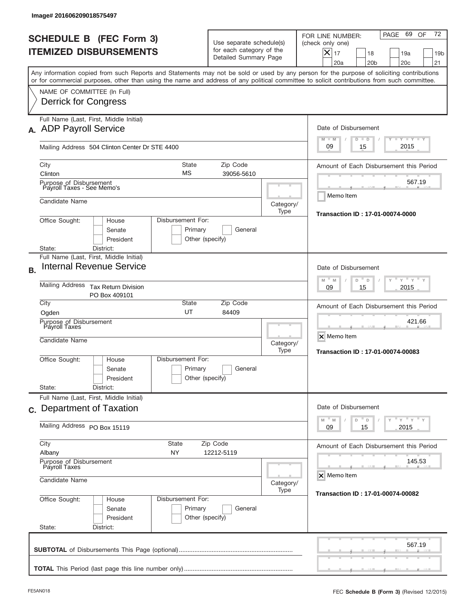| Image# 201606209018575497                                                                                                                                                                                                                                                               |                                                                              |                                                                               |                   |                                                                                                                                                                                  |  |  |
|-----------------------------------------------------------------------------------------------------------------------------------------------------------------------------------------------------------------------------------------------------------------------------------------|------------------------------------------------------------------------------|-------------------------------------------------------------------------------|-------------------|----------------------------------------------------------------------------------------------------------------------------------------------------------------------------------|--|--|
| <b>SCHEDULE B (FEC Form 3)</b><br><b>ITEMIZED DISBURSEMENTS</b>                                                                                                                                                                                                                         |                                                                              | Use separate schedule(s)<br>for each category of the<br>Detailed Summary Page |                   | 72<br>69<br>PAGE<br>OF<br>FOR LINE NUMBER:<br>(check only one)<br>$\boldsymbol{\times}$<br>17<br>19a<br>18<br>19 <sub>b</sub><br>20a<br>20 <sub>b</sub><br>20 <sub>c</sub><br>21 |  |  |
| Any information copied from such Reports and Statements may not be sold or used by any person for the purpose of soliciting contributions<br>or for commercial purposes, other than using the name and address of any political committee to solicit contributions from such committee. |                                                                              |                                                                               |                   |                                                                                                                                                                                  |  |  |
| NAME OF COMMITTEE (In Full)<br><b>Derrick for Congress</b>                                                                                                                                                                                                                              |                                                                              |                                                                               |                   |                                                                                                                                                                                  |  |  |
| Full Name (Last, First, Middle Initial)<br>A. ADP Payroll Service                                                                                                                                                                                                                       | Date of Disbursement<br>$T - Y$ $T - Y$<br>$M - M$<br>$D$ $D$                |                                                                               |                   |                                                                                                                                                                                  |  |  |
|                                                                                                                                                                                                                                                                                         | Mailing Address 504 Clinton Center Dr STE 4400                               |                                                                               |                   |                                                                                                                                                                                  |  |  |
| City<br>Clinton                                                                                                                                                                                                                                                                         | <b>State</b><br>МS                                                           | Zip Code<br>39056-5610                                                        |                   | Amount of Each Disbursement this Period                                                                                                                                          |  |  |
| Purpose of Disbursement<br>Payroll Taxes - See Memo's                                                                                                                                                                                                                                   |                                                                              |                                                                               |                   | 567.19<br>Memo Item                                                                                                                                                              |  |  |
| Candidate Name                                                                                                                                                                                                                                                                          |                                                                              |                                                                               | Category/<br>Type | Transaction ID: 17-01-00074-0000                                                                                                                                                 |  |  |
| Office Sought:<br>Disbursement For:<br>House<br>Senate<br>President<br>State:<br>District:                                                                                                                                                                                              |                                                                              |                                                                               |                   |                                                                                                                                                                                  |  |  |
| Full Name (Last, First, Middle Initial)<br><b>Internal Revenue Service</b><br><b>B.</b>                                                                                                                                                                                                 |                                                                              |                                                                               |                   | Date of Disbursement                                                                                                                                                             |  |  |
| <b>Mailing Address</b><br><b>Tax Return Division</b><br>PO Box 409101                                                                                                                                                                                                                   | $Y$ $Y$ $Y$<br>$M - M$<br>D<br>$\Box$<br>2015<br>09<br>15                    |                                                                               |                   |                                                                                                                                                                                  |  |  |
| City<br>Ogden                                                                                                                                                                                                                                                                           | State<br>Zip Code<br>UT<br>84409                                             |                                                                               |                   |                                                                                                                                                                                  |  |  |
| Purpose of Disbursement<br>Payroll Taxes<br>Candidate Name                                                                                                                                                                                                                              |                                                                              |                                                                               | Category/<br>Type | 421.66<br>X Memo Item<br>Transaction ID: 17-01-00074-00083                                                                                                                       |  |  |
| Office Sought:<br>House<br>Senate<br>President                                                                                                                                                                                                                                          | Disbursement For:<br>Primary<br>Other (specify)                              | General                                                                       |                   |                                                                                                                                                                                  |  |  |
| State:<br>District:<br>Full Name (Last, First, Middle Initial)                                                                                                                                                                                                                          |                                                                              |                                                                               |                   |                                                                                                                                                                                  |  |  |
| c. Department of Taxation                                                                                                                                                                                                                                                               | Date of Disbursement<br>$Y$ $Y$ $Y$ $Y$ $Y$<br>$-M$<br>$\mathbb M$<br>D<br>D |                                                                               |                   |                                                                                                                                                                                  |  |  |
| Mailing Address PO Box 15119                                                                                                                                                                                                                                                            | 09<br>2015<br>15                                                             |                                                                               |                   |                                                                                                                                                                                  |  |  |
| City<br>State<br>Albany<br>NY                                                                                                                                                                                                                                                           | Amount of Each Disbursement this Period                                      |                                                                               |                   |                                                                                                                                                                                  |  |  |
| Purpose of Disbursement<br>Payroll Taxes<br>Candidate Name                                                                                                                                                                                                                              | Category/                                                                    | 145.53<br>X Memo Item                                                         |                   |                                                                                                                                                                                  |  |  |
| Office Sought:<br>Disbursement For:<br>House<br>Senate<br>President<br>State:<br>District:                                                                                                                                                                                              | <b>Transaction ID: 17-01-00074-00082</b>                                     |                                                                               |                   |                                                                                                                                                                                  |  |  |
|                                                                                                                                                                                                                                                                                         |                                                                              |                                                                               |                   | 567.19                                                                                                                                                                           |  |  |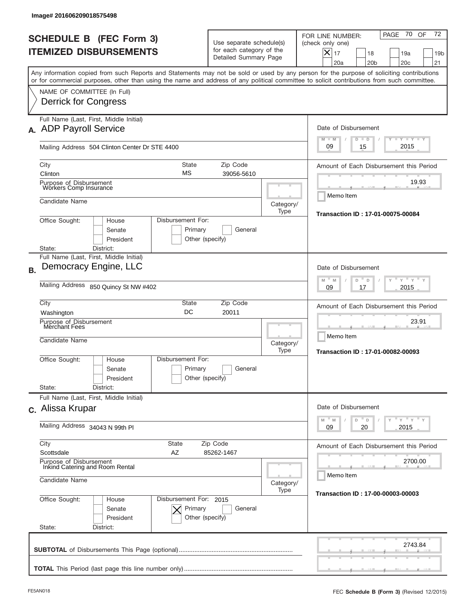| Image# 201606209018575498                                             |                                                                                                                       |                                                                               |                                                                                                                                                                                                                                                                                         |  |  |  |
|-----------------------------------------------------------------------|-----------------------------------------------------------------------------------------------------------------------|-------------------------------------------------------------------------------|-----------------------------------------------------------------------------------------------------------------------------------------------------------------------------------------------------------------------------------------------------------------------------------------|--|--|--|
| <b>SCHEDULE B (FEC Form 3)</b><br><b>ITEMIZED DISBURSEMENTS</b>       |                                                                                                                       | Use separate schedule(s)<br>for each category of the<br>Detailed Summary Page | 70 OF<br>72<br>PAGE<br>FOR LINE NUMBER:<br>(check only one)<br>$\boldsymbol{\times}$<br>17<br>19a<br>18<br>19 <sub>b</sub><br>20a<br>20 <sub>b</sub><br>20 <sub>c</sub><br>21                                                                                                           |  |  |  |
|                                                                       |                                                                                                                       |                                                                               | Any information copied from such Reports and Statements may not be sold or used by any person for the purpose of soliciting contributions<br>or for commercial purposes, other than using the name and address of any political committee to solicit contributions from such committee. |  |  |  |
| NAME OF COMMITTEE (In Full)<br>Derrick for Congress                   |                                                                                                                       |                                                                               |                                                                                                                                                                                                                                                                                         |  |  |  |
| Full Name (Last, First, Middle Initial)<br>A. ADP Payroll Service     |                                                                                                                       |                                                                               |                                                                                                                                                                                                                                                                                         |  |  |  |
| Mailing Address 504 Clinton Center Dr STE 4400                        |                                                                                                                       |                                                                               | $T - Y$ $T - Y$<br>$M - M$<br>$D$ $D$<br>2015<br>09<br>15                                                                                                                                                                                                                               |  |  |  |
| City<br>Clinton                                                       | <b>State</b><br>Zip Code<br>МS<br>39056-5610                                                                          |                                                                               | Amount of Each Disbursement this Period                                                                                                                                                                                                                                                 |  |  |  |
| Purpose of Disbursement<br>Workers Comp Insurance                     |                                                                                                                       |                                                                               |                                                                                                                                                                                                                                                                                         |  |  |  |
| Candidate Name                                                        |                                                                                                                       | Category/<br>Type                                                             | Memo Item<br>Transaction ID: 17-01-00075-00084                                                                                                                                                                                                                                          |  |  |  |
| Office Sought:<br>Disbursement For:<br>House<br>Senate<br>President   |                                                                                                                       |                                                                               |                                                                                                                                                                                                                                                                                         |  |  |  |
| State:<br>District:<br>Full Name (Last, First, Middle Initial)        |                                                                                                                       |                                                                               |                                                                                                                                                                                                                                                                                         |  |  |  |
| Democracy Engine, LLC<br><b>B.</b>                                    | Date of Disbursement<br>$Y$ $Y$ $Y$                                                                                   |                                                                               |                                                                                                                                                                                                                                                                                         |  |  |  |
| Mailing Address 850 Quincy St NW #402                                 | $M - M$<br>D<br>$\Box$<br>2015<br>09<br>17                                                                            |                                                                               |                                                                                                                                                                                                                                                                                         |  |  |  |
| City<br>Washington                                                    | State<br>Zip Code<br>DC<br>20011                                                                                      |                                                                               |                                                                                                                                                                                                                                                                                         |  |  |  |
| Purpose of Disbursement<br>Merchant Fees<br>Candidate Name            |                                                                                                                       | Category/<br>Type                                                             | 23.91<br>Memo Item<br>Transaction ID: 17-01-00082-00093                                                                                                                                                                                                                                 |  |  |  |
| Office Sought:<br>House<br>Senate<br>President                        | Disbursement For:<br>Primary<br>General<br>Other (specify)                                                            |                                                                               |                                                                                                                                                                                                                                                                                         |  |  |  |
| State:<br>District:<br>Full Name (Last, First, Middle Initial)        |                                                                                                                       |                                                                               |                                                                                                                                                                                                                                                                                         |  |  |  |
| c. Alissa Krupar                                                      | Date of Disbursement                                                                                                  |                                                                               |                                                                                                                                                                                                                                                                                         |  |  |  |
| Mailing Address 34043 N 99th PI                                       | $\mathbb{F}$ $\mathsf{y}$ $\mathbb{F}$ $\mathsf{y}$ $\mathbb{F}$ $\mathsf{y}$<br>M<br>D<br>M<br>D<br>2015<br>09<br>20 |                                                                               |                                                                                                                                                                                                                                                                                         |  |  |  |
| City<br>Scottsdale                                                    | Amount of Each Disbursement this Period                                                                               |                                                                               |                                                                                                                                                                                                                                                                                         |  |  |  |
| Purpose of Disbursement<br>Inkind Catering and Room Rental            |                                                                                                                       |                                                                               | 2700.00<br>Memo Item                                                                                                                                                                                                                                                                    |  |  |  |
| Candidate Name                                                        | Category/<br>Type                                                                                                     | Transaction ID: 17-00-00003-00003                                             |                                                                                                                                                                                                                                                                                         |  |  |  |
| Office Sought:<br>House<br>Senate<br>President<br>State:<br>District: | Disbursement For: 2015<br>Primary<br>General<br>Other (specify)                                                       |                                                                               |                                                                                                                                                                                                                                                                                         |  |  |  |
|                                                                       |                                                                                                                       |                                                                               | 2743.84                                                                                                                                                                                                                                                                                 |  |  |  |
|                                                                       |                                                                                                                       |                                                                               |                                                                                                                                                                                                                                                                                         |  |  |  |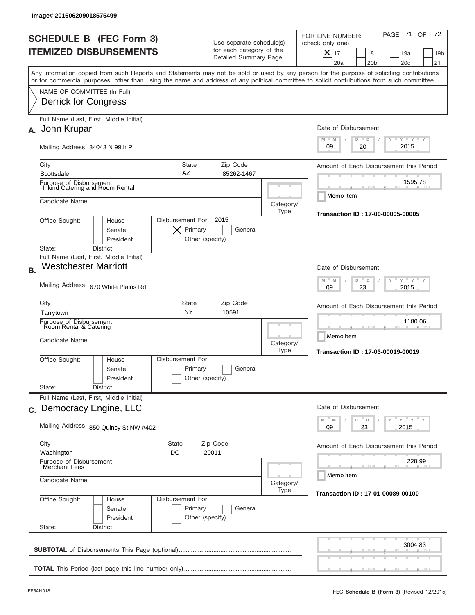| Image#201606209018575499                                                                                                                                                                                                                                                                                               |                                                                                                            |                                                                                                      |                                                                                                                                                                                    |  |  |  |  |
|------------------------------------------------------------------------------------------------------------------------------------------------------------------------------------------------------------------------------------------------------------------------------------------------------------------------|------------------------------------------------------------------------------------------------------------|------------------------------------------------------------------------------------------------------|------------------------------------------------------------------------------------------------------------------------------------------------------------------------------------|--|--|--|--|
| <b>SCHEDULE B (FEC Form 3)</b><br><b>ITEMIZED DISBURSEMENTS</b>                                                                                                                                                                                                                                                        | Use separate schedule(s)<br>for each category of the<br>Detailed Summary Page                              |                                                                                                      | 72<br>71<br>OF<br>PAGE<br>FOR LINE NUMBER:<br>(check only one)<br>$ \boldsymbol{\times} $<br>17<br>18<br>19a<br>19 <sub>b</sub><br>20a<br>20 <sub>b</sub><br>20 <sub>c</sub><br>21 |  |  |  |  |
| Any information copied from such Reports and Statements may not be sold or used by any person for the purpose of soliciting contributions<br>or for commercial purposes, other than using the name and address of any political committee to solicit contributions from such committee.<br>NAME OF COMMITTEE (In Full) |                                                                                                            |                                                                                                      |                                                                                                                                                                                    |  |  |  |  |
| Full Name (Last, First, Middle Initial)<br>John Krupar<br>А.                                                                                                                                                                                                                                                           | <b>Derrick for Congress</b>                                                                                |                                                                                                      |                                                                                                                                                                                    |  |  |  |  |
| Mailing Address 34043 N 99th PI                                                                                                                                                                                                                                                                                        | $T - Y$ $T - Y$<br>$M - M$<br>$D$ $D$<br>2015<br>09<br>20                                                  |                                                                                                      |                                                                                                                                                                                    |  |  |  |  |
| City<br><b>State</b><br>AZ<br>Scottsdale                                                                                                                                                                                                                                                                               | Amount of Each Disbursement this Period                                                                    |                                                                                                      |                                                                                                                                                                                    |  |  |  |  |
| Purpose of Disbursement<br>Inkind Catering and Room Rental<br>Candidate Name                                                                                                                                                                                                                                           |                                                                                                            | Category/<br>Type                                                                                    | 1595.78<br>Memo Item                                                                                                                                                               |  |  |  |  |
| Disbursement For: 2015<br>Office Sought:<br>House<br>Primary<br>Senate<br>President<br>Other (specify)<br>State:<br>District:                                                                                                                                                                                          | Transaction ID: 17-00-00005-00005                                                                          |                                                                                                      |                                                                                                                                                                                    |  |  |  |  |
| Full Name (Last, First, Middle Initial)<br><b>Westchester Marriott</b><br><b>B.</b>                                                                                                                                                                                                                                    | Date of Disbursement<br>≡ γ ≡ γ ≡                                                                          |                                                                                                      |                                                                                                                                                                                    |  |  |  |  |
| Mailing Address 670 White Plains Rd                                                                                                                                                                                                                                                                                    | M<br>M<br>D<br>D<br>2015<br>09<br>23                                                                       |                                                                                                      |                                                                                                                                                                                    |  |  |  |  |
| City<br><b>State</b><br><b>NY</b><br>Tarrytown<br>Purpose of Disbursement<br>Room Rental & Catering<br>Candidate Name                                                                                                                                                                                                  | Category/<br>Type                                                                                          | Amount of Each Disbursement this Period<br>1180.06<br>Memo Item<br>Transaction ID: 17-03-00019-00019 |                                                                                                                                                                                    |  |  |  |  |
| Disbursement For:<br>Office Sought:<br>House<br>Senate<br>President<br>State:<br>District:                                                                                                                                                                                                                             | Primary<br>General<br>Other (specify)                                                                      |                                                                                                      |                                                                                                                                                                                    |  |  |  |  |
| Full Name (Last, First, Middle Initial)<br>c. Democracy Engine, LLC                                                                                                                                                                                                                                                    | Date of Disbursement<br>$\gamma$ $\gamma$ $\gamma$ $\gamma$ $\gamma$<br>$-M$<br>$\overline{\phantom{a}}$ D |                                                                                                      |                                                                                                                                                                                    |  |  |  |  |
| Mailing Address 850 Quincy St NW #402                                                                                                                                                                                                                                                                                  | M<br>D<br>23<br>2015<br>09                                                                                 |                                                                                                      |                                                                                                                                                                                    |  |  |  |  |
| City<br><b>State</b><br>Washington<br>DC<br>Purpose of Disbursement<br>Merchant Fees                                                                                                                                                                                                                                   | Amount of Each Disbursement this Period<br>228.99                                                          |                                                                                                      |                                                                                                                                                                                    |  |  |  |  |
| Candidate Name                                                                                                                                                                                                                                                                                                         | Memo Item<br>Transaction ID: 17-01-00089-00100                                                             |                                                                                                      |                                                                                                                                                                                    |  |  |  |  |
| Office Sought:<br>Disbursement For:<br>House<br>Primary<br>Senate<br>President<br>Other (specify)<br>State:<br>District:                                                                                                                                                                                               |                                                                                                            |                                                                                                      |                                                                                                                                                                                    |  |  |  |  |
|                                                                                                                                                                                                                                                                                                                        |                                                                                                            |                                                                                                      | 3004.83                                                                                                                                                                            |  |  |  |  |